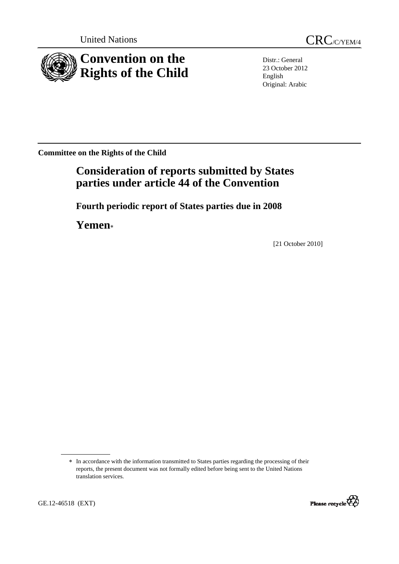



Distr.: General 23 October 2012 English Original: Arabic

**Committee on the Rights of the Child** 

# **Consideration of reports submitted by States parties under article 44 of the Convention**

 **Fourth periodic report of States parties due in 2008** 

 **Yemen**<sup>∗</sup>

[21 October 2010]

GE.12-46518 (EXT)



<sup>∗</sup> In accordance with the information transmitted to States parties regarding the processing of their reports, the present document was not formally edited before being sent to the United Nations translation services.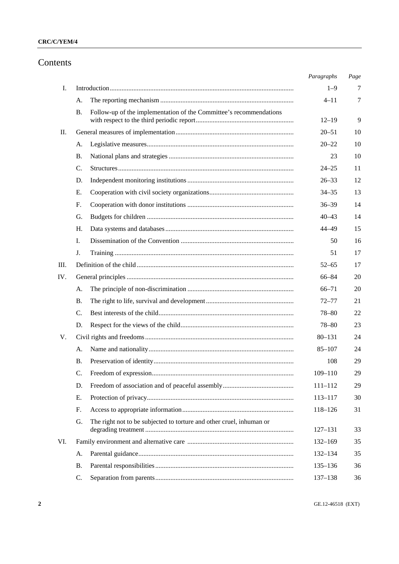## Contents

|     |                                                                            | Paragraphs  | Page |
|-----|----------------------------------------------------------------------------|-------------|------|
| Ι.  |                                                                            | $1 - 9$     | 7    |
|     | А.                                                                         | $4 - 11$    | 7    |
|     | Follow-up of the implementation of the Committee's recommendations<br>В.   |             |      |
|     |                                                                            | $12 - 19$   | 9    |
| П.  |                                                                            | $20 - 51$   | 10   |
|     | A.                                                                         | $20 - 22$   | 10   |
|     | <b>B.</b>                                                                  | 23          | 10   |
|     | C.                                                                         | $24 - 25$   | 11   |
|     | D.                                                                         | $26 - 33$   | 12   |
|     | Е.                                                                         | $34 - 35$   | 13   |
|     | F.                                                                         | $36 - 39$   | 14   |
|     | G.                                                                         | $40 - 43$   | 14   |
|     | Η.                                                                         | 44-49       | 15   |
|     | I.                                                                         | 50          | 16   |
|     | J.                                                                         | 51          | 17   |
| Ш.  |                                                                            | $52 - 65$   | 17   |
| IV. |                                                                            | $66 - 84$   | 20   |
|     | А.                                                                         | $66 - 71$   | 20   |
|     | В.                                                                         | $72 - 77$   | 21   |
|     | C.                                                                         | $78 - 80$   | 22   |
|     | D.                                                                         | $78 - 80$   | 23   |
| V.  |                                                                            | $80 - 131$  | 24   |
|     | А.                                                                         | $85 - 107$  | 24   |
|     | В.                                                                         | 108         | 29   |
|     | C.                                                                         | $109 - 110$ | 29   |
|     | D.                                                                         | $111 - 112$ | 29   |
|     | Е.                                                                         | $113 - 117$ | 30   |
|     | F.                                                                         | 118-126     | 31   |
|     | The right not to be subjected to torture and other cruel, inhuman or<br>G. | $127 - 131$ | 33   |
| VI. |                                                                            | $132 - 169$ | 35   |
|     | A.                                                                         | $132 - 134$ | 35   |
|     | Β.                                                                         | $135 - 136$ | 36   |
|     | C.                                                                         | 137-138     | 36   |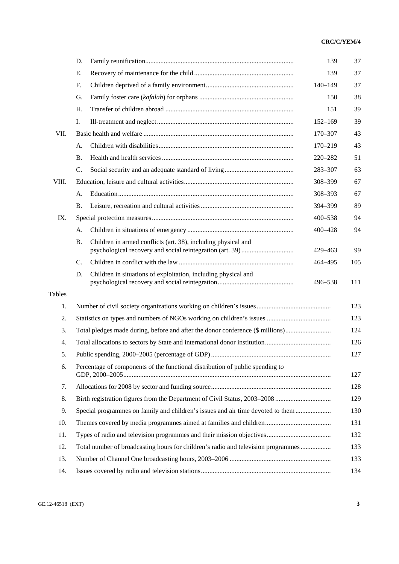|               | D.                                                                                       | 139         | 37  |  |  |
|---------------|------------------------------------------------------------------------------------------|-------------|-----|--|--|
|               | Ε.                                                                                       | 139         | 37  |  |  |
|               | F.                                                                                       | $140 - 149$ | 37  |  |  |
|               | G.                                                                                       | 150         | 38  |  |  |
|               | H.                                                                                       | 151         | 39  |  |  |
|               | I.                                                                                       | $152 - 169$ | 39  |  |  |
| VII.          |                                                                                          | 170-307     | 43  |  |  |
|               | А.                                                                                       | $170 - 219$ | 43  |  |  |
|               | <b>B.</b>                                                                                | 220-282     | 51  |  |  |
|               | C.                                                                                       | 283-307     | 63  |  |  |
| VIII.         |                                                                                          | 308-399     | 67  |  |  |
|               | А.                                                                                       | 308-393     | 67  |  |  |
|               | В.                                                                                       | 394-399     | 89  |  |  |
| IX.           |                                                                                          | $400 - 538$ | 94  |  |  |
|               | А.                                                                                       | 400-428     | 94  |  |  |
|               | <b>B.</b><br>Children in armed conflicts (art. 38), including physical and               | 429-463     | 99  |  |  |
|               | $\mathbf{C}$ .                                                                           | 464-495     | 105 |  |  |
|               | Children in situations of exploitation, including physical and<br>D.                     | 496-538     | 111 |  |  |
| <b>Tables</b> |                                                                                          |             |     |  |  |
| 1.            |                                                                                          |             | 123 |  |  |
| 2.            |                                                                                          |             | 123 |  |  |
| 3.            | Total pledges made during, before and after the donor conference (\$ millions)           |             | 124 |  |  |
| 4.            |                                                                                          |             | 126 |  |  |
| 5.            |                                                                                          |             | 127 |  |  |
| 6.            | Percentage of components of the functional distribution of public spending to<br>127     |             |     |  |  |
| 7.            |                                                                                          |             | 128 |  |  |
| 8.            |                                                                                          |             | 129 |  |  |
| 9.            | Special programmes on family and children's issues and air time devoted to them          |             | 130 |  |  |
| 10.           | 131                                                                                      |             |     |  |  |
| 11.           | 132                                                                                      |             |     |  |  |
| 12.           | Total number of broadcasting hours for children's radio and television programmes<br>133 |             |     |  |  |
| 13.           |                                                                                          |             | 133 |  |  |
| 14.           |                                                                                          |             | 134 |  |  |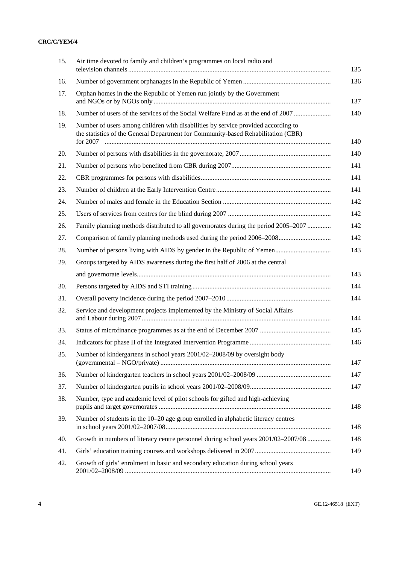|                                                      | Air time devoted to family and children's programmes on local radio and                                                                                                |
|------------------------------------------------------|------------------------------------------------------------------------------------------------------------------------------------------------------------------------|
| 16.                                                  |                                                                                                                                                                        |
| 17.                                                  | Orphan homes in the the Republic of Yemen run jointly by the Government                                                                                                |
| 18.                                                  | Number of users of the services of the Social Welfare Fund as at the end of 2007                                                                                       |
| 19.                                                  | Number of users among children with disabilities by service provided according to<br>the statistics of the General Department for Community-based Rehabilitation (CBR) |
| 20.                                                  |                                                                                                                                                                        |
| 21.                                                  |                                                                                                                                                                        |
| 22.                                                  |                                                                                                                                                                        |
| 23.                                                  |                                                                                                                                                                        |
| 24.                                                  |                                                                                                                                                                        |
| 25.                                                  |                                                                                                                                                                        |
| 26.                                                  | Family planning methods distributed to all governorates during the period 2005–2007                                                                                    |
| 27.                                                  | Comparison of family planning methods used during the period 2006–2008                                                                                                 |
| 28.                                                  |                                                                                                                                                                        |
| 29.                                                  | Groups targeted by AIDS awareness during the first half of 2006 at the central                                                                                         |
|                                                      |                                                                                                                                                                        |
| 30.                                                  |                                                                                                                                                                        |
| 31.                                                  |                                                                                                                                                                        |
| 32.                                                  | Service and development projects implemented by the Ministry of Social Affairs                                                                                         |
| 33.                                                  |                                                                                                                                                                        |
|                                                      |                                                                                                                                                                        |
|                                                      |                                                                                                                                                                        |
|                                                      | Number of kindergartens in school years 2001/02–2008/09 by oversight body                                                                                              |
|                                                      |                                                                                                                                                                        |
|                                                      |                                                                                                                                                                        |
|                                                      | Number, type and academic level of pilot schools for gifted and high-achieving                                                                                         |
|                                                      | Number of students in the 10–20 age group enrolled in alphabetic literacy centres                                                                                      |
|                                                      | Growth in numbers of literacy centre personnel during school years 2001/02-2007/08                                                                                     |
| 34.<br>35.<br>36.<br>37.<br>38.<br>39.<br>40.<br>41. |                                                                                                                                                                        |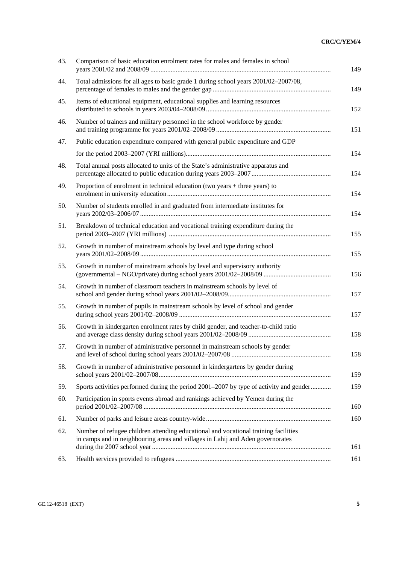| 43. | Comparison of basic education enrolment rates for males and females in school                                                                                         |
|-----|-----------------------------------------------------------------------------------------------------------------------------------------------------------------------|
| 44. | Total admissions for all ages to basic grade 1 during school years 2001/02-2007/08,                                                                                   |
| 45. | Items of educational equipment, educational supplies and learning resources                                                                                           |
| 46. | Number of trainers and military personnel in the school workforce by gender                                                                                           |
| 47. | Public education expenditure compared with general public expenditure and GDP                                                                                         |
|     |                                                                                                                                                                       |
| 48. | Total annual posts allocated to units of the State's administrative apparatus and                                                                                     |
| 49. | Proportion of enrolment in technical education (two years $+$ three years) to                                                                                         |
| 50. | Number of students enrolled in and graduated from intermediate institutes for                                                                                         |
| 51. | Breakdown of technical education and vocational training expenditure during the                                                                                       |
| 52. | Growth in number of mainstream schools by level and type during school                                                                                                |
| 53. | Growth in number of mainstream schools by level and supervisory authority                                                                                             |
| 54. | Growth in number of classroom teachers in mainstream schools by level of                                                                                              |
| 55. | Growth in number of pupils in mainstream schools by level of school and gender                                                                                        |
| 56. | Growth in kindergarten enrolment rates by child gender, and teacher-to-child ratio                                                                                    |
| 57. | Growth in number of administrative personnel in mainstream schools by gender                                                                                          |
| 58. | Growth in number of administrative personnel in kindergartens by gender during                                                                                        |
| 59. | Sports activities performed during the period 2001-2007 by type of activity and gender                                                                                |
| 60. | Participation in sports events abroad and rankings achieved by Yemen during the                                                                                       |
| 61. |                                                                                                                                                                       |
| 62. | Number of refugee children attending educational and vocational training facilities<br>in camps and in neighbouring areas and villages in Lahij and Aden governorates |
| 63. |                                                                                                                                                                       |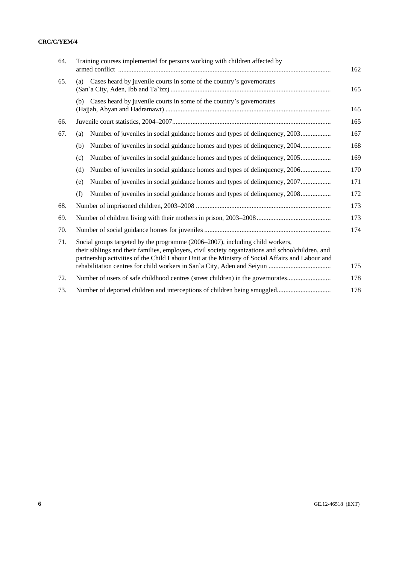| 64. | Training courses implemented for persons working with children affected by                                                                                                                                                                                                             | 162        |
|-----|----------------------------------------------------------------------------------------------------------------------------------------------------------------------------------------------------------------------------------------------------------------------------------------|------------|
| 65. | (a) Cases heard by juvenile courts in some of the country's governorates                                                                                                                                                                                                               | 165        |
|     | (b) Cases heard by juvenile courts in some of the country's governorates                                                                                                                                                                                                               | 165        |
| 66. |                                                                                                                                                                                                                                                                                        | 165        |
| 67. | Number of juveniles in social guidance homes and types of delinquency, 2003<br>(a)                                                                                                                                                                                                     | 167        |
|     | Number of juveniles in social guidance homes and types of delinquency, 2004<br>(b)                                                                                                                                                                                                     | 168        |
|     | Number of juveniles in social guidance homes and types of delinquency, 2005<br>(c)                                                                                                                                                                                                     | 169        |
|     | Number of juveniles in social guidance homes and types of delinquency, 2006<br>(d)                                                                                                                                                                                                     | 170        |
|     | Number of juveniles in social guidance homes and types of delinquency, 2007<br>(e)                                                                                                                                                                                                     | 171        |
|     | Number of juveniles in social guidance homes and types of delinquency, 2008<br>(f)                                                                                                                                                                                                     | 172        |
| 68. |                                                                                                                                                                                                                                                                                        |            |
| 69. |                                                                                                                                                                                                                                                                                        |            |
| 70. |                                                                                                                                                                                                                                                                                        |            |
| 71. | Social groups targeted by the programme (2006–2007), including child workers,<br>their siblings and their families, employers, civil society organizations and schoolchildren, and<br>partnership activities of the Child Labour Unit at the Ministry of Social Affairs and Labour and |            |
| 72. | Number of users of safe childhood centres (street children) in the governorates                                                                                                                                                                                                        | 175<br>178 |
| 73. |                                                                                                                                                                                                                                                                                        | 178        |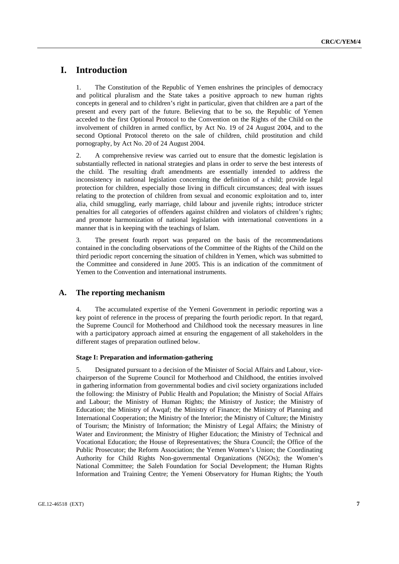## **I. Introduction**

1. The Constitution of the Republic of Yemen enshrines the principles of democracy and political pluralism and the State takes a positive approach to new human rights concepts in general and to children's right in particular, given that children are a part of the present and every part of the future. Believing that to be so, the Republic of Yemen acceded to the first Optional Protocol to the Convention on the Rights of the Child on the involvement of children in armed conflict, by Act No. 19 of 24 August 2004, and to the second Optional Protocol thereto on the sale of children, child prostitution and child pornography, by Act No. 20 of 24 August 2004.

2. A comprehensive review was carried out to ensure that the domestic legislation is substantially reflected in national strategies and plans in order to serve the best interests of the child. The resulting draft amendments are essentially intended to address the inconsistency in national legislation concerning the definition of a child; provide legal protection for children, especially those living in difficult circumstances; deal with issues relating to the protection of children from sexual and economic exploitation and to, inter alia, child smuggling, early marriage, child labour and juvenile rights; introduce stricter penalties for all categories of offenders against children and violators of children's rights; and promote harmonization of national legislation with international conventions in a manner that is in keeping with the teachings of Islam.

3. The present fourth report was prepared on the basis of the recommendations contained in the concluding observations of the Committee of the Rights of the Child on the third periodic report concerning the situation of children in Yemen, which was submitted to the Committee and considered in June 2005. This is an indication of the commitment of Yemen to the Convention and international instruments.

## **A. The reporting mechanism**

4. The accumulated expertise of the Yemeni Government in periodic reporting was a key point of reference in the process of preparing the fourth periodic report. In that regard, the Supreme Council for Motherhood and Childhood took the necessary measures in line with a participatory approach aimed at ensuring the engagement of all stakeholders in the different stages of preparation outlined below.

#### **Stage I: Preparation and information-gathering**

5. Designated pursuant to a decision of the Minister of Social Affairs and Labour, vicechairperson of the Supreme Council for Motherhood and Childhood, the entities involved in gathering information from governmental bodies and civil society organizations included the following: the Ministry of Public Health and Population; the Ministry of Social Affairs and Labour; the Ministry of Human Rights; the Ministry of Justice; the Ministry of Education; the Ministry of Awqaf; the Ministry of Finance; the Ministry of Planning and International Cooperation; the Ministry of the Interior; the Ministry of Culture; the Ministry of Tourism; the Ministry of Information; the Ministry of Legal Affairs; the Ministry of Water and Environment; the Ministry of Higher Education; the Ministry of Technical and Vocational Education; the House of Representatives; the Shura Council; the Office of the Public Prosecutor; the Reform Association; the Yemen Women's Union; the Coordinating Authority for Child Rights Non-governmental Organizations (NGOs); the Women's National Committee; the Saleh Foundation for Social Development; the Human Rights Information and Training Centre; the Yemeni Observatory for Human Rights; the Youth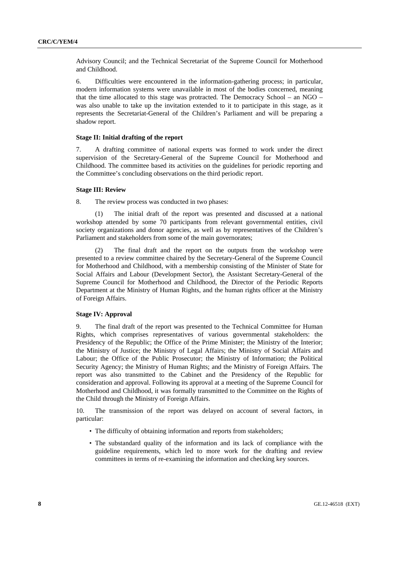Advisory Council; and the Technical Secretariat of the Supreme Council for Motherhood and Childhood.

6. Difficulties were encountered in the information-gathering process; in particular, modern information systems were unavailable in most of the bodies concerned, meaning that the time allocated to this stage was protracted. The Democracy School – an NGO – was also unable to take up the invitation extended to it to participate in this stage, as it represents the Secretariat-General of the Children's Parliament and will be preparing a shadow report.

#### **Stage II: Initial drafting of the report**

7. A drafting committee of national experts was formed to work under the direct supervision of the Secretary-General of the Supreme Council for Motherhood and Childhood. The committee based its activities on the guidelines for periodic reporting and the Committee's concluding observations on the third periodic report.

#### **Stage III: Review**

8. The review process was conducted in two phases:

 (1) The initial draft of the report was presented and discussed at a national workshop attended by some 70 participants from relevant governmental entities, civil society organizations and donor agencies, as well as by representatives of the Children's Parliament and stakeholders from some of the main governorates;

The final draft and the report on the outputs from the workshop were presented to a review committee chaired by the Secretary-General of the Supreme Council for Motherhood and Childhood, with a membership consisting of the Minister of State for Social Affairs and Labour (Development Sector), the Assistant Secretary-General of the Supreme Council for Motherhood and Childhood, the Director of the Periodic Reports Department at the Ministry of Human Rights, and the human rights officer at the Ministry of Foreign Affairs.

### **Stage IV: Approval**

9. The final draft of the report was presented to the Technical Committee for Human Rights, which comprises representatives of various governmental stakeholders: the Presidency of the Republic; the Office of the Prime Minister; the Ministry of the Interior; the Ministry of Justice; the Ministry of Legal Affairs; the Ministry of Social Affairs and Labour; the Office of the Public Prosecutor; the Ministry of Information; the Political Security Agency; the Ministry of Human Rights; and the Ministry of Foreign Affairs. The report was also transmitted to the Cabinet and the Presidency of the Republic for consideration and approval. Following its approval at a meeting of the Supreme Council for Motherhood and Childhood, it was formally transmitted to the Committee on the Rights of the Child through the Ministry of Foreign Affairs.

10. The transmission of the report was delayed on account of several factors, in particular:

- The difficulty of obtaining information and reports from stakeholders:
- The substandard quality of the information and its lack of compliance with the guideline requirements, which led to more work for the drafting and review committees in terms of re-examining the information and checking key sources.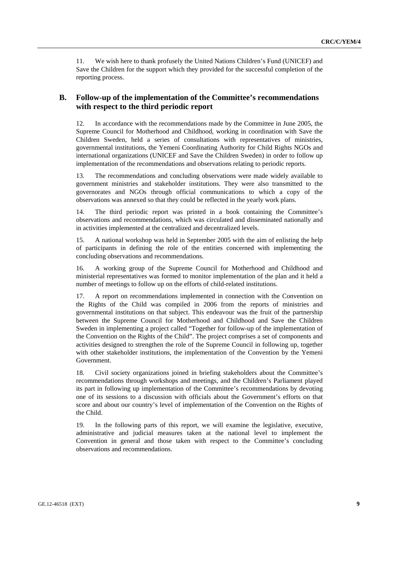11. We wish here to thank profusely the United Nations Children's Fund (UNICEF) and Save the Children for the support which they provided for the successful completion of the reporting process.

## **B. Follow-up of the implementation of the Committee's recommendations with respect to the third periodic report**

12. In accordance with the recommendations made by the Committee in June 2005, the Supreme Council for Motherhood and Childhood, working in coordination with Save the Children Sweden, held a series of consultations with representatives of ministries, governmental institutions, the Yemeni Coordinating Authority for Child Rights NGOs and international organizations (UNICEF and Save the Children Sweden) in order to follow up implementation of the recommendations and observations relating to periodic reports.

13. The recommendations and concluding observations were made widely available to government ministries and stakeholder institutions. They were also transmitted to the governorates and NGOs through official communications to which a copy of the observations was annexed so that they could be reflected in the yearly work plans.

14. The third periodic report was printed in a book containing the Committee's observations and recommendations, which was circulated and disseminated nationally and in activities implemented at the centralized and decentralized levels.

15. A national workshop was held in September 2005 with the aim of enlisting the help of participants in defining the role of the entities concerned with implementing the concluding observations and recommendations.

16. A working group of the Supreme Council for Motherhood and Childhood and ministerial representatives was formed to monitor implementation of the plan and it held a number of meetings to follow up on the efforts of child-related institutions.

17. A report on recommendations implemented in connection with the Convention on the Rights of the Child was compiled in 2006 from the reports of ministries and governmental institutions on that subject. This endeavour was the fruit of the partnership between the Supreme Council for Motherhood and Childhood and Save the Children Sweden in implementing a project called "Together for follow-up of the implementation of the Convention on the Rights of the Child". The project comprises a set of components and activities designed to strengthen the role of the Supreme Council in following up, together with other stakeholder institutions, the implementation of the Convention by the Yemeni Government.

18. Civil society organizations joined in briefing stakeholders about the Committee's recommendations through workshops and meetings, and the Children's Parliament played its part in following up implementation of the Committee's recommendations by devoting one of its sessions to a discussion with officials about the Government's efforts on that score and about our country's level of implementation of the Convention on the Rights of the Child.

19. In the following parts of this report, we will examine the legislative, executive, administrative and judicial measures taken at the national level to implement the Convention in general and those taken with respect to the Committee's concluding observations and recommendations.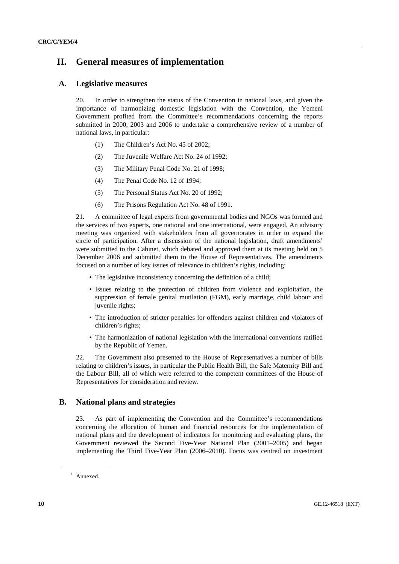## **II. General measures of implementation**

## **A. Legislative measures**

20. In order to strengthen the status of the Convention in national laws, and given the importance of harmonizing domestic legislation with the Convention, the Yemeni Government profited from the Committee's recommendations concerning the reports submitted in 2000, 2003 and 2006 to undertake a comprehensive review of a number of national laws, in particular:

- (1) The Children's Act No. 45 of 2002;
- (2) The Juvenile Welfare Act No. 24 of 1992;
- (3) The Military Penal Code No. 21 of 1998;
- (4) The Penal Code No. 12 of 1994;
- (5) The Personal Status Act No. 20 of 1992;
- (6) The Prisons Regulation Act No. 48 of 1991.

21. A committee of legal experts from governmental bodies and NGOs was formed and the services of two experts, one national and one international, were engaged. An advisory meeting was organized with stakeholders from all governorates in order to expand the circle of participation. After a discussion of the national legislation, draft amendments<sup>1</sup> were submitted to the Cabinet, which debated and approved them at its meeting held on 5 December 2006 and submitted them to the House of Representatives. The amendments focused on a number of key issues of relevance to children's rights, including:

- The legislative inconsistency concerning the definition of a child;
- Issues relating to the protection of children from violence and exploitation, the suppression of female genital mutilation (FGM), early marriage, child labour and juvenile rights;
- The introduction of stricter penalties for offenders against children and violators of children's rights;
- The harmonization of national legislation with the international conventions ratified by the Republic of Yemen.

22. The Government also presented to the House of Representatives a number of bills relating to children's issues, in particular the Public Health Bill, the Safe Maternity Bill and the Labour Bill, all of which were referred to the competent committees of the House of Representatives for consideration and review.

## **B. National plans and strategies**

23. As part of implementing the Convention and the Committee's recommendations concerning the allocation of human and financial resources for the implementation of national plans and the development of indicators for monitoring and evaluating plans, the Government reviewed the Second Five-Year National Plan (2001–2005) and began implementing the Third Five-Year Plan (2006–2010). Focus was centred on investment

<sup>&</sup>lt;sup>1</sup> Annexed.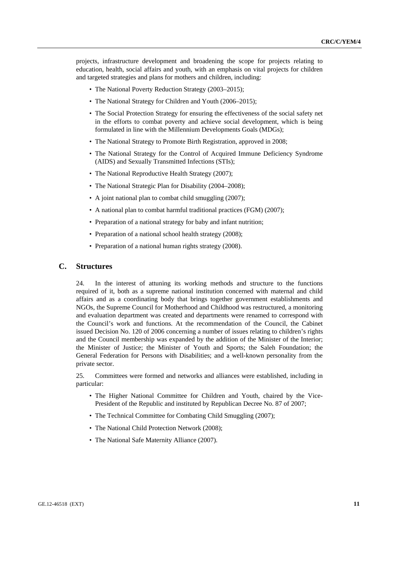projects, infrastructure development and broadening the scope for projects relating to education, health, social affairs and youth, with an emphasis on vital projects for children and targeted strategies and plans for mothers and children, including:

- The National Poverty Reduction Strategy (2003–2015);
- The National Strategy for Children and Youth (2006–2015):
- The Social Protection Strategy for ensuring the effectiveness of the social safety net in the efforts to combat poverty and achieve social development, which is being formulated in line with the Millennium Developments Goals (MDGs);
- The National Strategy to Promote Birth Registration, approved in 2008;
- The National Strategy for the Control of Acquired Immune Deficiency Syndrome (AIDS) and Sexually Transmitted Infections (STIs);
- The National Reproductive Health Strategy (2007);
- The National Strategic Plan for Disability (2004–2008);
- A joint national plan to combat child smuggling (2007);
- A national plan to combat harmful traditional practices (FGM) (2007);
- Preparation of a national strategy for baby and infant nutrition;
- Preparation of a national school health strategy (2008);
- Preparation of a national human rights strategy (2008).

#### **C. Structures**

24. In the interest of attuning its working methods and structure to the functions required of it, both as a supreme national institution concerned with maternal and child affairs and as a coordinating body that brings together government establishments and NGOs, the Supreme Council for Motherhood and Childhood was restructured, a monitoring and evaluation department was created and departments were renamed to correspond with the Council's work and functions. At the recommendation of the Council, the Cabinet issued Decision No. 120 of 2006 concerning a number of issues relating to children's rights and the Council membership was expanded by the addition of the Minister of the Interior; the Minister of Justice; the Minister of Youth and Sports; the Saleh Foundation; the General Federation for Persons with Disabilities; and a well-known personality from the private sector.

25. Committees were formed and networks and alliances were established, including in particular:

- The Higher National Committee for Children and Youth, chaired by the Vice-President of the Republic and instituted by Republican Decree No. 87 of 2007;
- The Technical Committee for Combating Child Smuggling (2007):
- The National Child Protection Network (2008);
- The National Safe Maternity Alliance (2007).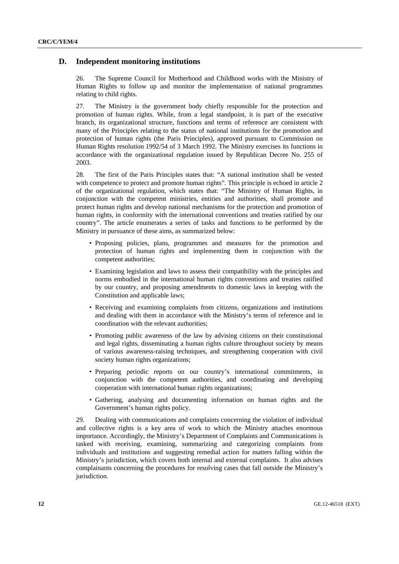## **D. Independent monitoring institutions**

26. The Supreme Council for Motherhood and Childhood works with the Ministry of Human Rights to follow up and monitor the implementation of national programmes relating to child rights.

27. The Ministry is the government body chiefly responsible for the protection and promotion of human rights. While, from a legal standpoint, it is part of the executive branch, its organizational structure, functions and terms of reference are consistent with many of the Principles relating to the status of national institutions for the promotion and protection of human rights (the Paris Principles), approved pursuant to Commission on Human Rights resolution 1992/54 of 3 March 1992. The Ministry exercises its functions in accordance with the organizational regulation issued by Republican Decree No. 255 of 2003.

28. The first of the Paris Principles states that: "A national institution shall be vested with competence to protect and promote human rights". This principle is echoed in article 2 of the organizational regulation, which states that: "The Ministry of Human Rights, in conjunction with the competent ministries, entities and authorities, shall promote and protect human rights and develop national mechanisms for the protection and promotion of human rights, in conformity with the international conventions and treaties ratified by our country". The article enumerates a series of tasks and functions to be performed by the Ministry in pursuance of these aims, as summarized below:

- Proposing policies, plans, programmes and measures for the promotion and protection of human rights and implementing them in conjunction with the competent authorities;
- Examining legislation and laws to assess their compatibility with the principles and norms embodied in the international human rights conventions and treaties ratified by our country, and proposing amendments to domestic laws in keeping with the Constitution and applicable laws;
- Receiving and examining complaints from citizens, organizations and institutions and dealing with them in accordance with the Ministry's terms of reference and in coordination with the relevant authorities;
- Promoting public awareness of the law by advising citizens on their constitutional and legal rights, disseminating a human rights culture throughout society by means of various awareness-raising techniques, and strengthening cooperation with civil society human rights organizations;
- Preparing periodic reports on our country's international commitments, in conjunction with the competent authorities, and coordinating and developing cooperation with international human rights organizations;
- Gathering, analysing and documenting information on human rights and the Government's human rights policy.

29. Dealing with communications and complaints concerning the violation of individual and collective rights is a key area of work to which the Ministry attaches enormous importance. Accordingly, the Ministry's Department of Complaints and Communications is tasked with receiving, examining, summarizing and categorizing complaints from individuals and institutions and suggesting remedial action for matters falling within the Ministry's jurisdiction, which covers both internal and external complaints. It also advises complainants concerning the procedures for resolving cases that fall outside the Ministry's jurisdiction.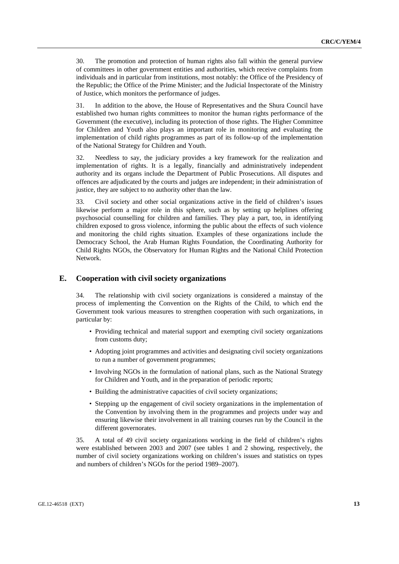30. The promotion and protection of human rights also fall within the general purview of committees in other government entities and authorities, which receive complaints from individuals and in particular from institutions, most notably: the Office of the Presidency of the Republic; the Office of the Prime Minister; and the Judicial Inspectorate of the Ministry of Justice, which monitors the performance of judges.

31. In addition to the above, the House of Representatives and the Shura Council have established two human rights committees to monitor the human rights performance of the Government (the executive), including its protection of those rights. The Higher Committee for Children and Youth also plays an important role in monitoring and evaluating the implementation of child rights programmes as part of its follow-up of the implementation of the National Strategy for Children and Youth.

32. Needless to say, the judiciary provides a key framework for the realization and implementation of rights. It is a legally, financially and administratively independent authority and its organs include the Department of Public Prosecutions. All disputes and offences are adjudicated by the courts and judges are independent; in their administration of justice, they are subject to no authority other than the law.

33. Civil society and other social organizations active in the field of children's issues likewise perform a major role in this sphere, such as by setting up helplines offering psychosocial counselling for children and families. They play a part, too, in identifying children exposed to gross violence, informing the public about the effects of such violence and monitoring the child rights situation. Examples of these organizations include the Democracy School, the Arab Human Rights Foundation, the Coordinating Authority for Child Rights NGOs, the Observatory for Human Rights and the National Child Protection Network.

## **E. Cooperation with civil society organizations**

34. The relationship with civil society organizations is considered a mainstay of the process of implementing the Convention on the Rights of the Child, to which end the Government took various measures to strengthen cooperation with such organizations, in particular by:

- Providing technical and material support and exempting civil society organizations from customs duty;
- Adopting joint programmes and activities and designating civil society organizations to run a number of government programmes;
- Involving NGOs in the formulation of national plans, such as the National Strategy for Children and Youth, and in the preparation of periodic reports;
- Building the administrative capacities of civil society organizations;
- Stepping up the engagement of civil society organizations in the implementation of the Convention by involving them in the programmes and projects under way and ensuring likewise their involvement in all training courses run by the Council in the different governorates.

35. A total of 49 civil society organizations working in the field of children's rights were established between 2003 and 2007 (see tables 1 and 2 showing, respectively, the number of civil society organizations working on children's issues and statistics on types and numbers of children's NGOs for the period 1989–2007).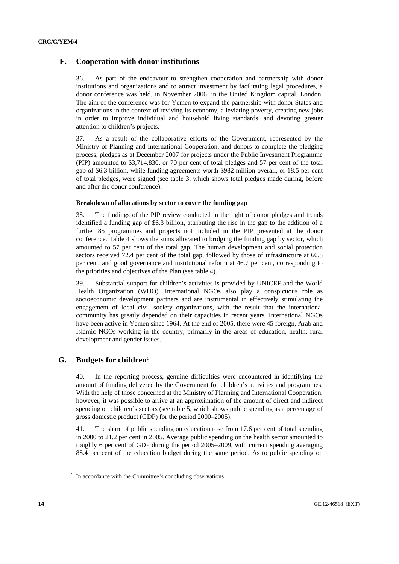## **F. Cooperation with donor institutions**

36. As part of the endeavour to strengthen cooperation and partnership with donor institutions and organizations and to attract investment by facilitating legal procedures, a donor conference was held, in November 2006, in the United Kingdom capital, London. The aim of the conference was for Yemen to expand the partnership with donor States and organizations in the context of reviving its economy, alleviating poverty, creating new jobs in order to improve individual and household living standards, and devoting greater attention to children's projects.

37. As a result of the collaborative efforts of the Government, represented by the Ministry of Planning and International Cooperation, and donors to complete the pledging process, pledges as at December 2007 for projects under the Public Investment Programme (PIP) amounted to \$3,714,830, or 70 per cent of total pledges and 57 per cent of the total gap of \$6.3 billion, while funding agreements worth \$982 million overall, or 18.5 per cent of total pledges, were signed (see table 3, which shows total pledges made during, before and after the donor conference).

#### **Breakdown of allocations by sector to cover the funding gap**

38. The findings of the PIP review conducted in the light of donor pledges and trends identified a funding gap of \$6.3 billion, attributing the rise in the gap to the addition of a further 85 programmes and projects not included in the PIP presented at the donor conference. Table 4 shows the sums allocated to bridging the funding gap by sector, which amounted to 57 per cent of the total gap. The human development and social protection sectors received 72.4 per cent of the total gap, followed by those of infrastructure at 60.8 per cent, and good governance and institutional reform at 46.7 per cent, corresponding to the priorities and objectives of the Plan (see table 4).

39. Substantial support for children's activities is provided by UNICEF and the World Health Organization (WHO). International NGOs also play a conspicuous role as socioeconomic development partners and are instrumental in effectively stimulating the engagement of local civil society organizations, with the result that the international community has greatly depended on their capacities in recent years. International NGOs have been active in Yemen since 1964. At the end of 2005, there were 45 foreign, Arab and Islamic NGOs working in the country, primarily in the areas of education, health, rural development and gender issues.

## **G. Budgets for children**<sup>2</sup>

40. In the reporting process, genuine difficulties were encountered in identifying the amount of funding delivered by the Government for children's activities and programmes. With the help of those concerned at the Ministry of Planning and International Cooperation, however, it was possible to arrive at an approximation of the amount of direct and indirect spending on children's sectors (see table 5, which shows public spending as a percentage of gross domestic product (GDP) for the period 2000–2005).

41. The share of public spending on education rose from 17.6 per cent of total spending in 2000 to 21.2 per cent in 2005. Average public spending on the health sector amounted to roughly 6 per cent of GDP during the period 2005–2009, with current spending averaging 88.4 per cent of the education budget during the same period. As to public spending on

 $2\;\;$  In accordance with the Committee's concluding observations.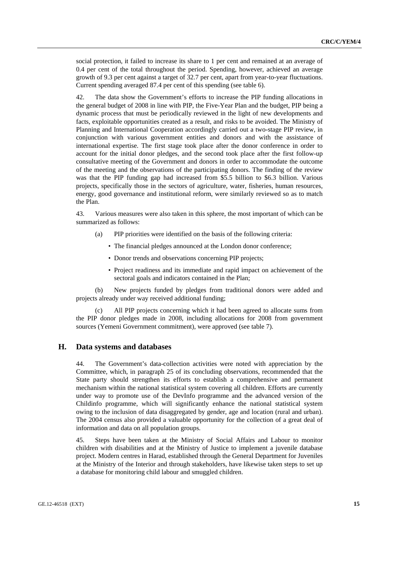social protection, it failed to increase its share to 1 per cent and remained at an average of 0.4 per cent of the total throughout the period. Spending, however, achieved an average growth of 9.3 per cent against a target of 32.7 per cent, apart from year-to-year fluctuations. Current spending averaged 87.4 per cent of this spending (see table 6).

42. The data show the Government's efforts to increase the PIP funding allocations in the general budget of 2008 in line with PIP, the Five-Year Plan and the budget, PIP being a dynamic process that must be periodically reviewed in the light of new developments and facts, exploitable opportunities created as a result, and risks to be avoided. The Ministry of Planning and International Cooperation accordingly carried out a two-stage PIP review, in conjunction with various government entities and donors and with the assistance of international expertise. The first stage took place after the donor conference in order to account for the initial donor pledges, and the second took place after the first follow-up consultative meeting of the Government and donors in order to accommodate the outcome of the meeting and the observations of the participating donors. The finding of the review was that the PIP funding gap had increased from \$5.5 billion to \$6.3 billion. Various projects, specifically those in the sectors of agriculture, water, fisheries, human resources, energy, good governance and institutional reform, were similarly reviewed so as to match the Plan.

43. Various measures were also taken in this sphere, the most important of which can be summarized as follows:

- (a) PIP priorities were identified on the basis of the following criteria:
	- The financial pledges announced at the London donor conference;
	- Donor trends and observations concerning PIP projects;
	- Project readiness and its immediate and rapid impact on achievement of the sectoral goals and indicators contained in the Plan;

 (b) New projects funded by pledges from traditional donors were added and projects already under way received additional funding;

All PIP projects concerning which it had been agreed to allocate sums from the PIP donor pledges made in 2008, including allocations for 2008 from government sources (Yemeni Government commitment), were approved (see table 7).

## **H. Data systems and databases**

44. The Government's data-collection activities were noted with appreciation by the Committee, which, in paragraph 25 of its concluding observations, recommended that the State party should strengthen its efforts to establish a comprehensive and permanent mechanism within the national statistical system covering all children. Efforts are currently under way to promote use of the DevInfo programme and the advanced version of the Childinfo programme, which will significantly enhance the national statistical system owing to the inclusion of data disaggregated by gender, age and location (rural and urban). The 2004 census also provided a valuable opportunity for the collection of a great deal of information and data on all population groups.

45. Steps have been taken at the Ministry of Social Affairs and Labour to monitor children with disabilities and at the Ministry of Justice to implement a juvenile database project. Modern centres in Harad, established through the General Department for Juveniles at the Ministry of the Interior and through stakeholders, have likewise taken steps to set up a database for monitoring child labour and smuggled children.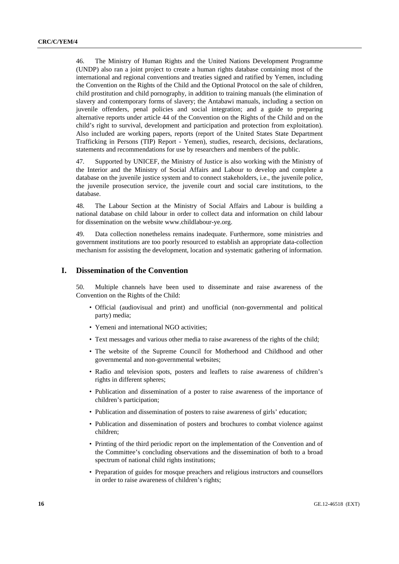46. The Ministry of Human Rights and the United Nations Development Programme (UNDP) also ran a joint project to create a human rights database containing most of the international and regional conventions and treaties signed and ratified by Yemen, including the Convention on the Rights of the Child and the Optional Protocol on the sale of children, child prostitution and child pornography, in addition to training manuals (the elimination of slavery and contemporary forms of slavery; the Antabawi manuals, including a section on juvenile offenders, penal policies and social integration; and a guide to preparing alternative reports under article 44 of the Convention on the Rights of the Child and on the child's right to survival, development and participation and protection from exploitation). Also included are working papers, reports (report of the United States State Department Trafficking in Persons (TIP) Report - Yemen), studies, research, decisions, declarations, statements and recommendations for use by researchers and members of the public.

47. Supported by UNICEF, the Ministry of Justice is also working with the Ministry of the Interior and the Ministry of Social Affairs and Labour to develop and complete a database on the juvenile justice system and to connect stakeholders, i.e., the juvenile police, the juvenile prosecution service, the juvenile court and social care institutions, to the database.

48. The Labour Section at the Ministry of Social Affairs and Labour is building a national database on child labour in order to collect data and information on child labour for dissemination on the website www.childlabour-ye.org.

49. Data collection nonetheless remains inadequate. Furthermore, some ministries and government institutions are too poorly resourced to establish an appropriate data-collection mechanism for assisting the development, location and systematic gathering of information.

### **I. Dissemination of the Convention**

50. Multiple channels have been used to disseminate and raise awareness of the Convention on the Rights of the Child:

- Official (audiovisual and print) and unofficial (non-governmental and political party) media;
- Yemeni and international NGO activities:
- Text messages and various other media to raise awareness of the rights of the child;
- The website of the Supreme Council for Motherhood and Childhood and other governmental and non-governmental websites;
- Radio and television spots, posters and leaflets to raise awareness of children's rights in different spheres;
- Publication and dissemination of a poster to raise awareness of the importance of children's participation;
- Publication and dissemination of posters to raise awareness of girls' education;
- Publication and dissemination of posters and brochures to combat violence against children;
- Printing of the third periodic report on the implementation of the Convention and of the Committee's concluding observations and the dissemination of both to a broad spectrum of national child rights institutions;
- Preparation of guides for mosque preachers and religious instructors and counsellors in order to raise awareness of children's rights;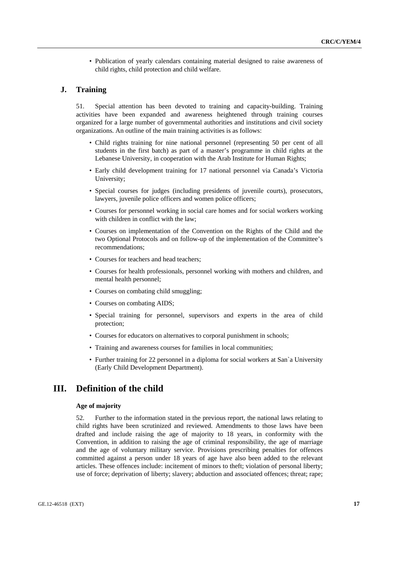• Publication of yearly calendars containing material designed to raise awareness of child rights, child protection and child welfare.

#### **J. Training**

51. Special attention has been devoted to training and capacity-building. Training activities have been expanded and awareness heightened through training courses organized for a large number of governmental authorities and institutions and civil society organizations. An outline of the main training activities is as follows:

- Child rights training for nine national personnel (representing 50 per cent of all students in the first batch) as part of a master's programme in child rights at the Lebanese University, in cooperation with the Arab Institute for Human Rights;
- Early child development training for 17 national personnel via Canada's Victoria University;
- Special courses for judges (including presidents of juvenile courts), prosecutors, lawyers, juvenile police officers and women police officers;
- Courses for personnel working in social care homes and for social workers working with children in conflict with the law:
- Courses on implementation of the Convention on the Rights of the Child and the two Optional Protocols and on follow-up of the implementation of the Committee's recommendations;
- Courses for teachers and head teachers;
- Courses for health professionals, personnel working with mothers and children, and mental health personnel;
- Courses on combating child smuggling;
- Courses on combating AIDS;
- Special training for personnel, supervisors and experts in the area of child protection;
- Courses for educators on alternatives to corporal punishment in schools;
- Training and awareness courses for families in local communities;
- Further training for 22 personnel in a diploma for social workers at San`a University (Early Child Development Department).

## **III. Definition of the child**

#### **Age of majority**

52. Further to the information stated in the previous report, the national laws relating to child rights have been scrutinized and reviewed. Amendments to those laws have been drafted and include raising the age of majority to 18 years, in conformity with the Convention, in addition to raising the age of criminal responsibility, the age of marriage and the age of voluntary military service. Provisions prescribing penalties for offences committed against a person under 18 years of age have also been added to the relevant articles. These offences include: incitement of minors to theft; violation of personal liberty; use of force; deprivation of liberty; slavery; abduction and associated offences; threat; rape;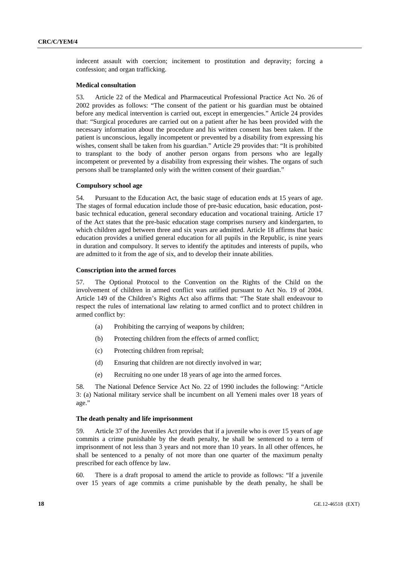indecent assault with coercion; incitement to prostitution and depravity; forcing a confession; and organ trafficking.

#### **Medical consultation**

53. Article 22 of the Medical and Pharmaceutical Professional Practice Act No. 26 of 2002 provides as follows: "The consent of the patient or his guardian must be obtained before any medical intervention is carried out, except in emergencies." Article 24 provides that: "Surgical procedures are carried out on a patient after he has been provided with the necessary information about the procedure and his written consent has been taken. If the patient is unconscious, legally incompetent or prevented by a disability from expressing his wishes, consent shall be taken from his guardian." Article 29 provides that: "It is prohibited to transplant to the body of another person organs from persons who are legally incompetent or prevented by a disability from expressing their wishes. The organs of such persons shall be transplanted only with the written consent of their guardian."

#### **Compulsory school age**

54. Pursuant to the Education Act, the basic stage of education ends at 15 years of age. The stages of formal education include those of pre-basic education, basic education, postbasic technical education, general secondary education and vocational training. Article 17 of the Act states that the pre-basic education stage comprises nursery and kindergarten, to which children aged between three and six years are admitted. Article 18 affirms that basic education provides a unified general education for all pupils in the Republic, is nine years in duration and compulsory. It serves to identify the aptitudes and interests of pupils, who are admitted to it from the age of six, and to develop their innate abilities.

#### **Conscription into the armed forces**

57. The Optional Protocol to the Convention on the Rights of the Child on the involvement of children in armed conflict was ratified pursuant to Act No. 19 of 2004. Article 149 of the Children's Rights Act also affirms that: "The State shall endeavour to respect the rules of international law relating to armed conflict and to protect children in armed conflict by:

- (a) Prohibiting the carrying of weapons by children;
- (b) Protecting children from the effects of armed conflict;
- (c) Protecting children from reprisal;
- (d) Ensuring that children are not directly involved in war;
- (e) Recruiting no one under 18 years of age into the armed forces.

58. The National Defence Service Act No. 22 of 1990 includes the following: "Article 3: (a) National military service shall be incumbent on all Yemeni males over 18 years of age."

#### **The death penalty and life imprisonment**

59. Article 37 of the Juveniles Act provides that if a juvenile who is over 15 years of age commits a crime punishable by the death penalty, he shall be sentenced to a term of imprisonment of not less than 3 years and not more than 10 years. In all other offences, he shall be sentenced to a penalty of not more than one quarter of the maximum penalty prescribed for each offence by law.

60. There is a draft proposal to amend the article to provide as follows: "If a juvenile over 15 years of age commits a crime punishable by the death penalty, he shall be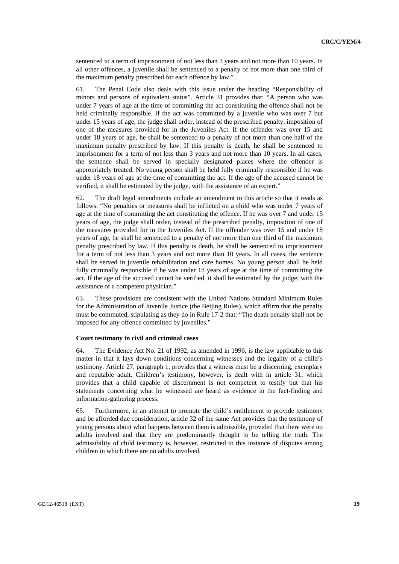sentenced to a term of imprisonment of not less than 3 years and not more than 10 years. In all other offences, a juvenile shall be sentenced to a penalty of not more than one third of the maximum penalty prescribed for each offence by law."

61. The Penal Code also deals with this issue under the heading "Responsibility of minors and persons of equivalent status". Article 31 provides that: "A person who was under 7 years of age at the time of committing the act constituting the offence shall not be held criminally responsible. If the act was committed by a juvenile who was over 7 but under 15 years of age, the judge shall order, instead of the prescribed penalty, imposition of one of the measures provided for in the Juveniles Act. If the offender was over 15 and under 18 years of age, he shall be sentenced to a penalty of not more than one half of the maximum penalty prescribed by law. If this penalty is death, he shall be sentenced to imprisonment for a term of not less than 3 years and not more than 10 years. In all cases, the sentence shall be served in specially designated places where the offender is appropriately treated. No young person shall be held fully criminally responsible if he was under 18 years of age at the time of committing the act. If the age of the accused cannot be verified, it shall be estimated by the judge, with the assistance of an expert."

62. The draft legal amendments include an amendment to this article so that it reads as follows: "No penalties or measures shall be inflicted on a child who was under 7 years of age at the time of committing the act constituting the offence. If he was over 7 and under 15 years of age, the judge shall order, instead of the prescribed penalty, imposition of one of the measures provided for in the Juveniles Act. If the offender was over 15 and under 18 years of age, he shall be sentenced to a penalty of not more than one third of the maximum penalty prescribed by law. If this penalty is death, he shall be sentenced to imprisonment for a term of not less than 3 years and not more than 10 years. In all cases, the sentence shall be served in juvenile rehabilitation and care homes. No young person shall be held fully criminally responsible if he was under 18 years of age at the time of committing the act. If the age of the accused cannot be verified, it shall be estimated by the judge, with the assistance of a competent physician."

63. These provisions are consistent with the United Nations Standard Minimum Rules for the Administration of Juvenile Justice (the Beijing Rules), which affirm that the penalty must be commuted, stipulating as they do in Rule 17-2 that: "The death penalty shall not be imposed for any offence committed by juveniles."

#### **Court testimony in civil and criminal cases**

64. The Evidence Act No. 21 of 1992, as amended in 1996, is the law applicable to this matter in that it lays down conditions concerning witnesses and the legality of a child's testimony. Article 27, paragraph 1, provides that a witness must be a discerning, exemplary and reputable adult. Children's testimony, however, is dealt with in article 31, which provides that a child capable of discernment is not competent to testify but that his statements concerning what he witnessed are heard as evidence in the fact-finding and information-gathering process.

65. Furthermore, in an attempt to promote the child's entitlement to provide testimony and be afforded due consideration, article 32 of the same Act provides that the testimony of young persons about what happens between them is admissible, provided that there were no adults involved and that they are predominantly thought to be telling the truth. The admissibility of child testimony is, however, restricted to this instance of disputes among children in which there are no adults involved.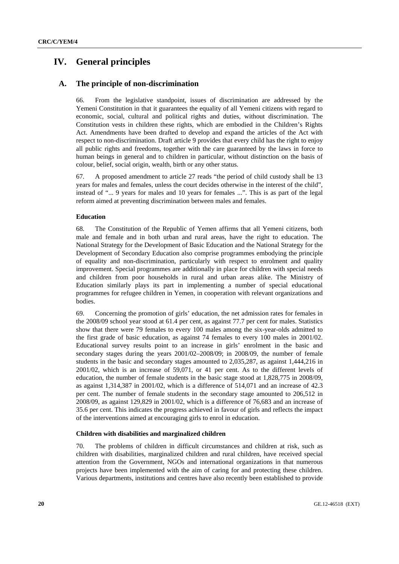## **IV. General principles**

## **A. The principle of non-discrimination**

66. From the legislative standpoint, issues of discrimination are addressed by the Yemeni Constitution in that it guarantees the equality of all Yemeni citizens with regard to economic, social, cultural and political rights and duties, without discrimination. The Constitution vests in children these rights, which are embodied in the Children's Rights Act. Amendments have been drafted to develop and expand the articles of the Act with respect to non-discrimination. Draft article 9 provides that every child has the right to enjoy all public rights and freedoms, together with the care guaranteed by the laws in force to human beings in general and to children in particular, without distinction on the basis of colour, belief, social origin, wealth, birth or any other status.

67. A proposed amendment to article 27 reads "the period of child custody shall be 13 years for males and females, unless the court decides otherwise in the interest of the child", instead of "... 9 years for males and 10 years for females ...". This is as part of the legal reform aimed at preventing discrimination between males and females.

#### **Education**

68. The Constitution of the Republic of Yemen affirms that all Yemeni citizens, both male and female and in both urban and rural areas, have the right to education. The National Strategy for the Development of Basic Education and the National Strategy for the Development of Secondary Education also comprise programmes embodying the principle of equality and non-discrimination, particularly with respect to enrolment and quality improvement. Special programmes are additionally in place for children with special needs and children from poor households in rural and urban areas alike. The Ministry of Education similarly plays its part in implementing a number of special educational programmes for refugee children in Yemen, in cooperation with relevant organizations and bodies.

69. Concerning the promotion of girls' education, the net admission rates for females in the 2008/09 school year stood at 61.4 per cent, as against 77.7 per cent for males. Statistics show that there were 79 females to every 100 males among the six-year-olds admitted to the first grade of basic education, as against 74 females to every 100 males in 2001/02. Educational survey results point to an increase in girls' enrolment in the basic and secondary stages during the years 2001/02–2008/09; in 2008/09, the number of female students in the basic and secondary stages amounted to 2,035,287, as against 1,444,216 in 2001/02, which is an increase of 59,071, or 41 per cent. As to the different levels of education, the number of female students in the basic stage stood at 1,828,775 in 2008/09, as against 1,314,387 in 2001/02, which is a difference of 514,071 and an increase of 42.3 per cent. The number of female students in the secondary stage amounted to 206,512 in 2008/09, as against 129,829 in 2001/02, which is a difference of 76,683 and an increase of 35.6 per cent. This indicates the progress achieved in favour of girls and reflects the impact of the interventions aimed at encouraging girls to enrol in education.

#### **Children with disabilities and marginalized children**

70. The problems of children in difficult circumstances and children at risk, such as children with disabilities, marginalized children and rural children, have received special attention from the Government, NGOs and international organizations in that numerous projects have been implemented with the aim of caring for and protecting these children. Various departments, institutions and centres have also recently been established to provide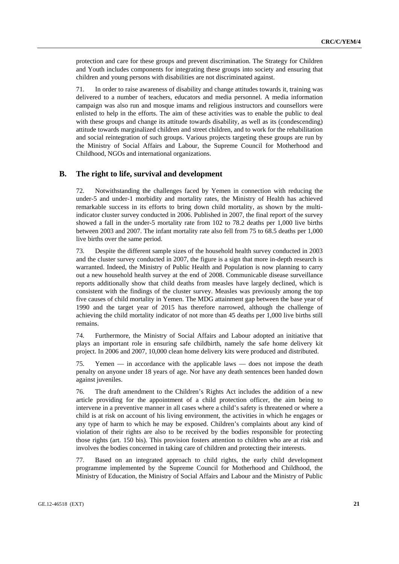protection and care for these groups and prevent discrimination. The Strategy for Children and Youth includes components for integrating these groups into society and ensuring that children and young persons with disabilities are not discriminated against.

71. In order to raise awareness of disability and change attitudes towards it, training was delivered to a number of teachers, educators and media personnel. A media information campaign was also run and mosque imams and religious instructors and counsellors were enlisted to help in the efforts. The aim of these activities was to enable the public to deal with these groups and change its attitude towards disability, as well as its (condescending) attitude towards marginalized children and street children, and to work for the rehabilitation and social reintegration of such groups. Various projects targeting these groups are run by the Ministry of Social Affairs and Labour, the Supreme Council for Motherhood and Childhood, NGOs and international organizations.

## **B. The right to life, survival and development**

72. Notwithstanding the challenges faced by Yemen in connection with reducing the under-5 and under-1 morbidity and mortality rates, the Ministry of Health has achieved remarkable success in its efforts to bring down child mortality, as shown by the multiindicator cluster survey conducted in 2006. Published in 2007, the final report of the survey showed a fall in the under-5 mortality rate from 102 to 78.2 deaths per 1,000 live births between 2003 and 2007. The infant mortality rate also fell from 75 to 68.5 deaths per 1,000 live births over the same period.

73. Despite the different sample sizes of the household health survey conducted in 2003 and the cluster survey conducted in 2007, the figure is a sign that more in-depth research is warranted. Indeed, the Ministry of Public Health and Population is now planning to carry out a new household health survey at the end of 2008. Communicable disease surveillance reports additionally show that child deaths from measles have largely declined, which is consistent with the findings of the cluster survey. Measles was previously among the top five causes of child mortality in Yemen. The MDG attainment gap between the base year of 1990 and the target year of 2015 has therefore narrowed, although the challenge of achieving the child mortality indicator of not more than 45 deaths per 1,000 live births still remains.

74. Furthermore, the Ministry of Social Affairs and Labour adopted an initiative that plays an important role in ensuring safe childbirth, namely the safe home delivery kit project. In 2006 and 2007, 10,000 clean home delivery kits were produced and distributed.

75. Yemen — in accordance with the applicable laws — does not impose the death penalty on anyone under 18 years of age. Nor have any death sentences been handed down against juveniles.

76. The draft amendment to the Children's Rights Act includes the addition of a new article providing for the appointment of a child protection officer, the aim being to intervene in a preventive manner in all cases where a child's safety is threatened or where a child is at risk on account of his living environment, the activities in which he engages or any type of harm to which he may be exposed. Children's complaints about any kind of violation of their rights are also to be received by the bodies responsible for protecting those rights (art. 150 bis). This provision fosters attention to children who are at risk and involves the bodies concerned in taking care of children and protecting their interests.

77. Based on an integrated approach to child rights, the early child development programme implemented by the Supreme Council for Motherhood and Childhood, the Ministry of Education, the Ministry of Social Affairs and Labour and the Ministry of Public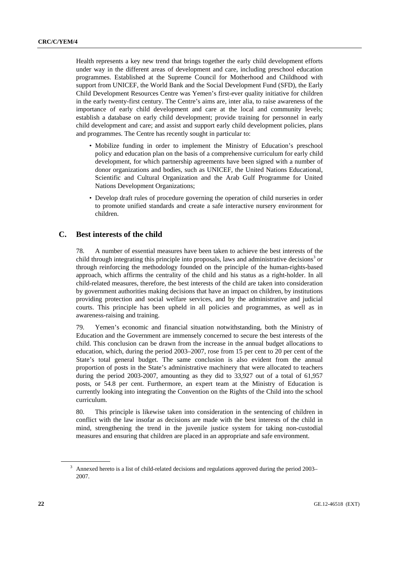Health represents a key new trend that brings together the early child development efforts under way in the different areas of development and care, including preschool education programmes. Established at the Supreme Council for Motherhood and Childhood with support from UNICEF, the World Bank and the Social Development Fund (SFD), the Early Child Development Resources Centre was Yemen's first-ever quality initiative for children in the early twenty-first century. The Centre's aims are, inter alia, to raise awareness of the importance of early child development and care at the local and community levels; establish a database on early child development; provide training for personnel in early child development and care; and assist and support early child development policies, plans and programmes. The Centre has recently sought in particular to:

- Mobilize funding in order to implement the Ministry of Education's preschool policy and education plan on the basis of a comprehensive curriculum for early child development, for which partnership agreements have been signed with a number of donor organizations and bodies, such as UNICEF, the United Nations Educational, Scientific and Cultural Organization and the Arab Gulf Programme for United Nations Development Organizations;
- Develop draft rules of procedure governing the operation of child nurseries in order to promote unified standards and create a safe interactive nursery environment for children.

## **C. Best interests of the child**

78. A number of essential measures have been taken to achieve the best interests of the child through integrating this principle into proposals, laws and administrative decisions<sup>3</sup> or through reinforcing the methodology founded on the principle of the human-rights-based approach, which affirms the centrality of the child and his status as a right-holder. In all child-related measures, therefore, the best interests of the child are taken into consideration by government authorities making decisions that have an impact on children, by institutions providing protection and social welfare services, and by the administrative and judicial courts. This principle has been upheld in all policies and programmes, as well as in awareness-raising and training.

79. Yemen's economic and financial situation notwithstanding, both the Ministry of Education and the Government are immensely concerned to secure the best interests of the child. This conclusion can be drawn from the increase in the annual budget allocations to education, which, during the period 2003–2007, rose from 15 per cent to 20 per cent of the State's total general budget. The same conclusion is also evident from the annual proportion of posts in the State's administrative machinery that were allocated to teachers during the period 2003-2007, amounting as they did to 33,927 out of a total of 61,957 posts, or 54.8 per cent. Furthermore, an expert team at the Ministry of Education is currently looking into integrating the Convention on the Rights of the Child into the school curriculum.

80. This principle is likewise taken into consideration in the sentencing of children in conflict with the law insofar as decisions are made with the best interests of the child in mind, strengthening the trend in the juvenile justice system for taking non-custodial measures and ensuring that children are placed in an appropriate and safe environment.

<sup>3</sup> Annexed hereto is a list of child-related decisions and regulations approved during the period 2003– 2007.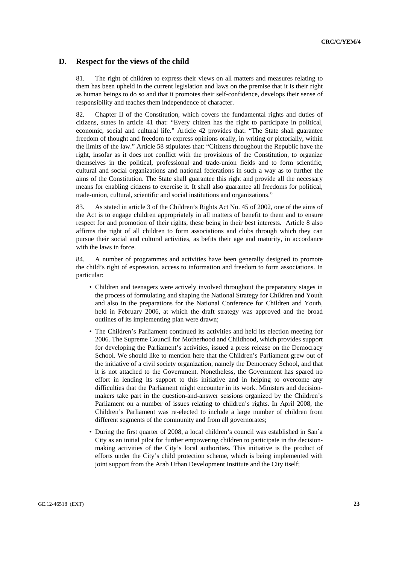## **D. Respect for the views of the child**

81. The right of children to express their views on all matters and measures relating to them has been upheld in the current legislation and laws on the premise that it is their right as human beings to do so and that it promotes their self-confidence, develops their sense of responsibility and teaches them independence of character.

82. Chapter II of the Constitution, which covers the fundamental rights and duties of citizens, states in article 41 that: "Every citizen has the right to participate in political, economic, social and cultural life." Article 42 provides that: "The State shall guarantee freedom of thought and freedom to express opinions orally, in writing or pictorially, within the limits of the law." Article 58 stipulates that: "Citizens throughout the Republic have the right, insofar as it does not conflict with the provisions of the Constitution, to organize themselves in the political, professional and trade-union fields and to form scientific, cultural and social organizations and national federations in such a way as to further the aims of the Constitution. The State shall guarantee this right and provide all the necessary means for enabling citizens to exercise it. It shall also guarantee all freedoms for political, trade-union, cultural, scientific and social institutions and organizations."

83. As stated in article 3 of the Children's Rights Act No. 45 of 2002, one of the aims of the Act is to engage children appropriately in all matters of benefit to them and to ensure respect for and promotion of their rights, these being in their best interests. Article 8 also affirms the right of all children to form associations and clubs through which they can pursue their social and cultural activities, as befits their age and maturity, in accordance with the laws in force.

84. A number of programmes and activities have been generally designed to promote the child's right of expression, access to information and freedom to form associations. In particular:

- Children and teenagers were actively involved throughout the preparatory stages in the process of formulating and shaping the National Strategy for Children and Youth and also in the preparations for the National Conference for Children and Youth, held in February 2006, at which the draft strategy was approved and the broad outlines of its implementing plan were drawn;
- The Children's Parliament continued its activities and held its election meeting for 2006. The Supreme Council for Motherhood and Childhood, which provides support for developing the Parliament's activities, issued a press release on the Democracy School. We should like to mention here that the Children's Parliament grew out of the initiative of a civil society organization, namely the Democracy School, and that it is not attached to the Government. Nonetheless, the Government has spared no effort in lending its support to this initiative and in helping to overcome any difficulties that the Parliament might encounter in its work. Ministers and decisionmakers take part in the question-and-answer sessions organized by the Children's Parliament on a number of issues relating to children's rights. In April 2008, the Children's Parliament was re-elected to include a large number of children from different segments of the community and from all governorates;
- During the first quarter of 2008, a local children's council was established in San`a City as an initial pilot for further empowering children to participate in the decisionmaking activities of the City's local authorities. This initiative is the product of efforts under the City's child protection scheme, which is being implemented with joint support from the Arab Urban Development Institute and the City itself;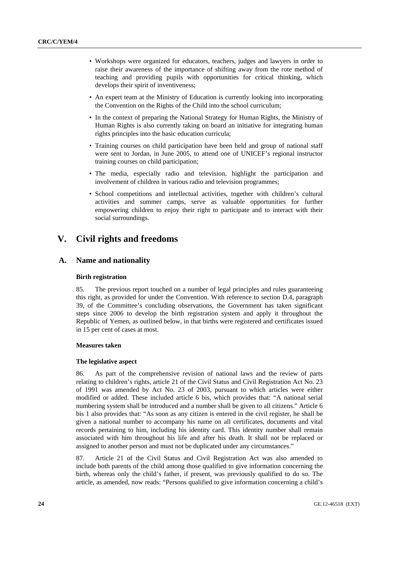- Workshops were organized for educators, teachers, judges and lawyers in order to raise their awareness of the importance of shifting away from the rote method of teaching and providing pupils with opportunities for critical thinking, which develops their spirit of inventiveness:
- An expert team at the Ministry of Education is currently looking into incorporating the Convention on the Rights of the Child into the school curriculum;
- In the context of preparing the National Strategy for Human Rights, the Ministry of Human Rights is also currently taking on board an initiative for integrating human rights principles into the basic education curricula;
- Training courses on child participation have been held and group of national staff were sent to Jordan, in June 2005, to attend one of UNICEF's regional instructor training courses on child participation;
- The media, especially radio and television, highlight the participation and involvement of children in various radio and television programmes;
- School competitions and intellectual activities, together with children's cultural activities and summer camps, serve as valuable opportunities for further empowering children to enjoy their right to participate and to interact with their social surroundings.

## **V. Civil rights and freedoms**

## **A. Name and nationality**

#### **Birth registration**

85. The previous report touched on a number of legal principles and rules guaranteeing this right, as provided for under the Convention. With reference to section D.4, paragraph 39, of the Committee's concluding observations, the Government has taken significant steps since 2006 to develop the birth registration system and apply it throughout the Republic of Yemen, as outlined below, in that births were registered and certificates issued in 15 per cent of cases at most.

#### **Measures taken**

#### **The legislative aspect**

86. As part of the comprehensive revision of national laws and the review of parts relating to children's rights, article 21 of the Civil Status and Civil Registration Act No. 23 of 1991 was amended by Act No. 23 of 2003, pursuant to which articles were either modified or added. These included article 6 bis, which provides that: "A national serial numbering system shall be introduced and a number shall be given to all citizens." Article 6 bis 1 also provides that: "As soon as any citizen is entered in the civil register, he shall be given a national number to accompany his name on all certificates, documents and vital records pertaining to him, including his identity card. This identity number shall remain associated with him throughout his life and after his death. It shall not be replaced or assigned to another person and must not be duplicated under any circumstances."

87. Article 21 of the Civil Status and Civil Registration Act was also amended to include both parents of the child among those qualified to give information concerning the birth, whereas only the child's father, if present, was previously qualified to do so. The article, as amended, now reads: "Persons qualified to give information concerning a child's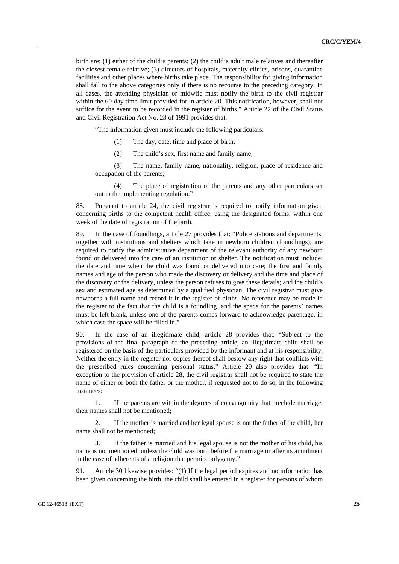birth are: (1) either of the child's parents; (2) the child's adult male relatives and thereafter the closest female relative; (3) directors of hospitals, maternity clinics, prisons, quarantine facilities and other places where births take place. The responsibility for giving information shall fall to the above categories only if there is no recourse to the preceding category. In all cases, the attending physician or midwife must notify the birth to the civil registrar within the 60-day time limit provided for in article 20. This notification, however, shall not suffice for the event to be recorded in the register of births." Article 22 of the Civil Status and Civil Registration Act No. 23 of 1991 provides that:

"The information given must include the following particulars:

- (1) The day, date, time and place of birth;
- (2) The child's sex, first name and family name;

(3) The name, family name, nationality, religion, place of residence and occupation of the parents;

(4) The place of registration of the parents and any other particulars set out in the implementing regulation."

88. Pursuant to article 24, the civil registrar is required to notify information given concerning births to the competent health office, using the designated forms, within one week of the date of registration of the birth.

89. In the case of foundlings, article 27 provides that: "Police stations and departments, together with institutions and shelters which take in newborn children (foundlings), are required to notify the administrative department of the relevant authority of any newborn found or delivered into the care of an institution or shelter. The notification must include: the date and time when the child was found or delivered into care; the first and family names and age of the person who made the discovery or delivery and the time and place of the discovery or the delivery, unless the person refuses to give these details; and the child's sex and estimated age as determined by a qualified physician. The civil registrar must give newborns a full name and record it in the register of births. No reference may be made in the register to the fact that the child is a foundling, and the space for the parents' names must be left blank, unless one of the parents comes forward to acknowledge parentage, in which case the space will be filled in."

90. In the case of an illegitimate child, article 28 provides that: "Subject to the provisions of the final paragraph of the preceding article, an illegitimate child shall be registered on the basis of the particulars provided by the informant and at his responsibility. Neither the entry in the register nor copies thereof shall bestow any right that conflicts with the prescribed rules concerning personal status." Article 29 also provides that: "In exception to the provision of article 28, the civil registrar shall not be required to state the name of either or both the father or the mother, if requested not to do so, in the following instances:

1. If the parents are within the degrees of consanguinity that preclude marriage, their names shall not be mentioned;

2. If the mother is married and her legal spouse is not the father of the child, her name shall not be mentioned;

If the father is married and his legal spouse is not the mother of his child, his name is not mentioned, unless the child was born before the marriage or after its annulment in the case of adherents of a religion that permits polygamy."

91. Article 30 likewise provides: "(1) If the legal period expires and no information has been given concerning the birth, the child shall be entered in a register for persons of whom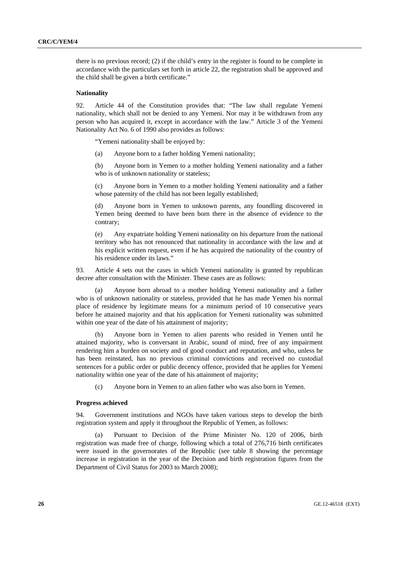there is no previous record; (2) if the child's entry in the register is found to be complete in accordance with the particulars set forth in article 22, the registration shall be approved and the child shall be given a birth certificate."

#### **Nationality**

92. Article 44 of the Constitution provides that: "The law shall regulate Yemeni nationality, which shall not be denied to any Yemeni. Nor may it be withdrawn from any person who has acquired it, except in accordance with the law." Article 3 of the Yemeni Nationality Act No. 6 of 1990 also provides as follows:

"Yemeni nationality shall be enjoyed by:

(a) Anyone born to a father holding Yemeni nationality;

(b) Anyone born in Yemen to a mother holding Yemeni nationality and a father who is of unknown nationality or stateless;

(c) Anyone born in Yemen to a mother holding Yemeni nationality and a father whose paternity of the child has not been legally established;

(d) Anyone born in Yemen to unknown parents, any foundling discovered in Yemen being deemed to have been born there in the absence of evidence to the contrary;

(e) Any expatriate holding Yemeni nationality on his departure from the national territory who has not renounced that nationality in accordance with the law and at his explicit written request, even if he has acquired the nationality of the country of his residence under its laws."

93. Article 4 sets out the cases in which Yemeni nationality is granted by republican decree after consultation with the Minister. These cases are as follows:

 (a) Anyone born abroad to a mother holding Yemeni nationality and a father who is of unknown nationality or stateless, provided that he has made Yemen his normal place of residence by legitimate means for a minimum period of 10 consecutive years before he attained majority and that his application for Yemeni nationality was submitted within one year of the date of his attainment of majority;

 (b) Anyone born in Yemen to alien parents who resided in Yemen until he attained majority, who is conversant in Arabic, sound of mind, free of any impairment rendering him a burden on society and of good conduct and reputation, and who, unless he has been reinstated, has no previous criminal convictions and received no custodial sentences for a public order or public decency offence, provided that he applies for Yemeni nationality within one year of the date of his attainment of majority;

(c) Anyone born in Yemen to an alien father who was also born in Yemen.

#### **Progress achieved**

94. Government institutions and NGOs have taken various steps to develop the birth registration system and apply it throughout the Republic of Yemen, as follows:

 (a) Pursuant to Decision of the Prime Minister No. 120 of 2006, birth registration was made free of charge, following which a total of 276,716 birth certificates were issued in the governorates of the Republic (see table 8 showing the percentage increase in registration in the year of the Decision and birth registration figures from the Department of Civil Status for 2003 to March 2008);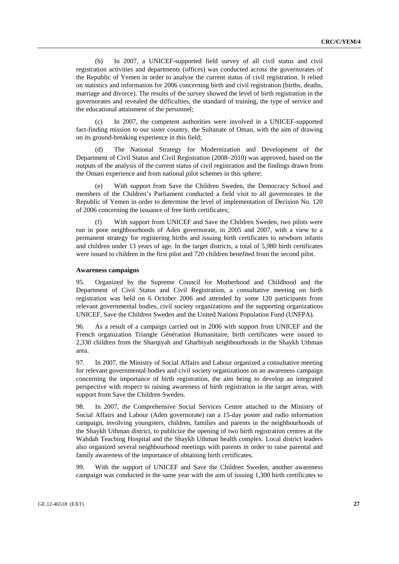(b) In 2007, a UNICEF-supported field survey of all civil status and civil registration activities and departments (offices) was conducted across the governorates of the Republic of Yemen in order to analyse the current status of civil registration. It relied on statistics and information for 2006 concerning birth and civil registration (births, deaths, marriage and divorce). The results of the survey showed the level of birth registration in the governorates and revealed the difficulties, the standard of training, the type of service and the educational attainment of the personnel;

 (c) In 2007, the competent authorities were involved in a UNICEF-supported fact-finding mission to our sister country, the Sultanate of Oman, with the aim of drawing on its ground-breaking experience in this field;

 (d) The National Strategy for Modernization and Development of the Department of Civil Status and Civil Registration (2008–2010) was approved, based on the outputs of the analysis of the current status of civil registration and the findings drawn from the Omani experience and from national pilot schemes in this sphere;

 (e) With support from Save the Children Sweden, the Democracy School and members of the Children's Parliament conducted a field visit to all governorates in the Republic of Yemen in order to determine the level of implementation of Decision No. 120 of 2006 concerning the issuance of free birth certificates;

With support from UNICEF and Save the Children Sweden, two pilots were run in poor neighbourhoods of Aden governorate, in 2005 and 2007, with a view to a permanent strategy for registering births and issuing birth certificates to newborn infants and children under 13 years of age. In the target districts, a total of 5,980 birth certificates were issued to children in the first pilot and 720 children benefited from the second pilot.

#### **Awareness campaigns**

95. Organized by the Supreme Council for Motherhood and Childhood and the Department of Civil Status and Civil Registration, a consultative meeting on birth registration was held on 6 October 2006 and attended by some 120 participants from relevant governmental bodies, civil society organizations and the supporting organizations UNICEF, Save the Children Sweden and the United Nations Population Fund (UNFPA).

96. As a result of a campaign carried out in 2006 with support from UNICEF and the French organization Triangle Génération Humanitaire, birth certificates were issued to 2,330 children from the Sharqiyah and Gharbiyah neighbourhoods in the Shaykh Uthman area.

97. In 2007, the Ministry of Social Affairs and Labour organized a consultative meeting for relevant governmental bodies and civil society organizations on an awareness campaign concerning the importance of birth registration, the aim being to develop an integrated perspective with respect to raising awareness of birth registration in the target areas, with support from Save the Children Sweden.

98. In 2007, the Comprehensive Social Services Centre attached to the Ministry of Social Affairs and Labour (Aden governorate) ran a 15-day poster and radio information campaign, involving youngsters, children, families and parents in the neighbourhoods of the Shaykh Uthman district, to publicize the opening of two birth registration centres at the Wahdah Teaching Hospital and the Shaykh Uthman health complex. Local district leaders also organized several neighbourhood meetings with parents in order to raise parental and family awareness of the importance of obtaining birth certificates.

99. With the support of UNICEF and Save the Children Sweden, another awareness campaign was conducted in the same year with the aim of issuing 1,300 birth certificates to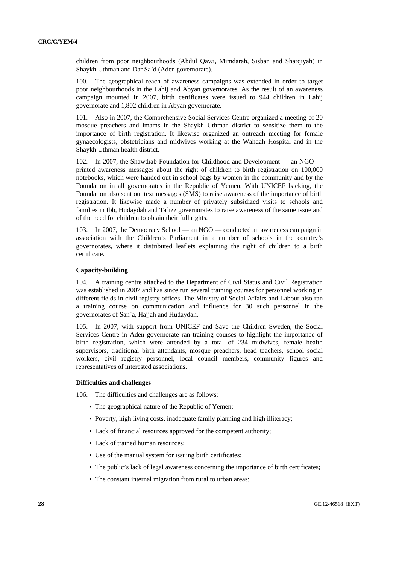children from poor neighbourhoods (Abdul Qawi, Mimdarah, Sisban and Sharqiyah) in Shaykh Uthman and Dar Sa`d (Aden governorate).

100. The geographical reach of awareness campaigns was extended in order to target poor neighbourhoods in the Lahij and Abyan governorates. As the result of an awareness campaign mounted in 2007, birth certificates were issued to 944 children in Lahij governorate and 1,802 children in Abyan governorate.

101. Also in 2007, the Comprehensive Social Services Centre organized a meeting of 20 mosque preachers and imams in the Shaykh Uthman district to sensitize them to the importance of birth registration. It likewise organized an outreach meeting for female gynaecologists, obstetricians and midwives working at the Wahdah Hospital and in the Shaykh Uthman health district.

102. In 2007, the Shawthab Foundation for Childhood and Development — an NGO printed awareness messages about the right of children to birth registration on 100,000 notebooks, which were handed out in school bags by women in the community and by the Foundation in all governorates in the Republic of Yemen. With UNICEF backing, the Foundation also sent out text messages (SMS) to raise awareness of the importance of birth registration. It likewise made a number of privately subsidized visits to schools and families in Ibb, Hudaydah and Ta`izz governorates to raise awareness of the same issue and of the need for children to obtain their full rights.

103. In 2007, the Democracy School — an NGO — conducted an awareness campaign in association with the Children's Parliament in a number of schools in the country's governorates, where it distributed leaflets explaining the right of children to a birth certificate.

#### **Capacity-building**

104. A training centre attached to the Department of Civil Status and Civil Registration was established in 2007 and has since run several training courses for personnel working in different fields in civil registry offices. The Ministry of Social Affairs and Labour also ran a training course on communication and influence for 30 such personnel in the governorates of San`a, Hajjah and Hudaydah.

105. In 2007, with support from UNICEF and Save the Children Sweden, the Social Services Centre in Aden governorate ran training courses to highlight the importance of birth registration, which were attended by a total of 234 midwives, female health supervisors, traditional birth attendants, mosque preachers, head teachers, school social workers, civil registry personnel, local council members, community figures and representatives of interested associations.

## **Difficulties and challenges**

106. The difficulties and challenges are as follows:

- The geographical nature of the Republic of Yemen;
- Poverty, high living costs, inadequate family planning and high illiteracy;
- Lack of financial resources approved for the competent authority;
- Lack of trained human resources;
- Use of the manual system for issuing birth certificates;
- The public's lack of legal awareness concerning the importance of birth certificates;
- The constant internal migration from rural to urban areas;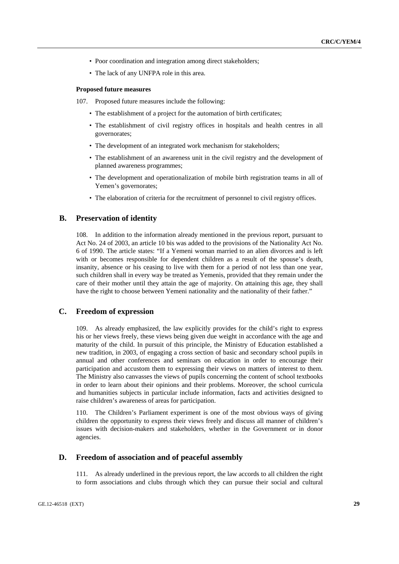- Poor coordination and integration among direct stakeholders;
- The lack of any UNFPA role in this area.

#### **Proposed future measures**

- 107. Proposed future measures include the following:
	- The establishment of a project for the automation of birth certificates;
	- The establishment of civil registry offices in hospitals and health centres in all governorates;
	- The development of an integrated work mechanism for stakeholders;
	- The establishment of an awareness unit in the civil registry and the development of planned awareness programmes;
	- The development and operationalization of mobile birth registration teams in all of Yemen's governorates;
	- The elaboration of criteria for the recruitment of personnel to civil registry offices.

## **B. Preservation of identity**

108. In addition to the information already mentioned in the previous report, pursuant to Act No. 24 of 2003, an article 10 bis was added to the provisions of the Nationality Act No. 6 of 1990. The article states: "If a Yemeni woman married to an alien divorces and is left with or becomes responsible for dependent children as a result of the spouse's death, insanity, absence or his ceasing to live with them for a period of not less than one year, such children shall in every way be treated as Yemenis, provided that they remain under the care of their mother until they attain the age of majority. On attaining this age, they shall have the right to choose between Yemeni nationality and the nationality of their father."

## **C. Freedom of expression**

109. As already emphasized, the law explicitly provides for the child's right to express his or her views freely, these views being given due weight in accordance with the age and maturity of the child. In pursuit of this principle, the Ministry of Education established a new tradition, in 2003, of engaging a cross section of basic and secondary school pupils in annual and other conferences and seminars on education in order to encourage their participation and accustom them to expressing their views on matters of interest to them. The Ministry also canvasses the views of pupils concerning the content of school textbooks in order to learn about their opinions and their problems. Moreover, the school curricula and humanities subjects in particular include information, facts and activities designed to raise children's awareness of areas for participation.

110. The Children's Parliament experiment is one of the most obvious ways of giving children the opportunity to express their views freely and discuss all manner of children's issues with decision-makers and stakeholders, whether in the Government or in donor agencies.

## **D. Freedom of association and of peaceful assembly**

111. As already underlined in the previous report, the law accords to all children the right to form associations and clubs through which they can pursue their social and cultural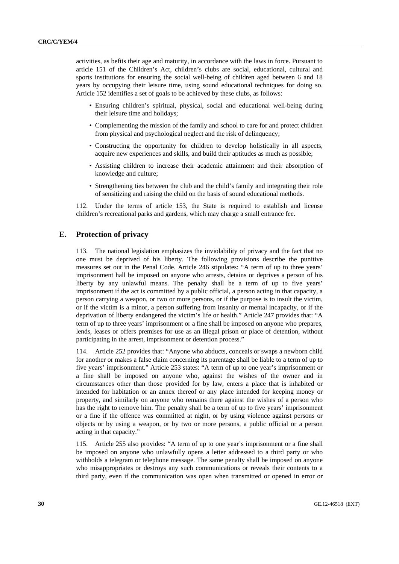activities, as befits their age and maturity, in accordance with the laws in force. Pursuant to article 151 of the Children's Act, children's clubs are social, educational, cultural and sports institutions for ensuring the social well-being of children aged between 6 and 18 years by occupying their leisure time, using sound educational techniques for doing so. Article 152 identifies a set of goals to be achieved by these clubs, as follows:

- Ensuring children's spiritual, physical, social and educational well-being during their leisure time and holidays;
- Complementing the mission of the family and school to care for and protect children from physical and psychological neglect and the risk of delinquency;
- Constructing the opportunity for children to develop holistically in all aspects, acquire new experiences and skills, and build their aptitudes as much as possible;
- Assisting children to increase their academic attainment and their absorption of knowledge and culture;
- Strengthening ties between the club and the child's family and integrating their role of sensitizing and raising the child on the basis of sound educational methods.

112. Under the terms of article 153, the State is required to establish and license children's recreational parks and gardens, which may charge a small entrance fee.

## **E. Protection of privacy**

113. The national legislation emphasizes the inviolability of privacy and the fact that no one must be deprived of his liberty. The following provisions describe the punitive measures set out in the Penal Code. Article 246 stipulates: "A term of up to three years' imprisonment hall be imposed on anyone who arrests, detains or deprives a person of his liberty by any unlawful means. The penalty shall be a term of up to five years' imprisonment if the act is committed by a public official, a person acting in that capacity, a person carrying a weapon, or two or more persons, or if the purpose is to insult the victim, or if the victim is a minor, a person suffering from insanity or mental incapacity, or if the deprivation of liberty endangered the victim's life or health." Article 247 provides that: "A term of up to three years' imprisonment or a fine shall be imposed on anyone who prepares, lends, leases or offers premises for use as an illegal prison or place of detention, without participating in the arrest, imprisonment or detention process."

114. Article 252 provides that: "Anyone who abducts, conceals or swaps a newborn child for another or makes a false claim concerning its parentage shall be liable to a term of up to five years' imprisonment." Article 253 states: "A term of up to one year's imprisonment or a fine shall be imposed on anyone who, against the wishes of the owner and in circumstances other than those provided for by law, enters a place that is inhabited or intended for habitation or an annex thereof or any place intended for keeping money or property, and similarly on anyone who remains there against the wishes of a person who has the right to remove him. The penalty shall be a term of up to five years' imprisonment or a fine if the offence was committed at night, or by using violence against persons or objects or by using a weapon, or by two or more persons, a public official or a person acting in that capacity."

115. Article 255 also provides: "A term of up to one year's imprisonment or a fine shall be imposed on anyone who unlawfully opens a letter addressed to a third party or who withholds a telegram or telephone message. The same penalty shall be imposed on anyone who misappropriates or destroys any such communications or reveals their contents to a third party, even if the communication was open when transmitted or opened in error or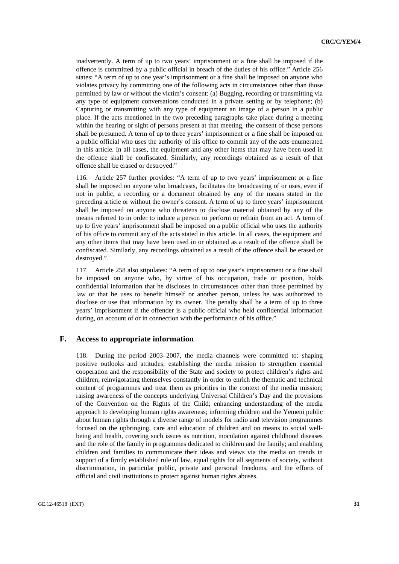inadvertently. A term of up to two years' imprisonment or a fine shall be imposed if the offence is committed by a public official in breach of the duties of his office." Article 256 states: "A term of up to one year's imprisonment or a fine shall be imposed on anyone who violates privacy by committing one of the following acts in circumstances other than those permitted by law or without the victim's consent: (a) Bugging, recording or transmitting via any type of equipment conversations conducted in a private setting or by telephone; (b) Capturing or transmitting with any type of equipment an image of a person in a public place. If the acts mentioned in the two preceding paragraphs take place during a meeting within the hearing or sight of persons present at that meeting, the consent of those persons shall be presumed. A term of up to three years' imprisonment or a fine shall be imposed on a public official who uses the authority of his office to commit any of the acts enumerated in this article. In all cases, the equipment and any other items that may have been used in the offence shall be confiscated. Similarly, any recordings obtained as a result of that offence shall be erased or destroyed."

116. Article 257 further provides: "A term of up to two years' imprisonment or a fine shall be imposed on anyone who broadcasts, facilitates the broadcasting of or uses, even if not in public, a recording or a document obtained by any of the means stated in the preceding article or without the owner's consent. A term of up to three years' imprisonment shall be imposed on anyone who threatens to disclose material obtained by any of the means referred to in order to induce a person to perform or refrain from an act. A term of up to five years' imprisonment shall be imposed on a public official who uses the authority of his office to commit any of the acts stated in this article. In all cases, the equipment and any other items that may have been used in or obtained as a result of the offence shall be confiscated. Similarly, any recordings obtained as a result of the offence shall be erased or destroyed."

117. Article 258 also stipulates: "A term of up to one year's imprisonment or a fine shall be imposed on anyone who, by virtue of his occupation, trade or position, holds confidential information that he discloses in circumstances other than those permitted by law or that he uses to benefit himself or another person, unless he was authorized to disclose or use that information by its owner. The penalty shall be a term of up to three years' imprisonment if the offender is a public official who held confidential information during, on account of or in connection with the performance of his office."

### **F. Access to appropriate information**

118. During the period 2003–2007, the media channels were committed to: shaping positive outlooks and attitudes; establishing the media mission to strengthen essential cooperation and the responsibility of the State and society to protect children's rights and children; reinvigorating themselves constantly in order to enrich the thematic and technical content of programmes and treat them as priorities in the context of the media mission; raising awareness of the concepts underlying Universal Children's Day and the provisions of the Convention on the Rights of the Child; enhancing understanding of the media approach to developing human rights awareness; informing children and the Yemeni public about human rights through a diverse range of models for radio and television programmes focused on the upbringing, care and education of children and on means to social wellbeing and health, covering such issues as nutrition, inoculation against childhood diseases and the role of the family in programmes dedicated to children and the family; and enabling children and families to communicate their ideas and views via the media on trends in support of a firmly established rule of law, equal rights for all segments of society, without discrimination, in particular public, private and personal freedoms, and the efforts of official and civil institutions to protect against human rights abuses.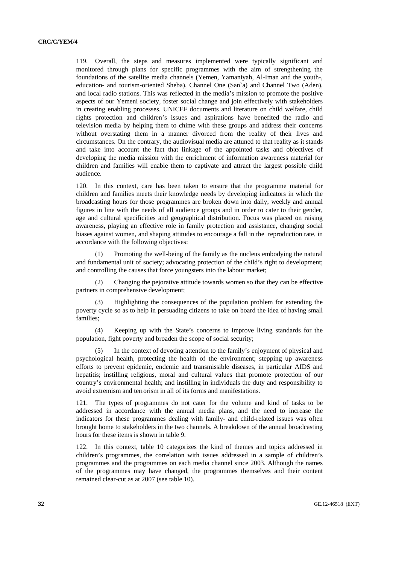119. Overall, the steps and measures implemented were typically significant and monitored through plans for specific programmes with the aim of strengthening the foundations of the satellite media channels (Yemen, Yamaniyah, Al-Iman and the youth-, education- and tourism-oriented Sheba), Channel One (San`a) and Channel Two (Aden), and local radio stations. This was reflected in the media's mission to promote the positive aspects of our Yemeni society, foster social change and join effectively with stakeholders in creating enabling processes. UNICEF documents and literature on child welfare, child rights protection and children's issues and aspirations have benefited the radio and television media by helping them to chime with these groups and address their concerns without overstating them in a manner divorced from the reality of their lives and circumstances. On the contrary, the audiovisual media are attuned to that reality as it stands and take into account the fact that linkage of the appointed tasks and objectives of developing the media mission with the enrichment of information awareness material for children and families will enable them to captivate and attract the largest possible child audience.

120. In this context, care has been taken to ensure that the programme material for children and families meets their knowledge needs by developing indicators in which the broadcasting hours for those programmes are broken down into daily, weekly and annual figures in line with the needs of all audience groups and in order to cater to their gender, age and cultural specificities and geographical distribution. Focus was placed on raising awareness, playing an effective role in family protection and assistance, changing social biases against women, and shaping attitudes to encourage a fall in the reproduction rate, in accordance with the following objectives:

 (1) Promoting the well-being of the family as the nucleus embodying the natural and fundamental unit of society; advocating protection of the child's right to development; and controlling the causes that force youngsters into the labour market;

 (2) Changing the pejorative attitude towards women so that they can be effective partners in comprehensive development;

 (3) Highlighting the consequences of the population problem for extending the poverty cycle so as to help in persuading citizens to take on board the idea of having small families;

 (4) Keeping up with the State's concerns to improve living standards for the population, fight poverty and broaden the scope of social security;

 (5) In the context of devoting attention to the family's enjoyment of physical and psychological health, protecting the health of the environment; stepping up awareness efforts to prevent epidemic, endemic and transmissible diseases, in particular AIDS and hepatitis; instilling religious, moral and cultural values that promote protection of our country's environmental health; and instilling in individuals the duty and responsibility to avoid extremism and terrorism in all of its forms and manifestations.

121. The types of programmes do not cater for the volume and kind of tasks to be addressed in accordance with the annual media plans, and the need to increase the indicators for these programmes dealing with family- and child-related issues was often brought home to stakeholders in the two channels. A breakdown of the annual broadcasting hours for these items is shown in table 9.

122. In this context, table 10 categorizes the kind of themes and topics addressed in children's programmes, the correlation with issues addressed in a sample of children's programmes and the programmes on each media channel since 2003. Although the names of the programmes may have changed, the programmes themselves and their content remained clear-cut as at 2007 (see table 10).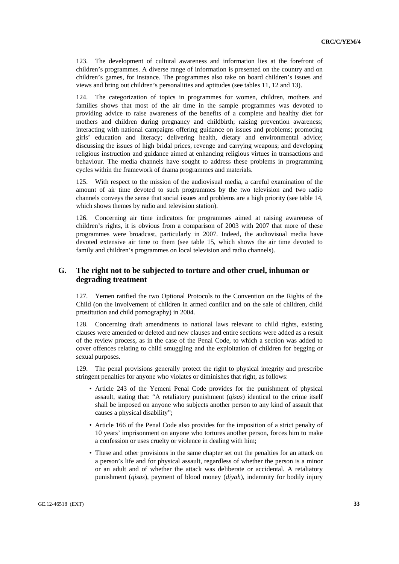123. The development of cultural awareness and information lies at the forefront of children's programmes. A diverse range of information is presented on the country and on children's games, for instance. The programmes also take on board children's issues and views and bring out children's personalities and aptitudes (see tables 11, 12 and 13).

124. The categorization of topics in programmes for women, children, mothers and families shows that most of the air time in the sample programmes was devoted to providing advice to raise awareness of the benefits of a complete and healthy diet for mothers and children during pregnancy and childbirth; raising prevention awareness; interacting with national campaigns offering guidance on issues and problems; promoting girls' education and literacy; delivering health, dietary and environmental advice; discussing the issues of high bridal prices, revenge and carrying weapons; and developing religious instruction and guidance aimed at enhancing religious virtues in transactions and behaviour. The media channels have sought to address these problems in programming cycles within the framework of drama programmes and materials.

125. With respect to the mission of the audiovisual media, a careful examination of the amount of air time devoted to such programmes by the two television and two radio channels conveys the sense that social issues and problems are a high priority (see table 14, which shows themes by radio and television station).

126. Concerning air time indicators for programmes aimed at raising awareness of children's rights, it is obvious from a comparison of 2003 with 2007 that more of these programmes were broadcast, particularly in 2007. Indeed, the audiovisual media have devoted extensive air time to them (see table 15, which shows the air time devoted to family and children's programmes on local television and radio channels).

## **G. The right not to be subjected to torture and other cruel, inhuman or degrading treatment**

127. Yemen ratified the two Optional Protocols to the Convention on the Rights of the Child (on the involvement of children in armed conflict and on the sale of children, child prostitution and child pornography) in 2004.

128. Concerning draft amendments to national laws relevant to child rights, existing clauses were amended or deleted and new clauses and entire sections were added as a result of the review process, as in the case of the Penal Code, to which a section was added to cover offences relating to child smuggling and the exploitation of children for begging or sexual purposes.

129. The penal provisions generally protect the right to physical integrity and prescribe stringent penalties for anyone who violates or diminishes that right, as follows:

- Article 243 of the Yemeni Penal Code provides for the punishment of physical assault, stating that: "A retaliatory punishment (*qisas*) identical to the crime itself shall be imposed on anyone who subjects another person to any kind of assault that causes a physical disability";
- Article 166 of the Penal Code also provides for the imposition of a strict penalty of 10 years' imprisonment on anyone who tortures another person, forces him to make a confession or uses cruelty or violence in dealing with him;
- These and other provisions in the same chapter set out the penalties for an attack on a person's life and for physical assault, regardless of whether the person is a minor or an adult and of whether the attack was deliberate or accidental. A retaliatory punishment (*qisas*), payment of blood money (*diyah*), indemnity for bodily injury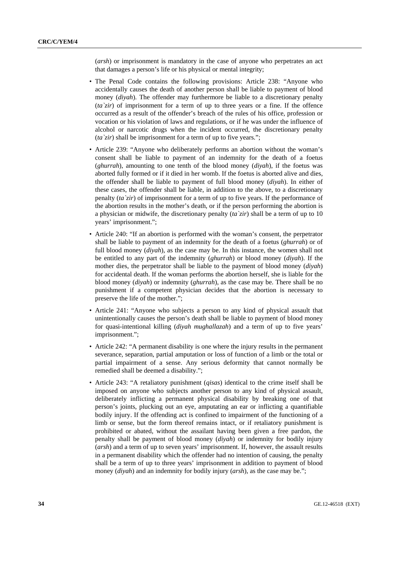(*arsh*) or imprisonment is mandatory in the case of anyone who perpetrates an act that damages a person's life or his physical or mental integrity;

- The Penal Code contains the following provisions: Article 238: "Anyone who accidentally causes the death of another person shall be liable to payment of blood money (*diyah*). The offender may furthermore be liable to a discretionary penalty (*ta`zir*) of imprisonment for a term of up to three years or a fine. If the offence occurred as a result of the offender's breach of the rules of his office, profession or vocation or his violation of laws and regulations, or if he was under the influence of alcohol or narcotic drugs when the incident occurred, the discretionary penalty (*ta`zir*) shall be imprisonment for a term of up to five years.";
- Article 239: "Anyone who deliberately performs an abortion without the woman's consent shall be liable to payment of an indemnity for the death of a foetus (*ghurrah*), amounting to one tenth of the blood money (*diyah*), if the foetus was aborted fully formed or if it died in her womb. If the foetus is aborted alive and dies, the offender shall be liable to payment of full blood money (*diyah*). In either of these cases, the offender shall be liable, in addition to the above, to a discretionary penalty (*ta`zir*) of imprisonment for a term of up to five years. If the performance of the abortion results in the mother's death, or if the person performing the abortion is a physician or midwife, the discretionary penalty (*ta`zir*) shall be a term of up to 10 years' imprisonment.";
- Article 240: "If an abortion is performed with the woman's consent, the perpetrator shall be liable to payment of an indemnity for the death of a foetus (*ghurrah*) or of full blood money (*diyah*), as the case may be. In this instance, the women shall not be entitled to any part of the indemnity (*ghurrah*) or blood money (*diyah*). If the mother dies, the perpetrator shall be liable to the payment of blood money (*diyah*) for accidental death. If the woman performs the abortion herself, she is liable for the blood money (*diyah*) or indemnity (*ghurrah*), as the case may be. There shall be no punishment if a competent physician decides that the abortion is necessary to preserve the life of the mother.";
- Article 241: "Anyone who subjects a person to any kind of physical assault that unintentionally causes the person's death shall be liable to payment of blood money for quasi-intentional killing (*diyah mughallazah*) and a term of up to five years' imprisonment.";
- Article 242: "A permanent disability is one where the injury results in the permanent severance, separation, partial amputation or loss of function of a limb or the total or partial impairment of a sense. Any serious deformity that cannot normally be remedied shall be deemed a disability.";
- Article 243: "A retaliatory punishment (*qisas*) identical to the crime itself shall be imposed on anyone who subjects another person to any kind of physical assault, deliberately inflicting a permanent physical disability by breaking one of that person's joints, plucking out an eye, amputating an ear or inflicting a quantifiable bodily injury. If the offending act is confined to impairment of the functioning of a limb or sense, but the form thereof remains intact, or if retaliatory punishment is prohibited or abated, without the assailant having been given a free pardon, the penalty shall be payment of blood money (*diyah*) or indemnity for bodily injury (*arsh*) and a term of up to seven years' imprisonment. If, however, the assault results in a permanent disability which the offender had no intention of causing, the penalty shall be a term of up to three years' imprisonment in addition to payment of blood money (*diyah*) and an indemnity for bodily injury (*arsh*), as the case may be.";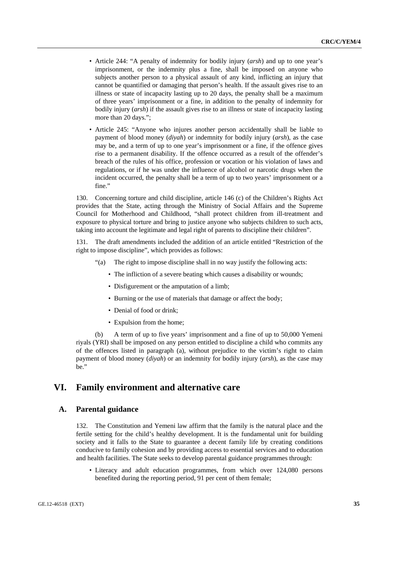- Article 244: "A penalty of indemnity for bodily injury (*arsh*) and up to one year's imprisonment, or the indemnity plus a fine, shall be imposed on anyone who subjects another person to a physical assault of any kind, inflicting an injury that cannot be quantified or damaging that person's health. If the assault gives rise to an illness or state of incapacity lasting up to 20 days, the penalty shall be a maximum of three years' imprisonment or a fine, in addition to the penalty of indemnity for bodily injury (*arsh*) if the assault gives rise to an illness or state of incapacity lasting more than 20 days.";
- Article 245: "Anyone who injures another person accidentally shall be liable to payment of blood money (*diyah*) or indemnity for bodily injury (*arsh*), as the case may be, and a term of up to one year's imprisonment or a fine, if the offence gives rise to a permanent disability. If the offence occurred as a result of the offender's breach of the rules of his office, profession or vocation or his violation of laws and regulations, or if he was under the influence of alcohol or narcotic drugs when the incident occurred, the penalty shall be a term of up to two years' imprisonment or a fine."

130. Concerning torture and child discipline, article 146 (c) of the Children's Rights Act provides that the State, acting through the Ministry of Social Affairs and the Supreme Council for Motherhood and Childhood, "shall protect children from ill-treatment and exposure to physical torture and bring to justice anyone who subjects children to such acts, taking into account the legitimate and legal right of parents to discipline their children".

131. The draft amendments included the addition of an article entitled "Restriction of the right to impose discipline", which provides as follows:

- "(a) The right to impose discipline shall in no way justify the following acts:
	- The infliction of a severe beating which causes a disability or wounds;
	- Disfigurement or the amputation of a limb;
	- Burning or the use of materials that damage or affect the body;
	- Denial of food or drink;
	- Expulsion from the home;

 (b) A term of up to five years' imprisonment and a fine of up to 50,000 Yemeni riyals (YRI) shall be imposed on any person entitled to discipline a child who commits any of the offences listed in paragraph (a), without prejudice to the victim's right to claim payment of blood money (*diyah*) or an indemnity for bodily injury (*arsh*), as the case may be."

## **VI. Family environment and alternative care**

## **A. Parental guidance**

132. The Constitution and Yemeni law affirm that the family is the natural place and the fertile setting for the child's healthy development. It is the fundamental unit for building society and it falls to the State to guarantee a decent family life by creating conditions conducive to family cohesion and by providing access to essential services and to education and health facilities. The State seeks to develop parental guidance programmes through:

• Literacy and adult education programmes, from which over 124,080 persons benefited during the reporting period, 91 per cent of them female;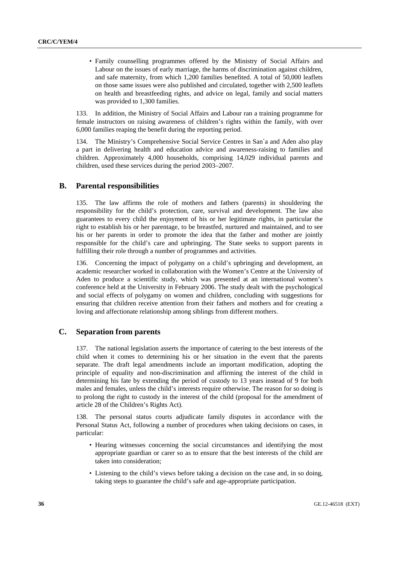• Family counselling programmes offered by the Ministry of Social Affairs and Labour on the issues of early marriage, the harms of discrimination against children, and safe maternity, from which 1,200 families benefited. A total of 50,000 leaflets on those same issues were also published and circulated, together with 2,500 leaflets on health and breastfeeding rights, and advice on legal, family and social matters was provided to 1,300 families.

133. In addition, the Ministry of Social Affairs and Labour ran a training programme for female instructors on raising awareness of children's rights within the family, with over 6,000 families reaping the benefit during the reporting period.

134. The Ministry's Comprehensive Social Service Centres in San`a and Aden also play a part in delivering health and education advice and awareness-raising to families and children. Approximately 4,000 households, comprising 14,029 individual parents and children, used these services during the period 2003–2007.

### **B. Parental responsibilities**

135. The law affirms the role of mothers and fathers (parents) in shouldering the responsibility for the child's protection, care, survival and development. The law also guarantees to every child the enjoyment of his or her legitimate rights, in particular the right to establish his or her parentage, to be breastfed, nurtured and maintained, and to see his or her parents in order to promote the idea that the father and mother are jointly responsible for the child's care and upbringing. The State seeks to support parents in fulfilling their role through a number of programmes and activities.

136. Concerning the impact of polygamy on a child's upbringing and development, an academic researcher worked in collaboration with the Women's Centre at the University of Aden to produce a scientific study, which was presented at an international women's conference held at the University in February 2006. The study dealt with the psychological and social effects of polygamy on women and children, concluding with suggestions for ensuring that children receive attention from their fathers and mothers and for creating a loving and affectionate relationship among siblings from different mothers.

## **C. Separation from parents**

137. The national legislation asserts the importance of catering to the best interests of the child when it comes to determining his or her situation in the event that the parents separate. The draft legal amendments include an important modification, adopting the principle of equality and non-discrimination and affirming the interest of the child in determining his fate by extending the period of custody to 13 years instead of 9 for both males and females, unless the child's interests require otherwise. The reason for so doing is to prolong the right to custody in the interest of the child (proposal for the amendment of article 28 of the Children's Rights Act).

138. The personal status courts adjudicate family disputes in accordance with the Personal Status Act, following a number of procedures when taking decisions on cases, in particular:

- Hearing witnesses concerning the social circumstances and identifying the most appropriate guardian or carer so as to ensure that the best interests of the child are taken into consideration;
- Listening to the child's views before taking a decision on the case and, in so doing, taking steps to guarantee the child's safe and age-appropriate participation.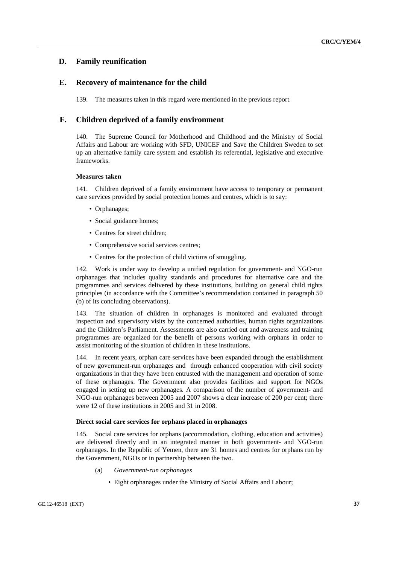## **D. Family reunification**

### **E. Recovery of maintenance for the child**

139. The measures taken in this regard were mentioned in the previous report.

## **F. Children deprived of a family environment**

140. The Supreme Council for Motherhood and Childhood and the Ministry of Social Affairs and Labour are working with SFD, UNICEF and Save the Children Sweden to set up an alternative family care system and establish its referential, legislative and executive frameworks.

### **Measures taken**

141. Children deprived of a family environment have access to temporary or permanent care services provided by social protection homes and centres, which is to say:

- Orphanages;
- Social guidance homes;
- Centres for street children;
- Comprehensive social services centres;
- Centres for the protection of child victims of smuggling.

142. Work is under way to develop a unified regulation for government- and NGO-run orphanages that includes quality standards and procedures for alternative care and the programmes and services delivered by these institutions, building on general child rights principles (in accordance with the Committee's recommendation contained in paragraph 50 (b) of its concluding observations).

143. The situation of children in orphanages is monitored and evaluated through inspection and supervisory visits by the concerned authorities, human rights organizations and the Children's Parliament. Assessments are also carried out and awareness and training programmes are organized for the benefit of persons working with orphans in order to assist monitoring of the situation of children in these institutions.

144. In recent years, orphan care services have been expanded through the establishment of new government-run orphanages and through enhanced cooperation with civil society organizations in that they have been entrusted with the management and operation of some of these orphanages. The Government also provides facilities and support for NGOs engaged in setting up new orphanages. A comparison of the number of government- and NGO-run orphanages between 2005 and 2007 shows a clear increase of 200 per cent; there were 12 of these institutions in 2005 and 31 in 2008.

### **Direct social care services for orphans placed in orphanages**

145. Social care services for orphans (accommodation, clothing, education and activities) are delivered directly and in an integrated manner in both government- and NGO-run orphanages. In the Republic of Yemen, there are 31 homes and centres for orphans run by the Government, NGOs or in partnership between the two.

- (a) *Government-run orphanages*
	- Eight orphanages under the Ministry of Social Affairs and Labour;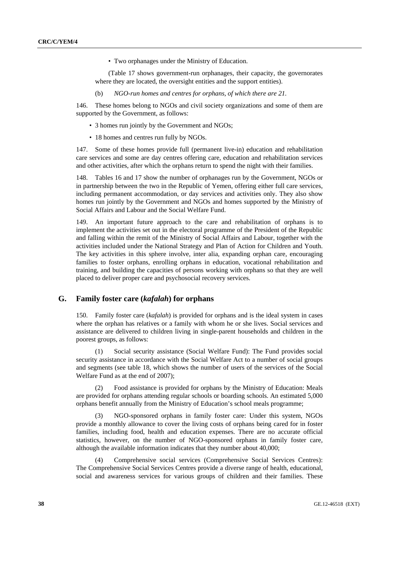• Two orphanages under the Ministry of Education.

(Table 17 shows government-run orphanages, their capacity, the governorates where they are located, the oversight entities and the support entities).

(b) *NGO-run homes and centres for orphans, of which there are 21.*

146. These homes belong to NGOs and civil society organizations and some of them are supported by the Government, as follows:

- 3 homes run jointly by the Government and NGOs;
- 18 homes and centres run fully by NGOs.

147. Some of these homes provide full (permanent live-in) education and rehabilitation care services and some are day centres offering care, education and rehabilitation services and other activities, after which the orphans return to spend the night with their families.

148. Tables 16 and 17 show the number of orphanages run by the Government, NGOs or in partnership between the two in the Republic of Yemen, offering either full care services, including permanent accommodation, or day services and activities only. They also show homes run jointly by the Government and NGOs and homes supported by the Ministry of Social Affairs and Labour and the Social Welfare Fund.

149. An important future approach to the care and rehabilitation of orphans is to implement the activities set out in the electoral programme of the President of the Republic and falling within the remit of the Ministry of Social Affairs and Labour, together with the activities included under the National Strategy and Plan of Action for Children and Youth. The key activities in this sphere involve, inter alia, expanding orphan care, encouraging families to foster orphans, enrolling orphans in education, vocational rehabilitation and training, and building the capacities of persons working with orphans so that they are well placed to deliver proper care and psychosocial recovery services.

## **G. Family foster care (***kafalah***) for orphans**

150. Family foster care (*kafalah*) is provided for orphans and is the ideal system in cases where the orphan has relatives or a family with whom he or she lives. Social services and assistance are delivered to children living in single-parent households and children in the poorest groups, as follows:

 (1) Social security assistance (Social Welfare Fund): The Fund provides social security assistance in accordance with the Social Welfare Act to a number of social groups and segments (see table 18, which shows the number of users of the services of the Social Welfare Fund as at the end of 2007);

 (2) Food assistance is provided for orphans by the Ministry of Education: Meals are provided for orphans attending regular schools or boarding schools. An estimated 5,000 orphans benefit annually from the Ministry of Education's school meals programme;

 (3) NGO-sponsored orphans in family foster care: Under this system, NGOs provide a monthly allowance to cover the living costs of orphans being cared for in foster families, including food, health and education expenses. There are no accurate official statistics, however, on the number of NGO-sponsored orphans in family foster care, although the available information indicates that they number about 40,000;

 (4) Comprehensive social services (Comprehensive Social Services Centres): The Comprehensive Social Services Centres provide a diverse range of health, educational, social and awareness services for various groups of children and their families. These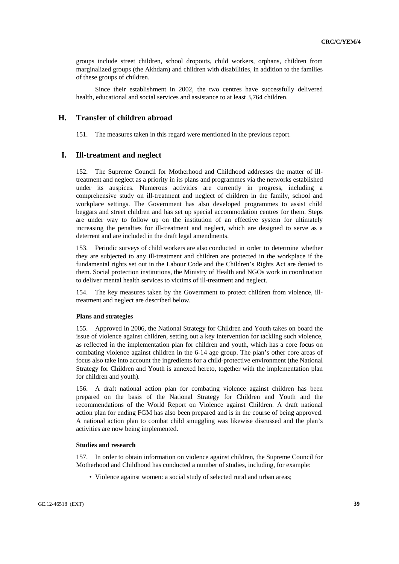groups include street children, school dropouts, child workers, orphans, children from marginalized groups (the Akhdam) and children with disabilities, in addition to the families of these groups of children.

 Since their establishment in 2002, the two centres have successfully delivered health, educational and social services and assistance to at least 3,764 children.

### **H. Transfer of children abroad**

151. The measures taken in this regard were mentioned in the previous report.

### **I. Ill-treatment and neglect**

152. The Supreme Council for Motherhood and Childhood addresses the matter of illtreatment and neglect as a priority in its plans and programmes via the networks established under its auspices. Numerous activities are currently in progress, including a comprehensive study on ill-treatment and neglect of children in the family, school and workplace settings. The Government has also developed programmes to assist child beggars and street children and has set up special accommodation centres for them. Steps are under way to follow up on the institution of an effective system for ultimately increasing the penalties for ill-treatment and neglect, which are designed to serve as a deterrent and are included in the draft legal amendments.

153. Periodic surveys of child workers are also conducted in order to determine whether they are subjected to any ill-treatment and children are protected in the workplace if the fundamental rights set out in the Labour Code and the Children's Rights Act are denied to them. Social protection institutions, the Ministry of Health and NGOs work in coordination to deliver mental health services to victims of ill-treatment and neglect.

154. The key measures taken by the Government to protect children from violence, illtreatment and neglect are described below.

#### **Plans and strategies**

155. Approved in 2006, the National Strategy for Children and Youth takes on board the issue of violence against children, setting out a key intervention for tackling such violence, as reflected in the implementation plan for children and youth, which has a core focus on combating violence against children in the 6-14 age group. The plan's other core areas of focus also take into account the ingredients for a child-protective environment (the National Strategy for Children and Youth is annexed hereto, together with the implementation plan for children and youth).

156. A draft national action plan for combating violence against children has been prepared on the basis of the National Strategy for Children and Youth and the recommendations of the World Report on Violence against Children. A draft national action plan for ending FGM has also been prepared and is in the course of being approved. A national action plan to combat child smuggling was likewise discussed and the plan's activities are now being implemented.

### **Studies and research**

157. In order to obtain information on violence against children, the Supreme Council for Motherhood and Childhood has conducted a number of studies, including, for example:

• Violence against women: a social study of selected rural and urban areas;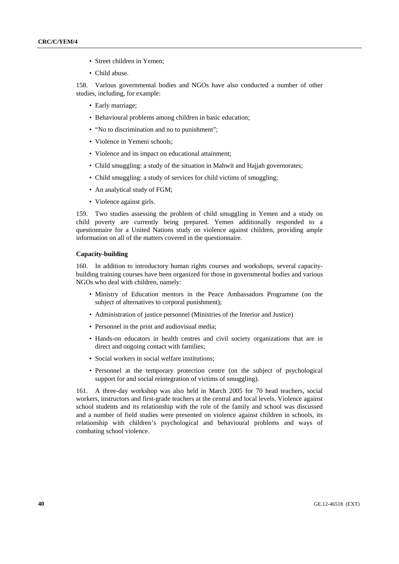- Street children in Yemen;
- Child abuse.

158. Various governmental bodies and NGOs have also conducted a number of other studies, including, for example:

- Early marriage;
- Behavioural problems among children in basic education;
- "No to discrimination and no to punishment";
- Violence in Yemeni schools;
- Violence and its impact on educational attainment;
- Child smuggling: a study of the situation in Mahwit and Hajjah governorates;
- Child smuggling: a study of services for child victims of smuggling;
- An analytical study of FGM:
- Violence against girls.

159. Two studies assessing the problem of child smuggling in Yemen and a study on child poverty are currently being prepared. Yemen additionally responded to a questionnaire for a United Nations study on violence against children, providing ample information on all of the matters covered in the questionnaire.

### **Capacity-building**

160. In addition to introductory human rights courses and workshops, several capacitybuilding training courses have been organized for those in governmental bodies and various NGOs who deal with children, namely:

- Ministry of Education mentors in the Peace Ambassadors Programme (on the subject of alternatives to corporal punishment);
- Administration of justice personnel (Ministries of the Interior and Justice)
- Personnel in the print and audiovisual media;
- Hands-on educators in health centres and civil society organizations that are in direct and ongoing contact with families;
- Social workers in social welfare institutions;
- Personnel at the temporary protection centre (on the subject of psychological support for and social reintegration of victims of smuggling).

161. A three-day workshop was also held in March 2005 for 70 head teachers, social workers, instructors and first-grade teachers at the central and local levels. Violence against school students and its relationship with the role of the family and school was discussed and a number of field studies were presented on violence against children in schools, its relationship with children's psychological and behavioural problems and ways of combating school violence.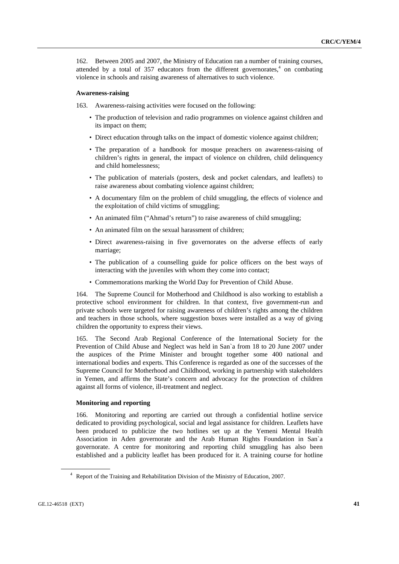162. Between 2005 and 2007, the Ministry of Education ran a number of training courses, attended by a total of  $357$  educators from the different governorates,<sup>4</sup> on combating violence in schools and raising awareness of alternatives to such violence.

#### **Awareness-raising**

163. Awareness-raising activities were focused on the following:

- The production of television and radio programmes on violence against children and its impact on them;
- Direct education through talks on the impact of domestic violence against children;
- The preparation of a handbook for mosque preachers on awareness-raising of children's rights in general, the impact of violence on children, child delinquency and child homelessness;
- The publication of materials (posters, desk and pocket calendars, and leaflets) to raise awareness about combating violence against children;
- A documentary film on the problem of child smuggling, the effects of violence and the exploitation of child victims of smuggling;
- An animated film ("Ahmad's return") to raise awareness of child smuggling;
- An animated film on the sexual harassment of children;
- Direct awareness-raising in five governorates on the adverse effects of early marriage;
- The publication of a counselling guide for police officers on the best ways of interacting with the juveniles with whom they come into contact;
- Commemorations marking the World Day for Prevention of Child Abuse.

164. The Supreme Council for Motherhood and Childhood is also working to establish a protective school environment for children. In that context, five government-run and private schools were targeted for raising awareness of children's rights among the children and teachers in those schools, where suggestion boxes were installed as a way of giving children the opportunity to express their views.

165. The Second Arab Regional Conference of the International Society for the Prevention of Child Abuse and Neglect was held in San`a from 18 to 20 June 2007 under the auspices of the Prime Minister and brought together some 400 national and international bodies and experts. This Conference is regarded as one of the successes of the Supreme Council for Motherhood and Childhood, working in partnership with stakeholders in Yemen, and affirms the State's concern and advocacy for the protection of children against all forms of violence, ill-treatment and neglect.

#### **Monitoring and reporting**

166. Monitoring and reporting are carried out through a confidential hotline service dedicated to providing psychological, social and legal assistance for children. Leaflets have been produced to publicize the two hotlines set up at the Yemeni Mental Health Association in Aden governorate and the Arab Human Rights Foundation in San`a governorate. A centre for monitoring and reporting child smuggling has also been established and a publicity leaflet has been produced for it. A training course for hotline

<sup>&</sup>lt;sup>4</sup> Report of the Training and Rehabilitation Division of the Ministry of Education, 2007.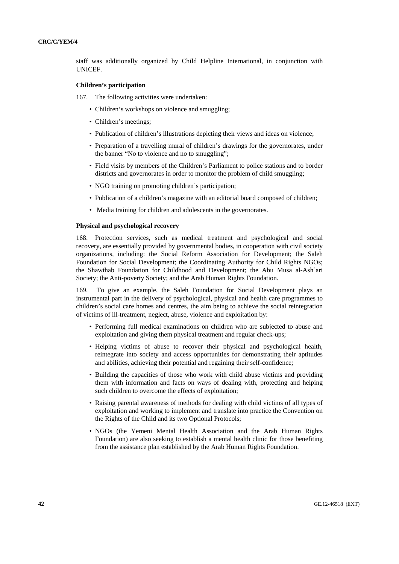staff was additionally organized by Child Helpline International, in conjunction with UNICEF.

### **Children's participation**

167. The following activities were undertaken:

- Children's workshops on violence and smuggling:
- Children's meetings;
- Publication of children's illustrations depicting their views and ideas on violence;
- Preparation of a travelling mural of children's drawings for the governorates, under the banner "No to violence and no to smuggling";
- Field visits by members of the Children's Parliament to police stations and to border districts and governorates in order to monitor the problem of child smuggling;
- NGO training on promoting children's participation;
- Publication of a children's magazine with an editorial board composed of children;
- Media training for children and adolescents in the governorates.

### **Physical and psychological recovery**

168. Protection services, such as medical treatment and psychological and social recovery, are essentially provided by governmental bodies, in cooperation with civil society organizations, including: the Social Reform Association for Development; the Saleh Foundation for Social Development; the Coordinating Authority for Child Rights NGOs; the Shawthab Foundation for Childhood and Development; the Abu Musa al-Ash`ari Society; the Anti-poverty Society; and the Arab Human Rights Foundation.

169. To give an example, the Saleh Foundation for Social Development plays an instrumental part in the delivery of psychological, physical and health care programmes to children's social care homes and centres, the aim being to achieve the social reintegration of victims of ill-treatment, neglect, abuse, violence and exploitation by:

- Performing full medical examinations on children who are subjected to abuse and exploitation and giving them physical treatment and regular check-ups;
- Helping victims of abuse to recover their physical and psychological health, reintegrate into society and access opportunities for demonstrating their aptitudes and abilities, achieving their potential and regaining their self-confidence;
- Building the capacities of those who work with child abuse victims and providing them with information and facts on ways of dealing with, protecting and helping such children to overcome the effects of exploitation;
- Raising parental awareness of methods for dealing with child victims of all types of exploitation and working to implement and translate into practice the Convention on the Rights of the Child and its two Optional Protocols;
- NGOs (the Yemeni Mental Health Association and the Arab Human Rights Foundation) are also seeking to establish a mental health clinic for those benefiting from the assistance plan established by the Arab Human Rights Foundation.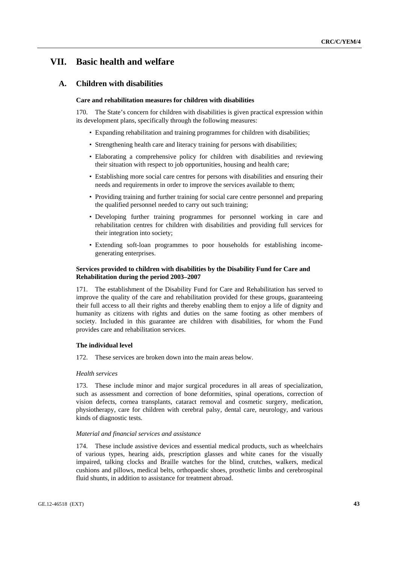# **VII. Basic health and welfare**

## **A. Children with disabilities**

### **Care and rehabilitation measures for children with disabilities**

170. The State's concern for children with disabilities is given practical expression within its development plans, specifically through the following measures:

- Expanding rehabilitation and training programmes for children with disabilities;
- Strengthening health care and literacy training for persons with disabilities;
- Elaborating a comprehensive policy for children with disabilities and reviewing their situation with respect to job opportunities, housing and health care;
- Establishing more social care centres for persons with disabilities and ensuring their needs and requirements in order to improve the services available to them;
- Providing training and further training for social care centre personnel and preparing the qualified personnel needed to carry out such training;
- Developing further training programmes for personnel working in care and rehabilitation centres for children with disabilities and providing full services for their integration into society;
- Extending soft-loan programmes to poor households for establishing incomegenerating enterprises.

### **Services provided to children with disabilities by the Disability Fund for Care and Rehabilitation during the period 2003–2007**

171. The establishment of the Disability Fund for Care and Rehabilitation has served to improve the quality of the care and rehabilitation provided for these groups, guaranteeing their full access to all their rights and thereby enabling them to enjoy a life of dignity and humanity as citizens with rights and duties on the same footing as other members of society. Included in this guarantee are children with disabilities, for whom the Fund provides care and rehabilitation services.

#### **The individual level**

172. These services are broken down into the main areas below.

#### *Health services*

173. These include minor and major surgical procedures in all areas of specialization, such as assessment and correction of bone deformities, spinal operations, correction of vision defects, cornea transplants, cataract removal and cosmetic surgery, medication, physiotherapy, care for children with cerebral palsy, dental care, neurology, and various kinds of diagnostic tests.

#### *Material and financial services and assistance*

174. These include assistive devices and essential medical products, such as wheelchairs of various types, hearing aids, prescription glasses and white canes for the visually impaired, talking clocks and Braille watches for the blind, crutches, walkers, medical cushions and pillows, medical belts, orthopaedic shoes, prosthetic limbs and cerebrospinal fluid shunts, in addition to assistance for treatment abroad.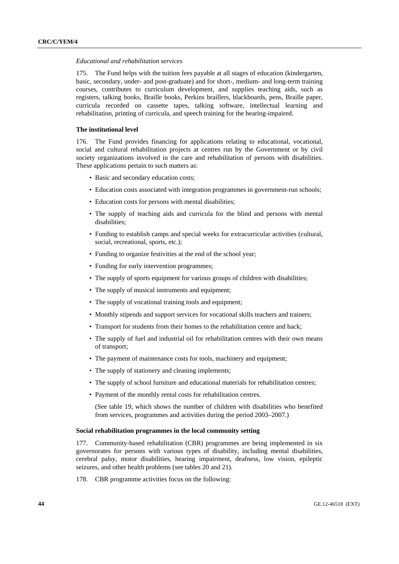#### *Educational and rehabilitation services*

175. The Fund helps with the tuition fees payable at all stages of education (kindergarten, basic, secondary, under- and post-graduate) and for short-, medium- and long-term training courses, contributes to curriculum development, and supplies teaching aids, such as registers, talking books, Braille books, Perkins braillers, blackboards, pens, Braille paper, curricula recorded on cassette tapes, talking software, intellectual learning and rehabilitation, printing of curricula, and speech training for the hearing-impaired.

### **The institutional level**

176. The Fund provides financing for applications relating to educational, vocational, social and cultural rehabilitation projects at centres run by the Government or by civil society organizations involved in the care and rehabilitation of persons with disabilities. These applications pertain to such matters as:

- Basic and secondary education costs;
- Education costs associated with integration programmes in government-run schools;
- Education costs for persons with mental disabilities;
- The supply of teaching aids and curricula for the blind and persons with mental disabilities;
- Funding to establish camps and special weeks for extracurricular activities (cultural, social, recreational, sports, etc.);
- Funding to organize festivities at the end of the school year;
- Funding for early intervention programmes;
- The supply of sports equipment for various groups of children with disabilities;
- The supply of musical instruments and equipment:
- The supply of vocational training tools and equipment;
- Monthly stipends and support services for vocational skills teachers and trainers;
- Transport for students from their homes to the rehabilitation centre and back;
- The supply of fuel and industrial oil for rehabilitation centres with their own means of transport;
- The payment of maintenance costs for tools, machinery and equipment;
- The supply of stationery and cleaning implements:
- The supply of school furniture and educational materials for rehabilitation centres;
- Payment of the monthly rental costs for rehabilitation centres.

(See table 19, which shows the number of children with disabilities who benefited from services, programmes and activities during the period 2003–2007.)

### **Social rehabilitation programmes in the local community setting**

177. Community-based rehabilitation (CBR) programmes are being implemented in six governorates for persons with various types of disability, including mental disabilities, cerebral palsy, motor disabilities, hearing impairment, deafness, low vision, epileptic seizures, and other health problems (see tables 20 and 21).

178. CBR programme activities focus on the following: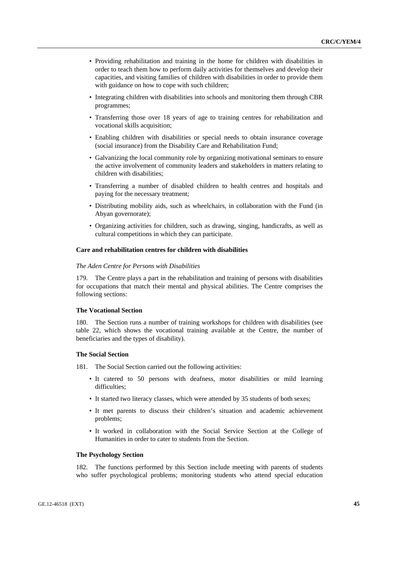- Providing rehabilitation and training in the home for children with disabilities in order to teach them how to perform daily activities for themselves and develop their capacities, and visiting families of children with disabilities in order to provide them with guidance on how to cope with such children;
- Integrating children with disabilities into schools and monitoring them through CBR programmes;
- Transferring those over 18 years of age to training centres for rehabilitation and vocational skills acquisition;
- Enabling children with disabilities or special needs to obtain insurance coverage (social insurance) from the Disability Care and Rehabilitation Fund;
- Galvanizing the local community role by organizing motivational seminars to ensure the active involvement of community leaders and stakeholders in matters relating to children with disabilities;
- Transferring a number of disabled children to health centres and hospitals and paying for the necessary treatment;
- Distributing mobility aids, such as wheelchairs, in collaboration with the Fund (in Abyan governorate);
- Organizing activities for children, such as drawing, singing, handicrafts, as well as cultural competitions in which they can participate.

#### **Care and rehabilitation centres for children with disabilities**

#### *The Aden Centre for Persons with Disabilities*

179. The Centre plays a part in the rehabilitation and training of persons with disabilities for occupations that match their mental and physical abilities. The Centre comprises the following sections:

#### **The Vocational Section**

180. The Section runs a number of training workshops for children with disabilities (see table 22, which shows the vocational training available at the Centre, the number of beneficiaries and the types of disability).

#### **The Social Section**

181. The Social Section carried out the following activities:

- It catered to 50 persons with deafness, motor disabilities or mild learning difficulties;
- It started two literacy classes, which were attended by 35 students of both sexes;
- It met parents to discuss their children's situation and academic achievement problems;
- It worked in collaboration with the Social Service Section at the College of Humanities in order to cater to students from the Section.

#### **The Psychology Section**

182. The functions performed by this Section include meeting with parents of students who suffer psychological problems; monitoring students who attend special education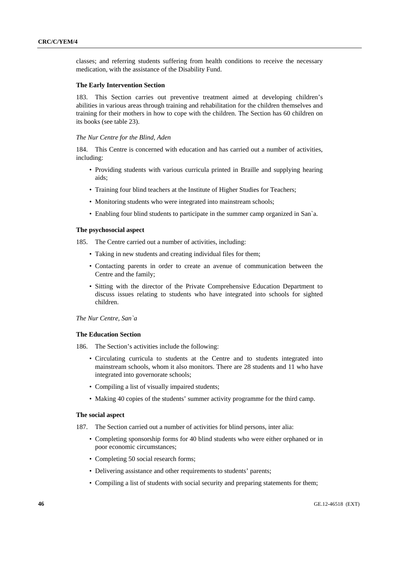classes; and referring students suffering from health conditions to receive the necessary medication, with the assistance of the Disability Fund.

### **The Early Intervention Section**

183. This Section carries out preventive treatment aimed at developing children's abilities in various areas through training and rehabilitation for the children themselves and training for their mothers in how to cope with the children. The Section has 60 children on its books (see table 23).

### *The Nur Centre for the Blind, Aden*

184. This Centre is concerned with education and has carried out a number of activities, including:

- Providing students with various curricula printed in Braille and supplying hearing aids;
- Training four blind teachers at the Institute of Higher Studies for Teachers;
- Monitoring students who were integrated into mainstream schools;
- Enabling four blind students to participate in the summer camp organized in San`a.

#### **The psychosocial aspect**

- 185. The Centre carried out a number of activities, including:
	- Taking in new students and creating individual files for them;
	- Contacting parents in order to create an avenue of communication between the Centre and the family;
	- Sitting with the director of the Private Comprehensive Education Department to discuss issues relating to students who have integrated into schools for sighted children.

### *The Nur Centre, San`a*

#### **The Education Section**

186. The Section's activities include the following:

- Circulating curricula to students at the Centre and to students integrated into mainstream schools, whom it also monitors. There are 28 students and 11 who have integrated into governorate schools;
- Compiling a list of visually impaired students;
- Making 40 copies of the students' summer activity programme for the third camp.

#### **The social aspect**

- 187. The Section carried out a number of activities for blind persons, inter alia:
	- Completing sponsorship forms for 40 blind students who were either orphaned or in poor economic circumstances;
	- Completing 50 social research forms;
	- Delivering assistance and other requirements to students' parents;
	- Compiling a list of students with social security and preparing statements for them;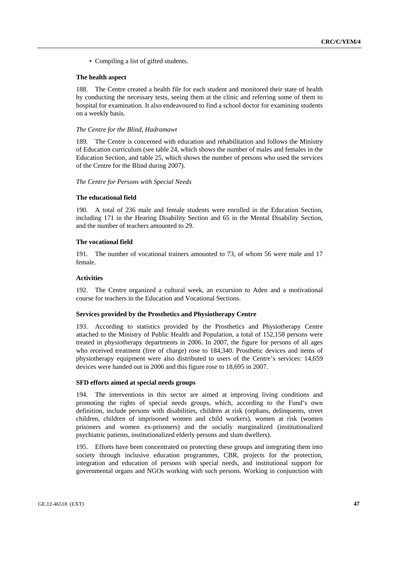• Compiling a list of gifted students.

#### **The health aspect**

188. The Centre created a health file for each student and monitored their state of health by conducting the necessary tests, seeing them at the clinic and referring some of them to hospital for examination. It also endeavoured to find a school doctor for examining students on a weekly basis.

#### *The Centre for the Blind, Hadramawt*

189. The Centre is concerned with education and rehabilitation and follows the Ministry of Education curriculum (see table 24, which shows the number of males and females in the Education Section, and table 25, which shows the number of persons who used the services of the Centre for the Blind during 2007).

#### *The Centre for Persons with Special Needs*

#### **The educational field**

190. A total of 236 male and female students were enrolled in the Education Section, including 171 in the Hearing Disability Section and 65 in the Mental Disability Section, and the number of teachers amounted to 29.

#### **The vocational field**

191. The number of vocational trainers amounted to 73, of whom 56 were male and 17 female.

#### **Activities**

192. The Centre organized a cultural week, an excursion to Aden and a motivational course for teachers in the Education and Vocational Sections.

### **Services provided by the Prosthetics and Physiotherapy Centre**

193. According to statistics provided by the Prosthetics and Physiotherapy Centre attached to the Ministry of Public Health and Population, a total of 152,158 persons were treated in physiotherapy departments in 2006. In 2007, the figure for persons of all ages who received treatment (free of charge) rose to 184,340. Prosthetic devices and items of physiotherapy equipment were also distributed to users of the Centre's services: 14,659 devices were handed out in 2006 and this figure rose to 18,695 in 2007.

#### **SFD efforts aimed at special needs groups**

194. The interventions in this sector are aimed at improving living conditions and promoting the rights of special needs groups, which, according to the Fund's own definition, include persons with disabilities, children at risk (orphans, delinquents, street children, children of imprisoned women and child workers), women at risk (women prisoners and women ex-prisoners) and the socially marginalized (institutionalized psychiatric patients, institutionalized elderly persons and slum dwellers).

195. Efforts have been concentrated on protecting these groups and integrating them into society through inclusive education programmes, CBR, projects for the protection, integration and education of persons with special needs, and institutional support for governmental organs and NGOs working with such persons. Working in conjunction with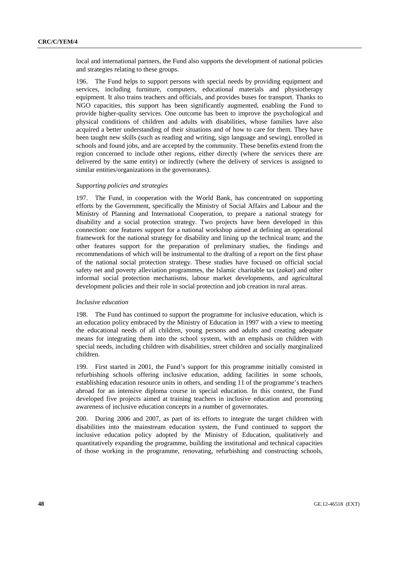local and international partners, the Fund also supports the development of national policies and strategies relating to these groups.

196. The Fund helps to support persons with special needs by providing equipment and services, including furniture, computers, educational materials and physiotherapy equipment. It also trains teachers and officials, and provides buses for transport. Thanks to NGO capacities, this support has been significantly augmented, enabling the Fund to provide higher-quality services. One outcome has been to improve the psychological and physical conditions of children and adults with disabilities, whose families have also acquired a better understanding of their situations and of how to care for them. They have been taught new skills (such as reading and writing, sign language and sewing), enrolled in schools and found jobs, and are accepted by the community. These benefits extend from the region concerned to include other regions, either directly (where the services there are delivered by the same entity) or indirectly (where the delivery of services is assigned to similar entities/organizations in the governorates).

#### *Supporting policies and strategies*

197. The Fund, in cooperation with the World Bank, has concentrated on supporting efforts by the Government, specifically the Ministry of Social Affairs and Labour and the Ministry of Planning and International Cooperation, to prepare a national strategy for disability and a social protection strategy. Two projects have been developed in this connection: one features support for a national workshop aimed at defining an operational framework for the national strategy for disability and lining up the technical team; and the other features support for the preparation of preliminary studies, the findings and recommendations of which will be instrumental to the drafting of a report on the first phase of the national social protection strategy. These studies have focused on official social safety net and poverty alleviation programmes, the Islamic charitable tax (*zakat*) and other informal social protection mechanisms, labour market developments, and agricultural development policies and their role in social protection and job creation in rural areas.

#### *Inclusive education*

198. The Fund has continued to support the programme for inclusive education, which is an education policy embraced by the Ministry of Education in 1997 with a view to meeting the educational needs of all children, young persons and adults and creating adequate means for integrating them into the school system, with an emphasis on children with special needs, including children with disabilities, street children and socially marginalized children.

199. First started in 2001, the Fund's support for this programme initially consisted in refurbishing schools offering inclusive education, adding facilities in some schools, establishing education resource units in others, and sending 11 of the programme's teachers abroad for an intensive diploma course in special education. In this context, the Fund developed five projects aimed at training teachers in inclusive education and promoting awareness of inclusive education concepts in a number of governorates.

200. During 2006 and 2007, as part of its efforts to integrate the target children with disabilities into the mainstream education system, the Fund continued to support the inclusive education policy adopted by the Ministry of Education, qualitatively and quantitatively expanding the programme, building the institutional and technical capacities of those working in the programme, renovating, refurbishing and constructing schools,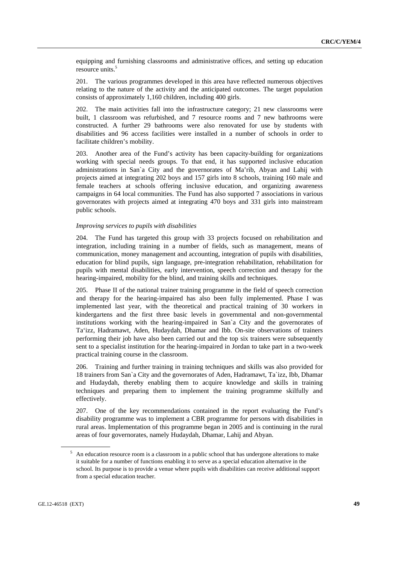equipping and furnishing classrooms and administrative offices, and setting up education resource units.<sup>5</sup>

201. The various programmes developed in this area have reflected numerous objectives relating to the nature of the activity and the anticipated outcomes. The target population consists of approximately 1,160 children, including 400 girls.

202. The main activities fall into the infrastructure category; 21 new classrooms were built, 1 classroom was refurbished, and 7 resource rooms and 7 new bathrooms were constructed. A further 29 bathrooms were also renovated for use by students with disabilities and 96 access facilities were installed in a number of schools in order to facilitate children's mobility.

203. Another area of the Fund's activity has been capacity-building for organizations working with special needs groups. To that end, it has supported inclusive education administrations in San`a City and the governorates of Ma'rib, Abyan and Lahij with projects aimed at integrating 202 boys and 157 girls into 8 schools, training 160 male and female teachers at schools offering inclusive education, and organizing awareness campaigns in 64 local communities. The Fund has also supported 7 associations in various governorates with projects aimed at integrating 470 boys and 331 girls into mainstream public schools.

### *Improving services to pupils with disabilities*

204. The Fund has targeted this group with 33 projects focused on rehabilitation and integration, including training in a number of fields, such as management, means of communication, money management and accounting, integration of pupils with disabilities, education for blind pupils, sign language, pre-integration rehabilitation, rehabilitation for pupils with mental disabilities, early intervention, speech correction and therapy for the hearing-impaired, mobility for the blind, and training skills and techniques.

205. Phase II of the national trainer training programme in the field of speech correction and therapy for the hearing-impaired has also been fully implemented. Phase I was implemented last year, with the theoretical and practical training of 30 workers in kindergartens and the first three basic levels in governmental and non-governmental institutions working with the hearing-impaired in San`a City and the governorates of Ta'izz, Hadramawt, Aden, Hudaydah, Dhamar and Ibb. On-site observations of trainers performing their job have also been carried out and the top six trainers were subsequently sent to a specialist institution for the hearing-impaired in Jordan to take part in a two-week practical training course in the classroom.

206. Training and further training in training techniques and skills was also provided for 18 trainers from San`a City and the governorates of Aden, Hadramawt, Ta`izz, Ibb, Dhamar and Hudaydah, thereby enabling them to acquire knowledge and skills in training techniques and preparing them to implement the training programme skilfully and effectively.

207. One of the key recommendations contained in the report evaluating the Fund's disability programme was to implement a CBR programme for persons with disabilities in rural areas. Implementation of this programme began in 2005 and is continuing in the rural areas of four governorates, namely Hudaydah, Dhamar, Lahij and Abyan.

<sup>&</sup>lt;sup>5</sup> An education resource room is a classroom in a public school that has undergone alterations to make it suitable for a number of functions enabling it to serve as a special education alternative in the school. Its purpose is to provide a venue where pupils with disabilities can receive additional support from a special education teacher.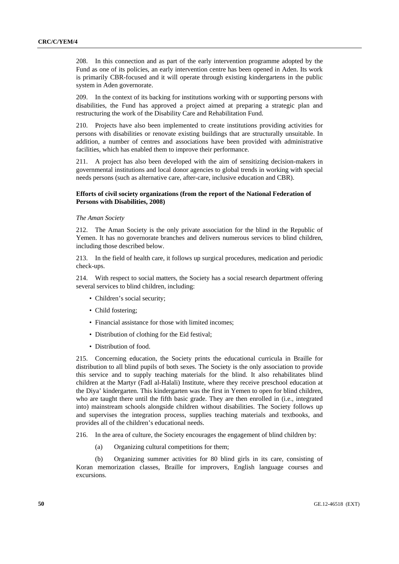208. In this connection and as part of the early intervention programme adopted by the Fund as one of its policies, an early intervention centre has been opened in Aden. Its work is primarily CBR-focused and it will operate through existing kindergartens in the public system in Aden governorate.

209. In the context of its backing for institutions working with or supporting persons with disabilities, the Fund has approved a project aimed at preparing a strategic plan and restructuring the work of the Disability Care and Rehabilitation Fund.

210. Projects have also been implemented to create institutions providing activities for persons with disabilities or renovate existing buildings that are structurally unsuitable. In addition, a number of centres and associations have been provided with administrative facilities, which has enabled them to improve their performance.

211. A project has also been developed with the aim of sensitizing decision-makers in governmental institutions and local donor agencies to global trends in working with special needs persons (such as alternative care, after-care, inclusive education and CBR).

### **Efforts of civil society organizations (from the report of the National Federation of Persons with Disabilities, 2008)**

#### *The Aman Society*

212. The Aman Society is the only private association for the blind in the Republic of Yemen. It has no governorate branches and delivers numerous services to blind children, including those described below.

213. In the field of health care, it follows up surgical procedures, medication and periodic check-ups.

214. With respect to social matters, the Society has a social research department offering several services to blind children, including:

- Children's social security;
- Child fostering:
- Financial assistance for those with limited incomes;
- Distribution of clothing for the Eid festival;
- Distribution of food.

215. Concerning education, the Society prints the educational curricula in Braille for distribution to all blind pupils of both sexes. The Society is the only association to provide this service and to supply teaching materials for the blind. It also rehabilitates blind children at the Martyr (Fadl al-Halali) Institute, where they receive preschool education at the Diya' kindergarten. This kindergarten was the first in Yemen to open for blind children, who are taught there until the fifth basic grade. They are then enrolled in (i.e., integrated into) mainstream schools alongside children without disabilities. The Society follows up and supervises the integration process, supplies teaching materials and textbooks, and provides all of the children's educational needs.

216. In the area of culture, the Society encourages the engagement of blind children by:

(a) Organizing cultural competitions for them;

 (b) Organizing summer activities for 80 blind girls in its care, consisting of Koran memorization classes, Braille for improvers, English language courses and excursions.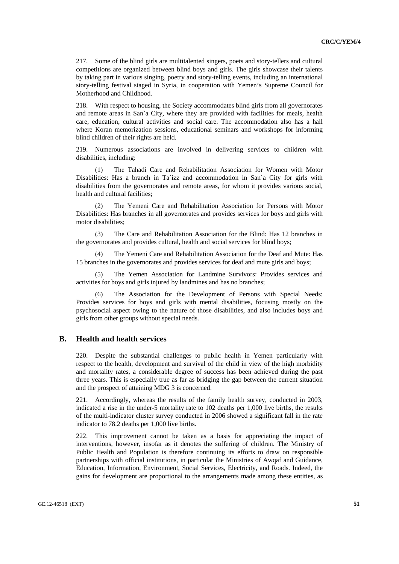217. Some of the blind girls are multitalented singers, poets and story-tellers and cultural competitions are organized between blind boys and girls. The girls showcase their talents by taking part in various singing, poetry and story-telling events, including an international story-telling festival staged in Syria, in cooperation with Yemen's Supreme Council for Motherhood and Childhood.

218. With respect to housing, the Society accommodates blind girls from all governorates and remote areas in San`a City, where they are provided with facilities for meals, health care, education, cultural activities and social care. The accommodation also has a hall where Koran memorization sessions, educational seminars and workshops for informing blind children of their rights are held.

219. Numerous associations are involved in delivering services to children with disabilities, including:

 (1) The Tahadi Care and Rehabilitation Association for Women with Motor Disabilities: Has a branch in Ta`izz and accommodation in San`a City for girls with disabilities from the governorates and remote areas, for whom it provides various social, health and cultural facilities;

 (2) The Yemeni Care and Rehabilitation Association for Persons with Motor Disabilities: Has branches in all governorates and provides services for boys and girls with motor disabilities;

 (3) The Care and Rehabilitation Association for the Blind: Has 12 branches in the governorates and provides cultural, health and social services for blind boys;

The Yemeni Care and Rehabilitation Association for the Deaf and Mute: Has 15 branches in the governorates and provides services for deaf and mute girls and boys;

 (5) The Yemen Association for Landmine Survivors: Provides services and activities for boys and girls injured by landmines and has no branches;

 (6) The Association for the Development of Persons with Special Needs: Provides services for boys and girls with mental disabilities, focusing mostly on the psychosocial aspect owing to the nature of those disabilities, and also includes boys and girls from other groups without special needs.

## **B. Health and health services**

220. Despite the substantial challenges to public health in Yemen particularly with respect to the health, development and survival of the child in view of the high morbidity and mortality rates, a considerable degree of success has been achieved during the past three years. This is especially true as far as bridging the gap between the current situation and the prospect of attaining MDG 3 is concerned.

221. Accordingly, whereas the results of the family health survey, conducted in 2003, indicated a rise in the under-5 mortality rate to 102 deaths per 1,000 live births, the results of the multi-indicator cluster survey conducted in 2006 showed a significant fall in the rate indicator to 78.2 deaths per 1,000 live births.

222. This improvement cannot be taken as a basis for appreciating the impact of interventions, however, insofar as it denotes the suffering of children. The Ministry of Public Health and Population is therefore continuing its efforts to draw on responsible partnerships with official institutions, in particular the Ministries of Awqaf and Guidance, Education, Information, Environment, Social Services, Electricity, and Roads. Indeed, the gains for development are proportional to the arrangements made among these entities, as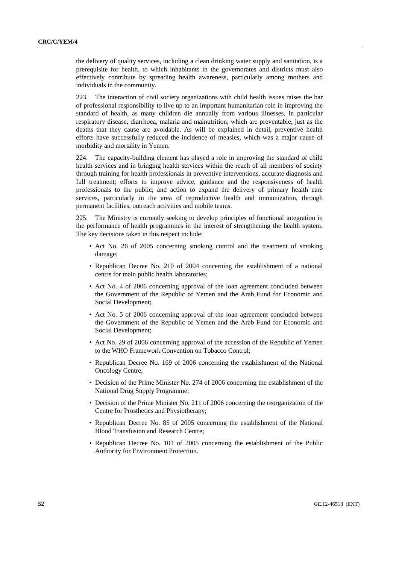the delivery of quality services, including a clean drinking water supply and sanitation, is a prerequisite for health, to which inhabitants in the governorates and districts must also effectively contribute by spreading health awareness, particularly among mothers and individuals in the community.

223. The interaction of civil society organizations with child health issues raises the bar of professional responsibility to live up to an important humanitarian role in improving the standard of health, as many children die annually from various illnesses, in particular respiratory disease, diarrhoea, malaria and malnutrition, which are preventable, just as the deaths that they cause are avoidable. As will be explained in detail, preventive health efforts have successfully reduced the incidence of measles, which was a major cause of morbidity and mortality in Yemen.

224. The capacity-building element has played a role in improving the standard of child health services and in bringing health services within the reach of all members of society through training for health professionals in preventive interventions, accurate diagnosis and full treatment; efforts to improve advice, guidance and the responsiveness of health professionals to the public; and action to expand the delivery of primary health care services, particularly in the area of reproductive health and immunization, through permanent facilities, outreach activities and mobile teams.

225. The Ministry is currently seeking to develop principles of functional integration in the performance of health programmes in the interest of strengthening the health system. The key decisions taken in this respect include:

- Act No. 26 of 2005 concerning smoking control and the treatment of smoking damage;
- Republican Decree No. 210 of 2004 concerning the establishment of a national centre for main public health laboratories;
- Act No. 4 of 2006 concerning approval of the loan agreement concluded between the Government of the Republic of Yemen and the Arab Fund for Economic and Social Development;
- Act No. 5 of 2006 concerning approval of the loan agreement concluded between the Government of the Republic of Yemen and the Arab Fund for Economic and Social Development;
- Act No. 29 of 2006 concerning approval of the accession of the Republic of Yemen to the WHO Framework Convention on Tobacco Control;
- Republican Decree No. 169 of 2006 concerning the establishment of the National Oncology Centre;
- Decision of the Prime Minister No. 274 of 2006 concerning the establishment of the National Drug Supply Programme;
- Decision of the Prime Minister No. 211 of 2006 concerning the reorganization of the Centre for Prosthetics and Physiotherapy;
- Republican Decree No. 85 of 2005 concerning the establishment of the National Blood Transfusion and Research Centre;
- Republican Decree No. 101 of 2005 concerning the establishment of the Public Authority for Environment Protection.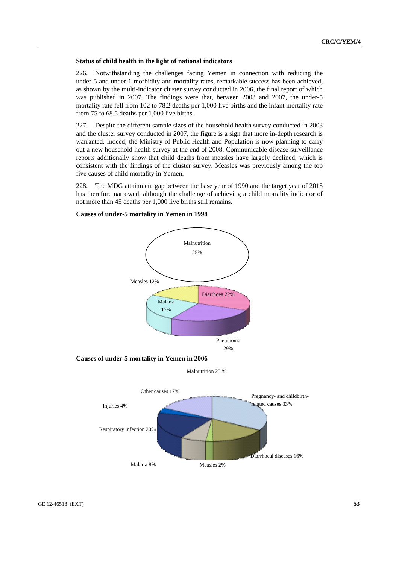#### **Status of child health in the light of national indicators**

226. Notwithstanding the challenges facing Yemen in connection with reducing the under-5 and under-1 morbidity and mortality rates, remarkable success has been achieved, as shown by the multi-indicator cluster survey conducted in 2006, the final report of which was published in 2007. The findings were that, between 2003 and 2007, the under-5 mortality rate fell from 102 to 78.2 deaths per 1,000 live births and the infant mortality rate from 75 to 68.5 deaths per 1,000 live births.

227. Despite the different sample sizes of the household health survey conducted in 2003 and the cluster survey conducted in 2007, the figure is a sign that more in-depth research is warranted. Indeed, the Ministry of Public Health and Population is now planning to carry out a new household health survey at the end of 2008. Communicable disease surveillance reports additionally show that child deaths from measles have largely declined, which is consistent with the findings of the cluster survey. Measles was previously among the top five causes of child mortality in Yemen.

228. The MDG attainment gap between the base year of 1990 and the target year of 2015 has therefore narrowed, although the challenge of achieving a child mortality indicator of not more than 45 deaths per 1,000 live births still remains.

### **Causes of under-5 mortality in Yemen in 1998**

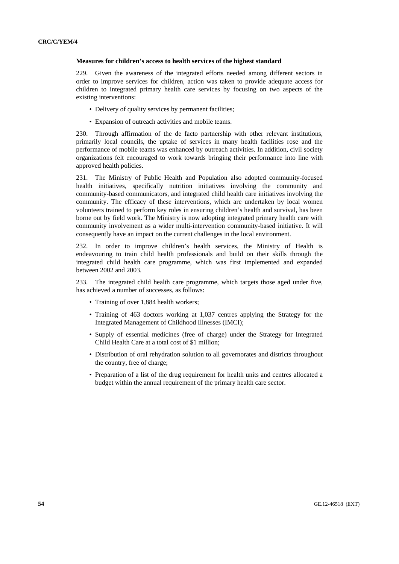#### **Measures for children's access to health services of the highest standard**

229. Given the awareness of the integrated efforts needed among different sectors in order to improve services for children, action was taken to provide adequate access for children to integrated primary health care services by focusing on two aspects of the existing interventions:

- Delivery of quality services by permanent facilities:
- Expansion of outreach activities and mobile teams.

230. Through affirmation of the de facto partnership with other relevant institutions, primarily local councils, the uptake of services in many health facilities rose and the performance of mobile teams was enhanced by outreach activities. In addition, civil society organizations felt encouraged to work towards bringing their performance into line with approved health policies.

231. The Ministry of Public Health and Population also adopted community-focused health initiatives, specifically nutrition initiatives involving the community and community-based communicators, and integrated child health care initiatives involving the community. The efficacy of these interventions, which are undertaken by local women volunteers trained to perform key roles in ensuring children's health and survival, has been borne out by field work. The Ministry is now adopting integrated primary health care with community involvement as a wider multi-intervention community-based initiative. It will consequently have an impact on the current challenges in the local environment.

232. In order to improve children's health services, the Ministry of Health is endeavouring to train child health professionals and build on their skills through the integrated child health care programme, which was first implemented and expanded between 2002 and 2003.

233. The integrated child health care programme, which targets those aged under five, has achieved a number of successes, as follows:

- Training of over 1,884 health workers;
- Training of 463 doctors working at 1,037 centres applying the Strategy for the Integrated Management of Childhood Illnesses (IMCI);
- Supply of essential medicines (free of charge) under the Strategy for Integrated Child Health Care at a total cost of \$1 million;
- Distribution of oral rehydration solution to all governorates and districts throughout the country, free of charge;
- Preparation of a list of the drug requirement for health units and centres allocated a budget within the annual requirement of the primary health care sector.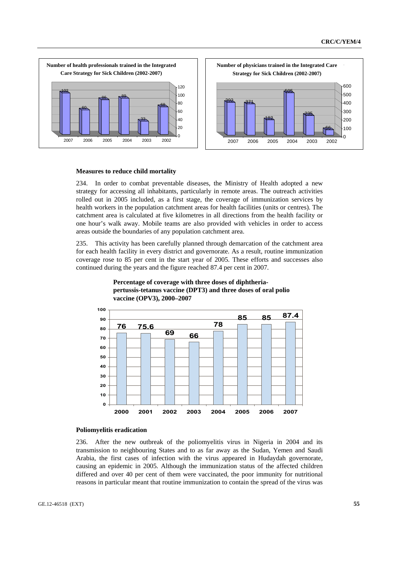

#### **Measures to reduce child mortality**

234. In order to combat preventable diseases, the Ministry of Health adopted a new strategy for accessing all inhabitants, particularly in remote areas. The outreach activities rolled out in 2005 included, as a first stage, the coverage of immunization services by health workers in the population catchment areas for health facilities (units or centres). The catchment area is calculated at five kilometres in all directions from the health facility or one hour's walk away. Mobile teams are also provided with vehicles in order to access areas outside the boundaries of any population catchment area.

235. This activity has been carefully planned through demarcation of the catchment area for each health facility in every district and governorate. As a result, routine immunization coverage rose to 85 per cent in the start year of 2005. These efforts and successes also continued during the years and the figure reached 87.4 per cent in 2007.





#### **Poliomyelitis eradication**

236. After the new outbreak of the poliomyelitis virus in Nigeria in 2004 and its transmission to neighbouring States and to as far away as the Sudan, Yemen and Saudi Arabia, the first cases of infection with the virus appeared in Hudaydah governorate, causing an epidemic in 2005. Although the immunization status of the affected children differed and over 40 per cent of them were vaccinated, the poor immunity for nutritional reasons in particular meant that routine immunization to contain the spread of the virus was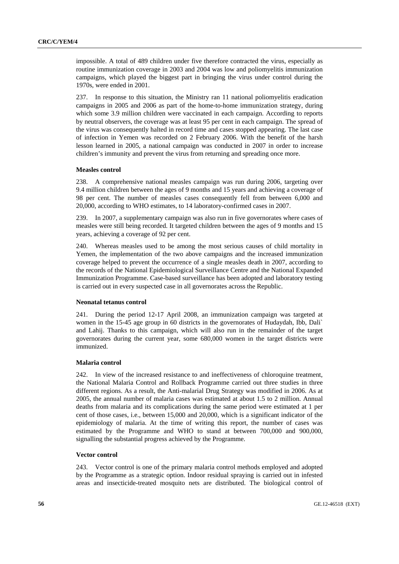impossible. A total of 489 children under five therefore contracted the virus, especially as routine immunization coverage in 2003 and 2004 was low and poliomyelitis immunization campaigns, which played the biggest part in bringing the virus under control during the 1970s, were ended in 2001.

237. In response to this situation, the Ministry ran 11 national poliomyelitis eradication campaigns in 2005 and 2006 as part of the home-to-home immunization strategy, during which some 3.9 million children were vaccinated in each campaign. According to reports by neutral observers, the coverage was at least 95 per cent in each campaign. The spread of the virus was consequently halted in record time and cases stopped appearing. The last case of infection in Yemen was recorded on 2 February 2006. With the benefit of the harsh lesson learned in 2005, a national campaign was conducted in 2007 in order to increase children's immunity and prevent the virus from returning and spreading once more.

#### **Measles control**

238. A comprehensive national measles campaign was run during 2006, targeting over 9.4 million children between the ages of 9 months and 15 years and achieving a coverage of 98 per cent. The number of measles cases consequently fell from between 6,000 and 20,000, according to WHO estimates, to 14 laboratory-confirmed cases in 2007.

239. In 2007, a supplementary campaign was also run in five governorates where cases of measles were still being recorded. It targeted children between the ages of 9 months and 15 years, achieving a coverage of 92 per cent.

240. Whereas measles used to be among the most serious causes of child mortality in Yemen, the implementation of the two above campaigns and the increased immunization coverage helped to prevent the occurrence of a single measles death in 2007, according to the records of the National Epidemiological Surveillance Centre and the National Expanded Immunization Programme. Case-based surveillance has been adopted and laboratory testing is carried out in every suspected case in all governorates across the Republic.

#### **Neonatal tetanus control**

241. During the period 12-17 April 2008, an immunization campaign was targeted at women in the 15-45 age group in 60 districts in the governorates of Hudaydah, Ibb, Dali` and Lahij. Thanks to this campaign, which will also run in the remainder of the target governorates during the current year, some 680,000 women in the target districts were immunized.

#### **Malaria control**

242. In view of the increased resistance to and ineffectiveness of chloroquine treatment, the National Malaria Control and Rollback Programme carried out three studies in three different regions. As a result, the Anti-malarial Drug Strategy was modified in 2006. As at 2005, the annual number of malaria cases was estimated at about 1.5 to 2 million. Annual deaths from malaria and its complications during the same period were estimated at 1 per cent of those cases, i.e., between 15,000 and 20,000, which is a significant indicator of the epidemiology of malaria. At the time of writing this report, the number of cases was estimated by the Programme and WHO to stand at between 700,000 and 900,000, signalling the substantial progress achieved by the Programme.

#### **Vector control**

243. Vector control is one of the primary malaria control methods employed and adopted by the Programme as a strategic option. Indoor residual spraying is carried out in infested areas and insecticide-treated mosquito nets are distributed. The biological control of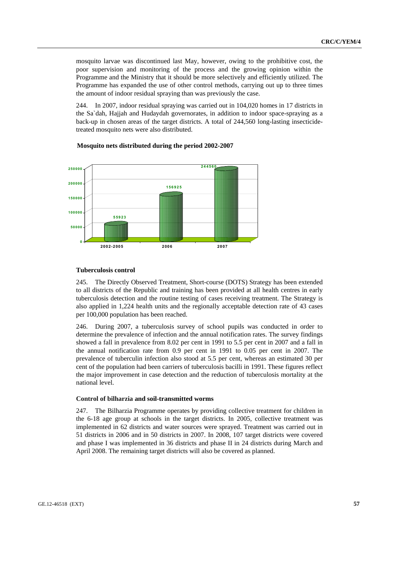mosquito larvae was discontinued last May, however, owing to the prohibitive cost, the poor supervision and monitoring of the process and the growing opinion within the Programme and the Ministry that it should be more selectively and efficiently utilized. The Programme has expanded the use of other control methods, carrying out up to three times the amount of indoor residual spraying than was previously the case.

244. In 2007, indoor residual spraying was carried out in 104,020 homes in 17 districts in the Sa`dah, Hajjah and Hudaydah governorates, in addition to indoor space-spraying as a back-up in chosen areas of the target districts. A total of 244,560 long-lasting insecticidetreated mosquito nets were also distributed.



#### **Mosquito nets distributed during the period 2002-2007**

#### **Tuberculosis control**

245. The Directly Observed Treatment, Short-course (DOTS) Strategy has been extended to all districts of the Republic and training has been provided at all health centres in early tuberculosis detection and the routine testing of cases receiving treatment. The Strategy is also applied in 1,224 health units and the regionally acceptable detection rate of 43 cases per 100,000 population has been reached.

246. During 2007, a tuberculosis survey of school pupils was conducted in order to determine the prevalence of infection and the annual notification rates. The survey findings showed a fall in prevalence from 8.02 per cent in 1991 to 5.5 per cent in 2007 and a fall in the annual notification rate from 0.9 per cent in 1991 to 0.05 per cent in 2007. The prevalence of tuberculin infection also stood at 5.5 per cent, whereas an estimated 30 per cent of the population had been carriers of tuberculosis bacilli in 1991. These figures reflect the major improvement in case detection and the reduction of tuberculosis mortality at the national level.

#### **Control of bilharzia and soil-transmitted worms**

247. The Bilharzia Programme operates by providing collective treatment for children in the 6-18 age group at schools in the target districts. In 2005, collective treatment was implemented in 62 districts and water sources were sprayed. Treatment was carried out in 51 districts in 2006 and in 50 districts in 2007. In 2008, 107 target districts were covered and phase I was implemented in 36 districts and phase II in 24 districts during March and April 2008. The remaining target districts will also be covered as planned.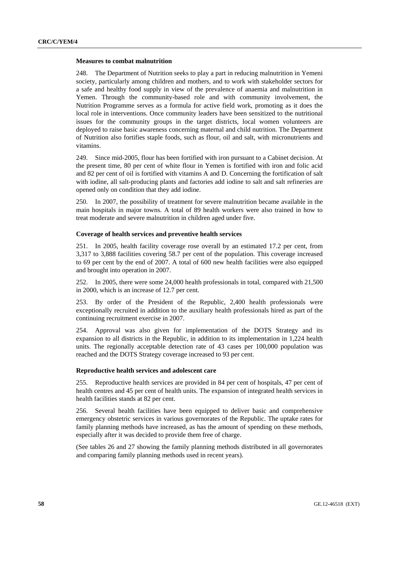#### **Measures to combat malnutrition**

248. The Department of Nutrition seeks to play a part in reducing malnutrition in Yemeni society, particularly among children and mothers, and to work with stakeholder sectors for a safe and healthy food supply in view of the prevalence of anaemia and malnutrition in Yemen. Through the community-based role and with community involvement, the Nutrition Programme serves as a formula for active field work, promoting as it does the local role in interventions. Once community leaders have been sensitized to the nutritional issues for the community groups in the target districts, local women volunteers are deployed to raise basic awareness concerning maternal and child nutrition. The Department of Nutrition also fortifies staple foods, such as flour, oil and salt, with micronutrients and vitamins.

249. Since mid-2005, flour has been fortified with iron pursuant to a Cabinet decision. At the present time, 80 per cent of white flour in Yemen is fortified with iron and folic acid and 82 per cent of oil is fortified with vitamins A and D. Concerning the fortification of salt with iodine, all salt-producing plants and factories add iodine to salt and salt refineries are opened only on condition that they add iodine.

250. In 2007, the possibility of treatment for severe malnutrition became available in the main hospitals in major towns. A total of 89 health workers were also trained in how to treat moderate and severe malnutrition in children aged under five.

### **Coverage of health services and preventive health services**

251. In 2005, health facility coverage rose overall by an estimated 17.2 per cent, from 3,317 to 3,888 facilities covering 58.7 per cent of the population. This coverage increased to 69 per cent by the end of 2007. A total of 600 new health facilities were also equipped and brought into operation in 2007.

252. In 2005, there were some 24,000 health professionals in total, compared with 21,500 in 2000, which is an increase of 12.7 per cent.

253. By order of the President of the Republic, 2,400 health professionals were exceptionally recruited in addition to the auxiliary health professionals hired as part of the continuing recruitment exercise in 2007.

254. Approval was also given for implementation of the DOTS Strategy and its expansion to all districts in the Republic, in addition to its implementation in 1,224 health units. The regionally acceptable detection rate of 43 cases per 100,000 population was reached and the DOTS Strategy coverage increased to 93 per cent.

### **Reproductive health services and adolescent care**

255. Reproductive health services are provided in 84 per cent of hospitals, 47 per cent of health centres and 45 per cent of health units. The expansion of integrated health services in health facilities stands at 82 per cent.

256. Several health facilities have been equipped to deliver basic and comprehensive emergency obstetric services in various governorates of the Republic. The uptake rates for family planning methods have increased, as has the amount of spending on these methods, especially after it was decided to provide them free of charge.

(See tables 26 and 27 showing the family planning methods distributed in all governorates and comparing family planning methods used in recent years).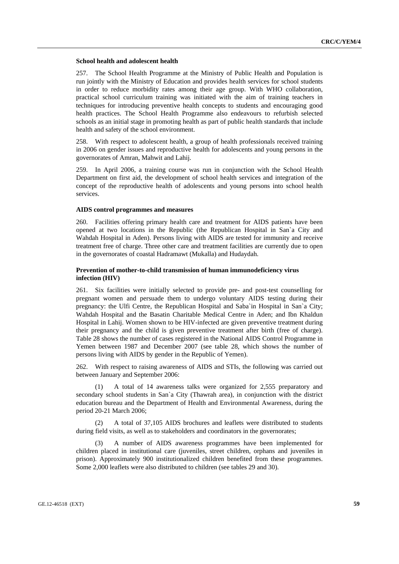#### **School health and adolescent health**

257. The School Health Programme at the Ministry of Public Health and Population is run jointly with the Ministry of Education and provides health services for school students in order to reduce morbidity rates among their age group. With WHO collaboration, practical school curriculum training was initiated with the aim of training teachers in techniques for introducing preventive health concepts to students and encouraging good health practices. The School Health Programme also endeavours to refurbish selected schools as an initial stage in promoting health as part of public health standards that include health and safety of the school environment.

258. With respect to adolescent health, a group of health professionals received training in 2006 on gender issues and reproductive health for adolescents and young persons in the governorates of Amran, Mahwit and Lahij.

259. In April 2006, a training course was run in conjunction with the School Health Department on first aid, the development of school health services and integration of the concept of the reproductive health of adolescents and young persons into school health services.

#### **AIDS control programmes and measures**

260. Facilities offering primary health care and treatment for AIDS patients have been opened at two locations in the Republic (the Republican Hospital in San`a City and Wahdah Hospital in Aden). Persons living with AIDS are tested for immunity and receive treatment free of charge. Three other care and treatment facilities are currently due to open in the governorates of coastal Hadramawt (Mukalla) and Hudaydah.

### **Prevention of mother-to-child transmission of human immunodeficiency virus infection (HIV)**

261. Six facilities were initially selected to provide pre- and post-test counselling for pregnant women and persuade them to undergo voluntary AIDS testing during their pregnancy: the Ulfi Centre, the Republican Hospital and Saba`in Hospital in San`a City; Wahdah Hospital and the Basatin Charitable Medical Centre in Aden; and Ibn Khaldun Hospital in Lahij. Women shown to be HIV-infected are given preventive treatment during their pregnancy and the child is given preventive treatment after birth (free of charge). Table 28 shows the number of cases registered in the National AIDS Control Programme in Yemen between 1987 and December 2007 (see table 28, which shows the number of persons living with AIDS by gender in the Republic of Yemen).

262. With respect to raising awareness of AIDS and STIs, the following was carried out between January and September 2006:

 (1) A total of 14 awareness talks were organized for 2,555 preparatory and secondary school students in San`a City (Thawrah area), in conjunction with the district education bureau and the Department of Health and Environmental Awareness, during the period 20-21 March 2006;

 (2) A total of 37,105 AIDS brochures and leaflets were distributed to students during field visits, as well as to stakeholders and coordinators in the governorates;

 (3) A number of AIDS awareness programmes have been implemented for children placed in institutional care (juveniles, street children, orphans and juveniles in prison). Approximately 900 institutionalized children benefited from these programmes. Some 2,000 leaflets were also distributed to children (see tables 29 and 30).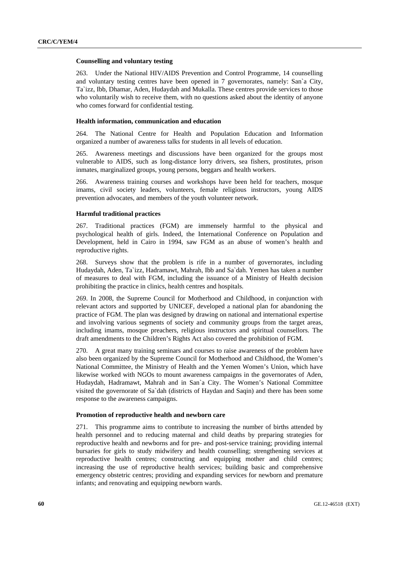#### **Counselling and voluntary testing**

263. Under the National HIV/AIDS Prevention and Control Programme, 14 counselling and voluntary testing centres have been opened in 7 governorates, namely: San`a City, Ta`izz, Ibb, Dhamar, Aden, Hudaydah and Mukalla. These centres provide services to those who voluntarily wish to receive them, with no questions asked about the identity of anyone who comes forward for confidential testing.

#### **Health information, communication and education**

264. The National Centre for Health and Population Education and Information organized a number of awareness talks for students in all levels of education.

265. Awareness meetings and discussions have been organized for the groups most vulnerable to AIDS, such as long-distance lorry drivers, sea fishers, prostitutes, prison inmates, marginalized groups, young persons, beggars and health workers.

266. Awareness training courses and workshops have been held for teachers, mosque imams, civil society leaders, volunteers, female religious instructors, young AIDS prevention advocates, and members of the youth volunteer network.

#### **Harmful traditional practices**

267. Traditional practices (FGM) are immensely harmful to the physical and psychological health of girls. Indeed, the International Conference on Population and Development, held in Cairo in 1994, saw FGM as an abuse of women's health and reproductive rights.

268. Surveys show that the problem is rife in a number of governorates, including Hudaydah, Aden, Ta`izz, Hadramawt, Mahrah, Ibb and Sa`dah. Yemen has taken a number of measures to deal with FGM, including the issuance of a Ministry of Health decision prohibiting the practice in clinics, health centres and hospitals.

269. In 2008, the Supreme Council for Motherhood and Childhood, in conjunction with relevant actors and supported by UNICEF, developed a national plan for abandoning the practice of FGM. The plan was designed by drawing on national and international expertise and involving various segments of society and community groups from the target areas, including imams, mosque preachers, religious instructors and spiritual counsellors. The draft amendments to the Children's Rights Act also covered the prohibition of FGM.

270. A great many training seminars and courses to raise awareness of the problem have also been organized by the Supreme Council for Motherhood and Childhood, the Women's National Committee, the Ministry of Health and the Yemen Women's Union, which have likewise worked with NGOs to mount awareness campaigns in the governorates of Aden, Hudaydah, Hadramawt, Mahrah and in San`a City. The Women's National Committee visited the governorate of Sa`dah (districts of Haydan and Saqin) and there has been some response to the awareness campaigns.

#### **Promotion of reproductive health and newborn care**

271. This programme aims to contribute to increasing the number of births attended by health personnel and to reducing maternal and child deaths by preparing strategies for reproductive health and newborns and for pre- and post-service training; providing internal bursaries for girls to study midwifery and health counselling; strengthening services at reproductive health centres; constructing and equipping mother and child centres; increasing the use of reproductive health services; building basic and comprehensive emergency obstetric centres; providing and expanding services for newborn and premature infants; and renovating and equipping newborn wards.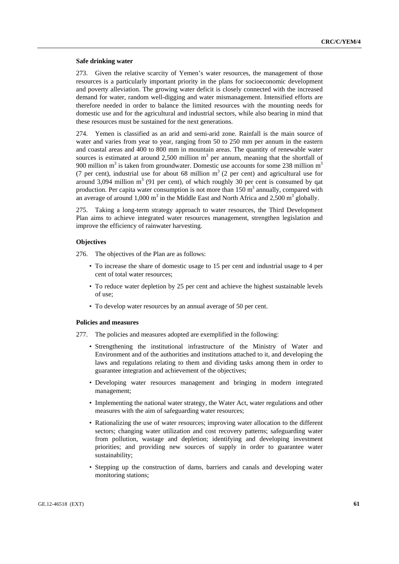#### **Safe drinking water**

273. Given the relative scarcity of Yemen's water resources, the management of those resources is a particularly important priority in the plans for socioeconomic development and poverty alleviation. The growing water deficit is closely connected with the increased demand for water, random well-digging and water mismanagement. Intensified efforts are therefore needed in order to balance the limited resources with the mounting needs for domestic use and for the agricultural and industrial sectors, while also bearing in mind that these resources must be sustained for the next generations.

274. Yemen is classified as an arid and semi-arid zone. Rainfall is the main source of water and varies from year to year, ranging from 50 to 250 mm per annum in the eastern and coastal areas and 400 to 800 mm in mountain areas. The quantity of renewable water sources is estimated at around 2,500 million  $m<sup>3</sup>$  per annum, meaning that the shortfall of 900 million  $m<sup>3</sup>$  is taken from groundwater. Domestic use accounts for some 238 million  $m<sup>3</sup>$ (7 per cent), industrial use for about 68 million  $m<sup>3</sup>$  (2 per cent) and agricultural use for around  $3,094$  million m<sup>3</sup> (91 per cent), of which roughly 30 per cent is consumed by qat production. Per capita water consumption is not more than  $150 \text{ m}^3$  annually, compared with an average of around 1,000  $m^3$  in the Middle East and North Africa and 2,500  $m^3$  globally.

275. Taking a long-term strategy approach to water resources, the Third Development Plan aims to achieve integrated water resources management, strengthen legislation and improve the efficiency of rainwater harvesting.

### **Objectives**

276. The objectives of the Plan are as follows:

- To increase the share of domestic usage to 15 per cent and industrial usage to 4 per cent of total water resources;
- To reduce water depletion by 25 per cent and achieve the highest sustainable levels of use;
- To develop water resources by an annual average of 50 per cent.

### **Policies and measures**

- 277. The policies and measures adopted are exemplified in the following:
	- Strengthening the institutional infrastructure of the Ministry of Water and Environment and of the authorities and institutions attached to it, and developing the laws and regulations relating to them and dividing tasks among them in order to guarantee integration and achievement of the objectives;
	- Developing water resources management and bringing in modern integrated management;
	- Implementing the national water strategy, the Water Act, water regulations and other measures with the aim of safeguarding water resources;
	- Rationalizing the use of water resources; improving water allocation to the different sectors; changing water utilization and cost recovery patterns; safeguarding water from pollution, wastage and depletion; identifying and developing investment priorities; and providing new sources of supply in order to guarantee water sustainability;
	- Stepping up the construction of dams, barriers and canals and developing water monitoring stations;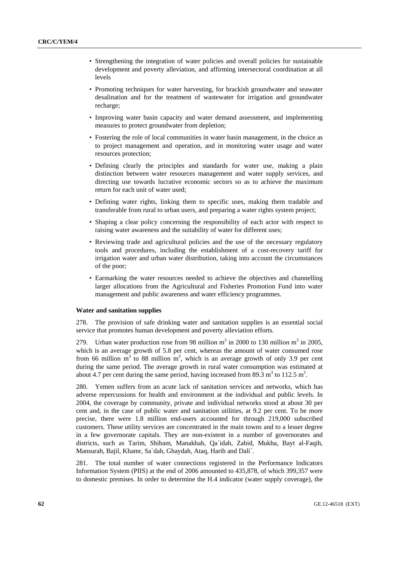- Strengthening the integration of water policies and overall policies for sustainable development and poverty alleviation, and affirming intersectoral coordination at all levels
- Promoting techniques for water harvesting, for brackish groundwater and seawater desalination and for the treatment of wastewater for irrigation and groundwater recharge;
- Improving water basin capacity and water demand assessment, and implementing measures to protect groundwater from depletion;
- Fostering the role of local communities in water basin management, in the choice as to project management and operation, and in monitoring water usage and water resources protection;
- Defining clearly the principles and standards for water use, making a plain distinction between water resources management and water supply services, and directing use towards lucrative economic sectors so as to achieve the maximum return for each unit of water used;
- Defining water rights, linking them to specific uses, making them tradable and transferable from rural to urban users, and preparing a water rights system project;
- Shaping a clear policy concerning the responsibility of each actor with respect to raising water awareness and the suitability of water for different uses;
- Reviewing trade and agricultural policies and the use of the necessary regulatory tools and procedures, including the establishment of a cost-recovery tariff for irrigation water and urban water distribution, taking into account the circumstances of the poor;
- Earmarking the water resources needed to achieve the objectives and channelling larger allocations from the Agricultural and Fisheries Promotion Fund into water management and public awareness and water efficiency programmes.

#### **Water and sanitation supplies**

278. The provision of safe drinking water and sanitation supplies is an essential social service that promotes human development and poverty alleviation efforts.

279. Urban water production rose from 98 million  $m^3$  in 2000 to 130 million  $m^3$  in 2005, which is an average growth of 5.8 per cent, whereas the amount of water consumed rose from 66 million  $m^3$  to 88 million  $m^3$ , which is an average growth of only 3.9 per cent during the same period. The average growth in rural water consumption was estimated at about 4.7 per cent during the same period, having increased from 89.3  $m<sup>3</sup>$  to 112.5  $m<sup>3</sup>$ .

280. Yemen suffers from an acute lack of sanitation services and networks, which has adverse repercussions for health and environment at the individual and public levels. In 2004, the coverage by community, private and individual networks stood at about 30 per cent and, in the case of public water and sanitation utilities, at 9.2 per cent. To be more precise, there were 1.8 million end-users accounted for through 219,000 subscribed customers. These utility services are concentrated in the main towns and to a lesser degree in a few governorate capitals. They are non-existent in a number of governorates and districts, such as Tarim, Shibam, Manakhah, Qa`idah, Zabid, Mukha, Bayt al-Faqih, Mansurah, Bajil, Khamr, Sa`dah, Ghaydah, Ataq, Harib and Dali`.

281. The total number of water connections registered in the Performance Indicators Information System (PIIS) at the end of 2006 amounted to 435,878, of which 399,357 were to domestic premises. In order to determine the H.4 indicator (water supply coverage), the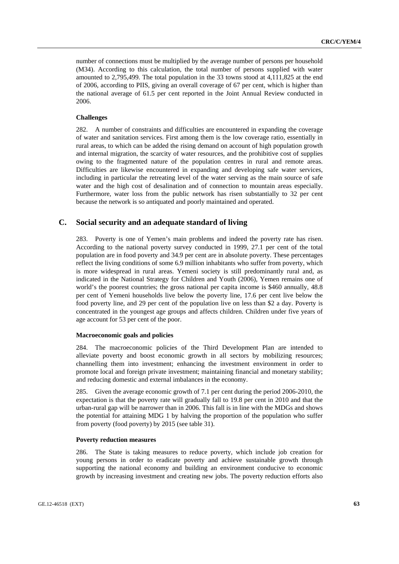number of connections must be multiplied by the average number of persons per household (M34). According to this calculation, the total number of persons supplied with water amounted to 2,795,499. The total population in the 33 towns stood at 4,111,825 at the end of 2006, according to PIIS, giving an overall coverage of 67 per cent, which is higher than the national average of 61.5 per cent reported in the Joint Annual Review conducted in 2006.

### **Challenges**

282. A number of constraints and difficulties are encountered in expanding the coverage of water and sanitation services. First among them is the low coverage ratio, essentially in rural areas, to which can be added the rising demand on account of high population growth and internal migration, the scarcity of water resources, and the prohibitive cost of supplies owing to the fragmented nature of the population centres in rural and remote areas. Difficulties are likewise encountered in expanding and developing safe water services, including in particular the retreating level of the water serving as the main source of safe water and the high cost of desalination and of connection to mountain areas especially. Furthermore, water loss from the public network has risen substantially to 32 per cent because the network is so antiquated and poorly maintained and operated.

### **C. Social security and an adequate standard of living**

283. Poverty is one of Yemen's main problems and indeed the poverty rate has risen. According to the national poverty survey conducted in 1999, 27.1 per cent of the total population are in food poverty and 34.9 per cent are in absolute poverty. These percentages reflect the living conditions of some 6.9 million inhabitants who suffer from poverty, which is more widespread in rural areas. Yemeni society is still predominantly rural and, as indicated in the National Strategy for Children and Youth (2006), Yemen remains one of world's the poorest countries; the gross national per capita income is \$460 annually, 48.8 per cent of Yemeni households live below the poverty line, 17.6 per cent live below the food poverty line, and 29 per cent of the population live on less than \$2 a day. Poverty is concentrated in the youngest age groups and affects children. Children under five years of age account for 53 per cent of the poor.

#### **Macroeconomic goals and policies**

284. The macroeconomic policies of the Third Development Plan are intended to alleviate poverty and boost economic growth in all sectors by mobilizing resources; channelling them into investment; enhancing the investment environment in order to promote local and foreign private investment; maintaining financial and monetary stability; and reducing domestic and external imbalances in the economy.

285. Given the average economic growth of 7.1 per cent during the period 2006-2010, the expectation is that the poverty rate will gradually fall to 19.8 per cent in 2010 and that the urban-rural gap will be narrower than in 2006. This fall is in line with the MDGs and shows the potential for attaining MDG 1 by halving the proportion of the population who suffer from poverty (food poverty) by 2015 (see table 31).

#### **Poverty reduction measures**

286. The State is taking measures to reduce poverty, which include job creation for young persons in order to eradicate poverty and achieve sustainable growth through supporting the national economy and building an environment conducive to economic growth by increasing investment and creating new jobs. The poverty reduction efforts also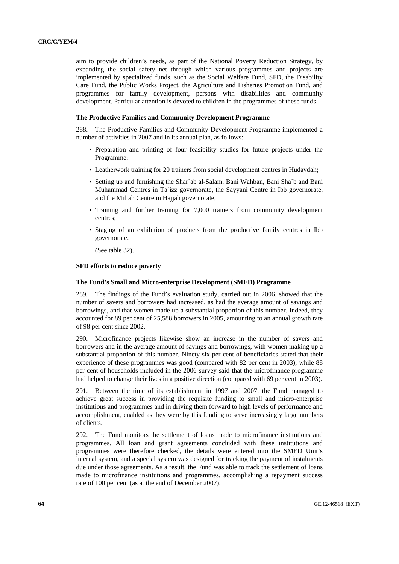aim to provide children's needs, as part of the National Poverty Reduction Strategy, by expanding the social safety net through which various programmes and projects are implemented by specialized funds, such as the Social Welfare Fund, SFD, the Disability Care Fund, the Public Works Project, the Agriculture and Fisheries Promotion Fund, and programmes for family development, persons with disabilities and community development. Particular attention is devoted to children in the programmes of these funds.

#### **The Productive Families and Community Development Programme**

288. The Productive Families and Community Development Programme implemented a number of activities in 2007 and in its annual plan, as follows:

- Preparation and printing of four feasibility studies for future projects under the Programme;
- Leatherwork training for 20 trainers from social development centres in Hudaydah;
- Setting up and furnishing the Shar`ab al-Salam, Bani Wahban, Bani Sha`b and Bani Muhammad Centres in Ta`izz governorate, the Sayyani Centre in Ibb governorate, and the Miftah Centre in Hajjah governorate;
- Training and further training for 7,000 trainers from community development centres;
- Staging of an exhibition of products from the productive family centres in Ibb governorate.

(See table 32).

#### **SFD efforts to reduce poverty**

### **The Fund's Small and Micro-enterprise Development (SMED) Programme**

289. The findings of the Fund's evaluation study, carried out in 2006, showed that the number of savers and borrowers had increased, as had the average amount of savings and borrowings, and that women made up a substantial proportion of this number. Indeed, they accounted for 89 per cent of 25,588 borrowers in 2005, amounting to an annual growth rate of 98 per cent since 2002.

290. Microfinance projects likewise show an increase in the number of savers and borrowers and in the average amount of savings and borrowings, with women making up a substantial proportion of this number. Ninety-six per cent of beneficiaries stated that their experience of these programmes was good (compared with 82 per cent in 2003), while 88 per cent of households included in the 2006 survey said that the microfinance programme had helped to change their lives in a positive direction (compared with 69 per cent in 2003).

291. Between the time of its establishment in 1997 and 2007, the Fund managed to achieve great success in providing the requisite funding to small and micro-enterprise institutions and programmes and in driving them forward to high levels of performance and accomplishment, enabled as they were by this funding to serve increasingly large numbers of clients.

292. The Fund monitors the settlement of loans made to microfinance institutions and programmes. All loan and grant agreements concluded with these institutions and programmes were therefore checked, the details were entered into the SMED Unit's internal system, and a special system was designed for tracking the payment of instalments due under those agreements. As a result, the Fund was able to track the settlement of loans made to microfinance institutions and programmes, accomplishing a repayment success rate of 100 per cent (as at the end of December 2007).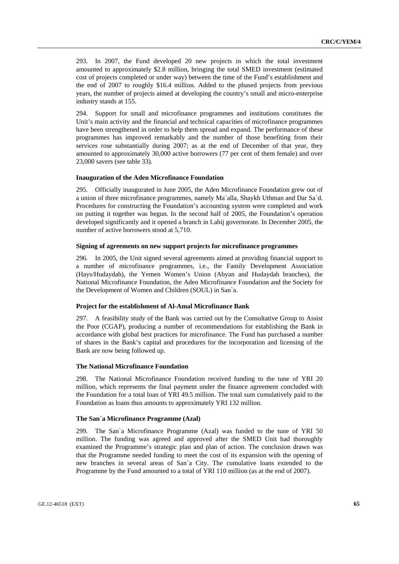293. In 2007, the Fund developed 20 new projects in which the total investment amounted to approximately \$2.8 million, bringing the total SMED investment (estimated cost of projects completed or under way) between the time of the Fund's establishment and the end of 2007 to roughly \$16.4 million. Added to the phased projects from previous years, the number of projects aimed at developing the country's small and micro-enterprise industry stands at 155.

294. Support for small and microfinance programmes and institutions constitutes the Unit's main activity and the financial and technical capacities of microfinance programmes have been strengthened in order to help them spread and expand. The performance of these programmes has improved remarkably and the number of those benefiting from their services rose substantially during 2007; as at the end of December of that year, they amounted to approximately 30,000 active borrowers (77 per cent of them female) and over 23,000 savers (see table 33).

#### **Inauguration of the Aden Microfinance Foundation**

295. Officially inaugurated in June 2005, the Aden Microfinance Foundation grew out of a union of three microfinance programmes, namely Ma`alla, Shaykh Uthman and Dar Sa`d. Procedures for constructing the Foundation's accounting system were completed and work on putting it together was begun. In the second half of 2005, the Foundation's operation developed significantly and it opened a branch in Lahij governorate. In December 2005, the number of active borrowers stood at 5,710.

#### **Signing of agreements on new support projects for microfinance programmes**

296. In 2005, the Unit signed several agreements aimed at providing financial support to a number of microfinance programmes, i.e., the Family Development Association (Hays/Hudaydah), the Yemen Women's Union (Abyan and Hudaydah branches), the National Microfinance Foundation, the Aden Microfinance Foundation and the Society for the Development of Women and Children (SOUL) in San`a.

#### **Project for the establishment of Al-Amal Microfinance Bank**

297. A feasibility study of the Bank was carried out by the Consultative Group to Assist the Poor (CGAP), producing a number of recommendations for establishing the Bank in accordance with global best practices for microfinance. The Fund has purchased a number of shares in the Bank's capital and procedures for the incorporation and licensing of the Bank are now being followed up.

#### **The National Microfinance Foundation**

298. The National Microfinance Foundation received funding to the tune of YRI 20 million, which represents the final payment under the finance agreement concluded with the Foundation for a total loan of YRI 49.5 million. The total sum cumulatively paid to the Foundation as loans thus amounts to approximately YRI 132 million.

#### **The San`a Microfinance Programme (Azal)**

299. The San`a Microfinance Programme (Azal) was funded to the tune of YRI 50 million. The funding was agreed and approved after the SMED Unit had thoroughly examined the Programme's strategic plan and plan of action. The conclusion drawn was that the Programme needed funding to meet the cost of its expansion with the opening of new branches in several areas of San`a City. The cumulative loans extended to the Programme by the Fund amounted to a total of YRI 110 million (as at the end of 2007).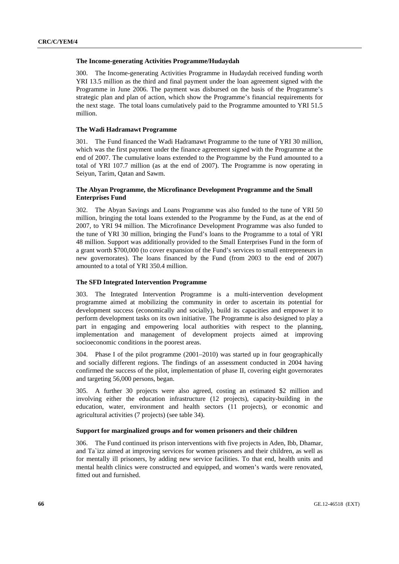#### **The Income-generating Activities Programme/Hudaydah**

300. The Income-generating Activities Programme in Hudaydah received funding worth YRI 13.5 million as the third and final payment under the loan agreement signed with the Programme in June 2006. The payment was disbursed on the basis of the Programme's strategic plan and plan of action, which show the Programme's financial requirements for the next stage. The total loans cumulatively paid to the Programme amounted to YRI 51.5 million.

#### **The Wadi Hadramawt Programme**

301. The Fund financed the Wadi Hadramawt Programme to the tune of YRI 30 million, which was the first payment under the finance agreement signed with the Programme at the end of 2007. The cumulative loans extended to the Programme by the Fund amounted to a total of YRI 107.7 million (as at the end of 2007). The Programme is now operating in Seiyun, Tarim, Qatan and Sawm.

### **The Abyan Programme, the Microfinance Development Programme and the Small Enterprises Fund**

302. The Abyan Savings and Loans Programme was also funded to the tune of YRI 50 million, bringing the total loans extended to the Programme by the Fund, as at the end of 2007, to YRI 94 million. The Microfinance Development Programme was also funded to the tune of YRI 30 million, bringing the Fund's loans to the Programme to a total of YRI 48 million. Support was additionally provided to the Small Enterprises Fund in the form of a grant worth \$700,000 (to cover expansion of the Fund's services to small entrepreneurs in new governorates). The loans financed by the Fund (from 2003 to the end of 2007) amounted to a total of YRI 350.4 million.

### **The SFD Integrated Intervention Programme**

303. The Integrated Intervention Programme is a multi-intervention development programme aimed at mobilizing the community in order to ascertain its potential for development success (economically and socially), build its capacities and empower it to perform development tasks on its own initiative. The Programme is also designed to play a part in engaging and empowering local authorities with respect to the planning, implementation and management of development projects aimed at improving socioeconomic conditions in the poorest areas.

304. Phase I of the pilot programme (2001–2010) was started up in four geographically and socially different regions. The findings of an assessment conducted in 2004 having confirmed the success of the pilot, implementation of phase II, covering eight governorates and targeting 56,000 persons, began.

305. A further 30 projects were also agreed, costing an estimated \$2 million and involving either the education infrastructure (12 projects), capacity-building in the education, water, environment and health sectors (11 projects), or economic and agricultural activities (7 projects) (see table 34).

### **Support for marginalized groups and for women prisoners and their children**

306. The Fund continued its prison interventions with five projects in Aden, Ibb, Dhamar, and Ta`izz aimed at improving services for women prisoners and their children, as well as for mentally ill prisoners, by adding new service facilities. To that end, health units and mental health clinics were constructed and equipped, and women's wards were renovated, fitted out and furnished.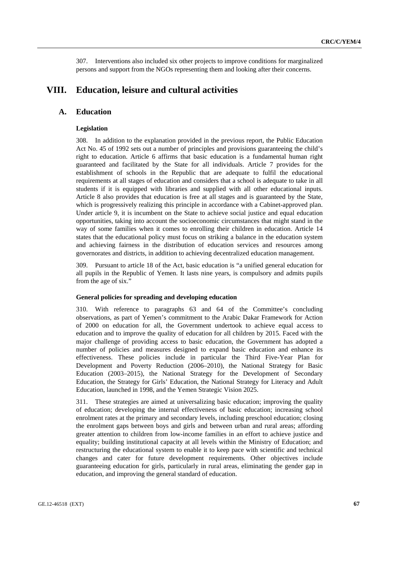307. Interventions also included six other projects to improve conditions for marginalized persons and support from the NGOs representing them and looking after their concerns.

# **VIII. Education, leisure and cultural activities**

### **A. Education**

### **Legislation**

308. In addition to the explanation provided in the previous report, the Public Education Act No. 45 of 1992 sets out a number of principles and provisions guaranteeing the child's right to education. Article 6 affirms that basic education is a fundamental human right guaranteed and facilitated by the State for all individuals. Article 7 provides for the establishment of schools in the Republic that are adequate to fulfil the educational requirements at all stages of education and considers that a school is adequate to take in all students if it is equipped with libraries and supplied with all other educational inputs. Article 8 also provides that education is free at all stages and is guaranteed by the State, which is progressively realizing this principle in accordance with a Cabinet-approved plan. Under article 9, it is incumbent on the State to achieve social justice and equal education opportunities, taking into account the socioeconomic circumstances that might stand in the way of some families when it comes to enrolling their children in education. Article 14 states that the educational policy must focus on striking a balance in the education system and achieving fairness in the distribution of education services and resources among governorates and districts, in addition to achieving decentralized education management.

309. Pursuant to article 18 of the Act, basic education is "a unified general education for all pupils in the Republic of Yemen. It lasts nine years, is compulsory and admits pupils from the age of six."

### **General policies for spreading and developing education**

310. With reference to paragraphs 63 and 64 of the Committee's concluding observations, as part of Yemen's commitment to the Arabic Dakar Framework for Action of 2000 on education for all, the Government undertook to achieve equal access to education and to improve the quality of education for all children by 2015. Faced with the major challenge of providing access to basic education, the Government has adopted a number of policies and measures designed to expand basic education and enhance its effectiveness. These policies include in particular the Third Five-Year Plan for Development and Poverty Reduction (2006–2010), the National Strategy for Basic Education (2003–2015), the National Strategy for the Development of Secondary Education, the Strategy for Girls' Education, the National Strategy for Literacy and Adult Education, launched in 1998, and the Yemen Strategic Vision 2025.

311. These strategies are aimed at universalizing basic education; improving the quality of education; developing the internal effectiveness of basic education; increasing school enrolment rates at the primary and secondary levels, including preschool education; closing the enrolment gaps between boys and girls and between urban and rural areas; affording greater attention to children from low-income families in an effort to achieve justice and equality; building institutional capacity at all levels within the Ministry of Education; and restructuring the educational system to enable it to keep pace with scientific and technical changes and cater for future development requirements. Other objectives include guaranteeing education for girls, particularly in rural areas, eliminating the gender gap in education, and improving the general standard of education.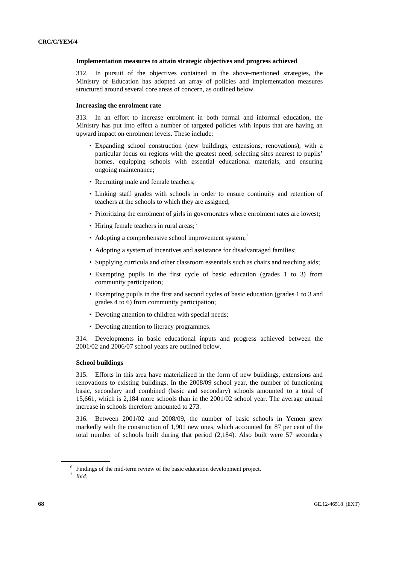#### **Implementation measures to attain strategic objectives and progress achieved**

312. In pursuit of the objectives contained in the above-mentioned strategies, the Ministry of Education has adopted an array of policies and implementation measures structured around several core areas of concern, as outlined below.

#### **Increasing the enrolment rate**

313. In an effort to increase enrolment in both formal and informal education, the Ministry has put into effect a number of targeted policies with inputs that are having an upward impact on enrolment levels. These include:

- Expanding school construction (new buildings, extensions, renovations), with a particular focus on regions with the greatest need, selecting sites nearest to pupils' homes, equipping schools with essential educational materials, and ensuring ongoing maintenance;
- Recruiting male and female teachers;
- Linking staff grades with schools in order to ensure continuity and retention of teachers at the schools to which they are assigned;
- Prioritizing the enrolment of girls in governorates where enrolment rates are lowest;
- Hiring female teachers in rural areas:<sup>6</sup>
- Adopting a comprehensive school improvement system;<sup>7</sup>
- Adopting a system of incentives and assistance for disadvantaged families:
- Supplying curricula and other classroom essentials such as chairs and teaching aids;
- Exempting pupils in the first cycle of basic education (grades 1 to 3) from community participation;
- Exempting pupils in the first and second cycles of basic education (grades 1 to 3 and grades 4 to 6) from community participation;
- Devoting attention to children with special needs:
- Devoting attention to literacy programmes.

314. Developments in basic educational inputs and progress achieved between the 2001/02 and 2006/07 school years are outlined below.

### **School buildings**

315. Efforts in this area have materialized in the form of new buildings, extensions and renovations to existing buildings. In the 2008/09 school year, the number of functioning basic, secondary and combined (basic and secondary) schools amounted to a total of 15,661, which is 2,184 more schools than in the 2001/02 school year. The average annual increase in schools therefore amounted to 273.

316. Between 2001/02 and 2008/09, the number of basic schools in Yemen grew markedly with the construction of 1,901 new ones, which accounted for 87 per cent of the total number of schools built during that period (2,184). Also built were 57 secondary

 $\frac{6}{7}$  Findings of the mid-term review of the basic education development project.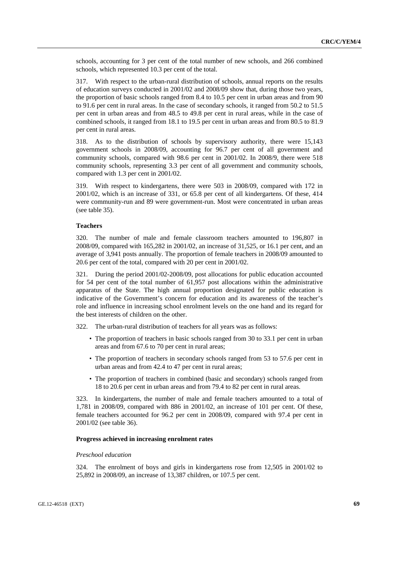schools, accounting for 3 per cent of the total number of new schools, and 266 combined schools, which represented 10.3 per cent of the total.

317. With respect to the urban-rural distribution of schools, annual reports on the results of education surveys conducted in 2001/02 and 2008/09 show that, during those two years, the proportion of basic schools ranged from 8.4 to 10.5 per cent in urban areas and from 90 to 91.6 per cent in rural areas. In the case of secondary schools, it ranged from 50.2 to 51.5 per cent in urban areas and from 48.5 to 49.8 per cent in rural areas, while in the case of combined schools, it ranged from 18.1 to 19.5 per cent in urban areas and from 80.5 to 81.9 per cent in rural areas.

318. As to the distribution of schools by supervisory authority, there were 15,143 government schools in 2008/09, accounting for 96.7 per cent of all government and community schools, compared with 98.6 per cent in 2001/02. In 2008/9, there were 518 community schools, representing 3.3 per cent of all government and community schools, compared with 1.3 per cent in 2001/02.

319. With respect to kindergartens, there were 503 in 2008/09, compared with 172 in 2001/02, which is an increase of 331, or 65.8 per cent of all kindergartens. Of these, 414 were community-run and 89 were government-run. Most were concentrated in urban areas (see table 35).

### **Teachers**

320. The number of male and female classroom teachers amounted to 196,807 in 2008/09, compared with 165,282 in 2001/02, an increase of 31,525, or 16.1 per cent, and an average of 3,941 posts annually. The proportion of female teachers in 2008/09 amounted to 20.6 per cent of the total, compared with 20 per cent in 2001/02.

321. During the period 2001/02-2008/09, post allocations for public education accounted for 54 per cent of the total number of 61,957 post allocations within the administrative apparatus of the State. The high annual proportion designated for public education is indicative of the Government's concern for education and its awareness of the teacher's role and influence in increasing school enrolment levels on the one hand and its regard for the best interests of children on the other.

322. The urban-rural distribution of teachers for all years was as follows:

- The proportion of teachers in basic schools ranged from 30 to 33.1 per cent in urban areas and from 67.6 to 70 per cent in rural areas;
- The proportion of teachers in secondary schools ranged from 53 to 57.6 per cent in urban areas and from 42.4 to 47 per cent in rural areas;
- The proportion of teachers in combined (basic and secondary) schools ranged from 18 to 20.6 per cent in urban areas and from 79.4 to 82 per cent in rural areas.

323. In kindergartens, the number of male and female teachers amounted to a total of 1,781 in 2008/09, compared with 886 in 2001/02, an increase of 101 per cent. Of these, female teachers accounted for 96.2 per cent in 2008/09, compared with 97.4 per cent in 2001/02 (see table 36).

#### **Progress achieved in increasing enrolment rates**

#### *Preschool education*

324. The enrolment of boys and girls in kindergartens rose from 12,505 in 2001/02 to 25,892 in 2008/09, an increase of 13,387 children, or 107.5 per cent.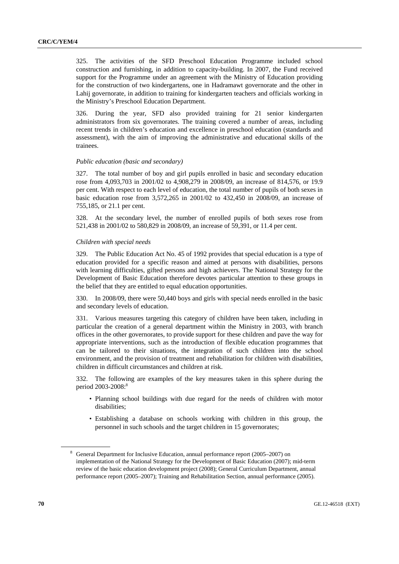325. The activities of the SFD Preschool Education Programme included school construction and furnishing, in addition to capacity-building. In 2007, the Fund received support for the Programme under an agreement with the Ministry of Education providing for the construction of two kindergartens, one in Hadramawt governorate and the other in Lahij governorate, in addition to training for kindergarten teachers and officials working in the Ministry's Preschool Education Department.

326. During the year, SFD also provided training for 21 senior kindergarten administrators from six governorates. The training covered a number of areas, including recent trends in children's education and excellence in preschool education (standards and assessment), with the aim of improving the administrative and educational skills of the trainees.

#### *Public education (basic and secondary)*

327. The total number of boy and girl pupils enrolled in basic and secondary education rose from 4,093,703 in 2001/02 to 4,908,279 in 2008/09, an increase of 814,576, or 19.9 per cent. With respect to each level of education, the total number of pupils of both sexes in basic education rose from 3,572,265 in 2001/02 to 432,450 in 2008/09, an increase of 755,185, or 21.1 per cent.

328. At the secondary level, the number of enrolled pupils of both sexes rose from 521,438 in 2001/02 to 580,829 in 2008/09, an increase of 59,391, or 11.4 per cent.

#### *Children with special needs*

329. The Public Education Act No. 45 of 1992 provides that special education is a type of education provided for a specific reason and aimed at persons with disabilities, persons with learning difficulties, gifted persons and high achievers. The National Strategy for the Development of Basic Education therefore devotes particular attention to these groups in the belief that they are entitled to equal education opportunities.

330. In 2008/09, there were 50,440 boys and girls with special needs enrolled in the basic and secondary levels of education.

331. Various measures targeting this category of children have been taken, including in particular the creation of a general department within the Ministry in 2003, with branch offices in the other governorates, to provide support for these children and pave the way for appropriate interventions, such as the introduction of flexible education programmes that can be tailored to their situations, the integration of such children into the school environment, and the provision of treatment and rehabilitation for children with disabilities, children in difficult circumstances and children at risk.

332. The following are examples of the key measures taken in this sphere during the period 2003-2008:<sup>8</sup>

- Planning school buildings with due regard for the needs of children with motor disabilities;
- Establishing a database on schools working with children in this group, the personnel in such schools and the target children in 15 governorates;

<sup>&</sup>lt;sup>8</sup> General Department for Inclusive Education, annual performance report (2005–2007) on implementation of the National Strategy for the Development of Basic Education (2007); mid-term review of the basic education development project (2008); General Curriculum Department, annual performance report (2005–2007); Training and Rehabilitation Section, annual performance (2005).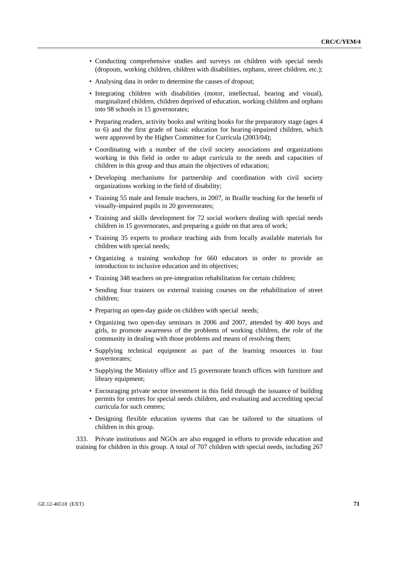- Conducting comprehensive studies and surveys on children with special needs (dropouts, working children, children with disabilities, orphans, street children, etc.);
- Analysing data in order to determine the causes of dropout;
- Integrating children with disabilities (motor, intellectual, hearing and visual), marginalized children, children deprived of education, working children and orphans into 98 schools in 15 governorates;
- Preparing readers, activity books and writing books for the preparatory stage (ages 4) to 6) and the first grade of basic education for hearing-impaired children, which were approved by the Higher Committee for Curricula (2003/04);
- Coordinating with a number of the civil society associations and organizations working in this field in order to adapt curricula to the needs and capacities of children in this group and thus attain the objectives of education;
- Developing mechanisms for partnership and coordination with civil society organizations working in the field of disability;
- Training 55 male and female teachers, in 2007, in Braille teaching for the benefit of visually-impaired pupils in 20 governorates;
- Training and skills development for 72 social workers dealing with special needs children in 15 governorates, and preparing a guide on that area of work;
- Training 35 experts to produce teaching aids from locally available materials for children with special needs;
- Organizing a training workshop for 660 educators in order to provide an introduction to inclusive education and its objectives;
- Training 348 teachers on pre-integration rehabilitation for certain children;
- Sending four trainers on external training courses on the rehabilitation of street children;
- Preparing an open-day guide on children with special needs;
- Organizing two open-day seminars in 2006 and 2007, attended by 400 boys and girls, to promote awareness of the problems of working children, the role of the community in dealing with those problems and means of resolving them;
- Supplying technical equipment as part of the learning resources in four governorates;
- Supplying the Ministry office and 15 governorate branch offices with furniture and library equipment;
- Encouraging private sector investment in this field through the issuance of building permits for centres for special needs children, and evaluating and accrediting special curricula for such centres;
- Designing flexible education systems that can be tailored to the situations of children in this group.

333. Private institutions and NGOs are also engaged in efforts to provide education and training for children in this group. A total of 707 children with special needs, including 267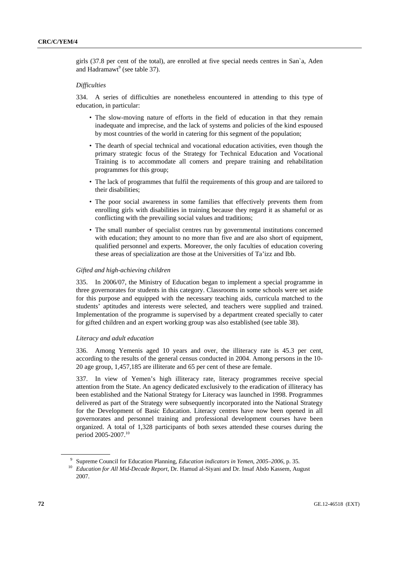girls (37.8 per cent of the total), are enrolled at five special needs centres in San`a, Aden and Hadramawt<sup>9</sup> (see table 37).

### *Difficulties*

334. A series of difficulties are nonetheless encountered in attending to this type of education, in particular:

- The slow-moving nature of efforts in the field of education in that they remain inadequate and imprecise, and the lack of systems and policies of the kind espoused by most countries of the world in catering for this segment of the population;
- The dearth of special technical and vocational education activities, even though the primary strategic focus of the Strategy for Technical Education and Vocational Training is to accommodate all comers and prepare training and rehabilitation programmes for this group;
- The lack of programmes that fulfil the requirements of this group and are tailored to their disabilities;
- The poor social awareness in some families that effectively prevents them from enrolling girls with disabilities in training because they regard it as shameful or as conflicting with the prevailing social values and traditions;
- The small number of specialist centres run by governmental institutions concerned with education; they amount to no more than five and are also short of equipment, qualified personnel and experts. Moreover, the only faculties of education covering these areas of specialization are those at the Universities of Ta'izz and Ibb.

#### *Gifted and high-achieving children*

335. In 2006/07, the Ministry of Education began to implement a special programme in three governorates for students in this category. Classrooms in some schools were set aside for this purpose and equipped with the necessary teaching aids, curricula matched to the students' aptitudes and interests were selected, and teachers were supplied and trained. Implementation of the programme is supervised by a department created specially to cater for gifted children and an expert working group was also established (see table 38).

#### *Literacy and adult education*

336. Among Yemenis aged 10 years and over, the illiteracy rate is 45.3 per cent, according to the results of the general census conducted in 2004. Among persons in the 10- 20 age group, 1,457,185 are illiterate and 65 per cent of these are female.

337. In view of Yemen's high illiteracy rate, literacy programmes receive special attention from the State. An agency dedicated exclusively to the eradication of illiteracy has been established and the National Strategy for Literacy was launched in 1998. Programmes delivered as part of the Strategy were subsequently incorporated into the National Strategy for the Development of Basic Education. Literacy centres have now been opened in all governorates and personnel training and professional development courses have been organized. A total of 1,328 participants of both sexes attended these courses during the period 2005-2007.10

<sup>9</sup> Supreme Council for Education Planning, *Education indicators in Yemen*, *2005–2006*, p. 35.

<sup>&</sup>lt;sup>10</sup> *Education for All Mid-Decade Report*, Dr. Hamud al-Siyani and Dr. Insaf Abdo Kassem, August 2007.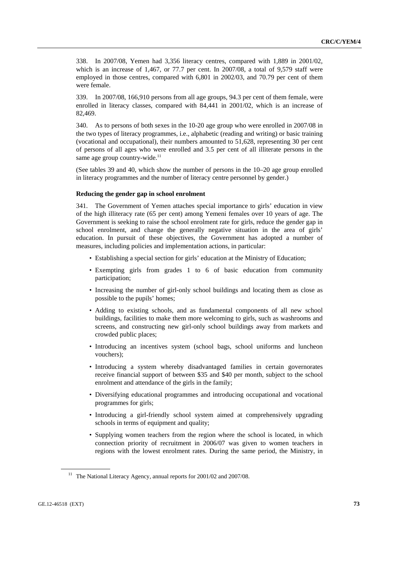338. In 2007/08, Yemen had 3,356 literacy centres, compared with 1,889 in 2001/02, which is an increase of 1,467, or 77.7 per cent. In 2007/08, a total of 9,579 staff were employed in those centres, compared with 6,801 in 2002/03, and 70.79 per cent of them were female.

339. In 2007/08, 166,910 persons from all age groups, 94.3 per cent of them female, were enrolled in literacy classes, compared with 84,441 in 2001/02, which is an increase of 82,469.

340. As to persons of both sexes in the 10-20 age group who were enrolled in 2007/08 in the two types of literacy programmes, i.e., alphabetic (reading and writing) or basic training (vocational and occupational), their numbers amounted to 51,628, representing 30 per cent of persons of all ages who were enrolled and 3.5 per cent of all illiterate persons in the same age group country-wide. $^{11}$ 

(See tables 39 and 40, which show the number of persons in the 10–20 age group enrolled in literacy programmes and the number of literacy centre personnel by gender.)

## **Reducing the gender gap in school enrolment**

341. The Government of Yemen attaches special importance to girls' education in view of the high illiteracy rate (65 per cent) among Yemeni females over 10 years of age. The Government is seeking to raise the school enrolment rate for girls, reduce the gender gap in school enrolment, and change the generally negative situation in the area of girls' education. In pursuit of these objectives, the Government has adopted a number of measures, including policies and implementation actions, in particular:

- Establishing a special section for girls' education at the Ministry of Education;
- Exempting girls from grades 1 to 6 of basic education from community participation;
- Increasing the number of girl-only school buildings and locating them as close as possible to the pupils' homes;
- Adding to existing schools, and as fundamental components of all new school buildings, facilities to make them more welcoming to girls, such as washrooms and screens, and constructing new girl-only school buildings away from markets and crowded public places;
- Introducing an incentives system (school bags, school uniforms and luncheon vouchers);
- Introducing a system whereby disadvantaged families in certain governorates receive financial support of between \$35 and \$40 per month, subject to the school enrolment and attendance of the girls in the family;
- Diversifying educational programmes and introducing occupational and vocational programmes for girls;
- Introducing a girl-friendly school system aimed at comprehensively upgrading schools in terms of equipment and quality;
- Supplying women teachers from the region where the school is located, in which connection priority of recruitment in 2006/07 was given to women teachers in regions with the lowest enrolment rates. During the same period, the Ministry, in

<sup>&</sup>lt;sup>11</sup> The National Literacy Agency, annual reports for 2001/02 and 2007/08.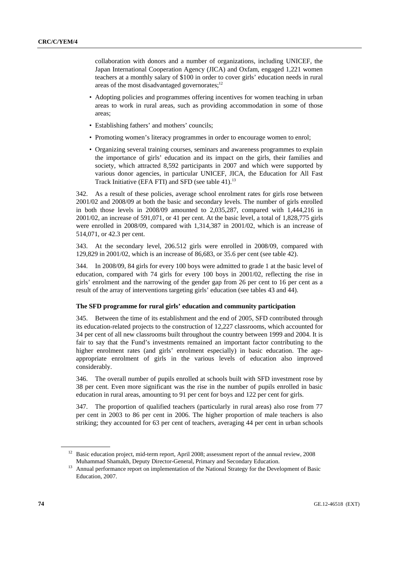collaboration with donors and a number of organizations, including UNICEF, the Japan International Cooperation Agency (JICA) and Oxfam, engaged 1,221 women teachers at a monthly salary of \$100 in order to cover girls' education needs in rural areas of the most disadvantaged governorates: $12$ 

- Adopting policies and programmes offering incentives for women teaching in urban areas to work in rural areas, such as providing accommodation in some of those areas;
- Establishing fathers' and mothers' councils;
- Promoting women's literacy programmes in order to encourage women to enrol;
- Organizing several training courses, seminars and awareness programmes to explain the importance of girls' education and its impact on the girls, their families and society, which attracted 8,592 participants in 2007 and which were supported by various donor agencies, in particular UNICEF, JICA, the Education for All Fast Track Initiative (EFA FTI) and SFD (see table 41). $^{13}$

342. As a result of these policies, average school enrolment rates for girls rose between 2001/02 and 2008/09 at both the basic and secondary levels. The number of girls enrolled in both those levels in 2008/09 amounted to 2,035,287, compared with 1,444,216 in 2001/02, an increase of 591,071, or 41 per cent. At the basic level, a total of 1,828,775 girls were enrolled in 2008/09, compared with 1,314,387 in 2001/02, which is an increase of 514,071, or 42.3 per cent.

343. At the secondary level, 206.512 girls were enrolled in 2008/09, compared with 129,829 in 2001/02, which is an increase of 86,683, or 35.6 per cent (see table 42).

344. In 2008/09, 84 girls for every 100 boys were admitted to grade 1 at the basic level of education, compared with 74 girls for every 100 boys in 2001/02, reflecting the rise in girls' enrolment and the narrowing of the gender gap from 26 per cent to 16 per cent as a result of the array of interventions targeting girls' education (see tables 43 and 44).

## **The SFD programme for rural girls' education and community participation**

345. Between the time of its establishment and the end of 2005, SFD contributed through its education-related projects to the construction of 12,227 classrooms, which accounted for 34 per cent of all new classrooms built throughout the country between 1999 and 2004. It is fair to say that the Fund's investments remained an important factor contributing to the higher enrolment rates (and girls' enrolment especially) in basic education. The ageappropriate enrolment of girls in the various levels of education also improved considerably.

346. The overall number of pupils enrolled at schools built with SFD investment rose by 38 per cent. Even more significant was the rise in the number of pupils enrolled in basic education in rural areas, amounting to 91 per cent for boys and 122 per cent for girls.

347. The proportion of qualified teachers (particularly in rural areas) also rose from 77 per cent in 2003 to 86 per cent in 2006. The higher proportion of male teachers is also striking; they accounted for 63 per cent of teachers, averaging 44 per cent in urban schools

<sup>&</sup>lt;sup>12</sup> Basic education project, mid-term report, April 2008; assessment report of the annual review, 2008

Muhammad Shamakh, Deputy Director-General, Primary and Secondary Education. 13 Annual performance report on implementation of the National Strategy for the Development of Basic Education, 2007.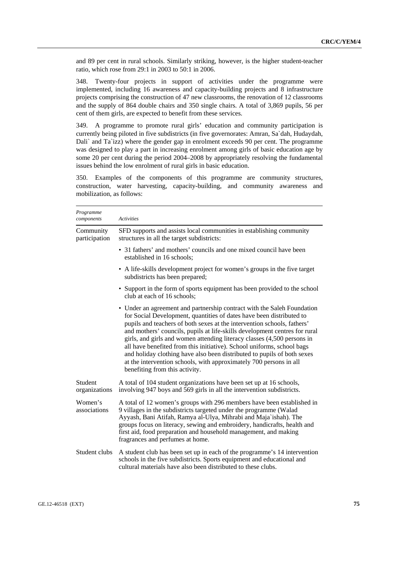and 89 per cent in rural schools. Similarly striking, however, is the higher student-teacher ratio, which rose from 29:1 in 2003 to 50:1 in 2006.

348. Twenty-four projects in support of activities under the programme were implemented, including 16 awareness and capacity-building projects and 8 infrastructure projects comprising the construction of 47 new classrooms, the renovation of 12 classrooms and the supply of 864 double chairs and 350 single chairs. A total of 3,869 pupils, 56 per cent of them girls, are expected to benefit from these services.

349. A programme to promote rural girls' education and community participation is currently being piloted in five subdistricts (in five governorates: Amran, Sa`dah, Hudaydah, Dali` and Ta`izz) where the gender gap in enrolment exceeds 90 per cent. The programme was designed to play a part in increasing enrolment among girls of basic education age by some 20 per cent during the period 2004–2008 by appropriately resolving the fundamental issues behind the low enrolment of rural girls in basic education.

350. Examples of the components of this programme are community structures, construction, water harvesting, capacity-building, and community awareness and mobilization, as follows:

| Programme<br>components    | <b>Activities</b>                                                                                                                                                                                                                                                                                                                                                                                                                                                                                                                                                                                                                                |
|----------------------------|--------------------------------------------------------------------------------------------------------------------------------------------------------------------------------------------------------------------------------------------------------------------------------------------------------------------------------------------------------------------------------------------------------------------------------------------------------------------------------------------------------------------------------------------------------------------------------------------------------------------------------------------------|
| Community<br>participation | SFD supports and assists local communities in establishing community<br>structures in all the target subdistricts:                                                                                                                                                                                                                                                                                                                                                                                                                                                                                                                               |
|                            | • 31 fathers' and mothers' councils and one mixed council have been<br>established in 16 schools;                                                                                                                                                                                                                                                                                                                                                                                                                                                                                                                                                |
|                            | • A life-skills development project for women's groups in the five target<br>subdistricts has been prepared;                                                                                                                                                                                                                                                                                                                                                                                                                                                                                                                                     |
|                            | • Support in the form of sports equipment has been provided to the school<br>club at each of 16 schools;                                                                                                                                                                                                                                                                                                                                                                                                                                                                                                                                         |
|                            | • Under an agreement and partnership contract with the Saleh Foundation<br>for Social Development, quantities of dates have been distributed to<br>pupils and teachers of both sexes at the intervention schools, fathers'<br>and mothers' councils, pupils at life-skills development centres for rural<br>girls, and girls and women attending literacy classes (4,500 persons in<br>all have benefited from this initiative). School uniforms, school bags<br>and holiday clothing have also been distributed to pupils of both sexes<br>at the intervention schools, with approximately 700 persons in all<br>benefiting from this activity. |
| Student<br>organizations   | A total of 104 student organizations have been set up at 16 schools,<br>involving 947 boys and 569 girls in all the intervention subdistricts.                                                                                                                                                                                                                                                                                                                                                                                                                                                                                                   |
| Women's<br>associations    | A total of 12 women's groups with 296 members have been established in<br>9 villages in the subdistricts targeted under the programme (Walad<br>Ayyash, Bani Atifah, Ramya al-Ulya, Mihrabi and Maja`ishah). The<br>groups focus on literacy, sewing and embroidery, handicrafts, health and<br>first aid, food preparation and household management, and making<br>fragrances and perfumes at home.                                                                                                                                                                                                                                             |
| Student clubs              | A student club has been set up in each of the programme's 14 intervention<br>schools in the five subdistricts. Sports equipment and educational and<br>cultural materials have also been distributed to these clubs.                                                                                                                                                                                                                                                                                                                                                                                                                             |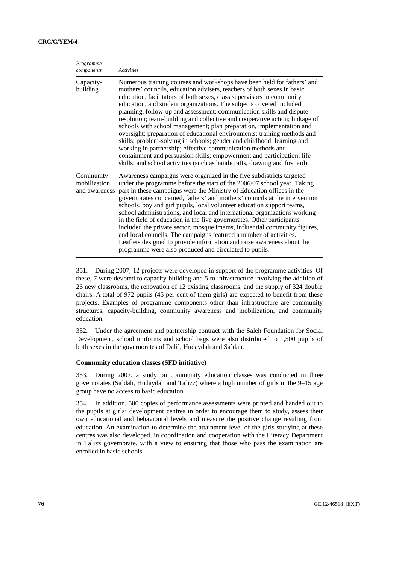| Programme<br>components                    | <b>Activities</b>                                                                                                                                                                                                                                                                                                                                                                                                                                                                                                                                                                                                                                                                                                                                                                                                                                                                                              |
|--------------------------------------------|----------------------------------------------------------------------------------------------------------------------------------------------------------------------------------------------------------------------------------------------------------------------------------------------------------------------------------------------------------------------------------------------------------------------------------------------------------------------------------------------------------------------------------------------------------------------------------------------------------------------------------------------------------------------------------------------------------------------------------------------------------------------------------------------------------------------------------------------------------------------------------------------------------------|
| Capacity-<br>building                      | Numerous training courses and workshops have been held for fathers' and<br>mothers' councils, education advisers, teachers of both sexes in basic<br>education, facilitators of both sexes, class supervisors in community<br>education, and student organizations. The subjects covered included<br>planning, follow-up and assessment; communication skills and dispute<br>resolution; team-building and collective and cooperative action; linkage of<br>schools with school management; plan preparation, implementation and<br>oversight; preparation of educational environments; training methods and<br>skills; problem-solving in schools; gender and childhood; learning and<br>working in partnership; effective communication methods and<br>containment and persuasion skills; empowerment and participation; life<br>skills; and school activities (such as handicrafts, drawing and first aid). |
| Community<br>mobilization<br>and awareness | Awareness campaigns were organized in the five subdistricts targeted<br>under the programme before the start of the 2006/07 school year. Taking<br>part in these campaigns were the Ministry of Education offices in the<br>governorates concerned, fathers' and mothers' councils at the intervention<br>schools, boy and girl pupils, local volunteer education support teams,<br>school administrations, and local and international organizations working<br>in the field of education in the five governorates. Other participants<br>included the private sector, mosque imams, influential community figures,<br>and local councils. The campaigns featured a number of activities.<br>Leaflets designed to provide information and raise awareness about the<br>programme were also produced and circulated to pupils.                                                                                 |

351. During 2007, 12 projects were developed in support of the programme activities. Of these, 7 were devoted to capacity-building and 5 to infrastructure involving the addition of 26 new classrooms, the renovation of 12 existing classrooms, and the supply of 324 double chairs. A total of 972 pupils (45 per cent of them girls) are expected to benefit from these projects. Examples of programme components other than infrastructure are community structures, capacity-building, community awareness and mobilization, and community education.

352. Under the agreement and partnership contract with the Saleh Foundation for Social Development, school uniforms and school bags were also distributed to 1,500 pupils of both sexes in the governorates of Dali`, Hudaydah and Sa`dah.

## **Community education classes (SFD initiative)**

353. During 2007, a study on community education classes was conducted in three governorates (Sa`dah, Hudaydah and Ta`izz) where a high number of girls in the 9–15 age group have no access to basic education.

354. In addition, 500 copies of performance assessments were printed and handed out to the pupils at girls' development centres in order to encourage them to study, assess their own educational and behavioural levels and measure the positive change resulting from education. An examination to determine the attainment level of the girls studying at these centres was also developed, in coordination and cooperation with the Literacy Department in Ta`izz governorate, with a view to ensuring that those who pass the examination are enrolled in basic schools.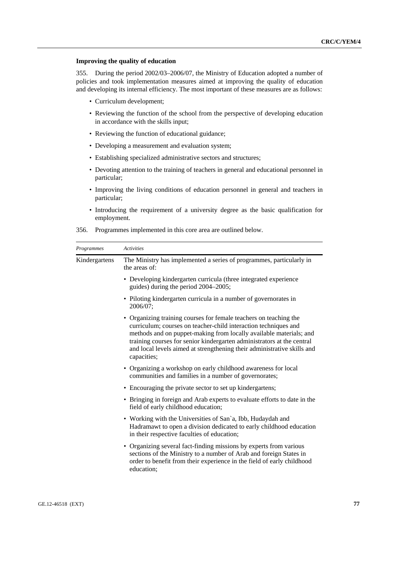## **Improving the quality of education**

355. During the period 2002/03–2006/07, the Ministry of Education adopted a number of policies and took implementation measures aimed at improving the quality of education and developing its internal efficiency. The most important of these measures are as follows:

- Curriculum development;
- Reviewing the function of the school from the perspective of developing education in accordance with the skills input;
- Reviewing the function of educational guidance;
- Developing a measurement and evaluation system;
- Establishing specialized administrative sectors and structures;
- Devoting attention to the training of teachers in general and educational personnel in particular;
- Improving the living conditions of education personnel in general and teachers in particular;
- Introducing the requirement of a university degree as the basic qualification for employment.

| Programmes    | Activities                                                                                                                                                                                                                                                                                                                                                                     |
|---------------|--------------------------------------------------------------------------------------------------------------------------------------------------------------------------------------------------------------------------------------------------------------------------------------------------------------------------------------------------------------------------------|
| Kindergartens | The Ministry has implemented a series of programmes, particularly in<br>the areas of:                                                                                                                                                                                                                                                                                          |
|               | • Developing kindergarten curricula (three integrated experience<br>guides) during the period 2004–2005;                                                                                                                                                                                                                                                                       |
|               | • Piloting kindergarten curricula in a number of governorates in<br>2006/07:                                                                                                                                                                                                                                                                                                   |
|               | • Organizing training courses for female teachers on teaching the<br>curriculum; courses on teacher-child interaction techniques and<br>methods and on puppet-making from locally available materials; and<br>training courses for senior kindergarten administrators at the central<br>and local levels aimed at strengthening their administrative skills and<br>capacities; |
|               | • Organizing a workshop on early childhood awareness for local<br>communities and families in a number of governorates;                                                                                                                                                                                                                                                        |
|               | • Encouraging the private sector to set up kindergartens;                                                                                                                                                                                                                                                                                                                      |
|               | • Bringing in foreign and Arab experts to evaluate efforts to date in the<br>field of early childhood education;                                                                                                                                                                                                                                                               |
|               | • Working with the Universities of San'a, Ibb, Hudaydah and<br>Hadramawt to open a division dedicated to early childhood education<br>in their respective faculties of education;                                                                                                                                                                                              |
|               | • Organizing several fact-finding missions by experts from various<br>sections of the Ministry to a number of Arab and foreign States in<br>order to benefit from their experience in the field of early childhood<br>education;                                                                                                                                               |

356. Programmes implemented in this core area are outlined below.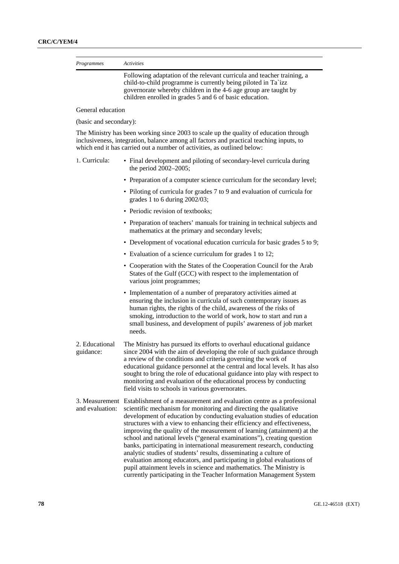| Programmes             | <b>Activities</b>                                                                                                                                                                                                                                                     |
|------------------------|-----------------------------------------------------------------------------------------------------------------------------------------------------------------------------------------------------------------------------------------------------------------------|
|                        | Following adaptation of the relevant curricula and teacher training, a<br>child-to-child programme is currently being piloted in Ta`izz<br>governorate whereby children in the 4-6 age group are taught by<br>children enrolled in grades 5 and 6 of basic education. |
| General education      |                                                                                                                                                                                                                                                                       |
| (basic and secondary): |                                                                                                                                                                                                                                                                       |
|                        | The Ministry has been working since 2003 to scale up the quality of education through<br>inclusiveness, integration, balance among all factors and practical teaching inputs, to<br>which end it has carried out a number of activities, as outlined below:           |
| 1. Curricula:          | • Final development and piloting of secondary-level curricula during<br>the period $2002-2005$ ;                                                                                                                                                                      |
|                        | • Preparation of a computer science curriculum for the secondary level;                                                                                                                                                                                               |
|                        | • Piloting of curricula for grades 7 to 9 and evaluation of curricula for<br>grades 1 to 6 during $2002/03$ ;                                                                                                                                                         |
|                        | • Periodic revision of textbooks;                                                                                                                                                                                                                                     |
|                        | • Preparation of teachers' manuals for training in technical subjects and                                                                                                                                                                                             |

- mathematics at the primary and secondary levels; • Development of vocational education curricula for basic grades 5 to 9;
- Evaluation of a science curriculum for grades 1 to 12;
- Cooperation with the States of the Cooperation Council for the Arab States of the Gulf (GCC) with respect to the implementation of various joint programmes;
- Implementation of a number of preparatory activities aimed at ensuring the inclusion in curricula of such contemporary issues as human rights, the rights of the child, awareness of the risks of smoking, introduction to the world of work, how to start and run a small business, and development of pupils' awareness of job market needs.
- 2. Educational guidance: The Ministry has pursued its efforts to overhaul educational guidance since 2004 with the aim of developing the role of such guidance through a review of the conditions and criteria governing the work of educational guidance personnel at the central and local levels. It has also sought to bring the role of educational guidance into play with respect to monitoring and evaluation of the educational process by conducting field visits to schools in various governorates.
- 3. Measurement Establishment of a measurement and evaluation centre as a professional and evaluation: scientific mechanism for monitoring and directing the qualitative development of education by conducting evaluation studies of education structures with a view to enhancing their efficiency and effectiveness, improving the quality of the measurement of learning (attainment) at the school and national levels ("general examinations"), creating question banks, participating in international measurement research, conducting analytic studies of students' results, disseminating a culture of evaluation among educators, and participating in global evaluations of pupil attainment levels in science and mathematics. The Ministry is currently participating in the Teacher Information Management System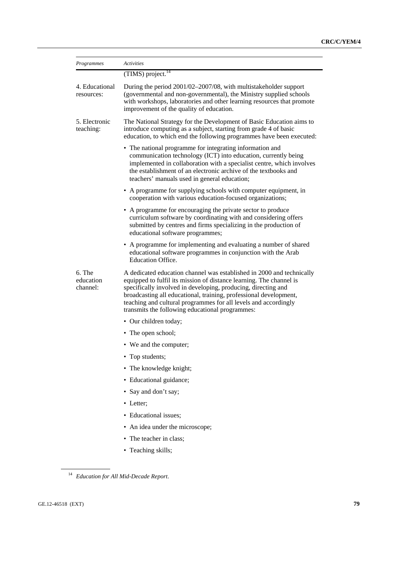| Programmes                      | Activities                                                                                                                                                                                                                                                                                                                                                                                               |
|---------------------------------|----------------------------------------------------------------------------------------------------------------------------------------------------------------------------------------------------------------------------------------------------------------------------------------------------------------------------------------------------------------------------------------------------------|
|                                 | $(TIMS)$ project. <sup>14</sup>                                                                                                                                                                                                                                                                                                                                                                          |
| 4. Educational<br>resources:    | During the period 2001/02-2007/08, with multistakeholder support<br>(governmental and non-governmental), the Ministry supplied schools<br>with workshops, laboratories and other learning resources that promote<br>improvement of the quality of education.                                                                                                                                             |
| 5. Electronic<br>teaching:      | The National Strategy for the Development of Basic Education aims to<br>introduce computing as a subject, starting from grade 4 of basic<br>education, to which end the following programmes have been executed:                                                                                                                                                                                         |
|                                 | • The national programme for integrating information and<br>communication technology (ICT) into education, currently being<br>implemented in collaboration with a specialist centre, which involves<br>the establishment of an electronic archive of the textbooks and<br>teachers' manuals used in general education;                                                                                   |
|                                 | • A programme for supplying schools with computer equipment, in<br>cooperation with various education-focused organizations;                                                                                                                                                                                                                                                                             |
|                                 | • A programme for encouraging the private sector to produce<br>curriculum software by coordinating with and considering offers<br>submitted by centres and firms specializing in the production of<br>educational software programmes;                                                                                                                                                                   |
|                                 | • A programme for implementing and evaluating a number of shared<br>educational software programmes in conjunction with the Arab<br><b>Education Office.</b>                                                                                                                                                                                                                                             |
| 6. The<br>education<br>channel: | A dedicated education channel was established in 2000 and technically<br>equipped to fulfil its mission of distance learning. The channel is<br>specifically involved in developing, producing, directing and<br>broadcasting all educational, training, professional development,<br>teaching and cultural programmes for all levels and accordingly<br>transmits the following educational programmes: |
|                                 | • Our children today;                                                                                                                                                                                                                                                                                                                                                                                    |
|                                 | • The open school;                                                                                                                                                                                                                                                                                                                                                                                       |
|                                 | • We and the computer;                                                                                                                                                                                                                                                                                                                                                                                   |
|                                 | Top students;                                                                                                                                                                                                                                                                                                                                                                                            |
|                                 | • The knowledge knight;                                                                                                                                                                                                                                                                                                                                                                                  |
|                                 | • Educational guidance;                                                                                                                                                                                                                                                                                                                                                                                  |
|                                 | • Say and don't say;                                                                                                                                                                                                                                                                                                                                                                                     |
|                                 | • Letter;                                                                                                                                                                                                                                                                                                                                                                                                |
|                                 | • Educational issues;                                                                                                                                                                                                                                                                                                                                                                                    |
|                                 | • An idea under the microscope;                                                                                                                                                                                                                                                                                                                                                                          |
|                                 | • The teacher in class;                                                                                                                                                                                                                                                                                                                                                                                  |
|                                 | • Teaching skills;                                                                                                                                                                                                                                                                                                                                                                                       |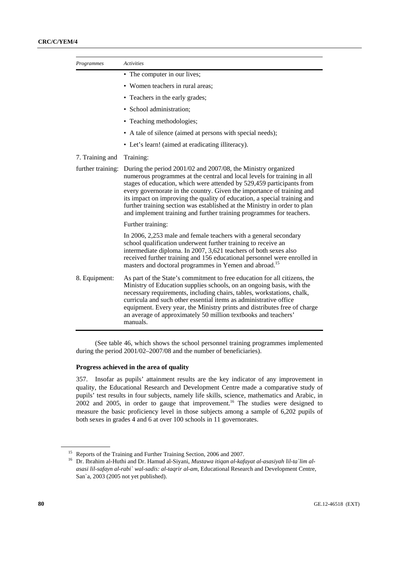| Programmes        | <b>Activities</b>                                                                                                                                                                                                                                                                                                                                                                                                                                                                                                            |
|-------------------|------------------------------------------------------------------------------------------------------------------------------------------------------------------------------------------------------------------------------------------------------------------------------------------------------------------------------------------------------------------------------------------------------------------------------------------------------------------------------------------------------------------------------|
|                   | • The computer in our lives;                                                                                                                                                                                                                                                                                                                                                                                                                                                                                                 |
|                   | • Women teachers in rural areas;                                                                                                                                                                                                                                                                                                                                                                                                                                                                                             |
|                   | • Teachers in the early grades;                                                                                                                                                                                                                                                                                                                                                                                                                                                                                              |
|                   | · School administration;                                                                                                                                                                                                                                                                                                                                                                                                                                                                                                     |
|                   | • Teaching methodologies;                                                                                                                                                                                                                                                                                                                                                                                                                                                                                                    |
|                   | • A tale of silence (aimed at persons with special needs);                                                                                                                                                                                                                                                                                                                                                                                                                                                                   |
|                   | • Let's learn! (aimed at eradicating illiteracy).                                                                                                                                                                                                                                                                                                                                                                                                                                                                            |
| 7. Training and   | Training:                                                                                                                                                                                                                                                                                                                                                                                                                                                                                                                    |
| further training: | During the period 2001/02 and 2007/08, the Ministry organized<br>numerous programmes at the central and local levels for training in all<br>stages of education, which were attended by 529,459 participants from<br>every governorate in the country. Given the importance of training and<br>its impact on improving the quality of education, a special training and<br>further training section was established at the Ministry in order to plan<br>and implement training and further training programmes for teachers. |
|                   | Further training:                                                                                                                                                                                                                                                                                                                                                                                                                                                                                                            |
|                   | In 2006, 2,253 male and female teachers with a general secondary<br>school qualification underwent further training to receive an<br>intermediate diploma. In 2007, 3,621 teachers of both sexes also<br>received further training and 156 educational personnel were enrolled in<br>masters and doctoral programmes in Yemen and abroad. <sup>15</sup>                                                                                                                                                                      |
| 8. Equipment:     | As part of the State's commitment to free education for all citizens, the<br>Ministry of Education supplies schools, on an ongoing basis, with the<br>necessary requirements, including chairs, tables, workstations, chalk,<br>curricula and such other essential items as administrative office<br>equipment. Every year, the Ministry prints and distributes free of charge<br>an average of approximately 50 million textbooks and teachers'<br>manuals.                                                                 |

 (See table 46, which shows the school personnel training programmes implemented during the period 2001/02–2007/08 and the number of beneficiaries).

## **Progress achieved in the area of quality**

357. Insofar as pupils' attainment results are the key indicator of any improvement in quality, the Educational Research and Development Centre made a comparative study of pupils' test results in four subjects, namely life skills, science, mathematics and Arabic, in 2002 and 2005, in order to gauge that improvement.<sup>16</sup> The studies were designed to measure the basic proficiency level in those subjects among a sample of 6,202 pupils of both sexes in grades 4 and 6 at over 100 schools in 11 governorates.

<sup>&</sup>lt;sup>15</sup> Reports of the Training and Further Training Section, 2006 and 2007.<br><sup>16</sup> Dr. Ibrahim al-Huthi and Dr. Hamud al-Siyani, *Mustawa itiqan al-kafayat al-asasiyah lil-ta`lim alasasi lil-safayn al-rabi` wal-sadis: al-taqrir al-am,* Educational Research and Development Centre, San`a, 2003 (2005 not yet published).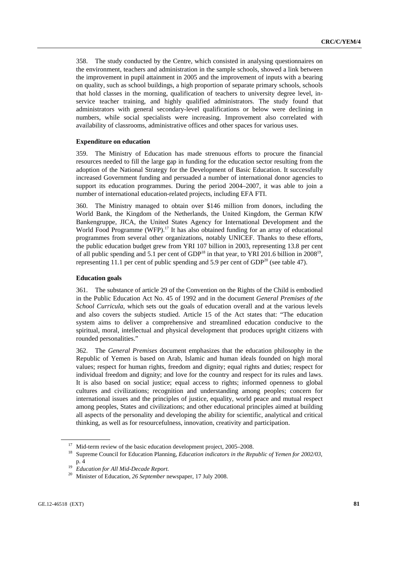358. The study conducted by the Centre, which consisted in analysing questionnaires on the environment, teachers and administration in the sample schools, showed a link between the improvement in pupil attainment in 2005 and the improvement of inputs with a bearing on quality, such as school buildings, a high proportion of separate primary schools, schools that hold classes in the morning, qualification of teachers to university degree level, inservice teacher training, and highly qualified administrators. The study found that administrators with general secondary-level qualifications or below were declining in numbers, while social specialists were increasing. Improvement also correlated with availability of classrooms, administrative offices and other spaces for various uses.

#### **Expenditure on education**

359. The Ministry of Education has made strenuous efforts to procure the financial resources needed to fill the large gap in funding for the education sector resulting from the adoption of the National Strategy for the Development of Basic Education. It successfully increased Government funding and persuaded a number of international donor agencies to support its education programmes. During the period 2004–2007, it was able to join a number of international education-related projects, including EFA FTI.

360. The Ministry managed to obtain over \$146 million from donors, including the World Bank, the Kingdom of the Netherlands, the United Kingdom, the German KfW Bankengruppe, JICA, the United States Agency for International Development and the World Food Programme (WFP).<sup>17</sup> It has also obtained funding for an array of educational programmes from several other organizations, notably UNICEF. Thanks to these efforts, the public education budget grew from YRI 107 billion in 2003, representing 13.8 per cent of all public spending and 5.1 per cent of GDP<sup>18</sup> in that year, to YRI 201.6 billion in 2008<sup>19</sup>. representing 11.1 per cent of public spending and 5.9 per cent of  $GDP<sup>20</sup>$  (see table 47).

#### **Education goals**

361. The substance of article 29 of the Convention on the Rights of the Child is embodied in the Public Education Act No. 45 of 1992 and in the document *General Premises of the School Curricula,* which sets out the goals of education overall and at the various levels and also covers the subjects studied. Article 15 of the Act states that: "The education system aims to deliver a comprehensive and streamlined education conducive to the spiritual, moral, intellectual and physical development that produces upright citizens with rounded personalities."

362. The *General Premises* document emphasizes that the education philosophy in the Republic of Yemen is based on Arab, Islamic and human ideals founded on high moral values; respect for human rights, freedom and dignity; equal rights and duties; respect for individual freedom and dignity; and love for the country and respect for its rules and laws. It is also based on social justice; equal access to rights; informed openness to global cultures and civilizations; recognition and understanding among peoples; concern for international issues and the principles of justice, equality, world peace and mutual respect among peoples, States and civilizations; and other educational principles aimed at building all aspects of the personality and developing the ability for scientific, analytical and critical thinking, as well as for resourcefulness, innovation, creativity and participation.

<sup>&</sup>lt;sup>17</sup> Mid-term review of the basic education development project, 2005–2008.<br><sup>18</sup> Supreme Council for Education Planning, *Education indicators in the Republic of Yemen for 2002/03*,

p. 4 19 *Education for All Mid-Decade Report.* 

<sup>20</sup> Minister of Education, *26 September* newspaper, 17 July 2008.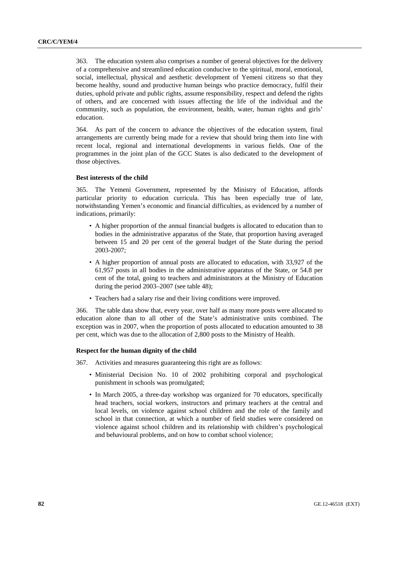363. The education system also comprises a number of general objectives for the delivery of a comprehensive and streamlined education conducive to the spiritual, moral, emotional, social, intellectual, physical and aesthetic development of Yemeni citizens so that they become healthy, sound and productive human beings who practice democracy, fulfil their duties, uphold private and public rights, assume responsibility, respect and defend the rights of others, and are concerned with issues affecting the life of the individual and the community, such as population, the environment, health, water, human rights and girls' education.

364. As part of the concern to advance the objectives of the education system, final arrangements are currently being made for a review that should bring them into line with recent local, regional and international developments in various fields. One of the programmes in the joint plan of the GCC States is also dedicated to the development of those objectives.

### **Best interests of the child**

365. The Yemeni Government, represented by the Ministry of Education, affords particular priority to education curricula. This has been especially true of late, notwithstanding Yemen's economic and financial difficulties, as evidenced by a number of indications, primarily:

- A higher proportion of the annual financial budgets is allocated to education than to bodies in the administrative apparatus of the State, that proportion having averaged between 15 and 20 per cent of the general budget of the State during the period 2003-2007;
- A higher proportion of annual posts are allocated to education, with 33,927 of the 61,957 posts in all bodies in the administrative apparatus of the State, or 54.8 per cent of the total, going to teachers and administrators at the Ministry of Education during the period 2003–2007 (see table 48);
- Teachers had a salary rise and their living conditions were improved.

366. The table data show that, every year, over half as many more posts were allocated to education alone than to all other of the State's administrative units combined. The exception was in 2007, when the proportion of posts allocated to education amounted to 38 per cent, which was due to the allocation of 2,800 posts to the Ministry of Health.

#### **Respect for the human dignity of the child**

- 367. Activities and measures guaranteeing this right are as follows:
	- Ministerial Decision No. 10 of 2002 prohibiting corporal and psychological punishment in schools was promulgated;
	- In March 2005, a three-day workshop was organized for 70 educators, specifically head teachers, social workers, instructors and primary teachers at the central and local levels, on violence against school children and the role of the family and school in that connection, at which a number of field studies were considered on violence against school children and its relationship with children's psychological and behavioural problems, and on how to combat school violence;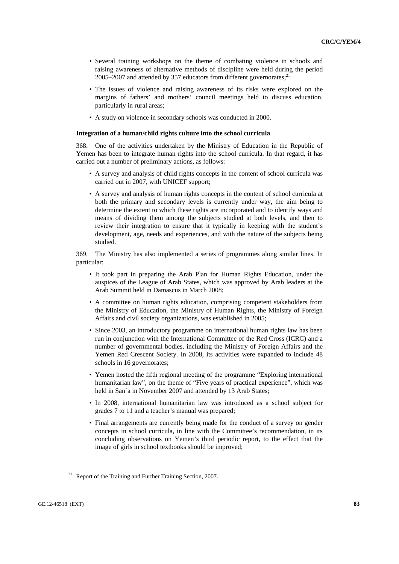- Several training workshops on the theme of combating violence in schools and raising awareness of alternative methods of discipline were held during the period  $2005-2007$  and attended by 357 educators from different governorates;<sup>21</sup>
- The issues of violence and raising awareness of its risks were explored on the margins of fathers' and mothers' council meetings held to discuss education, particularly in rural areas;
- A study on violence in secondary schools was conducted in 2000.

### **Integration of a human/child rights culture into the school curricula**

368. One of the activities undertaken by the Ministry of Education in the Republic of Yemen has been to integrate human rights into the school curricula. In that regard, it has carried out a number of preliminary actions, as follows:

- A survey and analysis of child rights concepts in the content of school curricula was carried out in 2007, with UNICEF support;
- A survey and analysis of human rights concepts in the content of school curricula at both the primary and secondary levels is currently under way, the aim being to determine the extent to which these rights are incorporated and to identify ways and means of dividing them among the subjects studied at both levels, and then to review their integration to ensure that it typically in keeping with the student's development, age, needs and experiences, and with the nature of the subjects being studied.

369. The Ministry has also implemented a series of programmes along similar lines. In particular:

- It took part in preparing the Arab Plan for Human Rights Education, under the auspices of the League of Arab States, which was approved by Arab leaders at the Arab Summit held in Damascus in March 2008;
- A committee on human rights education, comprising competent stakeholders from the Ministry of Education, the Ministry of Human Rights, the Ministry of Foreign Affairs and civil society organizations, was established in 2005;
- Since 2003, an introductory programme on international human rights law has been run in conjunction with the International Committee of the Red Cross (ICRC) and a number of governmental bodies, including the Ministry of Foreign Affairs and the Yemen Red Crescent Society. In 2008, its activities were expanded to include 48 schools in 16 governorates;
- Yemen hosted the fifth regional meeting of the programme "Exploring international humanitarian law", on the theme of "Five years of practical experience", which was held in San`a in November 2007 and attended by 13 Arab States;
- In 2008, international humanitarian law was introduced as a school subject for grades 7 to 11 and a teacher's manual was prepared;
- Final arrangements are currently being made for the conduct of a survey on gender concepts in school curricula, in line with the Committee's recommendation, in its concluding observations on Yemen's third periodic report, to the effect that the image of girls in school textbooks should be improved;

<sup>&</sup>lt;sup>21</sup> Report of the Training and Further Training Section, 2007.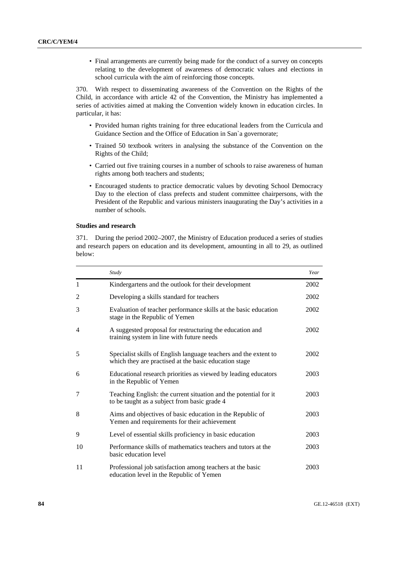• Final arrangements are currently being made for the conduct of a survey on concepts relating to the development of awareness of democratic values and elections in school curricula with the aim of reinforcing those concepts.

370. With respect to disseminating awareness of the Convention on the Rights of the Child, in accordance with article 42 of the Convention, the Ministry has implemented a series of activities aimed at making the Convention widely known in education circles. In particular, it has:

- Provided human rights training for three educational leaders from the Curricula and Guidance Section and the Office of Education in San`a governorate;
- Trained 50 textbook writers in analysing the substance of the Convention on the Rights of the Child;
- Carried out five training courses in a number of schools to raise awareness of human rights among both teachers and students;
- Encouraged students to practice democratic values by devoting School Democracy Day to the election of class prefects and student committee chairpersons, with the President of the Republic and various ministers inaugurating the Day's activities in a number of schools.

## **Studies and research**

371. During the period 2002–2007, the Ministry of Education produced a series of studies and research papers on education and its development, amounting in all to 29, as outlined below:

|                | Study                                                                                                                     | Year |
|----------------|---------------------------------------------------------------------------------------------------------------------------|------|
| 1              | Kindergartens and the outlook for their development                                                                       | 2002 |
| $\overline{2}$ | Developing a skills standard for teachers                                                                                 | 2002 |
| 3              | Evaluation of teacher performance skills at the basic education<br>stage in the Republic of Yemen                         | 2002 |
| 4              | A suggested proposal for restructuring the education and<br>training system in line with future needs                     | 2002 |
| 5              | Specialist skills of English language teachers and the extent to<br>which they are practised at the basic education stage | 2002 |
| 6              | Educational research priorities as viewed by leading educators<br>in the Republic of Yemen                                | 2003 |
| 7              | Teaching English: the current situation and the potential for it<br>to be taught as a subject from basic grade 4          | 2003 |
| 8              | Aims and objectives of basic education in the Republic of<br>Yemen and requirements for their achievement                 | 2003 |
| 9              | Level of essential skills proficiency in basic education                                                                  | 2003 |
| 10             | Performance skills of mathematics teachers and tutors at the<br>basic education level                                     | 2003 |
| 11             | Professional job satisfaction among teachers at the basic<br>education level in the Republic of Yemen                     | 2003 |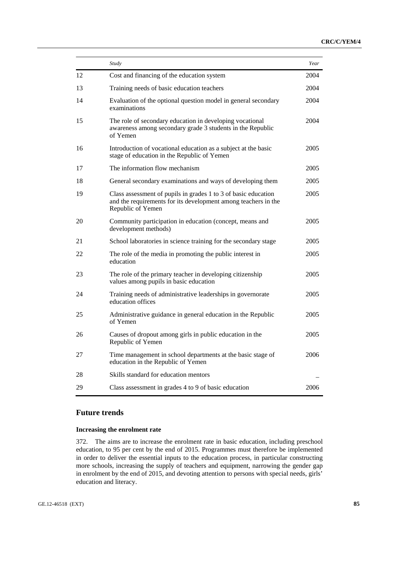|    | Study                                                                                                                                                 | Year |
|----|-------------------------------------------------------------------------------------------------------------------------------------------------------|------|
| 12 | Cost and financing of the education system                                                                                                            | 2004 |
| 13 | Training needs of basic education teachers                                                                                                            | 2004 |
| 14 | Evaluation of the optional question model in general secondary<br>examinations                                                                        | 2004 |
| 15 | The role of secondary education in developing vocational<br>awareness among secondary grade 3 students in the Republic<br>of Yemen                    | 2004 |
| 16 | Introduction of vocational education as a subject at the basic<br>stage of education in the Republic of Yemen                                         | 2005 |
| 17 | The information flow mechanism                                                                                                                        | 2005 |
| 18 | General secondary examinations and ways of developing them                                                                                            | 2005 |
| 19 | Class assessment of pupils in grades 1 to 3 of basic education<br>and the requirements for its development among teachers in the<br>Republic of Yemen | 2005 |
| 20 | Community participation in education (concept, means and<br>development methods)                                                                      | 2005 |
| 21 | School laboratories in science training for the secondary stage                                                                                       | 2005 |
| 22 | The role of the media in promoting the public interest in<br>education                                                                                | 2005 |
| 23 | The role of the primary teacher in developing citizenship<br>values among pupils in basic education                                                   | 2005 |
| 24 | Training needs of administrative leaderships in governorate<br>education offices                                                                      | 2005 |
| 25 | Administrative guidance in general education in the Republic<br>of Yemen                                                                              | 2005 |
| 26 | Causes of dropout among girls in public education in the<br>Republic of Yemen                                                                         | 2005 |
| 27 | Time management in school departments at the basic stage of<br>education in the Republic of Yemen                                                     | 2006 |
| 28 | Skills standard for education mentors                                                                                                                 |      |
| 29 | Class assessment in grades 4 to 9 of basic education                                                                                                  | 2006 |

## **Future trends**

## **Increasing the enrolment rate**

372. The aims are to increase the enrolment rate in basic education, including preschool education, to 95 per cent by the end of 2015. Programmes must therefore be implemented in order to deliver the essential inputs to the education process, in particular constructing more schools, increasing the supply of teachers and equipment, narrowing the gender gap in enrolment by the end of 2015, and devoting attention to persons with special needs, girls' education and literacy.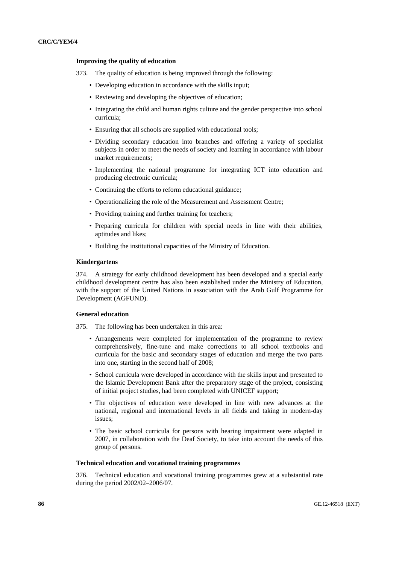### **Improving the quality of education**

- 373. The quality of education is being improved through the following:
	- Developing education in accordance with the skills input;
	- Reviewing and developing the objectives of education;
	- Integrating the child and human rights culture and the gender perspective into school curricula;
	- Ensuring that all schools are supplied with educational tools;
	- Dividing secondary education into branches and offering a variety of specialist subjects in order to meet the needs of society and learning in accordance with labour market requirements;
	- Implementing the national programme for integrating ICT into education and producing electronic curricula;
	- Continuing the efforts to reform educational guidance;
	- Operationalizing the role of the Measurement and Assessment Centre;
	- Providing training and further training for teachers;
	- Preparing curricula for children with special needs in line with their abilities, aptitudes and likes;
	- Building the institutional capacities of the Ministry of Education.

## **Kindergartens**

374. A strategy for early childhood development has been developed and a special early childhood development centre has also been established under the Ministry of Education, with the support of the United Nations in association with the Arab Gulf Programme for Development (AGFUND).

## **General education**

- 375. The following has been undertaken in this area:
	- Arrangements were completed for implementation of the programme to review comprehensively, fine-tune and make corrections to all school textbooks and curricula for the basic and secondary stages of education and merge the two parts into one, starting in the second half of 2008;
	- School curricula were developed in accordance with the skills input and presented to the Islamic Development Bank after the preparatory stage of the project, consisting of initial project studies, had been completed with UNICEF support;
	- The objectives of education were developed in line with new advances at the national, regional and international levels in all fields and taking in modern-day issues;
	- The basic school curricula for persons with hearing impairment were adapted in 2007, in collaboration with the Deaf Society, to take into account the needs of this group of persons.

#### **Technical education and vocational training programmes**

376. Technical education and vocational training programmes grew at a substantial rate during the period 2002/02–2006/07.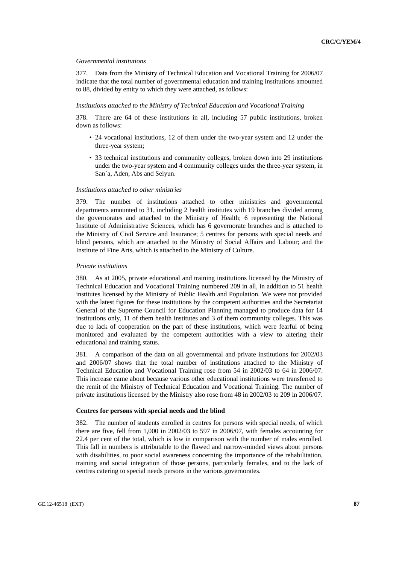## *Governmental institutions*

377. Data from the Ministry of Technical Education and Vocational Training for 2006/07 indicate that the total number of governmental education and training institutions amounted to 88, divided by entity to which they were attached, as follows:

#### *Institutions attached to the Ministry of Technical Education and Vocational Training*

378. There are 64 of these institutions in all, including 57 public institutions, broken down as follows:

- 24 vocational institutions, 12 of them under the two-year system and 12 under the three-year system;
- 33 technical institutions and community colleges, broken down into 29 institutions under the two-year system and 4 community colleges under the three-year system, in San`a, Aden, Abs and Seiyun.

#### *Institutions attached to other ministries*

379. The number of institutions attached to other ministries and governmental departments amounted to 31, including 2 health institutes with 19 branches divided among the governorates and attached to the Ministry of Health; 6 representing the National Institute of Administrative Sciences, which has 6 governorate branches and is attached to the Ministry of Civil Service and Insurance; 5 centres for persons with special needs and blind persons, which are attached to the Ministry of Social Affairs and Labour; and the Institute of Fine Arts, which is attached to the Ministry of Culture.

#### *Private institutions*

380. As at 2005, private educational and training institutions licensed by the Ministry of Technical Education and Vocational Training numbered 209 in all, in addition to 51 health institutes licensed by the Ministry of Public Health and Population. We were not provided with the latest figures for these institutions by the competent authorities and the Secretariat General of the Supreme Council for Education Planning managed to produce data for 14 institutions only, 11 of them health institutes and 3 of them community colleges. This was due to lack of cooperation on the part of these institutions, which were fearful of being monitored and evaluated by the competent authorities with a view to altering their educational and training status.

381. A comparison of the data on all governmental and private institutions for 2002/03 and 2006/07 shows that the total number of institutions attached to the Ministry of Technical Education and Vocational Training rose from 54 in 2002/03 to 64 in 2006/07. This increase came about because various other educational institutions were transferred to the remit of the Ministry of Technical Education and Vocational Training. The number of private institutions licensed by the Ministry also rose from 48 in 2002/03 to 209 in 2006/07.

#### **Centres for persons with special needs and the blind**

382. The number of students enrolled in centres for persons with special needs, of which there are five, fell from 1,000 in 2002/03 to 597 in 2006/07, with females accounting for 22.4 per cent of the total, which is low in comparison with the number of males enrolled. This fall in numbers is attributable to the flawed and narrow-minded views about persons with disabilities, to poor social awareness concerning the importance of the rehabilitation, training and social integration of those persons, particularly females, and to the lack of centres catering to special needs persons in the various governorates.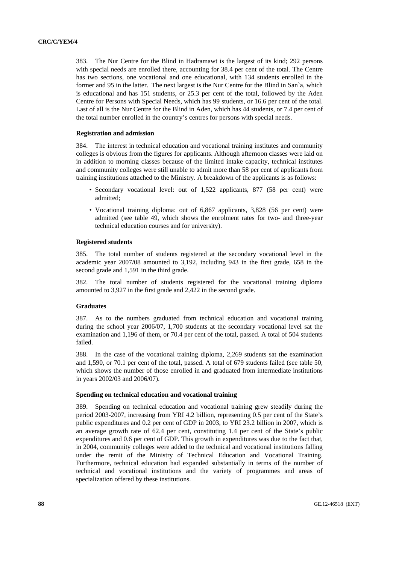383. The Nur Centre for the Blind in Hadramawt is the largest of its kind; 292 persons with special needs are enrolled there, accounting for 38.4 per cent of the total. The Centre has two sections, one vocational and one educational, with 134 students enrolled in the former and 95 in the latter. The next largest is the Nur Centre for the Blind in San`a, which is educational and has 151 students, or 25.3 per cent of the total, followed by the Aden Centre for Persons with Special Needs, which has 99 students, or 16.6 per cent of the total. Last of all is the Nur Centre for the Blind in Aden, which has 44 students, or 7.4 per cent of the total number enrolled in the country's centres for persons with special needs.

## **Registration and admission**

384. The interest in technical education and vocational training institutes and community colleges is obvious from the figures for applicants. Although afternoon classes were laid on in addition to morning classes because of the limited intake capacity, technical institutes and community colleges were still unable to admit more than 58 per cent of applicants from training institutions attached to the Ministry. A breakdown of the applicants is as follows:

- Secondary vocational level: out of 1,522 applicants, 877 (58 per cent) were admitted;
- Vocational training diploma: out of 6,867 applicants, 3,828 (56 per cent) were admitted (see table 49, which shows the enrolment rates for two- and three-year technical education courses and for university).

#### **Registered students**

385. The total number of students registered at the secondary vocational level in the academic year 2007/08 amounted to 3,192, including 943 in the first grade, 658 in the second grade and 1,591 in the third grade.

382. The total number of students registered for the vocational training diploma amounted to 3,927 in the first grade and 2,422 in the second grade.

#### **Graduates**

387. As to the numbers graduated from technical education and vocational training during the school year 2006/07, 1,700 students at the secondary vocational level sat the examination and 1,196 of them, or 70.4 per cent of the total, passed. A total of 504 students failed.

388. In the case of the vocational training diploma, 2,269 students sat the examination and 1,590, or 70.1 per cent of the total, passed. A total of 679 students failed (see table 50, which shows the number of those enrolled in and graduated from intermediate institutions in years 2002/03 and 2006/07).

## **Spending on technical education and vocational training**

389. Spending on technical education and vocational training grew steadily during the period 2003-2007, increasing from YRI 4.2 billion, representing 0.5 per cent of the State's public expenditures and 0.2 per cent of GDP in 2003, to YRI 23.2 billion in 2007, which is an average growth rate of 62.4 per cent, constituting 1.4 per cent of the State's public expenditures and 0.6 per cent of GDP. This growth in expenditures was due to the fact that, in 2004, community colleges were added to the technical and vocational institutions falling under the remit of the Ministry of Technical Education and Vocational Training. Furthermore, technical education had expanded substantially in terms of the number of technical and vocational institutions and the variety of programmes and areas of specialization offered by these institutions.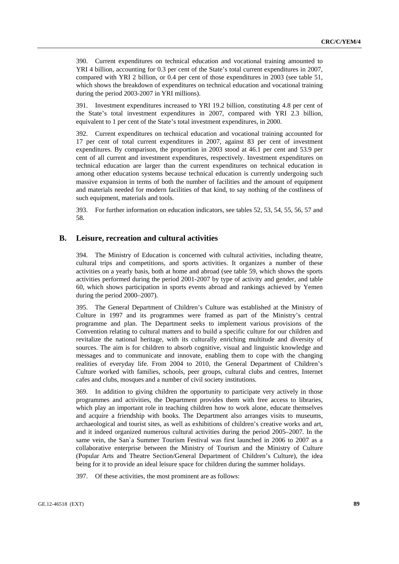390. Current expenditures on technical education and vocational training amounted to YRI 4 billion, accounting for 0.3 per cent of the State's total current expenditures in 2007, compared with YRI 2 billion, or 0.4 per cent of those expenditures in 2003 (see table 51, which shows the breakdown of expenditures on technical education and vocational training during the period 2003-2007 in YRI millions).

391. Investment expenditures increased to YRI 19.2 billion, constituting 4.8 per cent of the State's total investment expenditures in 2007, compared with YRI 2.3 billion, equivalent to 1 per cent of the State's total investment expenditures, in 2000.

392. Current expenditures on technical education and vocational training accounted for 17 per cent of total current expenditures in 2007, against 83 per cent of investment expenditures. By comparison, the proportion in 2003 stood at 46.1 per cent and 53.9 per cent of all current and investment expenditures, respectively. Investment expenditures on technical education are larger than the current expenditures on technical education in among other education systems because technical education is currently undergoing such massive expansion in terms of both the number of facilities and the amount of equipment and materials needed for modern facilities of that kind, to say nothing of the costliness of such equipment, materials and tools.

393. For further information on education indicators, see tables 52, 53, 54, 55, 56, 57 and 58.

## **B. Leisure, recreation and cultural activities**

394. The Ministry of Education is concerned with cultural activities, including theatre, cultural trips and competitions, and sports activities. It organizes a number of these activities on a yearly basis, both at home and abroad (see table 59, which shows the sports activities performed during the period 2001-2007 by type of activity and gender, and table 60, which shows participation in sports events abroad and rankings achieved by Yemen during the period 2000–2007).

395. The General Department of Children's Culture was established at the Ministry of Culture in 1997 and its programmes were framed as part of the Ministry's central programme and plan. The Department seeks to implement various provisions of the Convention relating to cultural matters and to build a specific culture for our children and revitalize the national heritage, with its culturally enriching multitude and diversity of sources. The aim is for children to absorb cognitive, visual and linguistic knowledge and messages and to communicate and innovate, enabling them to cope with the changing realities of everyday life. From 2004 to 2010, the General Department of Children's Culture worked with families, schools, peer groups, cultural clubs and centres, Internet cafes and clubs, mosques and a number of civil society institutions.

369. In addition to giving children the opportunity to participate very actively in those programmes and activities, the Department provides them with free access to libraries, which play an important role in teaching children how to work alone, educate themselves and acquire a friendship with books. The Department also arranges visits to museums, archaeological and tourist sites, as well as exhibitions of children's creative works and art, and it indeed organized numerous cultural activities during the period 2005–2007. In the same vein, the San`a Summer Tourism Festival was first launched in 2006 to 2007 as a collaborative enterprise between the Ministry of Tourism and the Ministry of Culture (Popular Arts and Theatre Section/General Department of Children's Culture), the idea being for it to provide an ideal leisure space for children during the summer holidays.

397. Of these activities, the most prominent are as follows: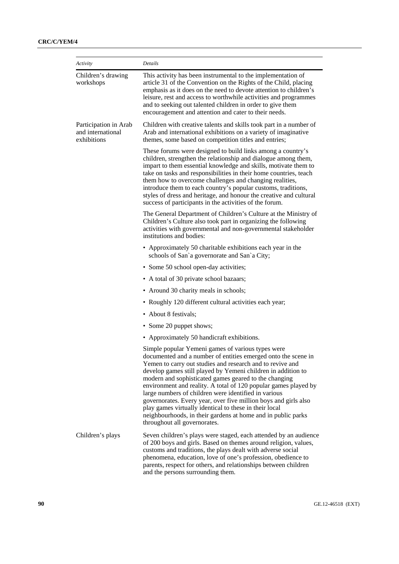| Activity                                                  | Details                                                                                                                                                                                                                                                                                                                                                                                                                                                                                                                                                                                                                                                          |
|-----------------------------------------------------------|------------------------------------------------------------------------------------------------------------------------------------------------------------------------------------------------------------------------------------------------------------------------------------------------------------------------------------------------------------------------------------------------------------------------------------------------------------------------------------------------------------------------------------------------------------------------------------------------------------------------------------------------------------------|
| Children's drawing<br>workshops                           | This activity has been instrumental to the implementation of<br>article 31 of the Convention on the Rights of the Child, placing<br>emphasis as it does on the need to devote attention to children's<br>leisure, rest and access to worthwhile activities and programmes<br>and to seeking out talented children in order to give them<br>encouragement and attention and cater to their needs.                                                                                                                                                                                                                                                                 |
| Participation in Arab<br>and international<br>exhibitions | Children with creative talents and skills took part in a number of<br>Arab and international exhibitions on a variety of imaginative<br>themes, some based on competition titles and entries;                                                                                                                                                                                                                                                                                                                                                                                                                                                                    |
|                                                           | These forums were designed to build links among a country's<br>children, strengthen the relationship and dialogue among them,<br>impart to them essential knowledge and skills, motivate them to<br>take on tasks and responsibilities in their home countries, teach<br>them how to overcome challenges and changing realities,<br>introduce them to each country's popular customs, traditions,<br>styles of dress and heritage, and honour the creative and cultural<br>success of participants in the activities of the forum.                                                                                                                               |
|                                                           | The General Department of Children's Culture at the Ministry of<br>Children's Culture also took part in organizing the following<br>activities with governmental and non-governmental stakeholder<br>institutions and bodies:                                                                                                                                                                                                                                                                                                                                                                                                                                    |
|                                                           | • Approximately 50 charitable exhibitions each year in the<br>schools of San'a governorate and San'a City;                                                                                                                                                                                                                                                                                                                                                                                                                                                                                                                                                       |
|                                                           | • Some 50 school open-day activities;                                                                                                                                                                                                                                                                                                                                                                                                                                                                                                                                                                                                                            |
|                                                           | • A total of 30 private school bazaars;                                                                                                                                                                                                                                                                                                                                                                                                                                                                                                                                                                                                                          |
|                                                           | • Around 30 charity meals in schools;                                                                                                                                                                                                                                                                                                                                                                                                                                                                                                                                                                                                                            |
|                                                           | • Roughly 120 different cultural activities each year;                                                                                                                                                                                                                                                                                                                                                                                                                                                                                                                                                                                                           |
|                                                           | • About 8 festivals;                                                                                                                                                                                                                                                                                                                                                                                                                                                                                                                                                                                                                                             |
|                                                           | • Some 20 puppet shows;                                                                                                                                                                                                                                                                                                                                                                                                                                                                                                                                                                                                                                          |
|                                                           | • Approximately 50 handicraft exhibitions.                                                                                                                                                                                                                                                                                                                                                                                                                                                                                                                                                                                                                       |
|                                                           | Simple popular Yemeni games of various types were<br>documented and a number of entities emerged onto the scene in<br>Yemen to carry out studies and research and to revive and<br>develop games still played by Yemeni children in addition to<br>modern and sophisticated games geared to the changing<br>environment and reality. A total of 120 popular games played by<br>large numbers of children were identified in various<br>governorates. Every year, over five million boys and girls also<br>play games virtually identical to these in their local<br>neighbourhoods, in their gardens at home and in public parks<br>throughout all governorates. |
| Children's plays                                          | Seven children's plays were staged, each attended by an audience<br>of 200 boys and girls. Based on themes around religion, values,<br>customs and traditions, the plays dealt with adverse social<br>phenomena, education, love of one's profession, obedience to<br>parents, respect for others, and relationships between children<br>and the persons surrounding them.                                                                                                                                                                                                                                                                                       |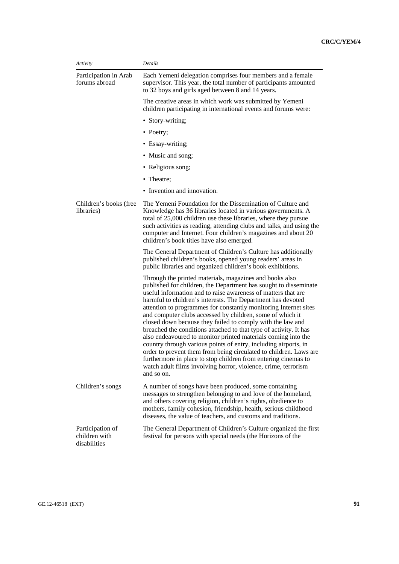| Activity                                          | Details                                                                                                                                                                                                                                                                                                                                                                                                                                                                                                                                                                                                                                                                                                                                                                                                                                                                                    |
|---------------------------------------------------|--------------------------------------------------------------------------------------------------------------------------------------------------------------------------------------------------------------------------------------------------------------------------------------------------------------------------------------------------------------------------------------------------------------------------------------------------------------------------------------------------------------------------------------------------------------------------------------------------------------------------------------------------------------------------------------------------------------------------------------------------------------------------------------------------------------------------------------------------------------------------------------------|
| Participation in Arab<br>forums abroad            | Each Yemeni delegation comprises four members and a female<br>supervisor. This year, the total number of participants amounted<br>to 32 boys and girls aged between 8 and 14 years.                                                                                                                                                                                                                                                                                                                                                                                                                                                                                                                                                                                                                                                                                                        |
|                                                   | The creative areas in which work was submitted by Yemeni<br>children participating in international events and forums were:                                                                                                                                                                                                                                                                                                                                                                                                                                                                                                                                                                                                                                                                                                                                                                |
|                                                   | • Story-writing;                                                                                                                                                                                                                                                                                                                                                                                                                                                                                                                                                                                                                                                                                                                                                                                                                                                                           |
|                                                   | • Poetry;                                                                                                                                                                                                                                                                                                                                                                                                                                                                                                                                                                                                                                                                                                                                                                                                                                                                                  |
|                                                   | • Essay-writing;                                                                                                                                                                                                                                                                                                                                                                                                                                                                                                                                                                                                                                                                                                                                                                                                                                                                           |
|                                                   | • Music and song;                                                                                                                                                                                                                                                                                                                                                                                                                                                                                                                                                                                                                                                                                                                                                                                                                                                                          |
|                                                   | • Religious song;                                                                                                                                                                                                                                                                                                                                                                                                                                                                                                                                                                                                                                                                                                                                                                                                                                                                          |
|                                                   | • Theatre;                                                                                                                                                                                                                                                                                                                                                                                                                                                                                                                                                                                                                                                                                                                                                                                                                                                                                 |
|                                                   | • Invention and innovation.                                                                                                                                                                                                                                                                                                                                                                                                                                                                                                                                                                                                                                                                                                                                                                                                                                                                |
| Children's books (free<br>libraries)              | The Yemeni Foundation for the Dissemination of Culture and<br>Knowledge has 36 libraries located in various governments. A<br>total of 25,000 children use these libraries, where they pursue<br>such activities as reading, attending clubs and talks, and using the<br>computer and Internet. Four children's magazines and about 20<br>children's book titles have also emerged.                                                                                                                                                                                                                                                                                                                                                                                                                                                                                                        |
|                                                   | The General Department of Children's Culture has additionally<br>published children's books, opened young readers' areas in<br>public libraries and organized children's book exhibitions.                                                                                                                                                                                                                                                                                                                                                                                                                                                                                                                                                                                                                                                                                                 |
|                                                   | Through the printed materials, magazines and books also<br>published for children, the Department has sought to disseminate<br>useful information and to raise awareness of matters that are<br>harmful to children's interests. The Department has devoted<br>attention to programmes for constantly monitoring Internet sites<br>and computer clubs accessed by children, some of which it<br>closed down because they failed to comply with the law and<br>breached the conditions attached to that type of activity. It has<br>also endeavoured to monitor printed materials coming into the<br>country through various points of entry, including airports, in<br>order to prevent them from being circulated to children. Laws are<br>furthermore in place to stop children from entering cinemas to<br>watch adult films involving horror, violence, crime, terrorism<br>and so on. |
| Children's songs                                  | A number of songs have been produced, some containing<br>messages to strengthen belonging to and love of the homeland,<br>and others covering religion, children's rights, obedience to<br>mothers, family cohesion, friendship, health, serious childhood<br>diseases, the value of teachers, and customs and traditions.                                                                                                                                                                                                                                                                                                                                                                                                                                                                                                                                                                 |
| Participation of<br>children with<br>disabilities | The General Department of Children's Culture organized the first<br>festival for persons with special needs (the Horizons of the                                                                                                                                                                                                                                                                                                                                                                                                                                                                                                                                                                                                                                                                                                                                                           |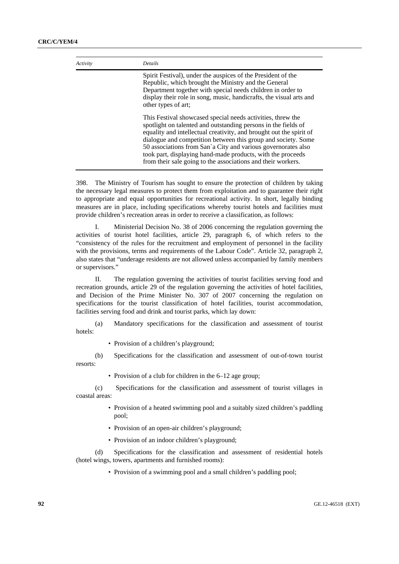| Activity | <b>Details</b>                                                                                                                                                                                                                                                                                                                                                                                                                                                        |
|----------|-----------------------------------------------------------------------------------------------------------------------------------------------------------------------------------------------------------------------------------------------------------------------------------------------------------------------------------------------------------------------------------------------------------------------------------------------------------------------|
|          | Spirit Festival), under the auspices of the President of the<br>Republic, which brought the Ministry and the General<br>Department together with special needs children in order to<br>display their role in song, music, handicrafts, the visual arts and<br>other types of art;                                                                                                                                                                                     |
|          | This Festival showcased special needs activities, threw the<br>spotlight on talented and outstanding persons in the fields of<br>equality and intellectual creativity, and brought out the spirit of<br>dialogue and competition between this group and society. Some<br>50 associations from San'a City and various governorates also<br>took part, displaying hand-made products, with the proceeds<br>from their sale going to the associations and their workers. |

398. The Ministry of Tourism has sought to ensure the protection of children by taking the necessary legal measures to protect them from exploitation and to guarantee their right to appropriate and equal opportunities for recreational activity. In short, legally binding measures are in place, including specifications whereby tourist hotels and facilities must provide children's recreation areas in order to receive a classification, as follows:

 I. Ministerial Decision No. 38 of 2006 concerning the regulation governing the activities of tourist hotel facilities, article 29, paragraph 6, of which refers to the "consistency of the rules for the recruitment and employment of personnel in the facility with the provisions, terms and requirements of the Labour Code". Article 32, paragraph 2, also states that "underage residents are not allowed unless accompanied by family members or supervisors."

 II. The regulation governing the activities of tourist facilities serving food and recreation grounds, article 29 of the regulation governing the activities of hotel facilities, and Decision of the Prime Minister No. 307 of 2007 concerning the regulation on specifications for the tourist classification of hotel facilities, tourist accommodation, facilities serving food and drink and tourist parks, which lay down:

 (a) Mandatory specifications for the classification and assessment of tourist hotels:

• Provision of a children's playground;

 (b) Specifications for the classification and assessment of out-of-town tourist resorts:

• Provision of a club for children in the 6–12 age group;

 (c) Specifications for the classification and assessment of tourist villages in coastal areas:

- Provision of a heated swimming pool and a suitably sized children's paddling pool;
- Provision of an open-air children's playground;
- Provision of an indoor children's playground;

 (d) Specifications for the classification and assessment of residential hotels (hotel wings, towers, apartments and furnished rooms):

• Provision of a swimming pool and a small children's paddling pool;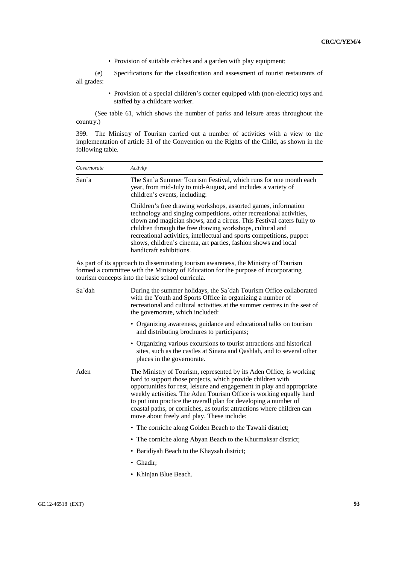• Provision of suitable crèches and a garden with play equipment;

 (e) Specifications for the classification and assessment of tourist restaurants of all grades:

> • Provision of a special children's corner equipped with (non-electric) toys and staffed by a childcare worker.

 (See table 61, which shows the number of parks and leisure areas throughout the country.)

399. The Ministry of Tourism carried out a number of activities with a view to the implementation of article 31 of the Convention on the Rights of the Child, as shown in the following table.

| Governorate                                                                                                                                                                                                                    | Activity                                                                                                                                                                                                                                                                                                                                                                                                                                                                       |
|--------------------------------------------------------------------------------------------------------------------------------------------------------------------------------------------------------------------------------|--------------------------------------------------------------------------------------------------------------------------------------------------------------------------------------------------------------------------------------------------------------------------------------------------------------------------------------------------------------------------------------------------------------------------------------------------------------------------------|
| San`a                                                                                                                                                                                                                          | The San'a Summer Tourism Festival, which runs for one month each<br>year, from mid-July to mid-August, and includes a variety of<br>children's events, including:                                                                                                                                                                                                                                                                                                              |
|                                                                                                                                                                                                                                | Children's free drawing workshops, assorted games, information<br>technology and singing competitions, other recreational activities,<br>clown and magician shows, and a circus. This Festival caters fully to<br>children through the free drawing workshops, cultural and<br>recreational activities, intellectual and sports competitions, puppet<br>shows, children's cinema, art parties, fashion shows and local<br>handicraft exhibitions.                              |
| As part of its approach to disseminating tourism awareness, the Ministry of Tourism<br>formed a committee with the Ministry of Education for the purpose of incorporating<br>tourism concepts into the basic school curricula. |                                                                                                                                                                                                                                                                                                                                                                                                                                                                                |
| Sa`dah                                                                                                                                                                                                                         | During the summer holidays, the Sa`dah Tourism Office collaborated<br>with the Youth and Sports Office in organizing a number of<br>recreational and cultural activities at the summer centres in the seat of<br>the governorate, which included:                                                                                                                                                                                                                              |
|                                                                                                                                                                                                                                | • Organizing awareness, guidance and educational talks on tourism<br>and distributing brochures to participants;                                                                                                                                                                                                                                                                                                                                                               |
|                                                                                                                                                                                                                                | • Organizing various excursions to tourist attractions and historical<br>sites, such as the castles at Sinara and Qashlah, and to several other<br>places in the governorate.                                                                                                                                                                                                                                                                                                  |
| Aden                                                                                                                                                                                                                           | The Ministry of Tourism, represented by its Aden Office, is working<br>hard to support those projects, which provide children with<br>opportunities for rest, leisure and engagement in play and appropriate<br>weekly activities. The Aden Tourism Office is working equally hard<br>to put into practice the overall plan for developing a number of<br>coastal paths, or corniches, as tourist attractions where children can<br>move about freely and play. These include: |
|                                                                                                                                                                                                                                | • The corniche along Golden Beach to the Tawahi district;                                                                                                                                                                                                                                                                                                                                                                                                                      |
|                                                                                                                                                                                                                                | • The corniche along Abyan Beach to the Khurmaksar district;                                                                                                                                                                                                                                                                                                                                                                                                                   |
|                                                                                                                                                                                                                                | • Baridiyah Beach to the Khaysah district;                                                                                                                                                                                                                                                                                                                                                                                                                                     |
|                                                                                                                                                                                                                                | • Ghadir;                                                                                                                                                                                                                                                                                                                                                                                                                                                                      |
|                                                                                                                                                                                                                                | • Khinjan Blue Beach.                                                                                                                                                                                                                                                                                                                                                                                                                                                          |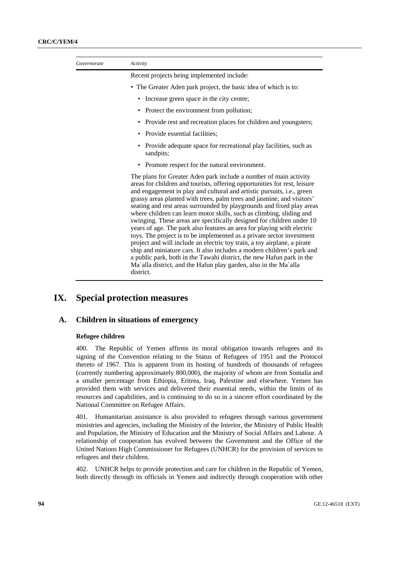| Governorate | Activity                                                                                                                                                                                                                                                                                                                                                                                                                                                                                                                                                                                                                                                                                                                                                                                                                                                                                                                                                                                        |
|-------------|-------------------------------------------------------------------------------------------------------------------------------------------------------------------------------------------------------------------------------------------------------------------------------------------------------------------------------------------------------------------------------------------------------------------------------------------------------------------------------------------------------------------------------------------------------------------------------------------------------------------------------------------------------------------------------------------------------------------------------------------------------------------------------------------------------------------------------------------------------------------------------------------------------------------------------------------------------------------------------------------------|
|             | Recent projects being implemented include:                                                                                                                                                                                                                                                                                                                                                                                                                                                                                                                                                                                                                                                                                                                                                                                                                                                                                                                                                      |
|             | • The Greater Aden park project, the basic idea of which is to:                                                                                                                                                                                                                                                                                                                                                                                                                                                                                                                                                                                                                                                                                                                                                                                                                                                                                                                                 |
|             | Increase green space in the city centre;<br>٠                                                                                                                                                                                                                                                                                                                                                                                                                                                                                                                                                                                                                                                                                                                                                                                                                                                                                                                                                   |
|             | • Protect the environment from pollution;                                                                                                                                                                                                                                                                                                                                                                                                                                                                                                                                                                                                                                                                                                                                                                                                                                                                                                                                                       |
|             | Provide rest and recreation places for children and youngsters;<br>٠                                                                                                                                                                                                                                                                                                                                                                                                                                                                                                                                                                                                                                                                                                                                                                                                                                                                                                                            |
|             | Provide essential facilities;                                                                                                                                                                                                                                                                                                                                                                                                                                                                                                                                                                                                                                                                                                                                                                                                                                                                                                                                                                   |
|             | • Provide adequate space for recreational play facilities, such as<br>sandpits;                                                                                                                                                                                                                                                                                                                                                                                                                                                                                                                                                                                                                                                                                                                                                                                                                                                                                                                 |
|             | • Promote respect for the natural environment.                                                                                                                                                                                                                                                                                                                                                                                                                                                                                                                                                                                                                                                                                                                                                                                                                                                                                                                                                  |
|             | The plans for Greater Aden park include a number of main activity<br>areas for children and tourists, offering opportunities for rest, leisure<br>and engagement in play and cultural and artistic pursuits, i.e., green<br>grassy areas planted with trees, palm trees and jasmine, and visitors'<br>seating and rest areas surrounded by playgrounds and fixed play areas<br>where children can learn motor skills, such as climbing, sliding and<br>swinging. These areas are specifically designed for children under 10<br>years of age. The park also features an area for playing with electric<br>toys. The project is to be implemented as a private sector investment<br>project and will include an electric toy train, a toy airplane, a pirate<br>ship and miniature cars. It also includes a modern children's park and<br>a public park, both in the Tawahi district, the new Hafun park in the<br>Ma'alla district, and the Hafun play garden, also in the Ma'alla<br>district. |

# **IX. Special protection measures**

## **A. Children in situations of emergency**

## **Refugee children**

400. The Republic of Yemen affirms its moral obligation towards refugees and its signing of the Convention relating to the Status of Refugees of 1951 and the Protocol thereto of 1967. This is apparent from its hosting of hundreds of thousands of refugees (currently numbering approximately 800,000), the majority of whom are from Somalia and a smaller percentage from Ethiopia, Eritrea, Iraq, Palestine and elsewhere. Yemen has provided them with services and delivered their essential needs, within the limits of its resources and capabilities, and is continuing to do so in a sincere effort coordinated by the National Committee on Refugee Affairs.

401. Humanitarian assistance is also provided to refugees through various government ministries and agencies, including the Ministry of the Interior, the Ministry of Public Health and Population, the Ministry of Education and the Ministry of Social Affairs and Labour. A relationship of cooperation has evolved between the Government and the Office of the United Nations High Commissioner for Refugees (UNHCR) for the provision of services to refugees and their children.

402. UNHCR helps to provide protection and care for children in the Republic of Yemen, both directly through its officials in Yemen and indirectly through cooperation with other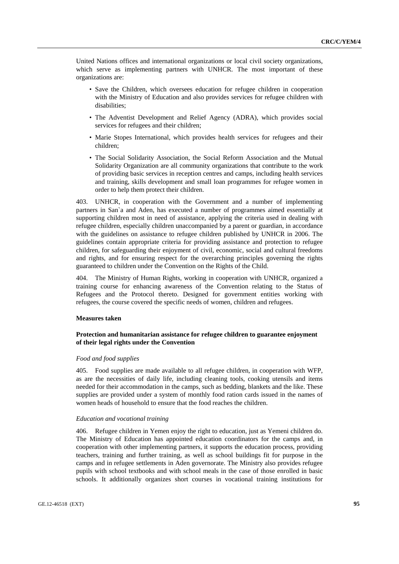United Nations offices and international organizations or local civil society organizations, which serve as implementing partners with UNHCR. The most important of these organizations are:

- Save the Children, which oversees education for refugee children in cooperation with the Ministry of Education and also provides services for refugee children with disabilities;
- The Adventist Development and Relief Agency (ADRA), which provides social services for refugees and their children;
- Marie Stopes International, which provides health services for refugees and their children;
- The Social Solidarity Association, the Social Reform Association and the Mutual Solidarity Organization are all community organizations that contribute to the work of providing basic services in reception centres and camps, including health services and training, skills development and small loan programmes for refugee women in order to help them protect their children.

403. UNHCR, in cooperation with the Government and a number of implementing partners in San`a and Aden, has executed a number of programmes aimed essentially at supporting children most in need of assistance, applying the criteria used in dealing with refugee children, especially children unaccompanied by a parent or guardian, in accordance with the guidelines on assistance to refugee children published by UNHCR in 2006. The guidelines contain appropriate criteria for providing assistance and protection to refugee children, for safeguarding their enjoyment of civil, economic, social and cultural freedoms and rights, and for ensuring respect for the overarching principles governing the rights guaranteed to children under the Convention on the Rights of the Child.

404. The Ministry of Human Rights, working in cooperation with UNHCR, organized a training course for enhancing awareness of the Convention relating to the Status of Refugees and the Protocol thereto. Designed for government entities working with refugees, the course covered the specific needs of women, children and refugees.

## **Measures taken**

## **Protection and humanitarian assistance for refugee children to guarantee enjoyment of their legal rights under the Convention**

### *Food and food supplies*

405. Food supplies are made available to all refugee children, in cooperation with WFP, as are the necessities of daily life, including cleaning tools, cooking utensils and items needed for their accommodation in the camps, such as bedding, blankets and the like. These supplies are provided under a system of monthly food ration cards issued in the names of women heads of household to ensure that the food reaches the children.

#### *Education and vocational training*

406. Refugee children in Yemen enjoy the right to education, just as Yemeni children do. The Ministry of Education has appointed education coordinators for the camps and, in cooperation with other implementing partners, it supports the education process, providing teachers, training and further training, as well as school buildings fit for purpose in the camps and in refugee settlements in Aden governorate. The Ministry also provides refugee pupils with school textbooks and with school meals in the case of those enrolled in basic schools. It additionally organizes short courses in vocational training institutions for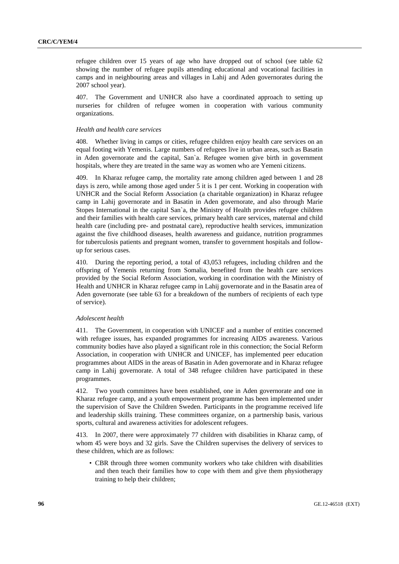refugee children over 15 years of age who have dropped out of school (see table 62 showing the number of refugee pupils attending educational and vocational facilities in camps and in neighbouring areas and villages in Lahij and Aden governorates during the 2007 school year).

407. The Government and UNHCR also have a coordinated approach to setting up nurseries for children of refugee women in cooperation with various community organizations.

### *Health and health care services*

408. Whether living in camps or cities, refugee children enjoy health care services on an equal footing with Yemenis. Large numbers of refugees live in urban areas, such as Basatin in Aden governorate and the capital, San`a. Refugee women give birth in government hospitals, where they are treated in the same way as women who are Yemeni citizens.

409. In Kharaz refugee camp, the mortality rate among children aged between 1 and 28 days is zero, while among those aged under 5 it is 1 per cent. Working in cooperation with UNHCR and the Social Reform Association (a charitable organization) in Kharaz refugee camp in Lahij governorate and in Basatin in Aden governorate, and also through Marie Stopes International in the capital San`a, the Ministry of Health provides refugee children and their families with health care services, primary health care services, maternal and child health care (including pre- and postnatal care), reproductive health services, immunization against the five childhood diseases, health awareness and guidance, nutrition programmes for tuberculosis patients and pregnant women, transfer to government hospitals and followup for serious cases.

410. During the reporting period, a total of 43,053 refugees, including children and the offspring of Yemenis returning from Somalia, benefited from the health care services provided by the Social Reform Association, working in coordination with the Ministry of Health and UNHCR in Kharaz refugee camp in Lahij governorate and in the Basatin area of Aden governorate (see table 63 for a breakdown of the numbers of recipients of each type of service).

## *Adolescent health*

411. The Government, in cooperation with UNICEF and a number of entities concerned with refugee issues, has expanded programmes for increasing AIDS awareness. Various community bodies have also played a significant role in this connection; the Social Reform Association, in cooperation with UNHCR and UNICEF, has implemented peer education programmes about AIDS in the areas of Basatin in Aden governorate and in Kharaz refugee camp in Lahij governorate. A total of 348 refugee children have participated in these programmes.

412. Two youth committees have been established, one in Aden governorate and one in Kharaz refugee camp, and a youth empowerment programme has been implemented under the supervision of Save the Children Sweden. Participants in the programme received life and leadership skills training. These committees organize, on a partnership basis, various sports, cultural and awareness activities for adolescent refugees.

413. In 2007, there were approximately 77 children with disabilities in Kharaz camp, of whom 45 were boys and 32 girls. Save the Children supervises the delivery of services to these children, which are as follows:

• CBR through three women community workers who take children with disabilities and then teach their families how to cope with them and give them physiotherapy training to help their children;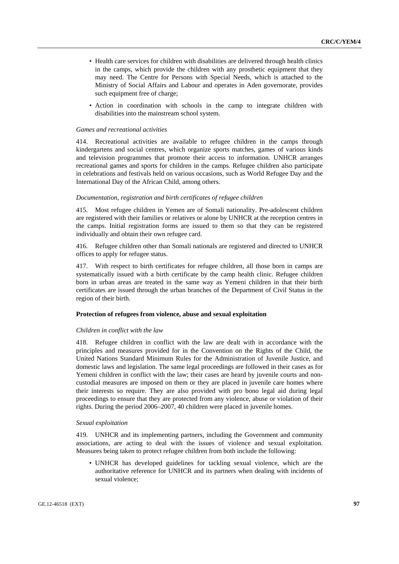- Health care services for children with disabilities are delivered through health clinics in the camps, which provide the children with any prosthetic equipment that they may need. The Centre for Persons with Special Needs, which is attached to the Ministry of Social Affairs and Labour and operates in Aden governorate, provides such equipment free of charge;
- Action in coordination with schools in the camp to integrate children with disabilities into the mainstream school system.

#### *Games and recreational activities*

414. Recreational activities are available to refugee children in the camps through kindergartens and social centres, which organize sports matches, games of various kinds and television programmes that promote their access to information. UNHCR arranges recreational games and sports for children in the camps. Refugee children also participate in celebrations and festivals held on various occasions, such as World Refugee Day and the International Day of the African Child, among others.

## *Documentation, registration and birth certificates of refugee children*

415. Most refugee children in Yemen are of Somali nationality. Pre-adolescent children are registered with their families or relatives or alone by UNHCR at the reception centres in the camps. Initial registration forms are issued to them so that they can be registered individually and obtain their own refugee card.

416. Refugee children other than Somali nationals are registered and directed to UNHCR offices to apply for refugee status.

417. With respect to birth certificates for refugee children, all those born in camps are systematically issued with a birth certificate by the camp health clinic. Refugee children born in urban areas are treated in the same way as Yemeni children in that their birth certificates are issued through the urban branches of the Department of Civil Status in the region of their birth.

## **Protection of refugees from violence, abuse and sexual exploitation**

#### *Children in conflict with the law*

418. Refugee children in conflict with the law are dealt with in accordance with the principles and measures provided for in the Convention on the Rights of the Child, the United Nations Standard Minimum Rules for the Administration of Juvenile Justice, and domestic laws and legislation. The same legal proceedings are followed in their cases as for Yemeni children in conflict with the law; their cases are heard by juvenile courts and noncustodial measures are imposed on them or they are placed in juvenile care homes where their interests so require. They are also provided with pro bono legal aid during legal proceedings to ensure that they are protected from any violence, abuse or violation of their rights. During the period 2006–2007, 40 children were placed in juvenile homes.

## *Sexual exploitation*

419. UNHCR and its implementing partners, including the Government and community associations, are acting to deal with the issues of violence and sexual exploitation. Measures being taken to protect refugee children from both include the following:

• UNHCR has developed guidelines for tackling sexual violence, which are the authoritative reference for UNHCR and its partners when dealing with incidents of sexual violence;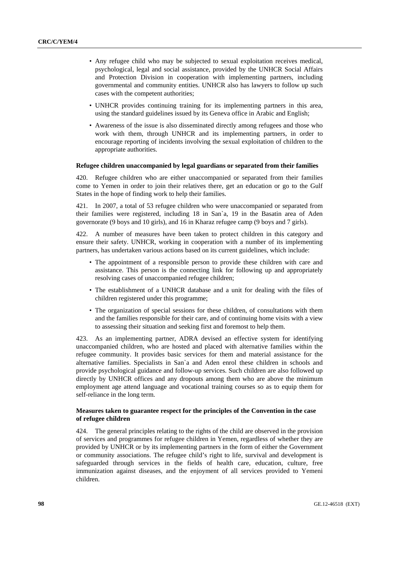- Any refugee child who may be subjected to sexual exploitation receives medical, psychological, legal and social assistance, provided by the UNHCR Social Affairs and Protection Division in cooperation with implementing partners, including governmental and community entities. UNHCR also has lawyers to follow up such cases with the competent authorities;
- UNHCR provides continuing training for its implementing partners in this area, using the standard guidelines issued by its Geneva office in Arabic and English;
- Awareness of the issue is also disseminated directly among refugees and those who work with them, through UNHCR and its implementing partners, in order to encourage reporting of incidents involving the sexual exploitation of children to the appropriate authorities.

## **Refugee children unaccompanied by legal guardians or separated from their families**

420. Refugee children who are either unaccompanied or separated from their families come to Yemen in order to join their relatives there, get an education or go to the Gulf States in the hope of finding work to help their families.

421. In 2007, a total of 53 refugee children who were unaccompanied or separated from their families were registered, including 18 in San`a, 19 in the Basatin area of Aden governorate (9 boys and 10 girls), and 16 in Kharaz refugee camp (9 boys and 7 girls).

422. A number of measures have been taken to protect children in this category and ensure their safety. UNHCR, working in cooperation with a number of its implementing partners, has undertaken various actions based on its current guidelines, which include:

- The appointment of a responsible person to provide these children with care and assistance. This person is the connecting link for following up and appropriately resolving cases of unaccompanied refugee children;
- The establishment of a UNHCR database and a unit for dealing with the files of children registered under this programme;
- The organization of special sessions for these children, of consultations with them and the families responsible for their care, and of continuing home visits with a view to assessing their situation and seeking first and foremost to help them.

423. As an implementing partner, ADRA devised an effective system for identifying unaccompanied children, who are hosted and placed with alternative families within the refugee community. It provides basic services for them and material assistance for the alternative families. Specialists in San`a and Aden enrol these children in schools and provide psychological guidance and follow-up services. Such children are also followed up directly by UNHCR offices and any dropouts among them who are above the minimum employment age attend language and vocational training courses so as to equip them for self-reliance in the long term.

## **Measures taken to guarantee respect for the principles of the Convention in the case of refugee children**

424. The general principles relating to the rights of the child are observed in the provision of services and programmes for refugee children in Yemen, regardless of whether they are provided by UNHCR or by its implementing partners in the form of either the Government or community associations. The refugee child's right to life, survival and development is safeguarded through services in the fields of health care, education, culture, free immunization against diseases, and the enjoyment of all services provided to Yemeni children.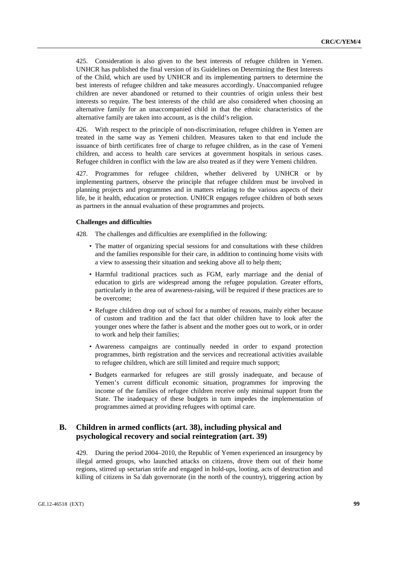425. Consideration is also given to the best interests of refugee children in Yemen. UNHCR has published the final version of its Guidelines on Determining the Best Interests of the Child, which are used by UNHCR and its implementing partners to determine the best interests of refugee children and take measures accordingly. Unaccompanied refugee children are never abandoned or returned to their countries of origin unless their best interests so require. The best interests of the child are also considered when choosing an alternative family for an unaccompanied child in that the ethnic characteristics of the alternative family are taken into account, as is the child's religion.

426. With respect to the principle of non-discrimination, refugee children in Yemen are treated in the same way as Yemeni children. Measures taken to that end include the issuance of birth certificates free of charge to refugee children, as in the case of Yemeni children, and access to health care services at government hospitals in serious cases. Refugee children in conflict with the law are also treated as if they were Yemeni children.

427. Programmes for refugee children, whether delivered by UNHCR or by implementing partners, observe the principle that refugee children must be involved in planning projects and programmes and in matters relating to the various aspects of their life, be it health, education or protection. UNHCR engages refugee children of both sexes as partners in the annual evaluation of these programmes and projects.

## **Challenges and difficulties**

428. The challenges and difficulties are exemplified in the following:

- The matter of organizing special sessions for and consultations with these children and the families responsible for their care, in addition to continuing home visits with a view to assessing their situation and seeking above all to help them;
- Harmful traditional practices such as FGM, early marriage and the denial of education to girls are widespread among the refugee population. Greater efforts, particularly in the area of awareness-raising, will be required if these practices are to be overcome;
- Refugee children drop out of school for a number of reasons, mainly either because of custom and tradition and the fact that older children have to look after the younger ones where the father is absent and the mother goes out to work, or in order to work and help their families;
- Awareness campaigns are continually needed in order to expand protection programmes, birth registration and the services and recreational activities available to refugee children, which are still limited and require much support;
- Budgets earmarked for refugees are still grossly inadequate, and because of Yemen's current difficult economic situation, programmes for improving the income of the families of refugee children receive only minimal support from the State. The inadequacy of these budgets in turn impedes the implementation of programmes aimed at providing refugees with optimal care.

## **B. Children in armed conflicts (art. 38), including physical and psychological recovery and social reintegration (art. 39)**

429. During the period 2004–2010, the Republic of Yemen experienced an insurgency by illegal armed groups, who launched attacks on citizens, drove them out of their home regions, stirred up sectarian strife and engaged in hold-ups, looting, acts of destruction and killing of citizens in Sa`dah governorate (in the north of the country), triggering action by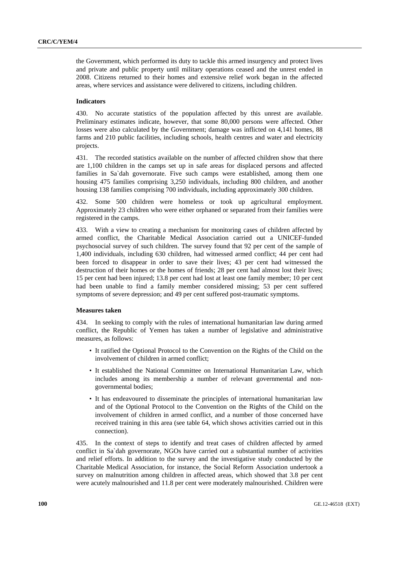the Government, which performed its duty to tackle this armed insurgency and protect lives and private and public property until military operations ceased and the unrest ended in 2008. Citizens returned to their homes and extensive relief work began in the affected areas, where services and assistance were delivered to citizens, including children.

## **Indicators**

430. No accurate statistics of the population affected by this unrest are available. Preliminary estimates indicate, however, that some 80,000 persons were affected. Other losses were also calculated by the Government; damage was inflicted on 4,141 homes, 88 farms and 210 public facilities, including schools, health centres and water and electricity projects.

431. The recorded statistics available on the number of affected children show that there are 1,100 children in the camps set up in safe areas for displaced persons and affected families in Sa`dah governorate. Five such camps were established, among them one housing 475 families comprising 3,250 individuals, including 800 children, and another housing 138 families comprising 700 individuals, including approximately 300 children.

432. Some 500 children were homeless or took up agricultural employment. Approximately 23 children who were either orphaned or separated from their families were registered in the camps.

433. With a view to creating a mechanism for monitoring cases of children affected by armed conflict, the Charitable Medical Association carried out a UNICEF-funded psychosocial survey of such children. The survey found that 92 per cent of the sample of 1,400 individuals, including 630 children, had witnessed armed conflict; 44 per cent had been forced to disappear in order to save their lives; 43 per cent had witnessed the destruction of their homes or the homes of friends; 28 per cent had almost lost their lives; 15 per cent had been injured; 13.8 per cent had lost at least one family member; 10 per cent had been unable to find a family member considered missing; 53 per cent suffered symptoms of severe depression; and 49 per cent suffered post-traumatic symptoms.

### **Measures taken**

434. In seeking to comply with the rules of international humanitarian law during armed conflict, the Republic of Yemen has taken a number of legislative and administrative measures, as follows:

- It ratified the Optional Protocol to the Convention on the Rights of the Child on the involvement of children in armed conflict;
- It established the National Committee on International Humanitarian Law, which includes among its membership a number of relevant governmental and nongovernmental bodies;
- It has endeavoured to disseminate the principles of international humanitarian law and of the Optional Protocol to the Convention on the Rights of the Child on the involvement of children in armed conflict, and a number of those concerned have received training in this area (see table 64, which shows activities carried out in this connection).

435. In the context of steps to identify and treat cases of children affected by armed conflict in Sa`dah governorate, NGOs have carried out a substantial number of activities and relief efforts. In addition to the survey and the investigative study conducted by the Charitable Medical Association, for instance, the Social Reform Association undertook a survey on malnutrition among children in affected areas, which showed that 3.8 per cent were acutely malnourished and 11.8 per cent were moderately malnourished. Children were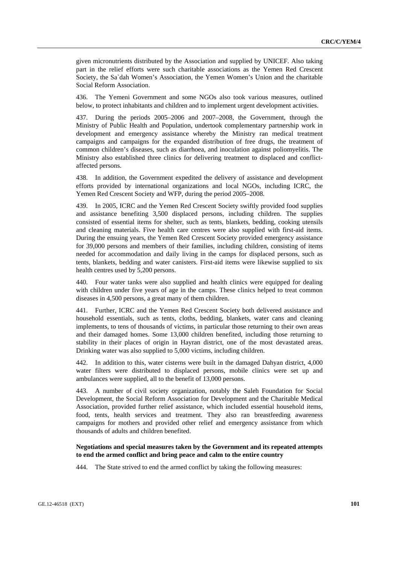given micronutrients distributed by the Association and supplied by UNICEF. Also taking part in the relief efforts were such charitable associations as the Yemen Red Crescent Society, the Sa`dah Women's Association, the Yemen Women's Union and the charitable Social Reform Association.

436. The Yemeni Government and some NGOs also took various measures, outlined below, to protect inhabitants and children and to implement urgent development activities.

437. During the periods 2005–2006 and 2007–2008, the Government, through the Ministry of Public Health and Population, undertook complementary partnership work in development and emergency assistance whereby the Ministry ran medical treatment campaigns and campaigns for the expanded distribution of free drugs, the treatment of common children's diseases, such as diarrhoea, and inoculation against poliomyelitis. The Ministry also established three clinics for delivering treatment to displaced and conflictaffected persons.

438. In addition, the Government expedited the delivery of assistance and development efforts provided by international organizations and local NGOs, including ICRC, the Yemen Red Crescent Society and WFP, during the period 2005–2008.

439. In 2005, ICRC and the Yemen Red Crescent Society swiftly provided food supplies and assistance benefiting 3,500 displaced persons, including children. The supplies consisted of essential items for shelter, such as tents, blankets, bedding, cooking utensils and cleaning materials. Five health care centres were also supplied with first-aid items. During the ensuing years, the Yemen Red Crescent Society provided emergency assistance for 39,000 persons and members of their families, including children, consisting of items needed for accommodation and daily living in the camps for displaced persons, such as tents, blankets, bedding and water canisters. First-aid items were likewise supplied to six health centres used by 5,200 persons.

440. Four water tanks were also supplied and health clinics were equipped for dealing with children under five years of age in the camps. These clinics helped to treat common diseases in 4,500 persons, a great many of them children.

441. Further, ICRC and the Yemen Red Crescent Society both delivered assistance and household essentials, such as tents, cloths, bedding, blankets, water cans and cleaning implements, to tens of thousands of victims, in particular those returning to their own areas and their damaged homes. Some 13,000 children benefited, including those returning to stability in their places of origin in Hayran district, one of the most devastated areas. Drinking water was also supplied to 5,000 victims, including children.

442. In addition to this, water cisterns were built in the damaged Dahyan district, 4,000 water filters were distributed to displaced persons, mobile clinics were set up and ambulances were supplied, all to the benefit of 13,000 persons.

443. A number of civil society organization, notably the Saleh Foundation for Social Development, the Social Reform Association for Development and the Charitable Medical Association, provided further relief assistance, which included essential household items, food, tents, health services and treatment. They also ran breastfeeding awareness campaigns for mothers and provided other relief and emergency assistance from which thousands of adults and children benefited.

## **Negotiations and special measures taken by the Government and its repeated attempts to end the armed conflict and bring peace and calm to the entire country**

444. The State strived to end the armed conflict by taking the following measures: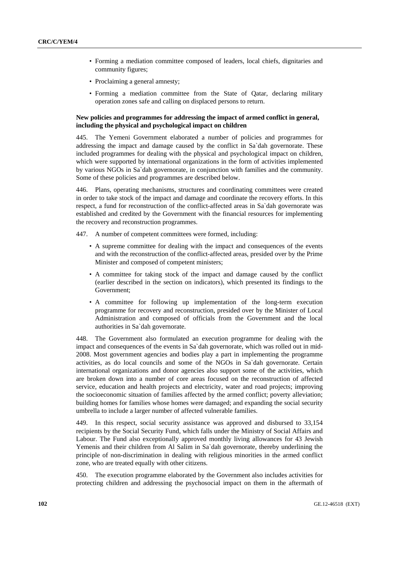- Forming a mediation committee composed of leaders, local chiefs, dignitaries and community figures;
- Proclaiming a general amnesty;
- Forming a mediation committee from the State of Qatar, declaring military operation zones safe and calling on displaced persons to return.

## **New policies and programmes for addressing the impact of armed conflict in general, including the physical and psychological impact on children**

445. The Yemeni Government elaborated a number of policies and programmes for addressing the impact and damage caused by the conflict in Sa`dah governorate. These included programmes for dealing with the physical and psychological impact on children, which were supported by international organizations in the form of activities implemented by various NGOs in Sa`dah governorate, in conjunction with families and the community. Some of these policies and programmes are described below.

446. Plans, operating mechanisms, structures and coordinating committees were created in order to take stock of the impact and damage and coordinate the recovery efforts. In this respect, a fund for reconstruction of the conflict-affected areas in Sa`dah governorate was established and credited by the Government with the financial resources for implementing the recovery and reconstruction programmes.

447. A number of competent committees were formed, including:

- A supreme committee for dealing with the impact and consequences of the events and with the reconstruction of the conflict-affected areas, presided over by the Prime Minister and composed of competent ministers;
- A committee for taking stock of the impact and damage caused by the conflict (earlier described in the section on indicators), which presented its findings to the Government;
- A committee for following up implementation of the long-term execution programme for recovery and reconstruction, presided over by the Minister of Local Administration and composed of officials from the Government and the local authorities in Sa`dah governorate.

448. The Government also formulated an execution programme for dealing with the impact and consequences of the events in Sa`dah governorate, which was rolled out in mid-2008. Most government agencies and bodies play a part in implementing the programme activities, as do local councils and some of the NGOs in Sa`dah governorate. Certain international organizations and donor agencies also support some of the activities, which are broken down into a number of core areas focused on the reconstruction of affected service, education and health projects and electricity, water and road projects; improving the socioeconomic situation of families affected by the armed conflict; poverty alleviation; building homes for families whose homes were damaged; and expanding the social security umbrella to include a larger number of affected vulnerable families.

449. In this respect, social security assistance was approved and disbursed to 33,154 recipients by the Social Security Fund, which falls under the Ministry of Social Affairs and Labour. The Fund also exceptionally approved monthly living allowances for 43 Jewish Yemenis and their children from Al Salim in Sa`dah governorate, thereby underlining the principle of non-discrimination in dealing with religious minorities in the armed conflict zone, who are treated equally with other citizens.

450. The execution programme elaborated by the Government also includes activities for protecting children and addressing the psychosocial impact on them in the aftermath of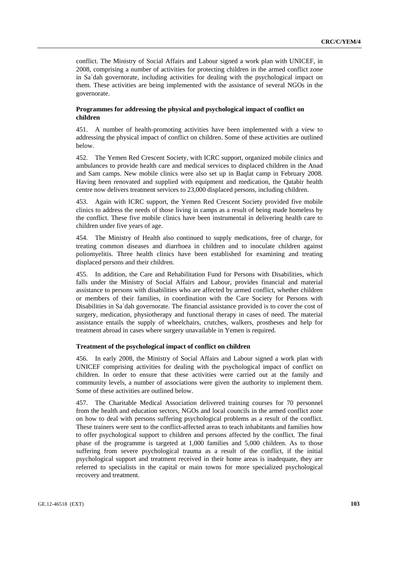conflict. The Ministry of Social Affairs and Labour signed a work plan with UNICEF, in 2008, comprising a number of activities for protecting children in the armed conflict zone in Sa`dah governorate, including activities for dealing with the psychological impact on them. These activities are being implemented with the assistance of several NGOs in the governorate.

## **Programmes for addressing the physical and psychological impact of conflict on children**

451. A number of health-promoting activities have been implemented with a view to addressing the physical impact of conflict on children. Some of these activities are outlined below.

452. The Yemen Red Crescent Society, with ICRC support, organized mobile clinics and ambulances to provide health care and medical services to displaced children in the Anad and Sam camps. New mobile clinics were also set up in Baqlat camp in February 2008. Having been renovated and supplied with equipment and medication, the Qatabir health centre now delivers treatment services to 23,000 displaced persons, including children.

453. Again with ICRC support, the Yemen Red Crescent Society provided five mobile clinics to address the needs of those living in camps as a result of being made homeless by the conflict. These five mobile clinics have been instrumental in delivering health care to children under five years of age.

454. The Ministry of Health also continued to supply medications, free of charge, for treating common diseases and diarrhoea in children and to inoculate children against poliomyelitis. Three health clinics have been established for examining and treating displaced persons and their children.

455. In addition, the Care and Rehabilitation Fund for Persons with Disabilities, which falls under the Ministry of Social Affairs and Labour, provides financial and material assistance to persons with disabilities who are affected by armed conflict, whether children or members of their families, in coordination with the Care Society for Persons with Disabilities in Sa`dah governorate. The financial assistance provided is to cover the cost of surgery, medication, physiotherapy and functional therapy in cases of need. The material assistance entails the supply of wheelchairs, crutches, walkers, prostheses and help for treatment abroad in cases where surgery unavailable in Yemen is required.

## **Treatment of the psychological impact of conflict on children**

456. In early 2008, the Ministry of Social Affairs and Labour signed a work plan with UNICEF comprising activities for dealing with the psychological impact of conflict on children. In order to ensure that these activities were carried out at the family and community levels, a number of associations were given the authority to implement them. Some of these activities are outlined below.

457. The Charitable Medical Association delivered training courses for 70 personnel from the health and education sectors, NGOs and local councils in the armed conflict zone on how to deal with persons suffering psychological problems as a result of the conflict. These trainers were sent to the conflict-affected areas to teach inhabitants and families how to offer psychological support to children and persons affected by the conflict. The final phase of the programme is targeted at 1,000 families and 5,000 children. As to those suffering from severe psychological trauma as a result of the conflict, if the initial psychological support and treatment received in their home areas is inadequate, they are referred to specialists in the capital or main towns for more specialized psychological recovery and treatment.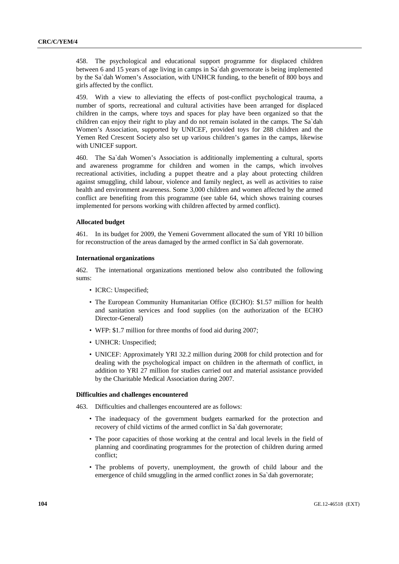458. The psychological and educational support programme for displaced children between 6 and 15 years of age living in camps in Sa`dah governorate is being implemented by the Sa`dah Women's Association, with UNHCR funding, to the benefit of 800 boys and girls affected by the conflict.

459. With a view to alleviating the effects of post-conflict psychological trauma, a number of sports, recreational and cultural activities have been arranged for displaced children in the camps, where toys and spaces for play have been organized so that the children can enjoy their right to play and do not remain isolated in the camps. The Sa`dah Women's Association, supported by UNICEF, provided toys for 288 children and the Yemen Red Crescent Society also set up various children's games in the camps, likewise with UNICEF support.

460. The Sa`dah Women's Association is additionally implementing a cultural, sports and awareness programme for children and women in the camps, which involves recreational activities, including a puppet theatre and a play about protecting children against smuggling, child labour, violence and family neglect, as well as activities to raise health and environment awareness. Some 3,000 children and women affected by the armed conflict are benefiting from this programme (see table 64, which shows training courses implemented for persons working with children affected by armed conflict).

## **Allocated budget**

461. In its budget for 2009, the Yemeni Government allocated the sum of YRI 10 billion for reconstruction of the areas damaged by the armed conflict in Sa`dah governorate.

#### **International organizations**

462. The international organizations mentioned below also contributed the following sums:

- ICRC: Unspecified:
- The European Community Humanitarian Office (ECHO): \$1.57 million for health and sanitation services and food supplies (on the authorization of the ECHO Director-General)
- WFP: \$1.7 million for three months of food aid during 2007;
- UNHCR: Unspecified:
- UNICEF: Approximately YRI 32.2 million during 2008 for child protection and for dealing with the psychological impact on children in the aftermath of conflict, in addition to YRI 27 million for studies carried out and material assistance provided by the Charitable Medical Association during 2007.

## **Difficulties and challenges encountered**

463. Difficulties and challenges encountered are as follows:

- The inadequacy of the government budgets earmarked for the protection and recovery of child victims of the armed conflict in Sa`dah governorate;
- The poor capacities of those working at the central and local levels in the field of planning and coordinating programmes for the protection of children during armed conflict;
- The problems of poverty, unemployment, the growth of child labour and the emergence of child smuggling in the armed conflict zones in Sa`dah governorate;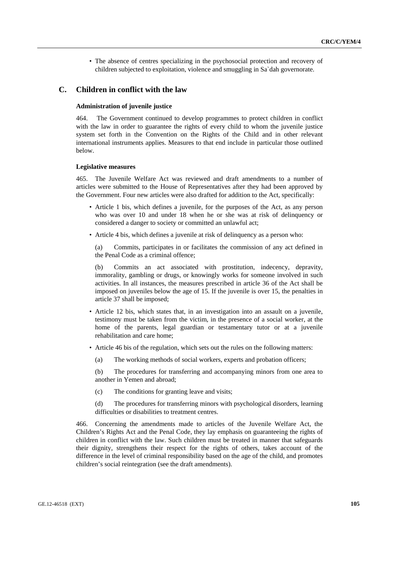• The absence of centres specializing in the psychosocial protection and recovery of children subjected to exploitation, violence and smuggling in Sa`dah governorate.

## **C. Children in conflict with the law**

## **Administration of juvenile justice**

464. The Government continued to develop programmes to protect children in conflict with the law in order to guarantee the rights of every child to whom the juvenile justice system set forth in the Convention on the Rights of the Child and in other relevant international instruments applies. Measures to that end include in particular those outlined below.

## **Legislative measures**

465. The Juvenile Welfare Act was reviewed and draft amendments to a number of articles were submitted to the House of Representatives after they had been approved by the Government. Four new articles were also drafted for addition to the Act, specifically:

- Article 1 bis, which defines a juvenile, for the purposes of the Act, as any person who was over 10 and under 18 when he or she was at risk of delinquency or considered a danger to society or committed an unlawful act;
- Article 4 bis, which defines a juvenile at risk of delinquency as a person who:

(a) Commits, participates in or facilitates the commission of any act defined in the Penal Code as a criminal offence;

(b) Commits an act associated with prostitution, indecency, depravity, immorality, gambling or drugs, or knowingly works for someone involved in such activities. In all instances, the measures prescribed in article 36 of the Act shall be imposed on juveniles below the age of 15. If the juvenile is over 15, the penalties in article 37 shall be imposed;

- Article 12 bis, which states that, in an investigation into an assault on a juvenile, testimony must be taken from the victim, in the presence of a social worker, at the home of the parents, legal guardian or testamentary tutor or at a juvenile rehabilitation and care home;
- Article 46 bis of the regulation, which sets out the rules on the following matters:
	- (a) The working methods of social workers, experts and probation officers;

(b) The procedures for transferring and accompanying minors from one area to another in Yemen and abroad;

(c) The conditions for granting leave and visits;

(d) The procedures for transferring minors with psychological disorders, learning difficulties or disabilities to treatment centres.

466. Concerning the amendments made to articles of the Juvenile Welfare Act, the Children's Rights Act and the Penal Code, they lay emphasis on guaranteeing the rights of children in conflict with the law. Such children must be treated in manner that safeguards their dignity, strengthens their respect for the rights of others, takes account of the difference in the level of criminal responsibility based on the age of the child, and promotes children's social reintegration (see the draft amendments).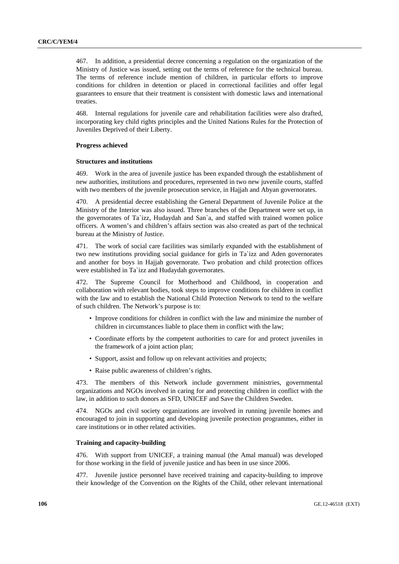467. In addition, a presidential decree concerning a regulation on the organization of the Ministry of Justice was issued, setting out the terms of reference for the technical bureau. The terms of reference include mention of children, in particular efforts to improve conditions for children in detention or placed in correctional facilities and offer legal guarantees to ensure that their treatment is consistent with domestic laws and international treaties.

468. Internal regulations for juvenile care and rehabilitation facilities were also drafted, incorporating key child rights principles and the United Nations Rules for the Protection of Juveniles Deprived of their Liberty.

### **Progress achieved**

## **Structures and institutions**

469. Work in the area of juvenile justice has been expanded through the establishment of new authorities, institutions and procedures, represented in two new juvenile courts, staffed with two members of the juvenile prosecution service, in Hajjah and Abyan governorates.

470. A presidential decree establishing the General Department of Juvenile Police at the Ministry of the Interior was also issued. Three branches of the Department were set up, in the governorates of Ta`izz, Hudaydah and San`a, and staffed with trained women police officers. A women's and children's affairs section was also created as part of the technical bureau at the Ministry of Justice.

471. The work of social care facilities was similarly expanded with the establishment of two new institutions providing social guidance for girls in Ta`izz and Aden governorates and another for boys in Hajjah governorate. Two probation and child protection offices were established in Ta`izz and Hudaydah governorates.

472. The Supreme Council for Motherhood and Childhood, in cooperation and collaboration with relevant bodies, took steps to improve conditions for children in conflict with the law and to establish the National Child Protection Network to tend to the welfare of such children. The Network's purpose is to:

- Improve conditions for children in conflict with the law and minimize the number of children in circumstances liable to place them in conflict with the law;
- Coordinate efforts by the competent authorities to care for and protect juveniles in the framework of a joint action plan;
- Support, assist and follow up on relevant activities and projects;
- Raise public awareness of children's rights.

473. The members of this Network include government ministries, governmental organizations and NGOs involved in caring for and protecting children in conflict with the law, in addition to such donors as SFD, UNICEF and Save the Children Sweden.

474. NGOs and civil society organizations are involved in running juvenile homes and encouraged to join in supporting and developing juvenile protection programmes, either in care institutions or in other related activities.

## **Training and capacity-building**

476. With support from UNICEF, a training manual (the Amal manual) was developed for those working in the field of juvenile justice and has been in use since 2006.

Juvenile justice personnel have received training and capacity-building to improve their knowledge of the Convention on the Rights of the Child, other relevant international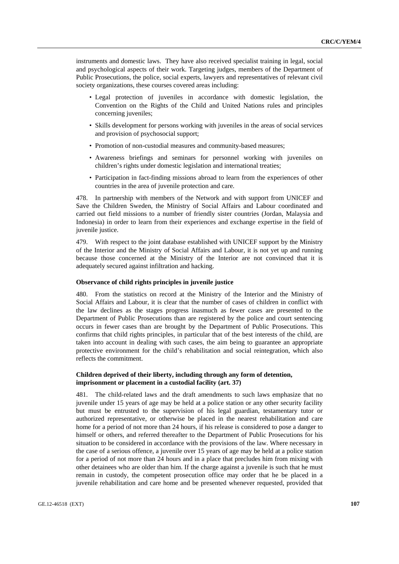instruments and domestic laws. They have also received specialist training in legal, social and psychological aspects of their work. Targeting judges, members of the Department of Public Prosecutions, the police, social experts, lawyers and representatives of relevant civil society organizations, these courses covered areas including:

- Legal protection of juveniles in accordance with domestic legislation, the Convention on the Rights of the Child and United Nations rules and principles concerning juveniles;
- Skills development for persons working with juveniles in the areas of social services and provision of psychosocial support;
- Promotion of non-custodial measures and community-based measures;
- Awareness briefings and seminars for personnel working with juveniles on children's rights under domestic legislation and international treaties;
- Participation in fact-finding missions abroad to learn from the experiences of other countries in the area of juvenile protection and care.

478. In partnership with members of the Network and with support from UNICEF and Save the Children Sweden, the Ministry of Social Affairs and Labour coordinated and carried out field missions to a number of friendly sister countries (Jordan, Malaysia and Indonesia) in order to learn from their experiences and exchange expertise in the field of juvenile justice.

479. With respect to the joint database established with UNICEF support by the Ministry of the Interior and the Ministry of Social Affairs and Labour, it is not yet up and running because those concerned at the Ministry of the Interior are not convinced that it is adequately secured against infiltration and hacking.

## **Observance of child rights principles in juvenile justice**

480. From the statistics on record at the Ministry of the Interior and the Ministry of Social Affairs and Labour, it is clear that the number of cases of children in conflict with the law declines as the stages progress inasmuch as fewer cases are presented to the Department of Public Prosecutions than are registered by the police and court sentencing occurs in fewer cases than are brought by the Department of Public Prosecutions. This confirms that child rights principles, in particular that of the best interests of the child, are taken into account in dealing with such cases, the aim being to guarantee an appropriate protective environment for the child's rehabilitation and social reintegration, which also reflects the commitment.

## **Children deprived of their liberty, including through any form of detention, imprisonment or placement in a custodial facility (art. 37)**

481. The child-related laws and the draft amendments to such laws emphasize that no juvenile under 15 years of age may be held at a police station or any other security facility but must be entrusted to the supervision of his legal guardian, testamentary tutor or authorized representative, or otherwise be placed in the nearest rehabilitation and care home for a period of not more than 24 hours, if his release is considered to pose a danger to himself or others, and referred thereafter to the Department of Public Prosecutions for his situation to be considered in accordance with the provisions of the law. Where necessary in the case of a serious offence, a juvenile over 15 years of age may be held at a police station for a period of not more than 24 hours and in a place that precludes him from mixing with other detainees who are older than him. If the charge against a juvenile is such that he must remain in custody, the competent prosecution office may order that he be placed in a juvenile rehabilitation and care home and be presented whenever requested, provided that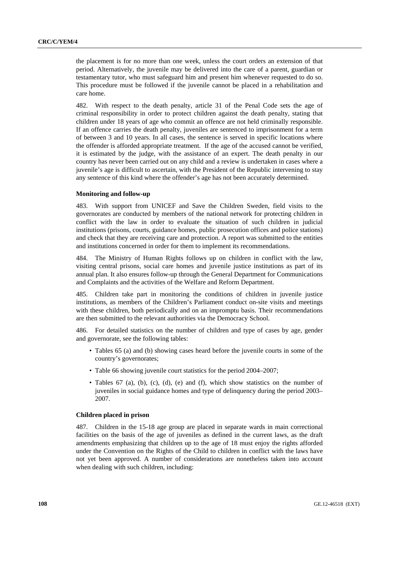the placement is for no more than one week, unless the court orders an extension of that period. Alternatively, the juvenile may be delivered into the care of a parent, guardian or testamentary tutor, who must safeguard him and present him whenever requested to do so. This procedure must be followed if the juvenile cannot be placed in a rehabilitation and care home.

482. With respect to the death penalty, article 31 of the Penal Code sets the age of criminal responsibility in order to protect children against the death penalty, stating that children under 18 years of age who commit an offence are not held criminally responsible. If an offence carries the death penalty, juveniles are sentenced to imprisonment for a term of between 3 and 10 years. In all cases, the sentence is served in specific locations where the offender is afforded appropriate treatment. If the age of the accused cannot be verified, it is estimated by the judge, with the assistance of an expert. The death penalty in our country has never been carried out on any child and a review is undertaken in cases where a juvenile's age is difficult to ascertain, with the President of the Republic intervening to stay any sentence of this kind where the offender's age has not been accurately determined.

## **Monitoring and follow-up**

483. With support from UNICEF and Save the Children Sweden, field visits to the governorates are conducted by members of the national network for protecting children in conflict with the law in order to evaluate the situation of such children in judicial institutions (prisons, courts, guidance homes, public prosecution offices and police stations) and check that they are receiving care and protection. A report was submitted to the entities and institutions concerned in order for them to implement its recommendations.

484. The Ministry of Human Rights follows up on children in conflict with the law, visiting central prisons, social care homes and juvenile justice institutions as part of its annual plan. It also ensures follow-up through the General Department for Communications and Complaints and the activities of the Welfare and Reform Department.

485. Children take part in monitoring the conditions of children in juvenile justice institutions, as members of the Children's Parliament conduct on-site visits and meetings with these children, both periodically and on an impromptu basis. Their recommendations are then submitted to the relevant authorities via the Democracy School.

486. For detailed statistics on the number of children and type of cases by age, gender and governorate, see the following tables:

- Tables 65 (a) and (b) showing cases heard before the juvenile courts in some of the country's governorates;
- Table 66 showing juvenile court statistics for the period 2004–2007;
- Tables 67 (a), (b), (c), (d), (e) and (f), which show statistics on the number of juveniles in social guidance homes and type of delinquency during the period 2003– 2007.

## **Children placed in prison**

487. Children in the 15-18 age group are placed in separate wards in main correctional facilities on the basis of the age of juveniles as defined in the current laws, as the draft amendments emphasizing that children up to the age of 18 must enjoy the rights afforded under the Convention on the Rights of the Child to children in conflict with the laws have not yet been approved. A number of considerations are nonetheless taken into account when dealing with such children, including: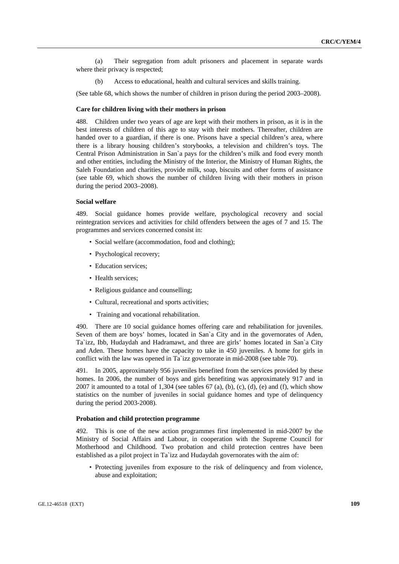(a) Their segregation from adult prisoners and placement in separate wards where their privacy is respected;

(b) Access to educational, health and cultural services and skills training.

(See table 68, which shows the number of children in prison during the period 2003–2008).

# **Care for children living with their mothers in prison**

488. Children under two years of age are kept with their mothers in prison, as it is in the best interests of children of this age to stay with their mothers. Thereafter, children are handed over to a guardian, if there is one. Prisons have a special children's area, where there is a library housing children's storybooks, a television and children's toys. The Central Prison Administration in San`a pays for the children's milk and food every month and other entities, including the Ministry of the Interior, the Ministry of Human Rights, the Saleh Foundation and charities, provide milk, soap, biscuits and other forms of assistance (see table 69, which shows the number of children living with their mothers in prison during the period 2003–2008).

#### **Social welfare**

489. Social guidance homes provide welfare, psychological recovery and social reintegration services and activities for child offenders between the ages of 7 and 15. The programmes and services concerned consist in:

- Social welfare (accommodation, food and clothing);
- Psychological recovery;
- Education services;
- Health services:
- Religious guidance and counselling;
- Cultural, recreational and sports activities;
- Training and vocational rehabilitation.

490. There are 10 social guidance homes offering care and rehabilitation for juveniles. Seven of them are boys' homes, located in San`a City and in the governorates of Aden, Ta`izz, Ibb, Hudaydah and Hadramawt, and three are girls' homes located in San`a City and Aden. These homes have the capacity to take in 450 juveniles. A home for girls in conflict with the law was opened in Ta`izz governorate in mid-2008 (see table 70).

491. In 2005, approximately 956 juveniles benefited from the services provided by these homes. In 2006, the number of boys and girls benefiting was approximately 917 and in 2007 it amounted to a total of 1,304 (see tables  $67$  (a), (b), (c), (d), (e) and (f), which show statistics on the number of juveniles in social guidance homes and type of delinquency during the period 2003-2008).

#### **Probation and child protection programme**

492. This is one of the new action programmes first implemented in mid-2007 by the Ministry of Social Affairs and Labour, in cooperation with the Supreme Council for Motherhood and Childhood. Two probation and child protection centres have been established as a pilot project in Ta`izz and Hudaydah governorates with the aim of:

• Protecting juveniles from exposure to the risk of delinquency and from violence, abuse and exploitation;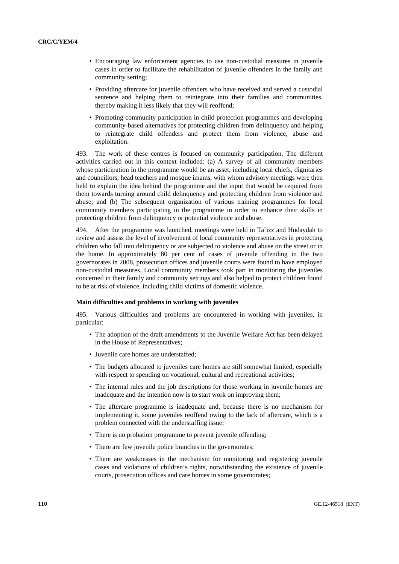- Encouraging law enforcement agencies to use non-custodial measures in juvenile cases in order to facilitate the rehabilitation of juvenile offenders in the family and community setting;
- Providing aftercare for juvenile offenders who have received and served a custodial sentence and helping them to reintegrate into their families and communities, thereby making it less likely that they will reoffend;
- Promoting community participation in child protection programmes and developing community-based alternatives for protecting children from delinquency and helping to reintegrate child offenders and protect them from violence, abuse and exploitation.

493. The work of these centres is focused on community participation. The different activities carried out in this context included: (a) A survey of all community members whose participation in the programme would be an asset, including local chiefs, dignitaries and councillors, head teachers and mosque imams, with whom advisory meetings were then held to explain the idea behind the programme and the input that would be required from them towards turning around child delinquency and protecting children from violence and abuse; and (b) The subsequent organization of various training programmes for local community members participating in the programme in order to enhance their skills in protecting children from delinquency or potential violence and abuse.

494. After the programme was launched, meetings were held in Ta`izz and Hudaydah to review and assess the level of involvement of local community representatives in protecting children who fall into delinquency or are subjected to violence and abuse on the street or in the home. In approximately 80 per cent of cases of juvenile offending in the two governorates in 2008, prosecution offices and juvenile courts were found to have employed non-custodial measures. Local community members took part in monitoring the juveniles concerned in their family and community settings and also helped to protect children found to be at risk of violence, including child victims of domestic violence.

#### **Main difficulties and problems in working with juveniles**

495. Various difficulties and problems are encountered in working with juveniles, in particular:

- The adoption of the draft amendments to the Juvenile Welfare Act has been delayed in the House of Representatives;
- Juvenile care homes are understaffed;
- The budgets allocated to juveniles care homes are still somewhat limited, especially with respect to spending on vocational, cultural and recreational activities;
- The internal rules and the job descriptions for those working in juvenile homes are inadequate and the intention now is to start work on improving them;
- The aftercare programme is inadequate and, because there is no mechanism for implementing it, some juveniles reoffend owing to the lack of aftercare, which is a problem connected with the understaffing issue;
- There is no probation programme to prevent juvenile offending;
- There are few juvenile police branches in the governorates;
- There are weaknesses in the mechanism for monitoring and registering juvenile cases and violations of children's rights, notwithstanding the existence of juvenile courts, prosecution offices and care homes in some governorates;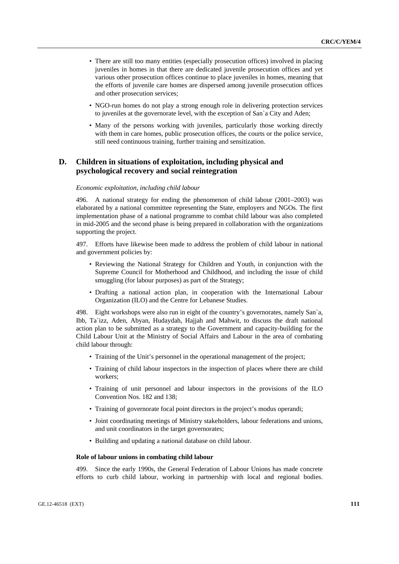- There are still too many entities (especially prosecution offices) involved in placing juveniles in homes in that there are dedicated juvenile prosecution offices and yet various other prosecution offices continue to place juveniles in homes, meaning that the efforts of juvenile care homes are dispersed among juvenile prosecution offices and other prosecution services;
- NGO-run homes do not play a strong enough role in delivering protection services to juveniles at the governorate level, with the exception of San`a City and Aden;
- Many of the persons working with juveniles, particularly those working directly with them in care homes, public prosecution offices, the courts or the police service, still need continuous training, further training and sensitization.

# **D. Children in situations of exploitation, including physical and psychological recovery and social reintegration**

#### *Economic exploitation, including child labour*

496. A national strategy for ending the phenomenon of child labour (2001–2003) was elaborated by a national committee representing the State, employers and NGOs. The first implementation phase of a national programme to combat child labour was also completed in mid-2005 and the second phase is being prepared in collaboration with the organizations supporting the project.

497. Efforts have likewise been made to address the problem of child labour in national and government policies by:

- Reviewing the National Strategy for Children and Youth, in conjunction with the Supreme Council for Motherhood and Childhood, and including the issue of child smuggling (for labour purposes) as part of the Strategy;
- Drafting a national action plan, in cooperation with the International Labour Organization (ILO) and the Centre for Lebanese Studies.

498. Eight workshops were also run in eight of the country's governorates, namely San`a, Ibb, Ta`izz, Aden, Abyan, Hudaydah, Hajjah and Mahwit, to discuss the draft national action plan to be submitted as a strategy to the Government and capacity-building for the Child Labour Unit at the Ministry of Social Affairs and Labour in the area of combating child labour through:

- Training of the Unit's personnel in the operational management of the project;
- Training of child labour inspectors in the inspection of places where there are child workers;
- Training of unit personnel and labour inspectors in the provisions of the ILO Convention Nos. 182 and 138;
- Training of governorate focal point directors in the project's modus operandi;
- Joint coordinating meetings of Ministry stakeholders, labour federations and unions, and unit coordinators in the target governorates;
- Building and updating a national database on child labour.

#### **Role of labour unions in combating child labour**

499. Since the early 1990s, the General Federation of Labour Unions has made concrete efforts to curb child labour, working in partnership with local and regional bodies.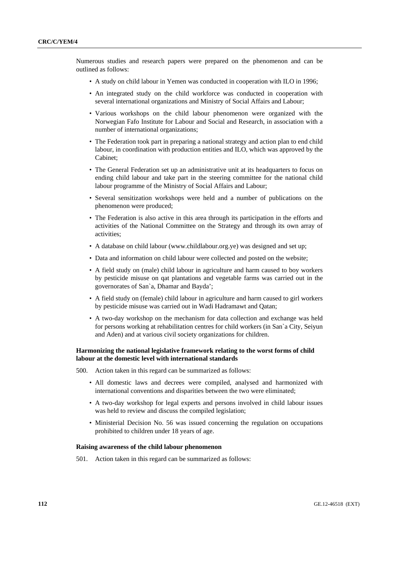Numerous studies and research papers were prepared on the phenomenon and can be outlined as follows:

- A study on child labour in Yemen was conducted in cooperation with ILO in 1996;
- An integrated study on the child workforce was conducted in cooperation with several international organizations and Ministry of Social Affairs and Labour;
- Various workshops on the child labour phenomenon were organized with the Norwegian Fafo Institute for Labour and Social and Research, in association with a number of international organizations;
- The Federation took part in preparing a national strategy and action plan to end child labour, in coordination with production entities and ILO, which was approved by the Cabinet;
- The General Federation set up an administrative unit at its headquarters to focus on ending child labour and take part in the steering committee for the national child labour programme of the Ministry of Social Affairs and Labour;
- Several sensitization workshops were held and a number of publications on the phenomenon were produced;
- The Federation is also active in this area through its participation in the efforts and activities of the National Committee on the Strategy and through its own array of activities;
- A database on child labour (www.childlabour.org.ye) was designed and set up;
- Data and information on child labour were collected and posted on the website;
- A field study on (male) child labour in agriculture and harm caused to boy workers by pesticide misuse on qat plantations and vegetable farms was carried out in the governorates of San`a, Dhamar and Bayda';
- A field study on (female) child labour in agriculture and harm caused to girl workers by pesticide misuse was carried out in Wadi Hadramawt and Qatan;
- A two-day workshop on the mechanism for data collection and exchange was held for persons working at rehabilitation centres for child workers (in San`a City, Seiyun and Aden) and at various civil society organizations for children.

#### **Harmonizing the national legislative framework relating to the worst forms of child labour at the domestic level with international standards**

- 500. Action taken in this regard can be summarized as follows:
	- All domestic laws and decrees were compiled, analysed and harmonized with international conventions and disparities between the two were eliminated;
	- A two-day workshop for legal experts and persons involved in child labour issues was held to review and discuss the compiled legislation;
	- Ministerial Decision No. 56 was issued concerning the regulation on occupations prohibited to children under 18 years of age.

#### **Raising awareness of the child labour phenomenon**

501. Action taken in this regard can be summarized as follows: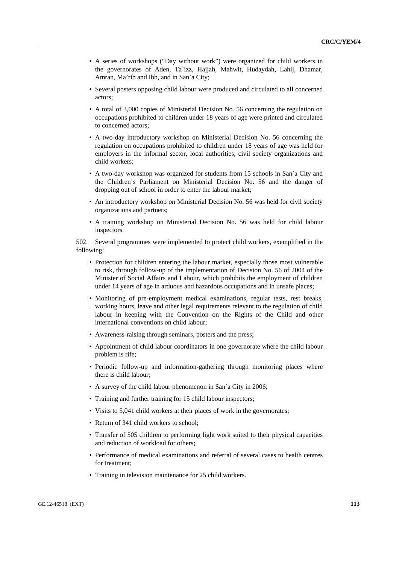- A series of workshops ("Day without work") were organized for child workers in the governorates of Aden, Ta`izz, Hajjah, Mahwit, Hudaydah, Lahij, Dhamar, Amran, Ma'rib and Ibb, and in San`a City;
- Several posters opposing child labour were produced and circulated to all concerned actors;
- A total of 3,000 copies of Ministerial Decision No. 56 concerning the regulation on occupations prohibited to children under 18 years of age were printed and circulated to concerned actors;
- A two-day introductory workshop on Ministerial Decision No. 56 concerning the regulation on occupations prohibited to children under 18 years of age was held for employers in the informal sector, local authorities, civil society organizations and child workers;
- A two-day workshop was organized for students from 15 schools in San`a City and the Children's Parliament on Ministerial Decision No. 56 and the danger of dropping out of school in order to enter the labour market;
- An introductory workshop on Ministerial Decision No. 56 was held for civil society organizations and partners;
- A training workshop on Ministerial Decision No. 56 was held for child labour inspectors.

502. Several programmes were implemented to protect child workers, exemplified in the following:

- Protection for children entering the labour market, especially those most vulnerable to risk, through follow-up of the implementation of Decision No. 56 of 2004 of the Minister of Social Affairs and Labour, which prohibits the employment of children under 14 years of age in arduous and hazardous occupations and in unsafe places;
- Monitoring of pre-employment medical examinations, regular tests, rest breaks, working hours, leave and other legal requirements relevant to the regulation of child labour in keeping with the Convention on the Rights of the Child and other international conventions on child labour;
- Awareness-raising through seminars, posters and the press;
- Appointment of child labour coordinators in one governorate where the child labour problem is rife;
- Periodic follow-up and information-gathering through monitoring places where there is child labour;
- A survey of the child labour phenomenon in San`a City in 2006;
- Training and further training for 15 child labour inspectors;
- Visits to 5,041 child workers at their places of work in the governorates;
- Return of 341 child workers to school;
- Transfer of 505 children to performing light work suited to their physical capacities and reduction of workload for others;
- Performance of medical examinations and referral of several cases to health centres for treatment;
- Training in television maintenance for 25 child workers.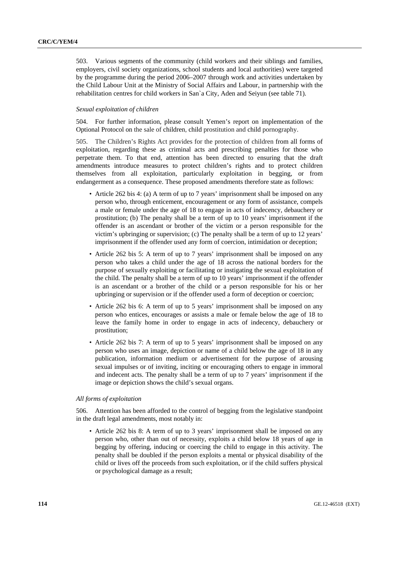503. Various segments of the community (child workers and their siblings and families, employers, civil society organizations, school students and local authorities) were targeted by the programme during the period 2006–2007 through work and activities undertaken by the Child Labour Unit at the Ministry of Social Affairs and Labour, in partnership with the rehabilitation centres for child workers in San`a City, Aden and Seiyun (see table 71).

#### *Sexual exploitation of children*

504. For further information, please consult Yemen's report on implementation of the Optional Protocol on the sale of children, child prostitution and child pornography.

505. The Children's Rights Act provides for the protection of children from all forms of exploitation, regarding these as criminal acts and prescribing penalties for those who perpetrate them. To that end, attention has been directed to ensuring that the draft amendments introduce measures to protect children's rights and to protect children themselves from all exploitation, particularly exploitation in begging, or from endangerment as a consequence. These proposed amendments therefore state as follows:

- Article 262 bis 4: (a) A term of up to 7 years' imprisonment shall be imposed on any person who, through enticement, encouragement or any form of assistance, compels a male or female under the age of 18 to engage in acts of indecency, debauchery or prostitution; (b) The penalty shall be a term of up to 10 years' imprisonment if the offender is an ascendant or brother of the victim or a person responsible for the victim's upbringing or supervision; (c) The penalty shall be a term of up to 12 years' imprisonment if the offender used any form of coercion, intimidation or deception;
- Article 262 bis 5: A term of up to 7 years' imprisonment shall be imposed on any person who takes a child under the age of 18 across the national borders for the purpose of sexually exploiting or facilitating or instigating the sexual exploitation of the child. The penalty shall be a term of up to 10 years' imprisonment if the offender is an ascendant or a brother of the child or a person responsible for his or her upbringing or supervision or if the offender used a form of deception or coercion;
- Article 262 bis 6: A term of up to 5 years' imprisonment shall be imposed on any person who entices, encourages or assists a male or female below the age of 18 to leave the family home in order to engage in acts of indecency, debauchery or prostitution;
- Article 262 bis 7: A term of up to 5 years' imprisonment shall be imposed on any person who uses an image, depiction or name of a child below the age of 18 in any publication, information medium or advertisement for the purpose of arousing sexual impulses or of inviting, inciting or encouraging others to engage in immoral and indecent acts. The penalty shall be a term of up to 7 years' imprisonment if the image or depiction shows the child's sexual organs.

#### *All forms of exploitation*

506. Attention has been afforded to the control of begging from the legislative standpoint in the draft legal amendments, most notably in:

• Article 262 bis 8: A term of up to 3 years' imprisonment shall be imposed on any person who, other than out of necessity, exploits a child below 18 years of age in begging by offering, inducing or coercing the child to engage in this activity. The penalty shall be doubled if the person exploits a mental or physical disability of the child or lives off the proceeds from such exploitation, or if the child suffers physical or psychological damage as a result;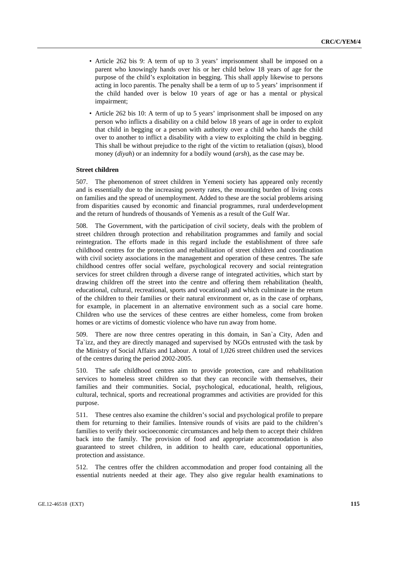- Article 262 bis 9: A term of up to 3 years' imprisonment shall be imposed on a parent who knowingly hands over his or her child below 18 years of age for the purpose of the child's exploitation in begging. This shall apply likewise to persons acting in loco parentis. The penalty shall be a term of up to 5 years' imprisonment if the child handed over is below 10 years of age or has a mental or physical impairment;
- Article 262 bis 10: A term of up to 5 years' imprisonment shall be imposed on any person who inflicts a disability on a child below 18 years of age in order to exploit that child in begging or a person with authority over a child who hands the child over to another to inflict a disability with a view to exploiting the child in begging. This shall be without prejudice to the right of the victim to retaliation (*qisas*), blood money (*diyah*) or an indemnity for a bodily wound (*arsh*), as the case may be.

#### **Street children**

507. The phenomenon of street children in Yemeni society has appeared only recently and is essentially due to the increasing poverty rates, the mounting burden of living costs on families and the spread of unemployment. Added to these are the social problems arising from disparities caused by economic and financial programmes, rural underdevelopment and the return of hundreds of thousands of Yemenis as a result of the Gulf War.

508. The Government, with the participation of civil society, deals with the problem of street children through protection and rehabilitation programmes and family and social reintegration. The efforts made in this regard include the establishment of three safe childhood centres for the protection and rehabilitation of street children and coordination with civil society associations in the management and operation of these centres. The safe childhood centres offer social welfare, psychological recovery and social reintegration services for street children through a diverse range of integrated activities, which start by drawing children off the street into the centre and offering them rehabilitation (health, educational, cultural, recreational, sports and vocational) and which culminate in the return of the children to their families or their natural environment or, as in the case of orphans, for example, in placement in an alternative environment such as a social care home. Children who use the services of these centres are either homeless, come from broken homes or are victims of domestic violence who have run away from home.

509. There are now three centres operating in this domain, in San`a City, Aden and Ta`izz, and they are directly managed and supervised by NGOs entrusted with the task by the Ministry of Social Affairs and Labour. A total of 1,026 street children used the services of the centres during the period 2002-2005.

510. The safe childhood centres aim to provide protection, care and rehabilitation services to homeless street children so that they can reconcile with themselves, their families and their communities. Social, psychological, educational, health, religious, cultural, technical, sports and recreational programmes and activities are provided for this purpose.

511. These centres also examine the children's social and psychological profile to prepare them for returning to their families. Intensive rounds of visits are paid to the children's families to verify their socioeconomic circumstances and help them to accept their children back into the family. The provision of food and appropriate accommodation is also guaranteed to street children, in addition to health care, educational opportunities, protection and assistance.

512. The centres offer the children accommodation and proper food containing all the essential nutrients needed at their age. They also give regular health examinations to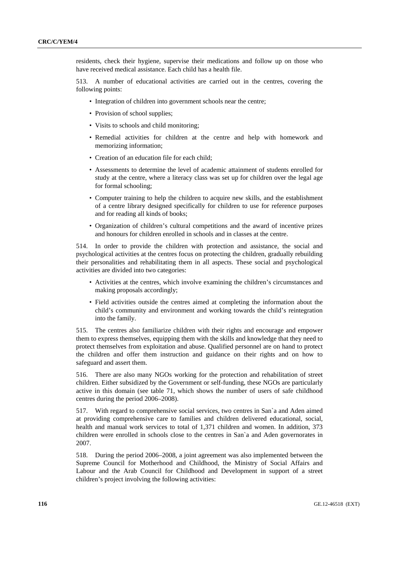residents, check their hygiene, supervise their medications and follow up on those who have received medical assistance. Each child has a health file.

513. A number of educational activities are carried out in the centres, covering the following points:

- Integration of children into government schools near the centre:
- Provision of school supplies;
- Visits to schools and child monitoring;
- Remedial activities for children at the centre and help with homework and memorizing information;
- Creation of an education file for each child;
- Assessments to determine the level of academic attainment of students enrolled for study at the centre, where a literacy class was set up for children over the legal age for formal schooling;
- Computer training to help the children to acquire new skills, and the establishment of a centre library designed specifically for children to use for reference purposes and for reading all kinds of books;
- Organization of children's cultural competitions and the award of incentive prizes and honours for children enrolled in schools and in classes at the centre.

514. In order to provide the children with protection and assistance, the social and psychological activities at the centres focus on protecting the children, gradually rebuilding their personalities and rehabilitating them in all aspects. These social and psychological activities are divided into two categories:

- Activities at the centres, which involve examining the children's circumstances and making proposals accordingly;
- Field activities outside the centres aimed at completing the information about the child's community and environment and working towards the child's reintegration into the family.

515. The centres also familiarize children with their rights and encourage and empower them to express themselves, equipping them with the skills and knowledge that they need to protect themselves from exploitation and abuse. Qualified personnel are on hand to protect the children and offer them instruction and guidance on their rights and on how to safeguard and assert them.

516. There are also many NGOs working for the protection and rehabilitation of street children. Either subsidized by the Government or self-funding, these NGOs are particularly active in this domain (see table 71, which shows the number of users of safe childhood centres during the period 2006–2008).

517. With regard to comprehensive social services, two centres in San`a and Aden aimed at providing comprehensive care to families and children delivered educational, social, health and manual work services to total of 1,371 children and women. In addition, 373 children were enrolled in schools close to the centres in San`a and Aden governorates in 2007.

518. During the period 2006–2008, a joint agreement was also implemented between the Supreme Council for Motherhood and Childhood, the Ministry of Social Affairs and Labour and the Arab Council for Childhood and Development in support of a street children's project involving the following activities: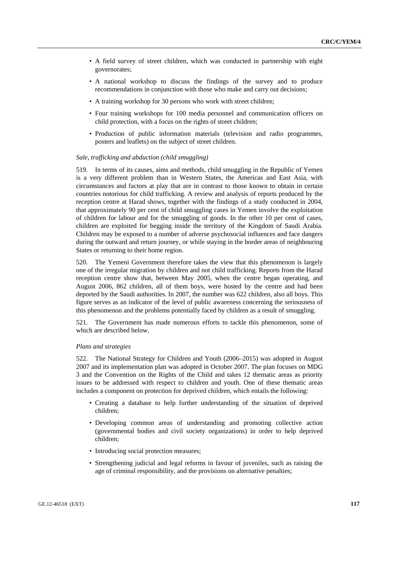- A field survey of street children, which was conducted in partnership with eight governorates;
- A national workshop to discuss the findings of the survey and to produce recommendations in conjunction with those who make and carry out decisions;
- A training workshop for 30 persons who work with street children;
- Four training workshops for 100 media personnel and communication officers on child protection, with a focus on the rights of street children;
- Production of public information materials (television and radio programmes, posters and leaflets) on the subject of street children.

#### *Sale, trafficking and abduction (child smuggling)*

519. In terms of its causes, aims and methods, child smuggling in the Republic of Yemen is a very different problem than in Western States, the Americas and East Asia, with circumstances and factors at play that are in contrast to those known to obtain in certain countries notorious for child trafficking. A review and analysis of reports produced by the reception centre at Harad shows, together with the findings of a study conducted in 2004, that approximately 90 per cent of child smuggling cases in Yemen involve the exploitation of children for labour and for the smuggling of goods. In the other 10 per cent of cases, children are exploited for begging inside the territory of the Kingdom of Saudi Arabia. Children may be exposed to a number of adverse psychosocial influences and face dangers during the outward and return journey, or while staying in the border areas of neighbouring States or returning to their home region.

520. The Yemeni Government therefore takes the view that this phenomenon is largely one of the irregular migration by children and not child trafficking. Reports from the Harad reception centre show that, between May 2005, when the centre began operating, and August 2006, 862 children, all of them boys, were hosted by the centre and had been deported by the Saudi authorities. In 2007, the number was 622 children, also all boys. This figure serves as an indicator of the level of public awareness concerning the seriousness of this phenomenon and the problems potentially faced by children as a result of smuggling.

521. The Government has made numerous efforts to tackle this phenomenon, some of which are described below.

#### *Plans and strategies*

522. The National Strategy for Children and Youth (2006–2015) was adopted in August 2007 and its implementation plan was adopted in October 2007. The plan focuses on MDG 3 and the Convention on the Rights of the Child and takes 12 thematic areas as priority issues to be addressed with respect to children and youth. One of these thematic areas includes a component on protection for deprived children, which entails the following:

- Creating a database to help further understanding of the situation of deprived children;
- Developing common areas of understanding and promoting collective action (governmental bodies and civil society organizations) in order to help deprived children;
- Introducing social protection measures;
- Strengthening judicial and legal reforms in favour of juveniles, such as raising the age of criminal responsibility, and the provisions on alternative penalties;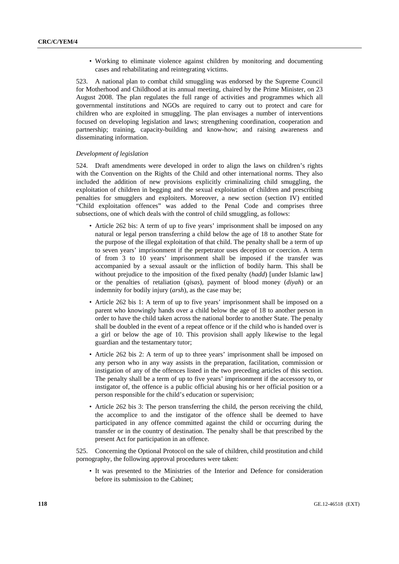• Working to eliminate violence against children by monitoring and documenting cases and rehabilitating and reintegrating victims.

523. A national plan to combat child smuggling was endorsed by the Supreme Council for Motherhood and Childhood at its annual meeting, chaired by the Prime Minister, on 23 August 2008. The plan regulates the full range of activities and programmes which all governmental institutions and NGOs are required to carry out to protect and care for children who are exploited in smuggling. The plan envisages a number of interventions focused on developing legislation and laws; strengthening coordination, cooperation and partnership; training, capacity-building and know-how; and raising awareness and disseminating information.

#### *Development of legislation*

524. Draft amendments were developed in order to align the laws on children's rights with the Convention on the Rights of the Child and other international norms. They also included the addition of new provisions explicitly criminalizing child smuggling, the exploitation of children in begging and the sexual exploitation of children and prescribing penalties for smugglers and exploiters. Moreover, a new section (section IV) entitled "Child exploitation offences" was added to the Penal Code and comprises three subsections, one of which deals with the control of child smuggling, as follows:

- Article 262 bis: A term of up to five years' imprisonment shall be imposed on any natural or legal person transferring a child below the age of 18 to another State for the purpose of the illegal exploitation of that child. The penalty shall be a term of up to seven years' imprisonment if the perpetrator uses deception or coercion. A term of from 3 to 10 years' imprisonment shall be imposed if the transfer was accompanied by a sexual assault or the infliction of bodily harm. This shall be without prejudice to the imposition of the fixed penalty (*hadd*) [under Islamic law] or the penalties of retaliation (*qisas*), payment of blood money (*diyah*) or an indemnity for bodily injury (*arsh*), as the case may be;
- Article 262 bis 1: A term of up to five years' imprisonment shall be imposed on a parent who knowingly hands over a child below the age of 18 to another person in order to have the child taken across the national border to another State. The penalty shall be doubled in the event of a repeat offence or if the child who is handed over is a girl or below the age of 10. This provision shall apply likewise to the legal guardian and the testamentary tutor;
- Article 262 bis 2: A term of up to three years' imprisonment shall be imposed on any person who in any way assists in the preparation, facilitation, commission or instigation of any of the offences listed in the two preceding articles of this section. The penalty shall be a term of up to five years' imprisonment if the accessory to, or instigator of, the offence is a public official abusing his or her official position or a person responsible for the child's education or supervision;
- Article 262 bis 3: The person transferring the child, the person receiving the child, the accomplice to and the instigator of the offence shall be deemed to have participated in any offence committed against the child or occurring during the transfer or in the country of destination. The penalty shall be that prescribed by the present Act for participation in an offence.

525. Concerning the Optional Protocol on the sale of children, child prostitution and child pornography, the following approval procedures were taken:

• It was presented to the Ministries of the Interior and Defence for consideration before its submission to the Cabinet;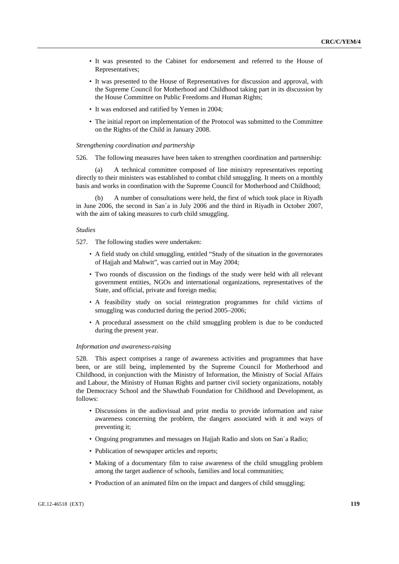- It was presented to the Cabinet for endorsement and referred to the House of Representatives;
- It was presented to the House of Representatives for discussion and approval, with the Supreme Council for Motherhood and Childhood taking part in its discussion by the House Committee on Public Freedoms and Human Rights;
- It was endorsed and ratified by Yemen in 2004;
- The initial report on implementation of the Protocol was submitted to the Committee on the Rights of the Child in January 2008.

#### *Strengthening coordination and partnership*

526. The following measures have been taken to strengthen coordination and partnership:

 (a) A technical committee composed of line ministry representatives reporting directly to their ministers was established to combat child smuggling. It meets on a monthly basis and works in coordination with the Supreme Council for Motherhood and Childhood;

 (b) A number of consultations were held, the first of which took place in Riyadh in June 2006, the second in San`a in July 2006 and the third in Riyadh in October 2007, with the aim of taking measures to curb child smuggling.

#### *Studies*

527. The following studies were undertaken:

- A field study on child smuggling, entitled "Study of the situation in the governorates of Hajjah and Mahwit", was carried out in May 2004;
- Two rounds of discussion on the findings of the study were held with all relevant government entities, NGOs and international organizations, representatives of the State, and official, private and foreign media;
- A feasibility study on social reintegration programmes for child victims of smuggling was conducted during the period 2005–2006;
- A procedural assessment on the child smuggling problem is due to be conducted during the present year.

#### *Information and awareness-raising*

528. This aspect comprises a range of awareness activities and programmes that have been, or are still being, implemented by the Supreme Council for Motherhood and Childhood, in conjunction with the Ministry of Information, the Ministry of Social Affairs and Labour, the Ministry of Human Rights and partner civil society organizations, notably the Democracy School and the Shawthab Foundation for Childhood and Development, as follows:

- Discussions in the audiovisual and print media to provide information and raise awareness concerning the problem, the dangers associated with it and ways of preventing it;
- Ongoing programmes and messages on Hajjah Radio and slots on San`a Radio;
- Publication of newspaper articles and reports;
- Making of a documentary film to raise awareness of the child smuggling problem among the target audience of schools, families and local communities;
- Production of an animated film on the impact and dangers of child smuggling;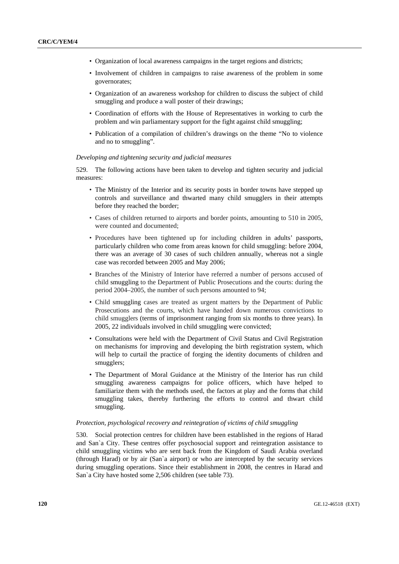- Organization of local awareness campaigns in the target regions and districts;
- Involvement of children in campaigns to raise awareness of the problem in some governorates;
- Organization of an awareness workshop for children to discuss the subject of child smuggling and produce a wall poster of their drawings;
- Coordination of efforts with the House of Representatives in working to curb the problem and win parliamentary support for the fight against child smuggling;
- Publication of a compilation of children's drawings on the theme "No to violence and no to smuggling".

#### *Developing and tightening security and judicial measures*

529. The following actions have been taken to develop and tighten security and judicial measures:

- The Ministry of the Interior and its security posts in border towns have stepped up controls and surveillance and thwarted many child smugglers in their attempts before they reached the border;
- Cases of children returned to airports and border points, amounting to 510 in 2005, were counted and documented;
- Procedures have been tightened up for including children in adults' passports, particularly children who come from areas known for child smuggling: before 2004, there was an average of 30 cases of such children annually, whereas not a single case was recorded between 2005 and May 2006;
- Branches of the Ministry of Interior have referred a number of persons accused of child smuggling to the Department of Public Prosecutions and the courts: during the period 2004–2005, the number of such persons amounted to 94;
- Child smuggling cases are treated as urgent matters by the Department of Public Prosecutions and the courts, which have handed down numerous convictions to child smugglers (terms of imprisonment ranging from six months to three years). In 2005, 22 individuals involved in child smuggling were convicted;
- Consultations were held with the Department of Civil Status and Civil Registration on mechanisms for improving and developing the birth registration system, which will help to curtail the practice of forging the identity documents of children and smugglers;
- The Department of Moral Guidance at the Ministry of the Interior has run child smuggling awareness campaigns for police officers, which have helped to familiarize them with the methods used, the factors at play and the forms that child smuggling takes, thereby furthering the efforts to control and thwart child smuggling.

#### *Protection, psychological recovery and reintegration of victims of child smuggling*

530. Social protection centres for children have been established in the regions of Harad and San`a City. These centres offer psychosocial support and reintegration assistance to child smuggling victims who are sent back from the Kingdom of Saudi Arabia overland (through Harad) or by air (San`a airport) or who are intercepted by the security services during smuggling operations. Since their establishment in 2008, the centres in Harad and San`a City have hosted some 2,506 children (see table 73).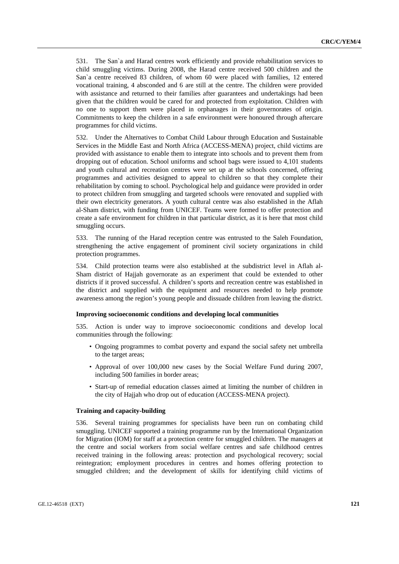531. The San`a and Harad centres work efficiently and provide rehabilitation services to child smuggling victims. During 2008, the Harad centre received 500 children and the San`a centre received 83 children, of whom 60 were placed with families, 12 entered vocational training, 4 absconded and 6 are still at the centre. The children were provided with assistance and returned to their families after guarantees and undertakings had been given that the children would be cared for and protected from exploitation. Children with no one to support them were placed in orphanages in their governorates of origin. Commitments to keep the children in a safe environment were honoured through aftercare programmes for child victims.

532. Under the Alternatives to Combat Child Labour through Education and Sustainable Services in the Middle East and North Africa (ACCESS-MENA) project, child victims are provided with assistance to enable them to integrate into schools and to prevent them from dropping out of education. School uniforms and school bags were issued to 4,101 students and youth cultural and recreation centres were set up at the schools concerned, offering programmes and activities designed to appeal to children so that they complete their rehabilitation by coming to school. Psychological help and guidance were provided in order to protect children from smuggling and targeted schools were renovated and supplied with their own electricity generators. A youth cultural centre was also established in the Aflah al-Sham district, with funding from UNICEF. Teams were formed to offer protection and create a safe environment for children in that particular district, as it is here that most child smuggling occurs.

533. The running of the Harad reception centre was entrusted to the Saleh Foundation, strengthening the active engagement of prominent civil society organizations in child protection programmes.

534. Child protection teams were also established at the subdistrict level in Aflah al-Sham district of Hajjah governorate as an experiment that could be extended to other districts if it proved successful. A children's sports and recreation centre was established in the district and supplied with the equipment and resources needed to help promote awareness among the region's young people and dissuade children from leaving the district.

#### **Improving socioeconomic conditions and developing local communities**

535. Action is under way to improve socioeconomic conditions and develop local communities through the following:

- Ongoing programmes to combat poverty and expand the social safety net umbrella to the target areas;
- Approval of over 100,000 new cases by the Social Welfare Fund during 2007, including 500 families in border areas;
- Start-up of remedial education classes aimed at limiting the number of children in the city of Hajjah who drop out of education (ACCESS-MENA project).

#### **Training and capacity-building**

536. Several training programmes for specialists have been run on combating child smuggling. UNICEF supported a training programme run by the International Organization for Migration (IOM) for staff at a protection centre for smuggled children. The managers at the centre and social workers from social welfare centres and safe childhood centres received training in the following areas: protection and psychological recovery; social reintegration; employment procedures in centres and homes offering protection to smuggled children; and the development of skills for identifying child victims of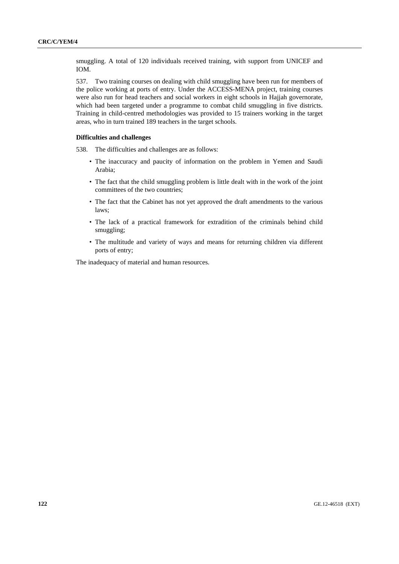smuggling. A total of 120 individuals received training, with support from UNICEF and IOM.

537. Two training courses on dealing with child smuggling have been run for members of the police working at ports of entry. Under the ACCESS-MENA project, training courses were also run for head teachers and social workers in eight schools in Hajjah governorate, which had been targeted under a programme to combat child smuggling in five districts. Training in child-centred methodologies was provided to 15 trainers working in the target areas, who in turn trained 189 teachers in the target schools.

#### **Difficulties and challenges**

538. The difficulties and challenges are as follows:

- The inaccuracy and paucity of information on the problem in Yemen and Saudi Arabia;
- The fact that the child smuggling problem is little dealt with in the work of the joint committees of the two countries;
- The fact that the Cabinet has not yet approved the draft amendments to the various laws;
- The lack of a practical framework for extradition of the criminals behind child smuggling;
- The multitude and variety of ways and means for returning children via different ports of entry;

The inadequacy of material and human resources.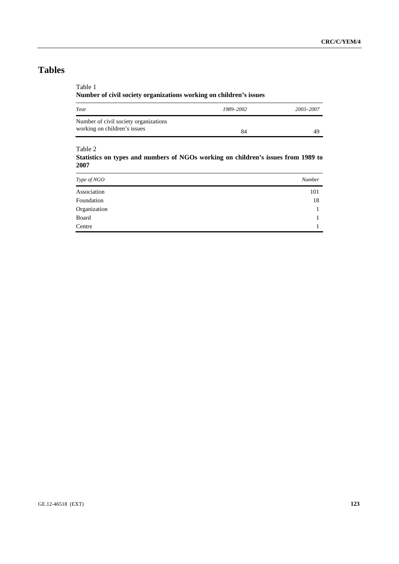Table 1

**Number of civil society organizations working on children's issues** 

| Year                                                                  | 1989-2002 | 2003-2007 |
|-----------------------------------------------------------------------|-----------|-----------|
| Number of civil society organizations<br>working on children's issues | 84        | 49        |

#### Table 2

**Statistics on types and numbers of NGOs working on children's issues from 1989 to 2007** 

| Type of NGO  | Number |
|--------------|--------|
| Association  | 101    |
| Foundation   | 18     |
| Organization |        |
| Board        |        |
| Centre       |        |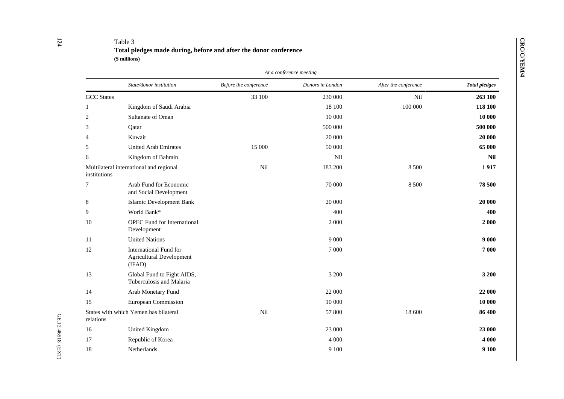# Table 3 **Total pledges made during, before and after the donor conference (\$ millions)**

|                   |                                                                            |                       | At a conference meeting |                      |                      |
|-------------------|----------------------------------------------------------------------------|-----------------------|-------------------------|----------------------|----------------------|
|                   | State/donor institution                                                    | Before the conference | Donors in London        | After the conference | <b>Total pledges</b> |
| <b>GCC</b> States |                                                                            | 33 100                | 230 000                 | Nil                  | 263 100              |
| 1                 | Kingdom of Saudi Arabia                                                    |                       | 18 100                  | 100 000              | 118 100              |
| 2                 | Sultanate of Oman                                                          |                       | 10 000                  |                      | 10 000               |
| 3                 | Qatar                                                                      |                       | 500 000                 |                      | 500 000              |
| $\overline{4}$    | Kuwait                                                                     |                       | 20 000                  |                      | 20 000               |
| 5                 | <b>United Arab Emirates</b>                                                | 15 000                | 50 000                  |                      | 65 000               |
| 6                 | Kingdom of Bahrain                                                         |                       | Nil                     |                      | <b>Nil</b>           |
| institutions      | Multilateral international and regional                                    | Nil                   | 183 200                 | 8 500                | 1917                 |
| 7                 | Arab Fund for Economic<br>and Social Development                           |                       | 70 000                  | 8 5 0 0              | 78 500               |
| 8                 | <b>Islamic Development Bank</b>                                            |                       | 20 000                  |                      | 20 000               |
| 9                 | World Bank*                                                                |                       | 400                     |                      | 400                  |
| 10                | <b>OPEC</b> Fund for International<br>Development                          |                       | 2 0 0 0                 |                      | 2 000                |
| 11                | <b>United Nations</b>                                                      |                       | 9 0 0 0                 |                      | 9 0 0 0              |
| 12                | <b>International Fund for</b><br><b>Agricultural Development</b><br>(IFAD) |                       | 7 0 0 0                 |                      | 7 000                |
| 13                | Global Fund to Fight AIDS,<br>Tuberculosis and Malaria                     |                       | 3 200                   |                      | 3 200                |
| 14                | Arab Monetary Fund                                                         |                       | 22 000                  |                      | 22 000               |
| 15                | European Commission                                                        |                       | 10 000                  |                      | 10 000               |
| relations         | States with which Yemen has bilateral                                      | Nil                   | 57 800                  | 18 600               | 86 400               |
| 16                | <b>United Kingdom</b>                                                      |                       | 23 000                  |                      | 23 000               |
| 17                | Republic of Korea                                                          |                       | 4 0 0 0                 |                      | 4 000                |
| 18                | Netherlands                                                                |                       | 9 100                   |                      | 9 100                |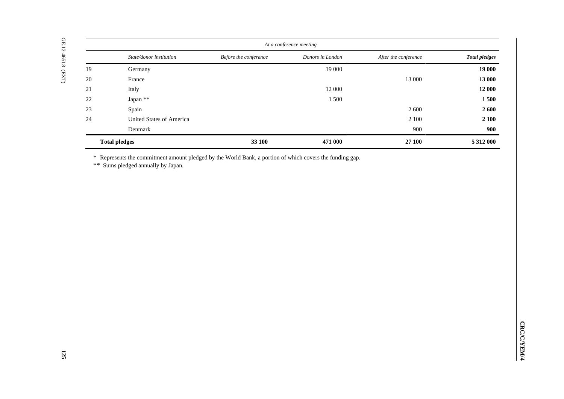| Donors in London<br>State/donor institution<br>Before the conference<br>After the conference<br>19<br>19 000<br>Germany<br>13 000<br>France<br>Italy<br>$12\;000$<br>Japan **<br>$22\,$<br>$1\,500$<br>Spain<br>$2\;600$<br><b>United States of America</b><br>$2\;100$<br>Denmark<br>900<br>471 000<br><b>Total pledges</b><br>33 100<br>27100<br>5 312 000<br>* Represents the commitment amount pledged by the World Bank, a portion of which covers the funding gap.<br>** Sums pledged annually by Japan. |  | At a conference meeting |                      |
|----------------------------------------------------------------------------------------------------------------------------------------------------------------------------------------------------------------------------------------------------------------------------------------------------------------------------------------------------------------------------------------------------------------------------------------------------------------------------------------------------------------|--|-------------------------|----------------------|
| $20\,$<br>$21\,$<br>23<br>24                                                                                                                                                                                                                                                                                                                                                                                                                                                                                   |  |                         | <b>Total pledges</b> |
|                                                                                                                                                                                                                                                                                                                                                                                                                                                                                                                |  |                         | 19 000               |
|                                                                                                                                                                                                                                                                                                                                                                                                                                                                                                                |  |                         | 13 000               |
|                                                                                                                                                                                                                                                                                                                                                                                                                                                                                                                |  |                         | 12 000               |
|                                                                                                                                                                                                                                                                                                                                                                                                                                                                                                                |  |                         | 1500                 |
|                                                                                                                                                                                                                                                                                                                                                                                                                                                                                                                |  |                         | 2 600                |
|                                                                                                                                                                                                                                                                                                                                                                                                                                                                                                                |  |                         | 2 100                |
|                                                                                                                                                                                                                                                                                                                                                                                                                                                                                                                |  |                         | 900                  |
|                                                                                                                                                                                                                                                                                                                                                                                                                                                                                                                |  |                         |                      |
|                                                                                                                                                                                                                                                                                                                                                                                                                                                                                                                |  |                         |                      |
|                                                                                                                                                                                                                                                                                                                                                                                                                                                                                                                |  |                         |                      |
|                                                                                                                                                                                                                                                                                                                                                                                                                                                                                                                |  |                         |                      |
|                                                                                                                                                                                                                                                                                                                                                                                                                                                                                                                |  |                         |                      |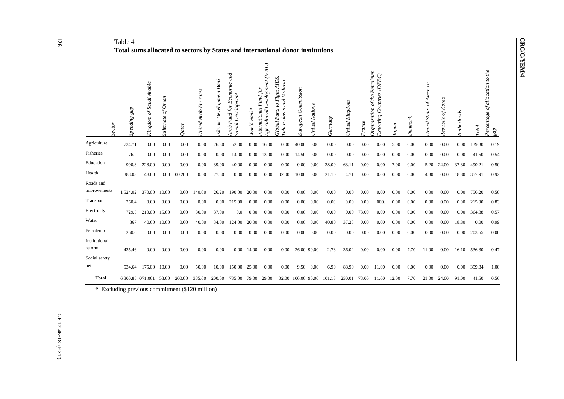**CRC/C/YEM/4 CRC/C/YEM/4** 

#### Table 4 **Total sums allocated to sectors by States and international donor institutions**

| Sector                    | Spending gap     | Kingdom of Saudi Arabia | of $O$ man<br><b>Sultanate</b> | Qatar  | United Arab Emirates | <b>Bank</b><br>Development<br><i>slamic</i> | Economic and<br>Social Development<br>Fund for<br>Arab | Bank <sup>3</sup><br>World | Agricultural Development (IFAD)<br>Fund for<br>nternational | AIDS,<br>Tuberculosis and Malaria<br>Fight .<br>$\mathcal{O}$<br>Fund<br>Global | Commission<br><b>European</b> | <b>United Nations</b> | <b>Germany</b> | United Kingdom | France | Organization of the Petroleum<br>Countries (OPEC)<br>Exporting | apan  | Denmark | <i><b>Jnited States of America</b></i> | Republic of Korea | Vetherlands | <b>Total</b> | Percentage of allocation to the<br>gap |
|---------------------------|------------------|-------------------------|--------------------------------|--------|----------------------|---------------------------------------------|--------------------------------------------------------|----------------------------|-------------------------------------------------------------|---------------------------------------------------------------------------------|-------------------------------|-----------------------|----------------|----------------|--------|----------------------------------------------------------------|-------|---------|----------------------------------------|-------------------|-------------|--------------|----------------------------------------|
| Agriculture               | 734.71           | 0.00                    | 0.00                           | 0.00   | 0.00                 | 26.30                                       | 52.00                                                  | 0.00                       | 16.00                                                       | 0.00                                                                            | 40.00                         | 0.00                  | 0.00           | 0.00           | 0.00   | 0.00                                                           | 5.00  | 0.00    | 0.00                                   | 0.00              | 0.00        | 139.30       | 0.19                                   |
| Fisheries                 | 76.2             | 0.00                    | 0.00                           | 0.00   | 0.00                 | 0.00                                        | 14.00                                                  | 0.00                       | 13.00                                                       | 0.00                                                                            | 14.50                         | 0.00                  | 0.00           | 0.00           | 0.00   | 0.00                                                           | 0.00  | 0.00    | 0.00                                   | 0.00              | 0.00        | 41.50        | 0.54                                   |
| Education                 | 990.3            | 228.00                  | 0.00                           | 0.00   | 0.00                 | 39.00                                       | 40.00                                                  | 0.00                       | 0.00                                                        | 0.00                                                                            | 0.00                          | 0.00                  | 38.00          | 63.11          | 0.00   | 0.00                                                           | 7.00  | 0.00    | 5.20                                   | 24.00             | 37.30       | 490.21       | 0.50                                   |
| Health                    | 388.03           | 48.00                   | 0.00                           | 00.200 | 0.00                 | 27.50                                       | 0.00                                                   | 0.00                       | 0.00                                                        | 32.00                                                                           | 10.00                         | 0.00                  | 21.10          | 4.71           | 0.00   | 0.00                                                           | 0.00  | 0.00    | 4.80                                   | 0.00              | 18.80       | 357.91       | 0.92                                   |
| Roads and<br>improvements | 1 524.02         | 370.00                  | 10.00                          | 0.00   | 140.00               | 26.20                                       | 190.00                                                 | 20.00                      | 0.00                                                        | 0.00                                                                            | 0.00                          | 0.00                  | 0.00           | 0.00           | 0.00   | 0.00                                                           | 0.00  | 0.00    | 0.00                                   | 0.00              | 0.00        | 756.20       | 0.50                                   |
| Transport                 | 260.4            | 0.00                    | 0.00                           | 0.00   | 0.00                 | 0.00                                        | 215.00                                                 | 0.00                       | 0.00                                                        | 0.00                                                                            | 0.00                          | 0.00                  | 0.00           | 0.00           | 0.00   | 000.                                                           | 0.00  | 0.00    | 0.00                                   | 0.00              | 0.00        | 215.00       | 0.83                                   |
| Electricity               | 729.5            | 210.00                  | 15.00                          | 0.00   | 80.00                | 37.00                                       | 0.0                                                    | 0.00                       | 0.00                                                        | 0.00                                                                            | 0.00                          | 0.00                  | 0.00           | 0.00           | 73.00  | 0.00                                                           | 0.00  | 0.00    | 0.00                                   | 0.00              | 0.00        | 364.88       | 0.57                                   |
| Water                     | 367              | 40.00                   | 10.00                          | 0.00   | 40.00                | 34.00                                       | 124.00                                                 | 20.00                      | 0.00                                                        | 0.00                                                                            | 0.00                          | 0.00                  | 40.80          | 37.28          | 0.00   | 0.00                                                           | 0.00  | 0.00    | 0.00                                   | 0.00              | 18.80       | 0.00         | 0.99                                   |
| Petroleum                 | 260.6            | 0.00                    | 0.00                           | 0.00   | 0.00                 | 0.00                                        | 0.00                                                   | 0.00                       | 0.00                                                        | 0.00                                                                            | 0.00                          | 0.00                  | 0.00           | 0.00           | 0.00   | 0.00                                                           | 0.00  | 0.00    | 0.00                                   | 0.00              | 0.00        | 203.55       | 0.00                                   |
| Institutional<br>reform   | 435.46           | 0.00                    | 0.00                           | 0.00   | 0.00                 | 0.00                                        | 0.00                                                   | 14.00                      | 0.00                                                        | 0.00                                                                            | 26.00 90.00                   |                       | 2.73           | 36.02          | 0.00   | 0.00                                                           | 0.00  | 7.70    | 11.00                                  | 0.00              | 16.10       | 536.30       | 0.47                                   |
| Social safety<br>net      | 534.64           | 175.00                  | 10.00                          | 0.00   | 50.00                | 10.00                                       | 150.00                                                 | 25.00                      | 0.00                                                        | 0.00                                                                            | 9.50                          | 0.00                  | 6.90           | 88.90          | 0.00   | 11.00                                                          | 0.00  | 0.00    | 0.00                                   | 0.00              | 0.00        | 359.84       | 1.00                                   |
| <b>Total</b>              | 6 300.85 071,001 |                         | 53.00                          | 200.00 | 385.00               | 200.00                                      | 785.00                                                 | 79.00                      | 29.00                                                       | 32.00                                                                           | 100.00 90.00                  |                       | 101.13         | 230.01         | 73.00  | 11.00                                                          | 12.00 | 7.70    | 21.00                                  | 24.00             | 91.00       | 41.50        | 0.56                                   |

\* Excluding previous commitment (\$120 million)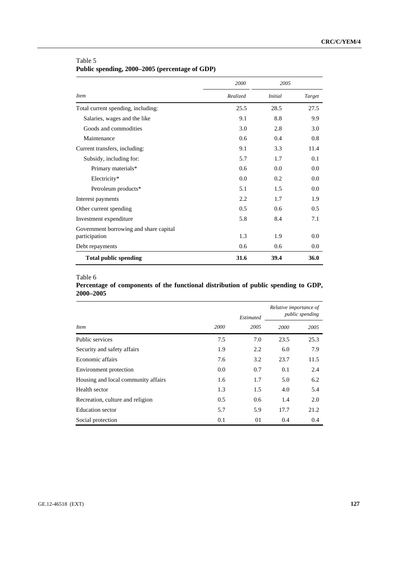|                                        | 2000     | 2005           |        |
|----------------------------------------|----------|----------------|--------|
| <i>Item</i>                            | Realized | <i>Initial</i> | Target |
| Total current spending, including:     | 25.5     | 28.5           | 27.5   |
| Salaries, wages and the like           | 9.1      | 8.8            | 9.9    |
| Goods and commodities                  | 3.0      | 2.8            | 3.0    |
| Maintenance                            | 0.6      | 0.4            | 0.8    |
| Current transfers, including:          | 9.1      | 3.3            | 11.4   |
| Subsidy, including for:                | 5.7      | 1.7            | 0.1    |
| Primary materials*                     | 0.6      | 0.0            | 0.0    |
| Electricity*                           | 0.0      | 0.2            | 0.0    |
| Petroleum products*                    | 5.1      | 1.5            | 0.0    |
| Interest payments                      | 2.2      | 1.7            | 1.9    |
| Other current spending                 | 0.5      | 0.6            | 0.5    |
| Investment expenditure                 | 5.8      | 8.4            | 7.1    |
| Government borrowing and share capital |          |                |        |
| participation                          | 1.3      | 1.9            | 0.0    |
| Debt repayments                        | 0.6      | 0.6            | 0.0    |
| <b>Total public spending</b>           | 31.6     | 39.4           | 36.0   |

# Table 5 **Public spending, 2000–2005 (percentage of GDP)**

#### Table 6

# **Percentage of components of the functional distribution of public spending to GDP, 2000–2005**

|                                     |      | Estimated | Relative importance of | <i>public spending</i> |
|-------------------------------------|------|-----------|------------------------|------------------------|
| <i>Item</i>                         | 2000 | 2005      | 2000                   | 2005                   |
| Public services                     | 7.5  | 7.0       | 23.5                   | 25.3                   |
| Security and safety affairs         | 1.9  | 2.2       | 6.0                    | 7.9                    |
| Economic affairs                    | 7.6  | 3.2       | 23.7                   | 11.5                   |
| Environment protection              | 0.0  | 0.7       | 0.1                    | 2.4                    |
| Housing and local community affairs | 1.6  | 1.7       | 5.0                    | 6.2                    |
| Health sector                       | 1.3  | 1.5       | 4.0                    | 5.4                    |
| Recreation, culture and religion    | 0.5  | 0.6       | 1.4                    | 2.0                    |
| Education sector                    | 5.7  | 5.9       | 17.7                   | 21.2                   |
| Social protection                   | 0.1  | 01        | 0.4                    | 0.4                    |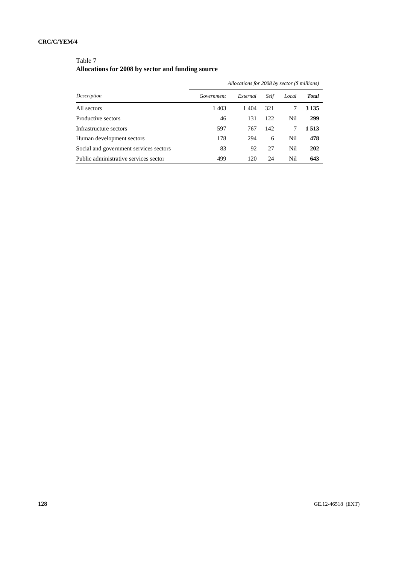# **CRC/C/YEM/4**

# Table 7

# **Allocations for 2008 by sector and funding source**

|                                        |            | Allocations for 2008 by sector $(\$$ millions) |      |       |              |
|----------------------------------------|------------|------------------------------------------------|------|-------|--------------|
| Description                            | Government | External                                       | Self | Local | <b>Total</b> |
| All sectors                            | 1 4 0 3    | 1404                                           | 321  | 7     | 3 1 3 5      |
| Productive sectors                     | 46         | 131                                            | 122  | Nil   | 299          |
| Infrastructure sectors                 | 597        | 767                                            | 142  | 7     | 1 5 1 3      |
| Human development sectors              | 178        | 294                                            | 6    | Nil   | 478          |
| Social and government services sectors | 83         | 92                                             | 27   | Nil   | 202          |
| Public administrative services sector  | 499        | 120                                            | 24   | Nil   | 643          |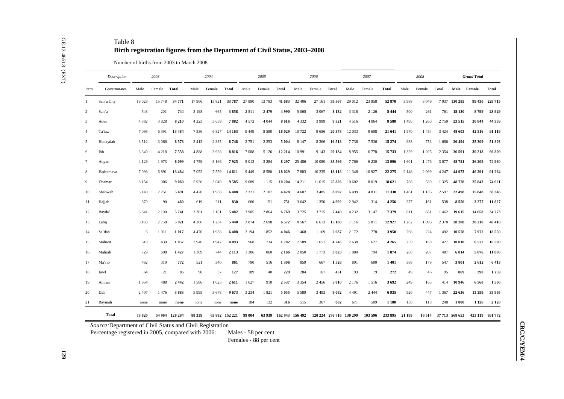|                 | Description        |         | 2003    |                |         | 2004    |                |         | 2005    |                        |          | 2006    |                         |         | 2007    |                |         | 2008    |                       |               | <b>Grand Total</b> |       |
|-----------------|--------------------|---------|---------|----------------|---------|---------|----------------|---------|---------|------------------------|----------|---------|-------------------------|---------|---------|----------------|---------|---------|-----------------------|---------------|--------------------|-------|
| Item            | Governorates       | Male    | Female  | Total          | Male    | Female  | Total          | Male    | Female  | <b>Total</b>           | Male     | Female  | Total                   | Male    | Female  | Total          | Male    | Female  | Total                 |               | Male Female        | Total |
| $\mathbf{1}$    | San'a City         | 19 023  | 15 748  | 34 771         | 17966   | 15 821  | 33 787         | 27 890  | 13793   | 41 683                 | 32 406   | 27 161  | 59 567                  | 29 012  | 23 858  | 52 870         | 3988    | 3 0 4 9 |                       | 7 037 130 285 | 99 430 229 715     |       |
| 2               | San`a              | 543     | 201     | 744            | 3 1 9 3 | 665     | 3858           | 2511    | 2479    | 4990                   | 5 0 6 5  | 3 0 6 7 | 8 1 3 2                 | 3 3 1 8 | 2 1 2 6 | 5 4 4 4        | 500     | 261     | 761                   | 15 130        | 8799               |       |
| 3               | Aden               | 4 3 8 2 | 3828    | 8 2 1 0        | 4 2 2 3 | 3659    | 7882           | 4 5 7 2 | 4 0 4 4 | 8616                   | 4 3 3 2  | 3989    | 8321                    | 4516    | 4 0 6 4 | 8580           | 1490    | 1 2 6 0 | 2750                  | 23 5 15       | 20 844             |       |
| $\overline{4}$  | Ta`izz             | 7093    | 6391    | 13 4 84        | 7336    | 6827    | 14 163         | 9 4 4 9 | 8580    | 18 029                 | 10722    | 9656    | 20 378                  | 12033   | 9608    | 21 641         | 1970    | 1454    | 3 4 2 4               | 48 603        | 42516              |       |
| 5               | Hudaydah           | 3512    | 3 0 6 6 | 6578           | 3 4 1 3 | 2 3 3 5 | 6748           | 2751    | 2 2 5 3 | 5 0 0 4                | 8 1 4 7  | 8 3 6 6 | 16513                   | 7738    | 7536    | 15 274         | 933     | 753     | 1686                  | 26 494        | 25 309             |       |
| 6               | Ibb                | 3 3 4 0 | 4 2 1 8 | 7558           | 4888    | 3928    | 8816           | 7088    | 5 1 2 6 | 12 214                 | 10 991   | 9 1 4 3 | 20 134                  | 8955    | 6778    | 15733          | 1 3 2 9 | 1 0 25  | 2 3 5 4               | 36 591        | 30 218             |       |
| $7\phantom{.0}$ | Abyan              | 4 1 2 6 | 1973    | 6 0 9 9        | 4759    | 3 1 6 6 | 7925           | 5 0 1 3 | 3 2 8 4 | 8 2 9 7                | 25 4 8 6 | 10 080  | 35 566                  | 7766    | 6 2 3 0 | 13 996         | 1601    | 1476    | 3 0 7 7               | 48751         | 26 209             |       |
| 8               | Hadramawt          | 7093    | 6891    | 13 4 84        | 7052    | 7559    | 14 611         | 9 4 4 9 | 8580    | 18 029                 | 7883     | 10 235  | 18 118                  | 11 348  | 10 9 27 | 22 27 5        | 2 1 4 8 | 2099    | 4 2 4 7               | 44 973        | 46 291             |       |
| 9               | Dhamar             | 8 1 5 4 | 906     | 9 0 6 0        | 5936    | 3 6 4 9 | 9585           | 9 0 8 9 | 1 1 1 5 | 10 204                 | 14 21 1  | 11 615  | 25826                   | 10 602  | 8019    | 18 621         | 786     | 539     | 1 3 2 5               | 48778         | 25 843             |       |
| 10              | Shabwah            | 3 1 4 0 | 2 2 5 1 | 5491           | 4 4 7 0 | 1938    | 6408           | 2 3 2 1 | 2 1 0 7 | 4428                   | 4 607    | 3 4 8 5 | 8 0 9 2                 | 6499    | 4831    | 11 330         | 1461    | 1 1 3 6 | 2 5 9 7               | 22 498        | 15848              |       |
| 11              | Hajjah             | 370     | 90      | 460            | 619     | 211     | 830            | 600     | 151     | 751                    | 3 6 4 2  | 1 3 5 0 | 4992                    | 2942    | 1314    | 4 2 5 6        | 377     | 161     | 538                   | 8550          | 3 2 7 7            |       |
| 12              | Bayda <sup>'</sup> | 3 6 4 1 | 2 100   | 5741           | 3 3 0 1 | 2 1 8 1 | 5482           | 3 9 0 5 | 2864    | 6769                   | 3725     | 3715    | 7440                    | 4 2 3 2 | 3 1 4 7 | 7379           | 811     | 651     | 1 4 6 2               | 19615         | 14 658             |       |
| 13              | Lahij              | 3 1 6 3 | 2758    | 5921           | 4 2 0 6 | 1 2 3 4 | 5 4 4 0        | 3874    | 2698    | 6572                   | 8567     | 6613    | 15 180                  | 7 1 1 6 | 5811    | 12927          | 1 2 8 2 | 1 0 9 6 | 2 3 7 8               | 28 20 8       | 20 210             |       |
| 14              | Sa`dah             | 6       | 1011    | 1017           | 4 4 7 0 | 1938    | 6408           | 2 1 9 4 | 1852    | 4 0 4 6                | 1468     | 1 1 6 9 | 2637                    | 2 1 7 2 | 1778    | 3950           | 268     | 224     | 492                   | 10578         | 7972               |       |
| 15              | Mahwit             | 618     | 439     | 1057           | 2946    | 1947    | 4893           | 968     | 734     | 1702                   | 2589     | 1657    | 4 2 4 6                 | 2638    | 1627    | 4 2 6 5        | 259     | 168     | 427                   | 10 018        | 6572               |       |
| 16              | Mahrah             | 729     | 698     | 1427           | 1 3 6 9 | 744     | 2 1 1 3        | 1 3 0 6 | 860     | 2 1 6 6                | 2 0 5 0  | 1773    | 3823                    | 1 0 8 0 | 794     | 1874           | 280     | 207     | 487                   | 6814          | 5076               |       |
| 17              | Ma'rib             | 462     | 310     | 772            | 521     | 340     | 861            | 790     | 516     | 1 3 0 6                | 859      | 667     | 1526                    | 801     | 600     | 1401           | 368     | 179     | 547                   | 3801          | 2612               |       |
| 18              | Jawf               | 64      | 21      | 85             | 90      | 37      | 127            | 189     | 40      | 229                    | 284      | 167     | 451                     | 193     | 79      | 272            | 49      | 46      | 95                    | 869           | 390                |       |
| 19              | Amran              | 1954    | 488     | 2442           | 1586    | 1 0 2 5 | 2611           | 1627    | 910     | 2537                   | 3 3 5 4  | 2456    | 5810                    | 2 1 7 6 | 1516    | 3692           | 249     | 165     | 414                   | 10 946        | 6560               |       |
| 20              | Dali`              | 2 4 0 7 | 1476    | 3883           | 5 9 9 5 | 3678    | 9673           | 3 2 3 4 | 1821    | 5055                   | 5 5 8 9  | 3 4 9 3 | 9 0 8 2                 | 4 4 9 1 | 2 4 4 4 | 6935           | 920     | 447     | 1 3 6 7               | 22 636        | 13 3 5 9           |       |
| 21              | Raymah             | none    | none    | none           | none    | none    | none           | 184     | 132     | 316                    | 515      | 367     | 882                     | 671     | 509     | 1 1 8 0        | 130     | 118     | 248                   | 1 000         | 1 1 2 6            |       |
|                 | <b>Total</b>       | 73 820  |         | 54 964 128 284 | 88 339  |         | 63 882 152 221 | 99 004  |         | 63 939 162 943 156 492 |          |         | 120 224 276 716 130 299 |         | 103 596 | 233 895 21 199 |         |         | 16 514 37 713 568 653 |               | 423 119 991 772    |       |

**CRC/C/YEM/4**

**CRC/C/YEM/4**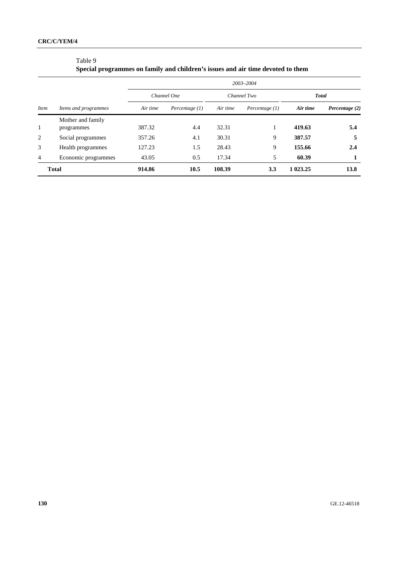**Special programmes on family and children's issues and air time devoted to them** 

|                |                      |          |                  |          | 2003-2004        |              |                |  |
|----------------|----------------------|----------|------------------|----------|------------------|--------------|----------------|--|
|                |                      |          | Channel One      |          | Channel Two      | <b>Total</b> |                |  |
| <i>Item</i>    | Items and programmes | Air time | Percentage $(1)$ | Air time | Percentage $(1)$ | Air time     | Percentage (2) |  |
|                | Mother and family    |          |                  |          |                  |              |                |  |
| 1              | programmes           | 387.32   | 4.4              | 32.31    |                  | 419.63       | 5.4            |  |
| 2              | Social programmes    | 357.26   | 4.1              | 30.31    | 9                | 387.57       | 5              |  |
| 3              | Health programmes    | 127.23   | 1.5              | 28.43    | 9                | 155.66       | 2.4            |  |
| $\overline{4}$ | Economic programmes  | 43.05    | 0.5              | 17.34    | 5                | 60.39        |                |  |
|                | <b>Total</b>         | 914.86   | 10.5             | 108.39   | 3.3              | 1 023.25     | 13.8           |  |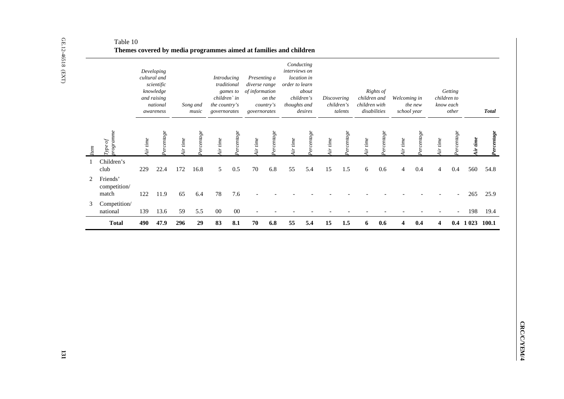| Type of<br>programme<br>Percentage<br>Perchange<br>Perchange<br>Percentage<br>$Per\, degree$<br>Perchange<br>Percentage<br>Perchange<br>Percentage<br>Air time<br>Air time<br>Air time<br>Air time<br>Air time<br>Air time<br>Air time<br>Air time<br>Air time<br>Item | Percentage<br>Air time |
|------------------------------------------------------------------------------------------------------------------------------------------------------------------------------------------------------------------------------------------------------------------------|------------------------|
| Children's<br>1<br>22.4<br>172<br>16.8<br>5<br>0.5<br>70<br>6.8<br>55<br>5.4<br>15<br>$1.5$<br>$6\,$<br>0.6<br>$0.4\,$<br>$\overline{4}$<br>0.4<br>club<br>229<br>$\overline{4}$                                                                                       | 560<br>54.8            |
| Friends'<br>2<br>competition/<br>7.6<br>122<br>11.9<br>65<br>6.4<br>78<br>match                                                                                                                                                                                        | 265<br>25.9            |
| Competition/<br>3<br>national<br>139<br>13.6<br>59<br>5.5<br>$00\,$<br>$00\,$                                                                                                                                                                                          | 198<br>19.4            |
| $\boldsymbol{6.8}$<br>5.4<br>15<br>6<br>490<br>296<br>29<br>83<br>8.1<br>70<br>55<br>1.5<br>0.6<br>$\overline{\mathbf{4}}$<br>0.4<br><b>Total</b><br>47.9<br>4                                                                                                         | $0.4$ 1 023 100.1      |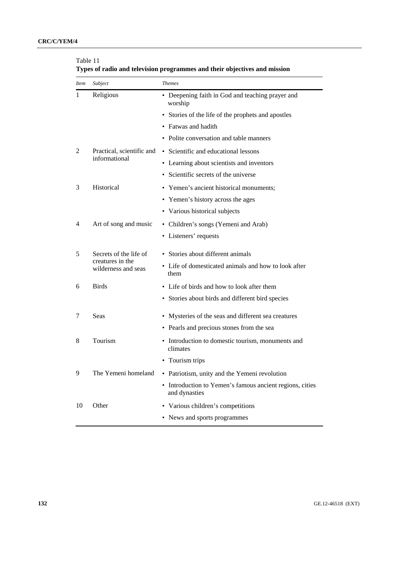| <i>Item</i> | Subject                                    | <b>Themes</b>                                                             |
|-------------|--------------------------------------------|---------------------------------------------------------------------------|
| 1           | Religious                                  | • Deepening faith in God and teaching prayer and<br>worship               |
|             |                                            | • Stories of the life of the prophets and apostles                        |
|             |                                            | • Fatwas and hadith                                                       |
|             |                                            | Polite conversation and table manners                                     |
| 2           | Practical, scientific and                  | • Scientific and educational lessons                                      |
|             | informational                              | • Learning about scientists and inventors                                 |
|             |                                            | • Scientific secrets of the universe                                      |
| 3           | Historical                                 | • Yemen's ancient historical monuments;                                   |
|             |                                            | • Yemen's history across the ages                                         |
|             |                                            | • Various historical subjects                                             |
| 4           | Art of song and music                      | • Children's songs (Yemeni and Arab)                                      |
|             |                                            | • Listeners' requests                                                     |
| 5           | Secrets of the life of<br>creatures in the | • Stories about different animals                                         |
|             | wilderness and seas                        | • Life of domesticated animals and how to look after<br>them              |
| 6           | <b>Birds</b>                               | • Life of birds and how to look after them                                |
|             |                                            | • Stories about birds and different bird species                          |
| 7           | Seas                                       | • Mysteries of the seas and different sea creatures                       |
|             |                                            | • Pearls and precious stones from the sea                                 |
| 8           | Tourism                                    | • Introduction to domestic tourism, monuments and<br>climates             |
|             |                                            | Tourism trips                                                             |
| 9           | The Yemeni homeland                        | • Patriotism, unity and the Yemeni revolution                             |
|             |                                            | • Introduction to Yemen's famous ancient regions, cities<br>and dynasties |
| 10          | Other                                      | • Various children's competitions                                         |
|             |                                            | • News and sports programmes                                              |

Table 11 **Types of radio and television programmes and their objectives and mission**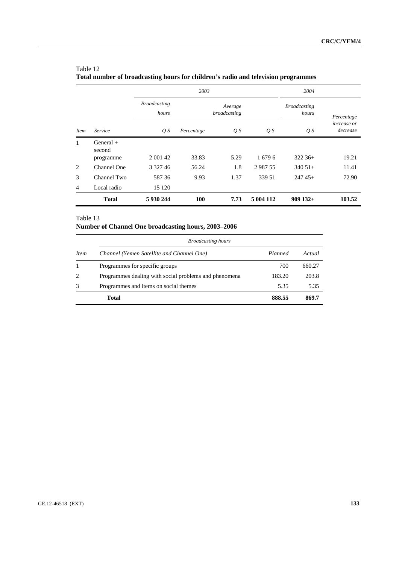|              | 2003                  |                              |            | 2004                    |           |                              |                                |
|--------------|-----------------------|------------------------------|------------|-------------------------|-----------|------------------------------|--------------------------------|
|              |                       | <b>Broadcasting</b><br>hours |            | Average<br>broadcasting |           | <b>Broadcasting</b><br>hours | Percentage                     |
| <b>Item</b>  | <i>Service</i>        | Q S                          | Percentage | $\overline{Q}S$         | Q S       | $\overline{Q}S$              | <i>increase or</i><br>decrease |
| $\mathbf{1}$ | $General +$<br>second |                              |            |                         |           |                              |                                |
|              | programme             | 2 0 0 1 4 2                  | 33.83      | 5.29                    | 16796     | $322.36+$                    | 19.21                          |
| 2            | Channel One           | 3 3 2 7 4 6                  | 56.24      | 1.8                     | 298755    | $340\,51+$                   | 11.41                          |
| 3            | Channel Two           | 58736                        | 9.93       | 1.37                    | 339.51    | $24745+$                     | 72.90                          |
| 4            | Local radio           | 15 120                       |            |                         |           |                              |                                |
|              | <b>Total</b>          | 5 930 244                    | 100        | 7.73                    | 5 004 112 | $909$ 132+                   | 103.52                         |

# Table 12 **Total number of broadcasting hours for children's radio and television programmes**

# Table 13

# **Number of Channel One broadcasting hours, 2003–2006**

|             | <b>Broadcasting hours</b>                             |         |        |  |  |  |  |  |
|-------------|-------------------------------------------------------|---------|--------|--|--|--|--|--|
| <i>Item</i> | Channel (Yemen Satellite and Channel One)             | Planned | Actual |  |  |  |  |  |
|             | Programmes for specific groups                        | 700     | 660.27 |  |  |  |  |  |
| 2           | Programmes dealing with social problems and phenomena | 183.20  | 203.8  |  |  |  |  |  |
| 3           | Programmes and items on social themes                 | 5.35    | 5.35   |  |  |  |  |  |
|             | Total                                                 | 888.55  | 869.7  |  |  |  |  |  |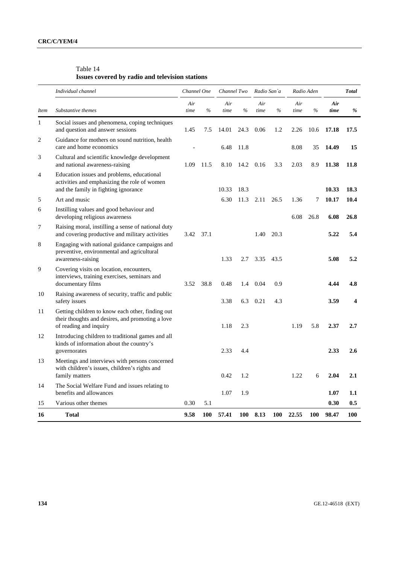# Table 14 **Issues covered by radio and television stations**

|             | Individual channel                                                                                                                 |             | Channel One |             | Channel Two |             | Radio San`a |             | Radio Aden |              | <b>Total</b>            |
|-------------|------------------------------------------------------------------------------------------------------------------------------------|-------------|-------------|-------------|-------------|-------------|-------------|-------------|------------|--------------|-------------------------|
| <i>Item</i> | Substantive themes                                                                                                                 | Air<br>time | $\%$        | Air<br>time | $\%$        | Air<br>time | %           | Air<br>time | $\%$       | Air<br>time  | %                       |
| 1           | Social issues and phenomena, coping techniques<br>and question and answer sessions                                                 | 1.45        | 7.5         | 14.01       | 24.3        | 0.06        | 1.2         | 2.26        | 10.6       | 17.18        | 17.5                    |
| 2           | Guidance for mothers on sound nutrition, health<br>care and home economics                                                         |             |             | 6.48        | 11.8        |             |             | 8.08        | 35         | 14.49        | 15                      |
| 3           | Cultural and scientific knowledge development<br>and national awareness-raising                                                    | 1.09        | 11.5        | 8.10        | 14.2        | 0.16        | 3.3         | 2.03        | 8.9        | 11.38        | 11.8                    |
| 4           | Education issues and problems, educational<br>activities and emphasizing the role of women<br>and the family in fighting ignorance |             |             | 10.33       | 18.3        |             |             |             |            | 10.33        | 18.3                    |
| 5           | Art and music                                                                                                                      |             |             | 6.30        | 11.3        | 2.11        | 26.5        | 1.36        | 7          | 10.17        | 10.4                    |
| 6           | Instilling values and good behaviour and<br>developing religious awareness                                                         |             |             |             |             |             |             | 6.08        | 26.8       | 6.08         | 26.8                    |
| 7           | Raising moral, instilling a sense of national duty<br>and covering productive and military activities                              | 3.42        | 37.1        |             |             | 1.40        | 20.3        |             |            | 5.22         | 5.4                     |
| 8           | Engaging with national guidance campaigns and<br>preventive, environmental and agricultural<br>awareness-raising                   |             |             | 1.33        | 2.7         | 3.35        | 43.5        |             |            | 5.08         | 5.2                     |
| 9           | Covering visits on location, encounters,<br>interviews, training exercises, seminars and<br>documentary films                      | 3.52        | 38.8        | 0.48        | 1.4         | 0.04        | 0.9         |             |            | 4.44         | 4.8                     |
| 10          | Raising awareness of security, traffic and public<br>safety issues                                                                 |             |             | 3.38        | 6.3         | 0.21        | 4.3         |             |            | 3.59         | $\overline{\mathbf{4}}$ |
| 11          | Getting children to know each other, finding out<br>their thoughts and desires, and promoting a love<br>of reading and inquiry     |             |             | 1.18        | 2.3         |             |             | 1.19        | 5.8        | 2.37         | 2.7                     |
| 12          | Introducing children to traditional games and all<br>kinds of information about the country's<br>governorates                      |             |             | 2.33        | 4.4         |             |             |             |            | 2.33         | 2.6                     |
| 13          | Meetings and interviews with persons concerned<br>with children's issues, children's rights and<br>family matters                  |             |             | 0.42        | 1.2         |             |             | 1.22        | 6          | 2.04         | 2.1                     |
| 14          | The Social Welfare Fund and issues relating to<br>benefits and allowances                                                          |             |             |             |             |             |             |             |            |              |                         |
|             | Various other themes                                                                                                               | 0.30        | 5.1         | 1.07        | 1.9         |             |             |             |            | 1.07<br>0.30 | 1.1<br>0.5              |
| 15<br>16    | <b>Total</b>                                                                                                                       | 9.58        | 100         | 57.41       | 100         | 8.13        | 100         | 22.55       | 100        | 98.47        | 100                     |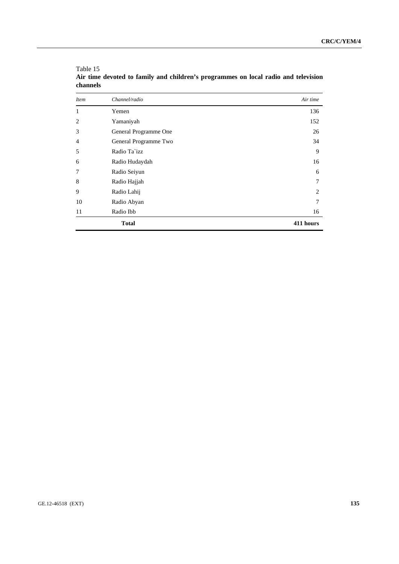| <b>Item</b> | Channel/radio         | Air time  |
|-------------|-----------------------|-----------|
| 1           | Yemen                 | 136       |
| 2           | Yamaniyah             | 152       |
| 3           | General Programme One | 26        |
| 4           | General Programme Two | 34        |
| 5           | Radio Ta`izz          | 9         |
| 6           | Radio Hudaydah        | 16        |
| 7           | Radio Seiyun          | 6         |
| 8           | Radio Hajjah          | 7         |
| 9           | Radio Lahij           | 2         |
| 10          | Radio Abyan           | 7         |
| 11          | Radio Ibb             | 16        |
|             | <b>Total</b>          | 411 hours |

Table 15 **Air time devoted to family and children's programmes on local radio and television channels**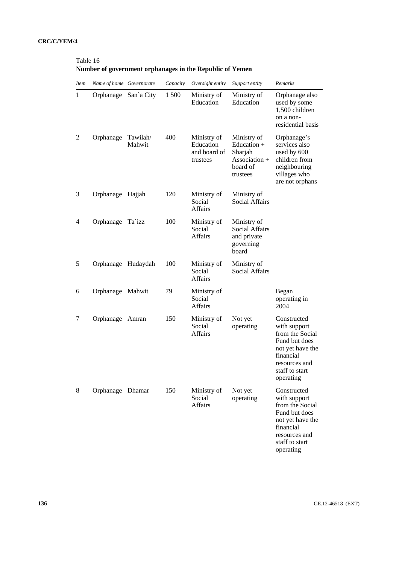| <i>Item</i> | Name of home Governorate |                    | Capacity | Oversight entity                                     | Support entity                                                                            | Remarks                                                                                                                                          |
|-------------|--------------------------|--------------------|----------|------------------------------------------------------|-------------------------------------------------------------------------------------------|--------------------------------------------------------------------------------------------------------------------------------------------------|
| 1           | Orphanage San'a City     |                    | 1 500    | Ministry of<br>Education                             | Ministry of<br>Education                                                                  | Orphanage also<br>used by some<br>1,500 children<br>on a non-<br>residential basis                                                               |
| 2           | Orphanage                | Tawilah/<br>Mahwit | 400      | Ministry of<br>Education<br>and board of<br>trustees | Ministry of<br>Education $+$<br>Sharjah<br>$\text{Association} +$<br>board of<br>trustees | Orphanage's<br>services also<br>used by 600<br>children from<br>neighbouring<br>villages who<br>are not orphans                                  |
| 3           | Orphanage Hajjah         |                    | 120      | Ministry of<br>Social<br>Affairs                     | Ministry of<br><b>Social Affairs</b>                                                      |                                                                                                                                                  |
| 4           | Orphanage Ta`izz         |                    | 100      | Ministry of<br>Social<br><b>Affairs</b>              | Ministry of<br><b>Social Affairs</b><br>and private<br>governing<br>board                 |                                                                                                                                                  |
| 5           | Orphanage Hudaydah       |                    | 100      | Ministry of<br>Social<br><b>Affairs</b>              | Ministry of<br><b>Social Affairs</b>                                                      |                                                                                                                                                  |
| 6           | Orphanage Mahwit         |                    | 79       | Ministry of<br>Social<br><b>Affairs</b>              |                                                                                           | Began<br>operating in<br>2004                                                                                                                    |
| 7           | Orphanage                | Amran              | 150      | Ministry of<br>Social<br>Affairs                     | Not yet<br>operating                                                                      | Constructed<br>with support<br>from the Social<br>Fund but does<br>not yet have the<br>financial<br>resources and<br>staff to start<br>operating |
| 8           | Orphanage Dhamar         |                    | 150      | Ministry of<br>Social<br><b>Affairs</b>              | Not yet<br>operating                                                                      | Constructed<br>with support<br>from the Social<br>Fund but does<br>not yet have the<br>financial<br>resources and<br>staff to start<br>operating |

# Table 16 **Number of government orphanages in the Republic of Yemen**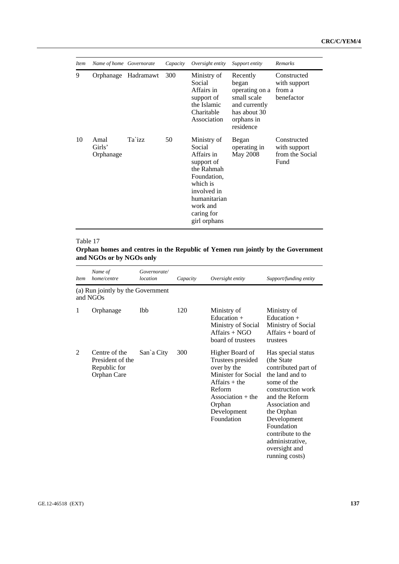| <i>Item</i> | Name of home Governorate    |           | Capacity | Oversight entity                                                                                                                                                    | Support entity                                                                                                 | Remarks                                                |
|-------------|-----------------------------|-----------|----------|---------------------------------------------------------------------------------------------------------------------------------------------------------------------|----------------------------------------------------------------------------------------------------------------|--------------------------------------------------------|
| 9           | Orphanage                   | Hadramawt | 300      | Ministry of<br>Social<br>Affairs in<br>support of<br>the Islamic<br>Charitable<br>Association                                                                       | Recently<br>began<br>operating on a<br>small scale<br>and currently<br>has about 30<br>orphans in<br>residence | Constructed<br>with support<br>from a<br>benefactor    |
| 10          | Amal<br>Girls'<br>Orphanage | Ta`izz    | 50       | Ministry of<br>Social<br>Affairs in<br>support of<br>the Rahmah<br>Foundation,<br>which is<br>involved in<br>humanitarian<br>work and<br>caring for<br>girl orphans | Began<br>operating in<br>May 2008                                                                              | Constructed<br>with support<br>from the Social<br>Fund |

# **Orphan homes and centres in the Republic of Yemen run jointly by the Government and NGOs or by NGOs only**

| <i>Item</i> | Name of<br>home/centre                                           | Governorate/<br>location | Capacity | Oversight entity                                                                                                                                                      | Support/funding entity                                                                                                                                                                                                                                                     |
|-------------|------------------------------------------------------------------|--------------------------|----------|-----------------------------------------------------------------------------------------------------------------------------------------------------------------------|----------------------------------------------------------------------------------------------------------------------------------------------------------------------------------------------------------------------------------------------------------------------------|
|             | (a) Run jointly by the Government<br>and NGOs                    |                          |          |                                                                                                                                                                       |                                                                                                                                                                                                                                                                            |
| 1           | Orphanage                                                        | Ibb                      | 120      | Ministry of<br>Education $+$<br>Ministry of Social<br>$Affairs + NGO$<br>board of trustees                                                                            | Ministry of<br>Education +<br>Ministry of Social<br>Affairs $+$ board of<br>trustees                                                                                                                                                                                       |
| 2           | Centre of the<br>President of the<br>Republic for<br>Orphan Care | San'a City               | 300      | Higher Board of<br>Trustees presided<br>over by the<br>Minister for Social<br>$Affairs + the$<br>Reform<br>Association $+$ the<br>Orphan<br>Development<br>Foundation | Has special status<br>(the State)<br>contributed part of<br>the land and to<br>some of the<br>construction work<br>and the Reform<br>Association and<br>the Orphan<br>Development<br>Foundation<br>contribute to the<br>administrative,<br>oversight and<br>running costs) |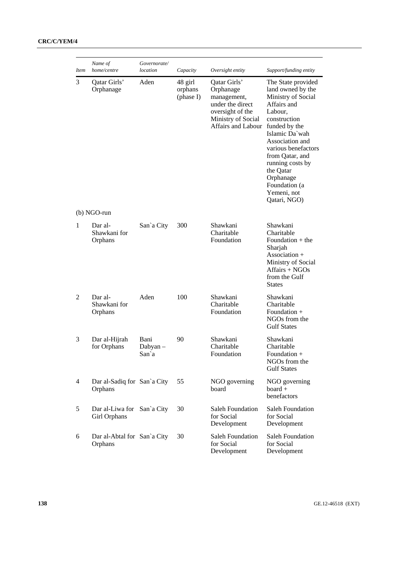| <b>Item</b>    | Name of<br>home/centre                     | Governorate/<br>location | Capacity                        | Oversight entity                                                                                                             | Support/funding entity                                                                                                                                                                                                                                                                                |
|----------------|--------------------------------------------|--------------------------|---------------------------------|------------------------------------------------------------------------------------------------------------------------------|-------------------------------------------------------------------------------------------------------------------------------------------------------------------------------------------------------------------------------------------------------------------------------------------------------|
| 3              | Qatar Girls'<br>Orphanage                  | Aden                     | 48 girl<br>orphans<br>(phase I) | Qatar Girls'<br>Orphanage<br>management,<br>under the direct<br>oversight of the<br>Ministry of Social<br>Affairs and Labour | The State provided<br>land owned by the<br>Ministry of Social<br>Affairs and<br>Labour,<br>construction<br>funded by the<br>Islamic Da'wah<br>Association and<br>various benefactors<br>from Qatar, and<br>running costs by<br>the Qatar<br>Orphanage<br>Foundation (a<br>Yemeni, not<br>Qatari, NGO) |
|                | (b) NGO-run                                |                          |                                 |                                                                                                                              |                                                                                                                                                                                                                                                                                                       |
| $\mathbf{1}$   | Dar al-<br>Shawkani for<br>Orphans         | San'a City               | 300                             | Shawkani<br>Charitable<br>Foundation                                                                                         | Shawkani<br>Charitable<br>Foundation $+$ the<br>Sharjah<br>Association +<br>Ministry of Social<br>Affairs + NGOs<br>from the Gulf<br><b>States</b>                                                                                                                                                    |
| 2              | Dar al-<br>Shawkani for<br>Orphans         | Aden                     | 100                             | Shawkani<br>Charitable<br>Foundation                                                                                         | Shawkani<br>Charitable<br>Foundation $+$<br>NGOs from the<br><b>Gulf States</b>                                                                                                                                                                                                                       |
| 3              | Dar al-Hijrah<br>for Orphans               | Bani<br>Dabyan-<br>San`a | 90                              | Shawkani<br>Charitable<br>Foundation                                                                                         | Shawkani<br>Charitable<br>Foundation +<br>NGOs from the<br><b>Gulf States</b>                                                                                                                                                                                                                         |
| $\overline{4}$ | Dar al-Sadiq for San'a City<br>Orphans     |                          | 55                              | NGO governing<br>board                                                                                                       | NGO governing<br>$board +$<br>benefactors                                                                                                                                                                                                                                                             |
| 5              | Dar al-Liwa for San'a City<br>Girl Orphans |                          | 30                              | Saleh Foundation<br>for Social<br>Development                                                                                | <b>Saleh Foundation</b><br>for Social<br>Development                                                                                                                                                                                                                                                  |
| 6              | Dar al-Abtal for San'a City<br>Orphans     |                          | 30                              | Saleh Foundation<br>for Social<br>Development                                                                                | <b>Saleh Foundation</b><br>for Social<br>Development                                                                                                                                                                                                                                                  |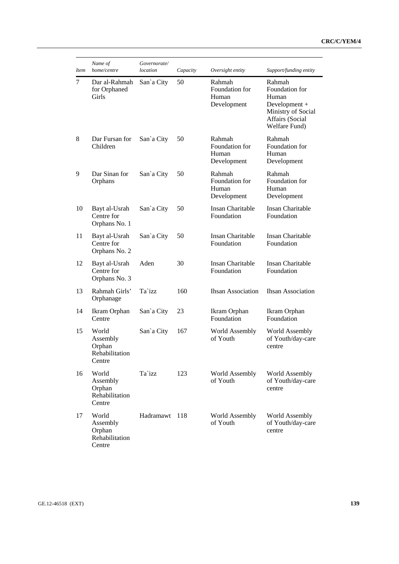| <b>Item</b> | Name of<br>home/centre                                  | Governorate/<br>location | Capacity | Oversight entity                                 | Support/funding entity                                                                                       |
|-------------|---------------------------------------------------------|--------------------------|----------|--------------------------------------------------|--------------------------------------------------------------------------------------------------------------|
| 7           | Dar al-Rahmah<br>for Orphaned<br>Girls                  | San`a City               | 50       | Rahmah<br>Foundation for<br>Human<br>Development | Rahmah<br>Foundation for<br>Human<br>Development +<br>Ministry of Social<br>Affairs (Social<br>Welfare Fund) |
| 8           | Dar Fursan for<br>Children                              | San'a City               | 50       | Rahmah<br>Foundation for<br>Human<br>Development | Rahmah<br>Foundation for<br>Human<br>Development                                                             |
| 9           | Dar Sinan for<br>Orphans                                | San'a City               | 50       | Rahmah<br>Foundation for<br>Human<br>Development | Rahmah<br>Foundation for<br>Human<br>Development                                                             |
| 10          | Bayt al-Usrah<br>Centre for<br>Orphans No. 1            | San`a City               | 50       | Insan Charitable<br>Foundation                   | <b>Insan Charitable</b><br>Foundation                                                                        |
| 11          | Bayt al-Usrah<br>Centre for<br>Orphans No. 2            | San'a City               | 50       | Insan Charitable<br>Foundation                   | Insan Charitable<br>Foundation                                                                               |
| 12          | Bayt al-Usrah<br>Centre for<br>Orphans No. 3            | Aden                     | 30       | Insan Charitable<br>Foundation                   | <b>Insan Charitable</b><br>Foundation                                                                        |
| 13          | Rahmah Girls'<br>Orphanage                              | Ta`izz                   | 160      | <b>Ihsan Association</b>                         | <b>Ihsan Association</b>                                                                                     |
| 14          | Ikram Orphan<br>Centre                                  | San'a City               | 23       | Ikram Orphan<br>Foundation                       | Ikram Orphan<br>Foundation                                                                                   |
| 15          | World<br>Assembly<br>Orphan<br>Rehabilitation<br>Centre | San'a City               | 167      | <b>World Assembly</b><br>of Youth                | World Assembly<br>of Youth/day-care<br>centre                                                                |
| 16          | World<br>Assembly<br>Orphan<br>Rehabilitation<br>Centre | Ta`izz                   | 123      | World Assembly<br>of Youth                       | World Assembly<br>of Youth/day-care<br>centre                                                                |
| 17          | World<br>Assembly<br>Orphan<br>Rehabilitation<br>Centre | Hadramawt                | 118      | World Assembly<br>of Youth                       | World Assembly<br>of Youth/day-care<br>centre                                                                |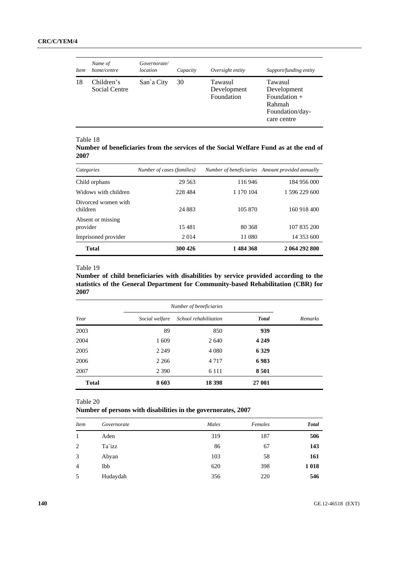| <b>Item</b> | Name of<br>home/centre      | Governorate/<br>location | Capacity | Oversight entity                     | Support/funding entity                                                               |
|-------------|-----------------------------|--------------------------|----------|--------------------------------------|--------------------------------------------------------------------------------------|
| 18          | Children's<br>Social Centre | San'a City               | 30       | Tawasul<br>Development<br>Foundation | Tawasul<br>Development<br>Foundation $+$<br>Rahmah<br>Foundation/day-<br>care centre |

**Number of beneficiaries from the services of the Social Welfare Fund as at the end of 2007** 

| Categories                      | Number of cases (families) |           | Number of beneficiaries Amount provided annually |
|---------------------------------|----------------------------|-----------|--------------------------------------------------|
| Child orphans                   | 29 5 63                    | 116 946   | 184 956 000                                      |
| Widows with children            | 228 484                    | 1 170 104 | 1 596 229 600                                    |
| Divorced women with<br>children | 24 883                     | 105 870   | 160 918 400                                      |
| Absent or missing<br>provider   | 15481                      | 80 368    | 107 835 200                                      |
| Imprisoned provider             | 2014                       | 11 080    | 14 353 600                                       |
| <b>Total</b>                    | 300 426                    | 1484368   | 2 064 292 800                                    |

#### Table 19

**Number of child beneficiaries with disabilities by service provided according to the statistics of the General Department for Community-based Rehabilitation (CBR) for 2007** 

|              | Number of beneficiaries                 |         |              |         |
|--------------|-----------------------------------------|---------|--------------|---------|
| Year         | School rehabilitation<br>Social welfare |         | <b>Total</b> | Remarks |
| 2003         | 89                                      | 850     | 939          |         |
| 2004         | 1609                                    | 2 640   | 4 2 4 9      |         |
| 2005         | 2 2 4 9                                 | 4 0 8 0 | 6 3 29       |         |
| 2006         | 2 2 6 6                                 | 4 7 1 7 | 6983         |         |
| 2007         | 2 3 9 0                                 | 6 1 1 1 | 8 5 0 1      |         |
| <b>Total</b> | 8603                                    | 18 398  | 27 001       |         |

Table 20

**Number of persons with disabilities in the governorates, 2007** 

| Item           | Governorate | Males | Females | <b>Total</b> |
|----------------|-------------|-------|---------|--------------|
|                | Aden        | 319   | 187     | 506          |
| 2              | Ta`izz      | 86    | 67      | 143          |
| 3              | Abyan       | 103   | 58      | 161          |
| $\overline{4}$ | Ibb         | 620   | 398     | 1018         |
| 5              | Hudaydah    | 356   | 220     | 546          |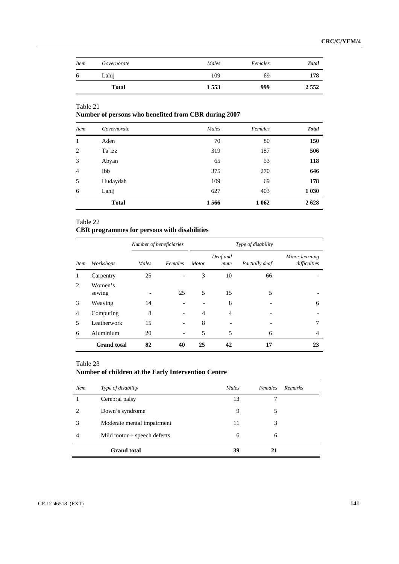| Item | Governorate  | Males | Females | <b>Total</b> |
|------|--------------|-------|---------|--------------|
| 6    | Lahij        | 109   | 69      | 178          |
|      | <b>Total</b> | 1553  | 999     | 2552         |

# **Number of persons who benefited from CBR during 2007**

| <b>Item</b>    | Governorate  | Males | Females | <b>Total</b> |
|----------------|--------------|-------|---------|--------------|
| 1              | Aden         | 70    | 80      | 150          |
| 2              | Ta`izz       | 319   | 187     | 506          |
| 3              | Abyan        | 65    | 53      | 118          |
| $\overline{4}$ | Ibb          | 375   | 270     | 646          |
| 5              | Hudaydah     | 109   | 69      | 178          |
| 6              | Lahij        | 627   | 403     | 1 0 30       |
|                | <b>Total</b> | 1566  | 1 0 6 2 | 2628         |

#### Table 22

# **CBR programmes for persons with disabilities**

|                |                    | Number of beneficiaries |         |                |                  | Type of disability |                                |  |  |
|----------------|--------------------|-------------------------|---------|----------------|------------------|--------------------|--------------------------------|--|--|
| <i>Item</i>    | Workshops          | Males                   | Females | <b>Motor</b>   | Deaf and<br>mute | Partially deaf     | Minor learning<br>difficulties |  |  |
|                | Carpentry          | 25                      |         | 3              | 10               | 66                 |                                |  |  |
| 2              | Women's<br>sewing  |                         | 25      | 5              | 15               | 5                  |                                |  |  |
| 3              | Weaving            | 14                      |         |                | 8                |                    | 6                              |  |  |
| $\overline{4}$ | Computing          | 8                       |         | $\overline{4}$ | 4                |                    |                                |  |  |
| 5              | Leatherwork        | 15                      |         | 8              |                  |                    |                                |  |  |
| 6              | Aluminium          | 20                      |         | 5              | 5                | 6                  | 4                              |  |  |
|                | <b>Grand</b> total | 82                      | 40      | 25             | 42               | 17                 | 23                             |  |  |

# Table 23

# **Number of children at the Early Intervention Centre**

| <i>Item</i> | Type of disability            | Males | Females | <b>Remarks</b> |
|-------------|-------------------------------|-------|---------|----------------|
|             | Cerebral palsy                | 13    |         |                |
|             | Down's syndrome               | 9     |         |                |
| 3           | Moderate mental impairment    | 11    | 3       |                |
| 4           | Mild motor $+$ speech defects | 6     | 6       |                |
|             | <b>Grand</b> total            | 39    |         |                |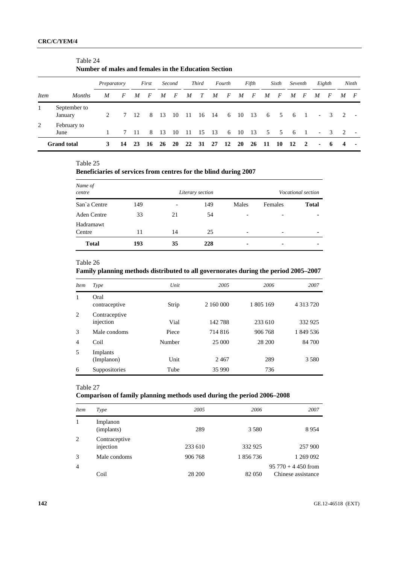|             |                         | Number of males and females in the Education Section |    |     |       |    |        |     |              |     |        |     |       |     |                 |         |                |                |                         |                |                |
|-------------|-------------------------|------------------------------------------------------|----|-----|-------|----|--------|-----|--------------|-----|--------|-----|-------|-----|-----------------|---------|----------------|----------------|-------------------------|----------------|----------------|
|             |                         | Preparatory                                          |    |     | First |    | Second |     | <b>Third</b> |     | Fourth |     | Fifth |     | Sixth           | Seventh |                |                | Eighth                  |                | Ninth          |
| <i>Item</i> | <b>Months</b>           | M                                                    | F  | M   | F     | M  | F      | M   | T            | M   | F      | M   | F     | M   | $\bm{F}$        | M       | $\overline{F}$ | M              | F                       | M              | $\overline{F}$ |
| 1           | September to<br>January | $\mathfrak{D}$                                       |    | 12  | 8     | 13 | 10     | -11 | 16           | -14 | 6      | 10  | - 13  | 6   | $5\overline{)}$ | - 6     | $\blacksquare$ | $\sim$         | $\mathcal{E}$           | $\overline{2}$ |                |
| 2           | February to<br>June     |                                                      |    | -11 | 8     | 13 | 10     | -11 | 15           | 13  | 6      | -10 | - 13  | 5   | $5^{\circ}$     | -6      |                | $\sim$         | $\overline{\mathbf{3}}$ | $\mathcal{D}$  |                |
|             | <b>Grand</b> total      | 3                                                    | 14 | 23  | 16    | 26 | 20     | 22  | 31           | 27  | 12     | 20  | 26    | -11 | 10              | 12      | $\mathbf{2}$   | $\blacksquare$ | -6                      | 4              |                |

#### Table 25

# **Beneficiaries of services from centres for the blind during 2007**

| Name of<br>centre   |     |                          | Literary section |       | Vocational section |              |  |  |
|---------------------|-----|--------------------------|------------------|-------|--------------------|--------------|--|--|
| San'a Centre        | 149 | $\overline{\phantom{0}}$ | 149              | Males | Females            | <b>Total</b> |  |  |
| <b>Aden Centre</b>  | 33  | 21                       | 54               | -     |                    |              |  |  |
| Hadramawt<br>Centre | 11  | 14                       | 25               | -     | -                  |              |  |  |
| <b>Total</b>        | 193 | 35                       | 228              | ۰     |                    |              |  |  |

# Table 26

**Family planning methods distributed to all governorates during the period 2005–2007**

| <i>Item</i>    | Type                       | Unit   | 2005      | 2006      | 2007          |
|----------------|----------------------------|--------|-----------|-----------|---------------|
| $\mathbf{1}$   | Oral<br>contraceptive      | Strip  | 2 160 000 | 1 805 169 | 4 3 1 3 7 2 0 |
| $\overline{2}$ | Contraceptive<br>injection | Vial   | 142788    | 233 610   | 332 925       |
| 3              | Male condoms               | Piece  | 714 816   | 906 768   | 1849536       |
| $\overline{4}$ | Coil                       | Number | 25 000    | 28 200    | 84 700        |
| 5              | Implants<br>(Implanon)     | Unit   | 2467      | 289       | 3 5 8 0       |
| 6              | Suppositories              | Tube   | 35 990    | 736       |               |

# Table 27

# **Comparison of family planning methods used during the period 2006–2008**

| <i>Item</i>    | Type                       | 2005    | 2006    | 2007                                          |
|----------------|----------------------------|---------|---------|-----------------------------------------------|
| 1              | Implanon<br>(implants)     | 289     | 3 5 8 0 | 8954                                          |
| 2              | Contraceptive<br>injection | 233 610 | 332 925 | 257 900                                       |
| 3              | Male condoms               | 906 768 | 1856736 | 1 269 092                                     |
| $\overline{4}$ | Coil                       | 28 200  | 82 050  | $95\,770 + 4\,450$ from<br>Chinese assistance |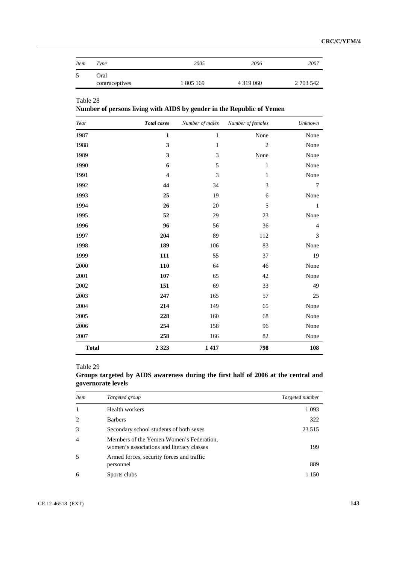| <i>Item</i> | Type                   | 2005      | 2006          | 2007      |
|-------------|------------------------|-----------|---------------|-----------|
|             | Oral<br>contraceptives | 1 805 169 | 4 3 1 9 0 6 0 | 2 703 542 |

**Number of persons living with AIDS by gender in the Republic of Yemen** 

| Year         | <b>Total</b> cases      | Number of males | Number of females | Unknown        |
|--------------|-------------------------|-----------------|-------------------|----------------|
| 1987         | $\mathbf{1}$            | $\mathbf 1$     | None              | None           |
| 1988         | $\mathbf{3}$            | $\mathbf{1}$    | $\overline{2}$    | None           |
| 1989         | $\mathbf{3}$            | 3               | None              | None           |
| 1990         | 6                       | 5               | $\mathbf{1}$      | None           |
| 1991         | $\overline{\mathbf{4}}$ | 3               | $\mathbf{1}$      | None           |
| 1992         | 44                      | 34              | 3                 | 7              |
| 1993         | 25                      | 19              | 6                 | None           |
| 1994         | 26                      | 20              | 5                 | $\mathbf{1}$   |
| 1995         | 52                      | 29              | 23                | None           |
| 1996         | 96                      | 56              | 36                | $\overline{4}$ |
| 1997         | 204                     | 89              | 112               | 3              |
| 1998         | 189                     | 106             | 83                | None           |
| 1999         | 111                     | 55              | 37                | 19             |
| 2000         | 110                     | 64              | 46                | None           |
| 2001         | 107                     | 65              | 42                | None           |
| 2002         | 151                     | 69              | 33                | 49             |
| 2003         | 247                     | 165             | 57                | 25             |
| 2004         | 214                     | 149             | 65                | None           |
| 2005         | 228                     | 160             | 68                | None           |
| 2006         | 254                     | 158             | 96                | None           |
| 2007         | 258                     | 166             | 82                | None           |
| <b>Total</b> | 2 3 2 3                 | 1417            | 798               | 108            |

# Table 29

| Groups targeted by AIDS awareness during the first half of 2006 at the central and |  |  |  |  |  |
|------------------------------------------------------------------------------------|--|--|--|--|--|
| governorate levels                                                                 |  |  |  |  |  |

| <i>Item</i>    | Targeted group                                                                        | Targeted number |
|----------------|---------------------------------------------------------------------------------------|-----------------|
| 1              | Health workers                                                                        | 1 0 9 3         |
| $\mathcal{L}$  | <b>Barbers</b>                                                                        | 322             |
| 3              | Secondary school students of both sexes                                               | 23 5 15         |
| $\overline{4}$ | Members of the Yemen Women's Federation,<br>women's associations and literacy classes | 199             |
| .5             | Armed forces, security forces and traffic<br>personnel                                | 889             |
| 6              | Sports clubs                                                                          | 1 150           |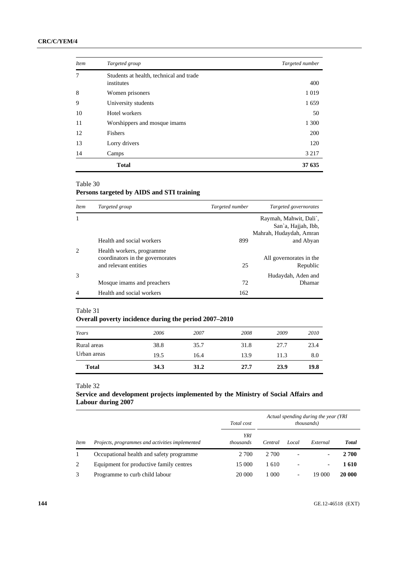| <i>Item</i> | Targeted group                                        | Targeted number |
|-------------|-------------------------------------------------------|-----------------|
| 7           | Students at health, technical and trade<br>institutes | 400             |
| 8           | Women prisoners                                       | 1019            |
| 9           | University students                                   | 1659            |
| 10          | Hotel workers                                         | 50              |
| 11          | Worshippers and mosque imams                          | 1 300           |
| 12          | Fishers                                               | <b>200</b>      |
| 13          | Lorry drivers                                         | 120             |
| 14          | Camps                                                 | 3 2 1 7         |
|             | <b>Total</b>                                          | 37 635          |

# **Persons targeted by AIDS and STI training**

| <i>Item</i> | Targeted group                                                                         | Targeted number | Targeted governorates                                                    |
|-------------|----------------------------------------------------------------------------------------|-----------------|--------------------------------------------------------------------------|
|             |                                                                                        |                 | Raymah, Mahwit, Dali`,<br>San'a, Hajjah, Ibb,<br>Mahrah, Hudaydah, Amran |
|             | Health and social workers                                                              | 899             | and Abyan                                                                |
|             | Health workers, programme<br>coordinators in the governorates<br>and relevant entities | 25              | All governorates in the<br>Republic                                      |
| 3           | Mosque imams and preachers                                                             | 72              | Hudaydah, Aden and<br>Dhamar                                             |
| 4           | Health and social workers                                                              | 162             |                                                                          |

#### Table 31

# **Overall poverty incidence during the period 2007–2010**

| 2006<br>2008<br>2007<br>2009<br>Years<br>38.8<br>23.4<br>35.7<br>31.8<br>27.7<br>Rural areas<br>Urban areas<br>19.5<br>13.9<br>8.0<br>16.4<br>11.3 | <b>Total</b> | 34.3 | 31.2 | 27.7 | 23.9 | 19.8 |
|----------------------------------------------------------------------------------------------------------------------------------------------------|--------------|------|------|------|------|------|
|                                                                                                                                                    |              |      |      |      |      |      |
|                                                                                                                                                    |              |      |      |      |      |      |
|                                                                                                                                                    |              |      |      |      |      | 2010 |

Table 32

# **Service and development projects implemented by the Ministry of Social Affairs and Labour during 2007**

|             |                                                 | Total cost              | Actual spending during the year (YRI<br><i>thousands</i> ) |       |                          |              |
|-------------|-------------------------------------------------|-------------------------|------------------------------------------------------------|-------|--------------------------|--------------|
| <i>Item</i> | Projects, programmes and activities implemented | YRI<br><i>thousands</i> | Central                                                    | Local | External                 | <b>Total</b> |
|             | Occupational health and safety programme        | 2 700                   | 2 700                                                      | ٠     |                          | 2 700        |
| 2           | Equipment for productive family centres         | 15 000                  | 1610                                                       |       | $\overline{\phantom{a}}$ | 1610         |
|             | Programme to curb child labour                  | 20 000                  | 1 000                                                      | -     | 19 000                   | 20 000       |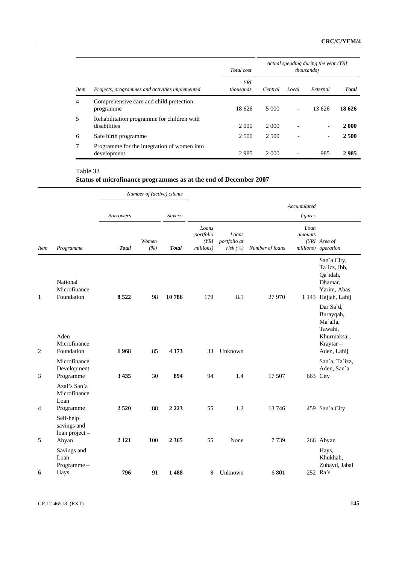|             |                                                            | Total cost                     | Actual spending during the year (YRI<br><i>thousands</i> ) |                          |                |              |  |
|-------------|------------------------------------------------------------|--------------------------------|------------------------------------------------------------|--------------------------|----------------|--------------|--|
| <i>Item</i> | Projects, programmes and activities implemented            | <b>YRI</b><br><i>thousands</i> | Central                                                    | Local                    | External       | <b>Total</b> |  |
| 4           | Comprehensive care and child protection<br>programme       | 18 626                         | 5 000                                                      | $\overline{\phantom{a}}$ | 13 626         | 18 626       |  |
| 5           | Rehabilitation programme for children with<br>disabilities | 2 0 0 0                        | 2 0 0 0                                                    |                          |                | 2 000        |  |
| 6           | Safe birth programme                                       | 2.500                          | 2.500                                                      |                          | $\overline{a}$ | 2 500        |  |
| $\tau$      | Programme for the integration of women into<br>development | 2985                           | 2 0 0 0                                                    |                          | 985            | 2985         |  |

|  | Status of microfinance programmes as at the end of December 2007 |  |  |
|--|------------------------------------------------------------------|--|--|
|  |                                                                  |  |  |

|             |                                                     |                  | Number of (active) clients |               |                                          |                                  |                 |                 |                                                                                           |
|-------------|-----------------------------------------------------|------------------|----------------------------|---------------|------------------------------------------|----------------------------------|-----------------|-----------------|-------------------------------------------------------------------------------------------|
|             |                                                     |                  |                            |               |                                          |                                  |                 | Accumulated     |                                                                                           |
|             |                                                     | <b>Borrowers</b> |                            | <b>Savers</b> |                                          |                                  |                 | figures         |                                                                                           |
| <b>Item</b> | Programme                                           | <b>Total</b>     | Women<br>(%)               | <b>Total</b>  | Loans<br>portfolio<br>(YRI)<br>millions) | Loans<br>portfolio at<br>risk(%) | Number of loans | Loan<br>amounts | (YRI Area of<br>millions) operation                                                       |
| 1           | National<br>Microfinance<br>Foundation              | 8522             | 98                         | 10786         | 179                                      | 8.1                              | 27 970          |                 | San'a City,<br>Ta'izz, Ibb,<br>Qa`idah,<br>Dhamar,<br>Yarim, Abas,<br>1 143 Hajjah, Lahij |
| 2           | Aden<br>Microfinance<br>Foundation                  | 1968             | 85                         | 4 1 7 3       | 33                                       | Unknown                          |                 |                 | Dar Sa'd,<br>Burayqah,<br>Ma'alla,<br>Tawahi,<br>Khurmaksar,<br>Kraytar-<br>Aden, Lahij   |
| 3           | Microfinance<br>Development<br>Programme            | 3435             | 30                         | 894           | 94                                       | 1.4                              | 17 507          |                 | San'a, Ta'izz,<br>Aden, San'a<br>663 City                                                 |
| 4           | Azal's San'a<br>Microfinance<br>Loan<br>Programme   | 2520             | 88                         | 2 2 2 3       | 55                                       | 1.2                              | 13746           |                 | 459 San'a City                                                                            |
| 5           | Self-help<br>savings and<br>loan project -<br>Abyan | 2 1 2 1          | 100                        | 2 3 6 5       | 55                                       | None                             | 7739            |                 | 266 Abyan                                                                                 |
| 6           | Savings and<br>Loan<br>Programme-<br>Hays           | 796              | 91                         | 1488          | 8                                        | Unknown                          | 6801            |                 | Hays,<br>Khukhah,<br>Zubayd, Jabal<br>252 Ra's                                            |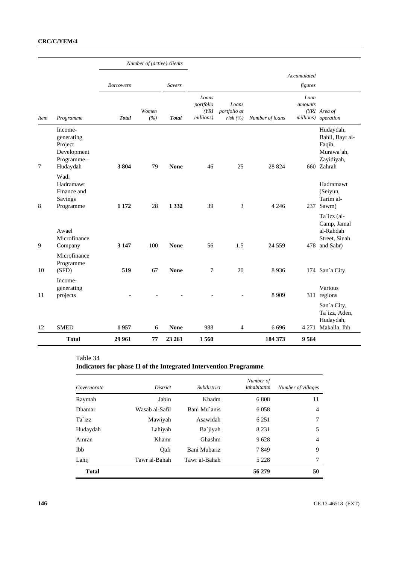|             |                                                                           |                  | Number of (active) clients |               |                                          |                                  |                 |                        |                                                                                  |
|-------------|---------------------------------------------------------------------------|------------------|----------------------------|---------------|------------------------------------------|----------------------------------|-----------------|------------------------|----------------------------------------------------------------------------------|
|             |                                                                           | <b>Borrowers</b> |                            | <b>Savers</b> |                                          |                                  |                 | Accumulated<br>figures |                                                                                  |
| <i>Item</i> | Programme                                                                 | <b>Total</b>     | Women<br>(%)               | <b>Total</b>  | Loans<br>portfolio<br>(YRI)<br>millions) | Loans<br>portfolio at<br>risk(%) | Number of loans | Loan<br>amounts        | (YRI Area of<br>millions) operation                                              |
| 7           | Income-<br>generating<br>Project<br>Development<br>Programme-<br>Hudaydah | 3804             | 79                         | <b>None</b>   | 46                                       | 25                               | 28 824          |                        | Hudaydah,<br>Bahil, Bayt al-<br>Faqih,<br>Murawa'ah,<br>Zayidiyah,<br>660 Zahrah |
| 8           | Wadi<br>Hadramawt<br>Finance and<br>Savings<br>Programme                  | 1 1 7 2          | 28                         | 1 3 3 2       | 39                                       | $\mathfrak{Z}$                   | 4 2 4 6         |                        | Hadramawt<br>(Seiyun,<br>Tarim al-<br>237 Sawm)                                  |
| 9           | Awael<br>Microfinance<br>Company                                          | 3 1 4 7          | 100                        | <b>None</b>   | 56                                       | 1.5                              | 24 5 5 9        |                        | Ta'izz (al-<br>Camp, Jamal<br>al-Rahdah<br>Street, Sinah<br>478 and Sabr)        |
| 10          | Microfinance<br>Programme<br>(SFD)                                        | 519              | 67                         | <b>None</b>   | 7                                        | 20                               | 8936            |                        | 174 San'a City                                                                   |
| 11          | Income-<br>generating<br>projects                                         |                  |                            |               |                                          |                                  | 8 9 0 9         |                        | Various<br>311 regions                                                           |
| 12          | <b>SMED</b>                                                               | 1957             | 6                          | <b>None</b>   | 988                                      | 4                                | 6 6 9 6         |                        | San'a City,<br>Ta'izz, Aden,<br>Hudaydah,<br>4 271 Makalla, Ibb                  |
|             | <b>Total</b>                                                              | 29 961           | 77                         | 23 26 1       | 1560                                     |                                  | 184 373         | 9564                   |                                                                                  |

# **Indicators for phase II of the Integrated Intervention Programme**

| Governorate  | <i>District</i> | Subdistrict   | Number of<br>inhabitants | Number of villages |
|--------------|-----------------|---------------|--------------------------|--------------------|
| Raymah       | Jabin           | Khadm         | 6808                     | 11                 |
| Dhamar       | Wasab al-Safil  | Bani Mu`anis  | 6 0 5 8                  | $\overline{4}$     |
| Ta`izz       | Mawiyah         | Asawidah      | 6 2 5 1                  | 7                  |
| Hudaydah     | Lahiyah         | Ba`jiyah      | 8 2 3 1                  | 5                  |
| Amran        | Khamr           | Ghashm        | 9628                     | $\overline{4}$     |
| <b>Ibb</b>   | Oafr            | Bani Mubariz  | 7849                     | 9                  |
| Lahij        | Tawr al-Bahah   | Tawr al-Bahah | 5 2 2 8                  | 7                  |
| <b>Total</b> |                 |               | 56 279                   | 50                 |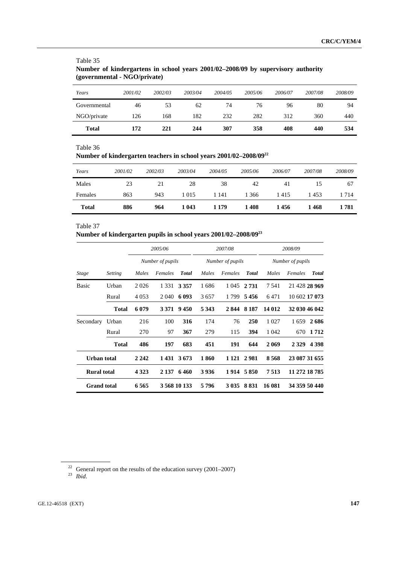| Total        | 172     | 221     | 244     | 307     | 358     | 408     | 440     | 534     |
|--------------|---------|---------|---------|---------|---------|---------|---------|---------|
| NGO/private  | 126     | 168     | 182     | 232     | 282     | 312     | 360     | 440     |
| Governmental | 46      | 53      | 62      | 74      | 76      | 96      | 80      | 94      |
| Years        | 2001/02 | 2002/03 | 2003/04 | 2004/05 | 2005/06 | 2006/07 | 2007/08 | 2008/09 |
|              |         |         |         |         |         |         |         |         |

### Table 35 **Number of kindergartens in school years 2001/02–2008/09 by supervisory authority (governmental - NGO/private)**

#### Table 36

# **Number of kindergarten teachers in school years 2001/02–2008/0922**

| Years        | 2001/02 | 2002/03 | 2003/04 | 2004/05 | 2005/06 | 2006/07 | 2007/08 | 2008/09 |
|--------------|---------|---------|---------|---------|---------|---------|---------|---------|
| Males        | 23      | 21      | 28      | 38      | 42      | 41      |         | 67      |
| Females      | 863     | 943     | 1 0 1 5 | 1 141   | 1 366   | 1415    | 1453    | 1 714   |
| <b>Total</b> | 886     | 964     | 1 0 43  | 1 1 7 9 | 1408    | 1456    | 1468    | 1 781   |

#### Table 37

## **Number of kindergarten pupils in school years 2001/02–2008/0923**

|                                          |                | 2005/06<br>Number of pupils |         |                 | 2007/08<br>Number of pupils |         |                 | 2008/09<br>Number of pupils |                    |  |
|------------------------------------------|----------------|-----------------------------|---------|-----------------|-----------------------------|---------|-----------------|-----------------------------|--------------------|--|
|                                          |                |                             |         |                 |                             |         |                 |                             |                    |  |
| Stage                                    | <b>Setting</b> | Males                       | Females | <b>Total</b>    | Males                       | Females | <b>Total</b>    | Males                       | Total<br>Females   |  |
| Basic                                    | Urban          | 2026                        |         | 1 3 3 1 3 3 5 7 | 1686                        |         | 1 045 2 731     | 7541                        | 21 428 28 969      |  |
|                                          | Rural          | 4 0 5 3                     |         | 2 040 6 093     | 3657                        |         | 1 799 5 456     | 6471                        | 10 602 17 073      |  |
|                                          | <b>Total</b>   | 6 0 79                      | 3 3 7 1 | 9450            | 5 3 4 3                     |         | 2844 8187       | 14 012                      | 32 030 46 042      |  |
| Secondary                                | Urban          | 216                         | 100     | 316             | 174                         | 76      | 250             | 1 0 2 7                     | 2686<br>1659       |  |
|                                          | Rural          | 270                         | 97      | 367             | 279                         | 115     | 394             | 1 0 4 2                     | 1 7 1 2<br>670     |  |
|                                          | <b>Total</b>   | 486                         | 197     | 683             | 451                         | 191     | 644             | 2 0 6 9                     | 2 3 2 9<br>4 3 9 8 |  |
| <b>Urban</b> total                       |                | 2 2 4 2                     |         | 1 431 3 673     | 1860                        |         | 1 1 2 1 2 9 8 1 | 8568                        | 23 087 31 655      |  |
| <b>Rural total</b><br><b>Grand</b> total |                | 4 3 2 3                     | 2 1 3 7 | 6460            | 3936                        |         | 1914 5850       | 7513                        | 11 272 18 785      |  |
|                                          |                | 6565                        |         | 3 568 10 133    | 5796                        |         | 3 0 35 8 8 31   | 16 081                      | 34 359 50 440      |  |

<sup>22</sup> General report on the results of the education survey (2001–2007) 23 *Ibid*.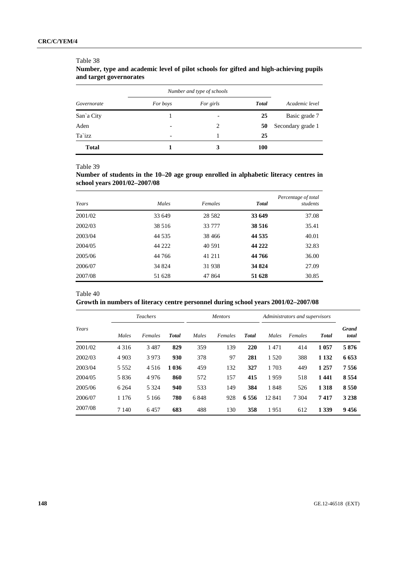|              | Number and type of schools |           |              |                   |
|--------------|----------------------------|-----------|--------------|-------------------|
| Governorate  | For boys                   | For girls | <b>Total</b> | Academic level    |
| San'a City   |                            |           | 25           | Basic grade 7     |
| Aden         | $\overline{\phantom{0}}$   | 2         | 50           | Secondary grade 1 |
| Ta`izz       | -                          |           | 25           |                   |
| <b>Total</b> |                            |           | <b>100</b>   |                   |

## **Number, type and academic level of pilot schools for gifted and high-achieving pupils and target governorates**

Table 39

Table 38

**Number of students in the 10–20 age group enrolled in alphabetic literacy centres in school years 2001/02–2007/08** 

| Years   | Males   | Females  | <b>Total</b> | Percentage of total<br>students |
|---------|---------|----------|--------------|---------------------------------|
| 2001/02 | 33 649  | 28 5 8 2 | 33 649       | 37.08                           |
| 2002/03 | 38 516  | 33 777   | 38 516       | 35.41                           |
| 2003/04 | 44 5 35 | 38 4 6 6 | 44 5 35      | 40.01                           |
| 2004/05 | 44 222  | 40 591   | 44 222       | 32.83                           |
| 2005/06 | 44 766  | 41 211   | 44 766       | 36.00                           |
| 2006/07 | 34 824  | 31938    | 34 824       | 27.09                           |
| 2007/08 | 51 628  | 47 864   | 51 628       | 30.85                           |

Table 40

**Growth in numbers of literacy centre personnel during school years 2001/02–2007/08** 

|         | <b>Teachers</b> |         |              | <b>Mentors</b> |         |              | Administrators and supervisors |         |              |                       |  |
|---------|-----------------|---------|--------------|----------------|---------|--------------|--------------------------------|---------|--------------|-----------------------|--|
| Years   | Males           | Females | <b>Total</b> | Males          | Females | <b>Total</b> | Males                          | Females | <b>Total</b> | <b>Grand</b><br>total |  |
| 2001/02 | 4 3 1 6         | 3487    | 829          | 359            | 139     | 220          | 1471                           | 414     | 1 0 5 7      | 5876                  |  |
| 2002/03 | 4 9 0 3         | 3973    | 930          | 378            | 97      | 281          | 1 5 2 0                        | 388     | 1 1 3 2      | 6653                  |  |
| 2003/04 | 5 5 5 2         | 4516    | 1 036        | 459            | 132     | 327          | 1 703                          | 449     | 1 2 5 7      | 7556                  |  |
| 2004/05 | 5836            | 4976    | 860          | 572            | 157     | 415          | 1959                           | 518     | 1441         | 8 5 5 4               |  |
| 2005/06 | 6 2 6 4         | 5 3 2 4 | 940          | 533            | 149     | 384          | 1848                           | 526     | 1 3 1 8      | 8550                  |  |
| 2006/07 | 1 1 7 6         | 5 1 6 6 | 780          | 6848           | 928     | 6556         | 12 841                         | 7 3 0 4 | 7417         | 3 2 3 8               |  |
| 2007/08 | 7 1 4 0         | 6457    | 683          | 488            | 130     | 358          | 1951                           | 612     | 1 3 3 9      | 9456                  |  |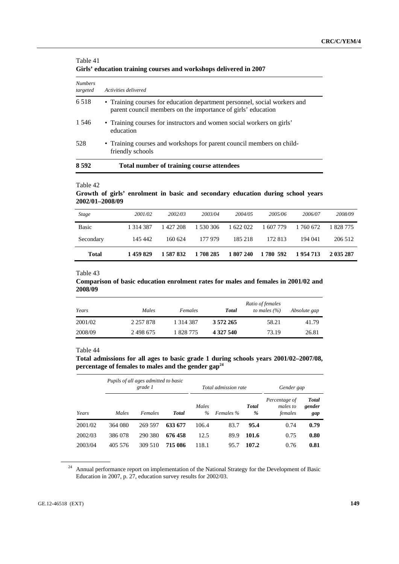|                            | only coacadon training courses and workshops achieved in 2007                                                                             |
|----------------------------|-------------------------------------------------------------------------------------------------------------------------------------------|
| <b>Numbers</b><br>targeted | Activities delivered                                                                                                                      |
| 6 5 1 8                    | • Training courses for education department personnel, social workers and<br>parent council members on the importance of girls' education |
| 1 5 4 6                    | • Training courses for instructors and women social workers on girls'<br>education                                                        |
| 528                        | • Training courses and workshops for parent council members on child-<br>friendly schools                                                 |
| 8 5 9 2                    | Total number of training course attendees                                                                                                 |

#### Table 41 **Girls' education training courses and workshops delivered in 2007**

Table 42

### **Growth of girls' enrolment in basic and secondary education during school years 2002/01–2008/09**

| <b>Stage</b> | 2001/02   | 2002/03   | 2003/04   | 2004/05   | 2005/06   | 2006/07   | 2008/09   |
|--------------|-----------|-----------|-----------|-----------|-----------|-----------|-----------|
| <b>Basic</b> | 1 314 387 | 1427208   | 1 530 306 | 1 622 022 | 1 607 779 | 1 760 672 | 1 828 775 |
| Secondary    | 145 442   | 160 624   | 177 979   | 185 218   | 172.813   | 194 041   | 206 512   |
| Total        | 1459829   | 1 587 832 | 1708 285  | 1 807 240 | 1 780 592 | 1954713   | 2 035 287 |

#### Table 43

#### **Comparison of basic education enrolment rates for males and females in 2001/02 and 2008/09**

| Years   | Males         | Females       | <b>Total</b> | Ratio of females<br>to males $(\% )$ | Absolute gap |
|---------|---------------|---------------|--------------|--------------------------------------|--------------|
| 2001/02 | 2 2 5 7 8 7 8 | 1 3 1 4 3 8 7 | 3 572 265    | 58.21                                | 41.79        |
| 2008/09 | 2498675       | 1828775       | 4 327 540    | 73.19                                | 26.81        |

#### Table 44

**Total admissions for all ages to basic grade 1 during schools years 2001/02–2007/08, percentage of females to males and the gender gap24**

|         |         | Pupils of all ages admitted to basic<br>grade 1 |              |               | Total admission rate |                   | Gender gap                           |                               |
|---------|---------|-------------------------------------------------|--------------|---------------|----------------------|-------------------|--------------------------------------|-------------------------------|
| Years   | Males   | Females                                         | <b>Total</b> | Males<br>$\%$ | Females %            | <b>Total</b><br>% | Percentage of<br>males to<br>females | <b>Total</b><br>gender<br>gap |
| 2001/02 | 364 080 | 269 597                                         | 633 677      | 106.4         | 83.7                 | 95.4              | 0.74                                 | 0.79                          |
| 2002/03 | 386 078 | 290 380                                         | 676 458      | 12.5          | 89.9                 | 101.6             | 0.75                                 | 0.80                          |
| 2003/04 | 405 576 | 309 510                                         | 715 086      | 118.1         | 95.7                 | 107.2             | 0.76                                 | 0.81                          |

<sup>&</sup>lt;sup>24</sup> Annual performance report on implementation of the National Strategy for the Development of Basic Education in 2007, p. 27, education survey results for 2002/03.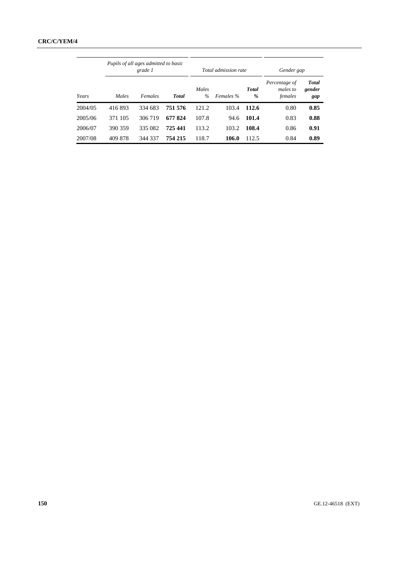|         |         | Pupils of all ages admitted to basic<br>grade 1 |              |               | Total admission rate |                   | Gender gap                           |                               |
|---------|---------|-------------------------------------------------|--------------|---------------|----------------------|-------------------|--------------------------------------|-------------------------------|
| Years   | Males   | Females                                         | <b>Total</b> | Males<br>$\%$ | Females %            | <b>Total</b><br>% | Percentage of<br>males to<br>females | <b>Total</b><br>gender<br>gap |
| 2004/05 | 416893  | 334 683                                         | 751 576      | 121.2         | 103.4                | 112.6             | 0.80                                 | 0.85                          |
| 2005/06 | 371 105 | 306 719                                         | 677824       | 107.8         | 94.6                 | 101.4             | 0.83                                 | 0.88                          |
| 2006/07 | 390 359 | 335 082                                         | 725 441      | 113.2         | 103.2                | 108.4             | 0.86                                 | 0.91                          |
| 2007/08 | 409 878 | 344 337                                         | 754 215      | 118.7         | 106.0                | 112.5             | 0.84                                 | 0.89                          |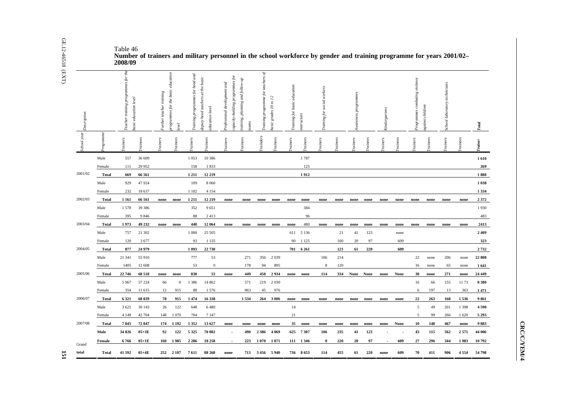| Description |                        | es for the<br>training prog<br>asic education level<br>eacher |                  | urther teacher training | education<br>rogrammes for the basic<br>gxel | head and<br>programmes for<br>raining | basic<br>at the<br>eputy head teachers<br>ducation level | programmes for<br>rofessional development and<br>apacity-building | planning and follow-up<br>raining,<br>sams | teachers of<br>programme for<br>Training | asic grades 10 to 12 | raining for basic education | <i>astructors</i> | workers<br>social<br>raining for |            | wareness programmes |         | Kindergartens |         | rogrammes combating violence | gainst children | school laboratory technicians |              | <b>Total</b>     |
|-------------|------------------------|---------------------------------------------------------------|------------------|-------------------------|----------------------------------------------|---------------------------------------|----------------------------------------------------------|-------------------------------------------------------------------|--------------------------------------------|------------------------------------------|----------------------|-----------------------------|-------------------|----------------------------------|------------|---------------------|---------|---------------|---------|------------------------------|-----------------|-------------------------------|--------------|------------------|
| School year | rogramme               | rainers                                                       | cainees          | <i>ainers</i>           | rainees                                      | rainers                               | rainees                                                  | rainers                                                           | rainees                                    | <i>cinders</i>                           | rainees              | rainers                     | rainees           | ainers                           | rainees    | rainers             | rainees | rainers       | rainees | rainers                      | rainees         | rainers                       | rainees      |                  |
|             | Male                   | 557                                                           | 36 609           |                         |                                              | 1 0 5 3                               | 10 386                                                   |                                                                   |                                            |                                          |                      |                             | 1787              |                                  |            |                     |         |               |         |                              |                 |                               |              | 1610             |
|             | Female                 | 111                                                           | 29 9 52          |                         |                                              | 158                                   | 1833                                                     |                                                                   |                                            |                                          |                      |                             | 125               |                                  |            |                     |         |               |         |                              |                 |                               |              | 269              |
| 2001/02     | <b>Total</b>           | 669                                                           | 66 561           |                         |                                              | 1211                                  | 12 219                                                   |                                                                   |                                            |                                          |                      |                             | 1912              |                                  |            |                     |         |               |         |                              |                 |                               |              | 1880             |
|             | Male                   | 929                                                           | 47924            |                         |                                              | 109                                   | 8 0 6 0                                                  |                                                                   |                                            |                                          |                      |                             |                   |                                  |            |                     |         |               |         |                              |                 |                               |              | 1038             |
|             | Female                 | 232                                                           | 18 637           |                         |                                              | 1 1 0 2                               | 4 1 5 4                                                  |                                                                   |                                            |                                          |                      |                             |                   |                                  |            |                     |         |               |         |                              |                 |                               |              | 1 3 3 4          |
| 2002/03     | Total                  | 1 1 6 1                                                       | 66 561           | none                    | none                                         | 1211                                  | 12 219                                                   | none                                                              | none                                       | none                                     | none                 | none                        | none              | none                             | none       | none                | none    | none          | none    | none                         | none            | none                          | none         | 2372             |
|             | Male                   | 1578                                                          | 39 38 6          |                         |                                              | 352                                   | 9651                                                     |                                                                   |                                            |                                          |                      |                             | 384               |                                  |            |                     |         |               |         |                              |                 |                               |              | 1930             |
|             | Female                 | 395                                                           | 9846             |                         |                                              | 88                                    | 2413                                                     |                                                                   |                                            |                                          |                      |                             | 96                |                                  |            |                     |         |               |         |                              |                 |                               |              | 483              |
| 2003/04     | <b>Total</b>           | 1973                                                          | 49 232           | none                    | none                                         | 440                                   | 12 064                                                   | none                                                              | none                                       | none                                     | none                 | none                        | 480               | none                             | none       | none                | none    | none          | none    | none                         | none            | none                          | none         | 2413             |
|             | Male                   | 757                                                           | 21 302           |                         |                                              | 1 000                                 | 25 505                                                   |                                                                   |                                            |                                          |                      | 611                         | 5 1 3 6           |                                  | 21         | 41                  | 123     |               | none    |                              |                 |                               |              | 2 4 0 9          |
|             | Female                 | 120                                                           | 3677             |                         |                                              | 93                                    | 1 1 3 5                                                  |                                                                   |                                            |                                          |                      | 90                          | 1 1 2 5           |                                  | 100        | 20                  | 97      |               | 609     |                              |                 |                               |              | 323              |
| 2004/05     | Total                  | 877                                                           | 24 9 79          |                         |                                              | 1 0 9 3                               | 22 730                                                   |                                                                   |                                            |                                          |                      | 701                         | 6 2 6 1           |                                  | 121        | 61                  | 220     |               | 609     |                              |                 |                               |              | 2732             |
|             | Male                   | 21 341                                                        | 55 910           |                         |                                              | 777<br>53                             | 53                                                       |                                                                   | 271                                        | 356                                      | 2 0 3 9<br>895       |                             |                   | 106<br>8                         | 214<br>120 |                     |         |               |         | 22                           | none            | 206                           | none         | 22 808           |
| 2005/06     | Female<br><b>Total</b> | 1405<br>22 746                                                | 12 608<br>68 518 | none                    | none                                         | 830                                   | $\bf{0}$<br>53                                           | none                                                              | 178<br>449                                 | 94<br>450                                | 2934                 | none                        | none              | 114                              | 334        | None None           |         | none          | None    | 16<br>38                     | none<br>none    | 65<br>271                     | none<br>none | 1641<br>24 4 4 9 |
|             | Male                   | 5 9 6 7                                                       | 57 224           | 66                      | $\mathbf{0}$                                 | 1 3 8 6                               | 14 862                                                   |                                                                   | 571                                        | 219                                      | 2 0 3 0              |                             |                   |                                  |            |                     |         |               |         | 16                           | 66              | 155                           | 1173         | 8 3 8 0          |
|             | Female                 | 354                                                           | 11 615           | 12                      | 915                                          | 88                                    | 1576                                                     |                                                                   | 963                                        | 45                                       | 976                  |                             |                   |                                  |            |                     |         |               |         | 6                            | 197             | 13                            | 363          | 1471             |
| 2006/07     | Total                  | 6 3 2 1                                                       | 68 839           | 78                      | 915                                          | 1474                                  | 16 338                                                   |                                                                   | 1534                                       | 264                                      | 3 0 0 6              | none                        | none              | none                             | none       | none                | none    | none          | none    | 22                           | 263             | 168                           | 1536         | 9861             |
|             | Male                   | 3 6 21                                                        | 30 143           | 26                      | 122                                          | 648                                   | 6480                                                     |                                                                   |                                            |                                          |                      | 14                          |                   |                                  |            |                     |         |               |         | 5                            | 49              | 201                           | 1 3 9 8      | 4590             |
|             | Female                 | 4 1 4 9                                                       | 42 704           | 148                     | 1 0 7 0                                      | 704                                   | 7 1 4 7                                                  |                                                                   |                                            |                                          |                      | 21                          |                   |                                  |            |                     |         |               |         | 5                            | 99              | 266                           | 1620         | 5 2 9 3          |
| 2007/08     | <b>Total</b>           | 7845                                                          | 72 847           | 174                     | 1 1 9 2                                      | 1352                                  | 13 627                                                   | none                                                              | none                                       | none                                     | none                 | 35                          | none              | none                             | none       | none                | none    | none          | None    | 10                           | 148             | 467                           | none         | 9883             |
|             | Male                   | 34 826                                                        | $05+3E$          | 92                      | 122                                          | 5 3 2 5                               | 70 002                                                   |                                                                   | 490                                        | 2386                                     | 4 0 6 9              |                             | 625 7307          | 106                              | 235        | 41                  | 123     |               |         | 43                           | 115             | 562                           | 2571         | 44 006           |
|             | Female                 | 6766                                                          | $05+1E$          | 160                     | 1985                                         | 2 2 8 6                               | 18 25 8                                                  |                                                                   | 223                                        | 1070                                     | 1871                 |                             | 111 1346          | 8                                | 220        | 20                  | 97      |               | 609     | 27                           | 296             | 344                           | 1983         | 10792            |
| Grand       |                        |                                                               |                  |                         |                                              |                                       |                                                          |                                                                   |                                            |                                          |                      |                             |                   |                                  |            |                     |         |               |         |                              |                 |                               |              |                  |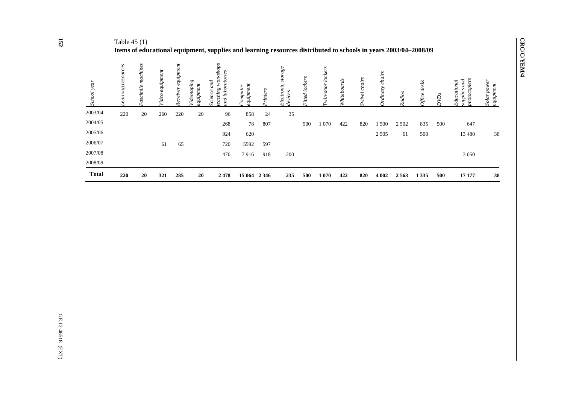| <b>Total</b> | 220                  | 20                   | 321                | 285                   | 20                                   | 2478                                                       | 15 064                       | 2 3 4 6        | 235                          | 500           | 1070                         | 422            | 820              | 4 0 0 2           | 2563    | 1 3 3 5              | 500                   | 17 177                                            | 38                       |
|--------------|----------------------|----------------------|--------------------|-----------------------|--------------------------------------|------------------------------------------------------------|------------------------------|----------------|------------------------------|---------------|------------------------------|----------------|------------------|-------------------|---------|----------------------|-----------------------|---------------------------------------------------|--------------------------|
| 2008/09      |                      |                      |                    |                       |                                      |                                                            |                              |                |                              |               |                              |                |                  |                   |         |                      |                       |                                                   |                          |
| 2007/08      |                      |                      |                    |                       |                                      | 470                                                        | 7916                         | 918            | 200                          |               |                              |                |                  |                   |         |                      |                       | 3 0 5 0                                           |                          |
| 2006/07      |                      |                      | 61                 | 65                    |                                      | 720                                                        | 5592                         | 597            |                              |               |                              |                |                  |                   |         |                      |                       |                                                   |                          |
| 2005/06      |                      |                      |                    |                       |                                      | 924                                                        | 620                          |                |                              |               |                              |                |                  | 2 5 0 5           | 61      | 500                  |                       | 13 4 8 0                                          | 38                       |
| 2004/05      |                      |                      |                    |                       |                                      | 268                                                        | 78                           | 807            |                              | 500           | 1 0 7 0                      | 422            | 820              | 1 500             | 2 5 0 2 | 835                  | 500                   | 647                                               |                          |
| 2003/04      | 220                  | 20                   | 260                | 220                   | 20                                   | 96                                                         | 858                          | 24             | 35                           |               |                              |                |                  |                   |         |                      |                       |                                                   |                          |
| School year  | resources<br>earning | machines<br>ascimile | equipment<br>Tideo | equipment<br>Receiver | <i>'ideotaping</i><br>$i$ pment<br>Φ | workshops<br>ratories<br>and<br>eaching<br>nd labo<br>ence | $q$ uipment<br>$_{Comparer}$ | <i>rinters</i> | age<br>Electronic<br>tevices | itted lockers | lockers<br>door<br>$\dot{m}$ | rds<br>Whitebo | chairs<br>Swivel | chairs<br>rdinary | Radios  | desks<br><b>Mice</b> | <b>ND<sub>s</sub></b> | hotocopiers<br>supplies and<br><b>Educational</b> | Solar power<br>equipment |

Table 45 (1) **Items of educational equipment, supplies and learning resources distributed to schools in years 2003/04–2008/09**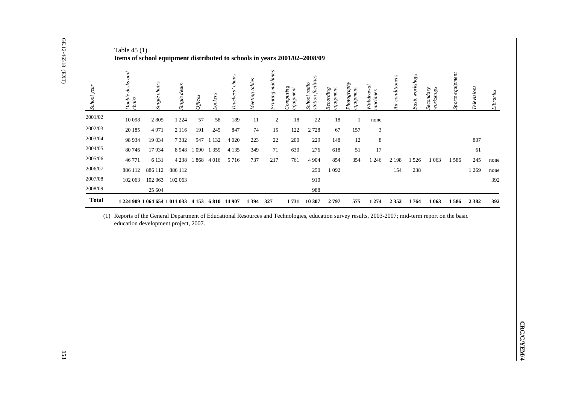| School year  | Double desks and<br>chairs | Single chairs                        | Single desks                                               | $O\!f\!f\!ce\!s$ | Lockers | Teachers' chairs        | Meeting tables | Printing machines | $\mathcal{L}$ omputing<br><i>i</i> dnih neut | station facilities<br>School radio | Recording<br>equipment | Photography<br>quipment                                                                                                                            | Withdrawal<br>nachines | Air conditioners | Basic workshops | Secondary<br>workshops | Sports equipment | <b>Televisions</b> |  |
|--------------|----------------------------|--------------------------------------|------------------------------------------------------------|------------------|---------|-------------------------|----------------|-------------------|----------------------------------------------|------------------------------------|------------------------|----------------------------------------------------------------------------------------------------------------------------------------------------|------------------------|------------------|-----------------|------------------------|------------------|--------------------|--|
| 2001/02      | 10 098                     | $2\;805$                             | 1 2 2 4                                                    | 57               | 58      | 189                     | 11             | 2                 | 18                                           | 22                                 | 18                     | $\mathbf{1}$                                                                                                                                       | none                   |                  |                 |                        |                  |                    |  |
| 2002/03      | 20 18 5                    | 4971                                 | 2 1 1 6                                                    | 191              | 245     | 847                     | 74             | 15                | 122                                          | 2728                               | 67                     | 157                                                                                                                                                | 3                      |                  |                 |                        |                  |                    |  |
| 2003/04      | 98 934                     | 19 034                               | 7332                                                       | 947              | 1 1 3 2 | 4 0 20                  | 223            | $22\,$            | 200                                          | 229                                | 148                    | 12                                                                                                                                                 | $\,$ 8 $\,$            |                  |                 |                        |                  | 807                |  |
| 2004/05      | 80 74 6                    | 17934                                |                                                            | 8 948 1 090      | 1 3 5 9 | 4 1 3 5                 | 349            | $71\,$            | 630                                          | 276                                | 618                    | $51\,$                                                                                                                                             | 17                     |                  |                 |                        |                  | 61                 |  |
| 2005/06      | 46 771                     | 6 1 3 1                              |                                                            |                  |         | 4 238 1 868 4 016 5 716 | 737            | 217               | 761                                          | 4 9 0 4                            | 854                    | 354                                                                                                                                                | 1 2 4 6                | 2 1 9 8          | 1526            | 1 0 6 3                | 1586             | 245                |  |
| 2006/07      | 886 112                    | 886 112                              | 886 112                                                    |                  |         |                         |                |                   |                                              | 250                                | 1 0 9 2                |                                                                                                                                                    |                        | 154              | 238             |                        |                  | 1 2 6 9            |  |
| 2007/08      | 102 063                    | 102 063                              | 102 063                                                    |                  |         |                         |                |                   |                                              | 910                                |                        |                                                                                                                                                    |                        |                  |                 |                        |                  |                    |  |
| 2008/09      |                            | 25 604                               |                                                            |                  |         |                         |                |                   |                                              | 988                                |                        |                                                                                                                                                    |                        |                  |                 |                        |                  |                    |  |
| <b>Total</b> |                            |                                      | 1 224 909 1 064 654 1 011 033 4 153 6 810 14 907 1 394 327 |                  |         |                         |                |                   |                                              | 1731 10 307                        | 2797                   | 575                                                                                                                                                | 1 2 7 4                | 2352             | 1764            | 1 0 6 3                | 1586             | 2 3 8 2            |  |
|              |                            | education development project, 2007. |                                                            |                  |         |                         |                |                   |                                              |                                    |                        | (1) Reports of the General Department of Educational Resources and Technologies, education survey results, 2003-2007; mid-term report on the basic |                        |                  |                 |                        |                  |                    |  |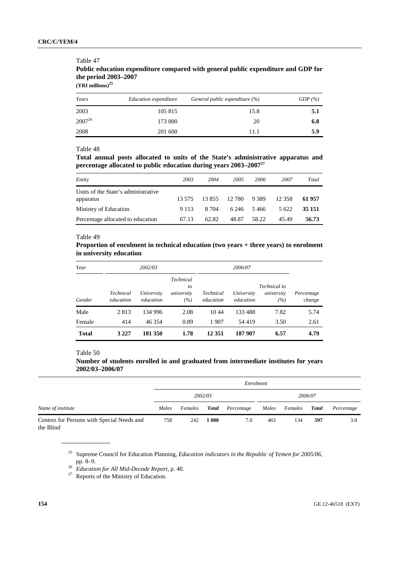# **Public education expenditure compared with general public expenditure and GDP for the period 2003–2007**

**(YRI millions)<sup>25</sup>**

Table 47

| Years       | Education expenditure | General public expenditure $(\%)$ | GDP(%) |
|-------------|-----------------------|-----------------------------------|--------|
| 2003        | 105 815               | 15.8                              | 5.1    |
| $2007^{26}$ | 173 000               | 20                                | 6.8    |
| 2008        | 201 600               | 11.1                              | 5.9    |

#### Table 48

**Total annual posts allocated to units of the State's administrative apparatus and percentage allocated to public education during years 2003–200727**

| Entity                                           | 2003    | 2004   | 2005   | 2006    | 2007   | Total  |
|--------------------------------------------------|---------|--------|--------|---------|--------|--------|
| Units of the State's administrative<br>apparatus | 13.575  | 13.855 | 12 780 | 9 3 8 9 | 12.358 | 61957  |
| Ministry of Education                            | 9 1 1 3 | 8.704  | 6.246  | 5466    | 5622   | 35 151 |
| Percentage allocated to education                | 67.13   | 62.82  | 48.87  | 58.22   | 45.49  | 56.73  |

#### Table 49

## **Proportion of enrolment in technical education (two years + three years) to enrolment in university education**

| Year         |                        | 2002/03                 |                                      |                        | 2006/07                 |                                   |                      |
|--------------|------------------------|-------------------------|--------------------------------------|------------------------|-------------------------|-----------------------------------|----------------------|
| Gender       | Technical<br>education | University<br>education | Technical<br>to<br>university<br>(%) | Technical<br>education | University<br>education | Technical to<br>university<br>(%) | Percentage<br>change |
| Male         | 2813                   | 134 996                 | 2.08                                 | 10.44                  | 133 488                 | 7.82                              | 5.74                 |
| Female       | 414                    | 46 354                  | 0.89                                 | 1907                   | 54419                   | 3.50                              | 2.61                 |
| <b>Total</b> | 3 2 2 7                | 181 350                 | 1.78                                 | 12 3 51                | 187 907                 | 6.57                              | 4.79                 |

#### Table 50

**Number of students enrolled in and graduated from intermediate institutes for years 2002/03–2006/07** 

|                                                         |       |         |         | Enrolment  |     |               |         |            |
|---------------------------------------------------------|-------|---------|---------|------------|-----|---------------|---------|------------|
|                                                         |       |         | 2002/03 |            |     |               | 2006/07 |            |
| Name of institute                                       | Males | Females | Total   | Percentage |     | Males Females | Total   | Percentage |
| Centres for Persons with Special Needs and<br>the Blind | 758   | 242     | 1 000   | 7.0        | 463 | 134           | 597     | 3.0        |

25 Supreme Council for Education Planning, *Education indicators in the Republic of Yemen for 2005/06*, pp. 8–9. 26 *Education for All Mid-Decade Report*, p. 40. 27 Reports of the Ministry of Education.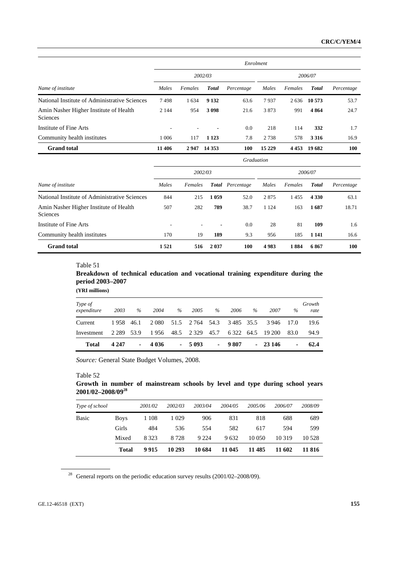|                                                    |         |         |              | Enrolment  |         |         |               |            |
|----------------------------------------------------|---------|---------|--------------|------------|---------|---------|---------------|------------|
|                                                    |         |         | 2002/03      |            |         |         | 2006/07       |            |
| Name of institute                                  | Males   | Females | <b>Total</b> | Percentage | Males   | Females | <b>T</b> otal | Percentage |
| National Institute of Administrative Sciences      | 7498    | 1 6 3 4 | 9 1 3 2      | 63.6       | 7937    | 2636    | 10 573        | 53.7       |
| Amin Nasher Higher Institute of Health<br>Sciences | 2 1 4 4 | 954     | 3098         | 21.6       | 3873    | 991     | 4864          | 24.7       |
| Institute of Fine Arts                             |         | ۰.      |              | 0.0        | 218     | 114     | 332           | 1.7        |
| Community health institutes                        | l 006   | 117     | 1 1 2 3      | 7.8        | 2738    | 578     | 3 3 1 6       | 16.9       |
| <b>Grand</b> total                                 | 11 406  | 2947    | 14 3 5 3     | 100        | 15 2 29 | 4453    | 19 682        | 100        |

|                                                    |         |         |         | Graduation              |         |         |               |            |  |  |
|----------------------------------------------------|---------|---------|---------|-------------------------|---------|---------|---------------|------------|--|--|
|                                                    | 2002/03 |         |         |                         |         | 2006/07 |               |            |  |  |
| Name of institute                                  | Males   | Females |         | <b>Total</b> Percentage | Males   | Females | <b>T</b> otal | Percentage |  |  |
| National Institute of Administrative Sciences      | 844     | 215     | 1059    | 52.0                    | 2875    | 1455    | 4 3 3 0       | 63.1       |  |  |
| Amin Nasher Higher Institute of Health<br>Sciences | 507     | 282     | 789     | 38.7                    | 1 1 2 4 | 163     | 1687          | 18.71      |  |  |
| Institute of Fine Arts                             | ۰       | ٠       | ۰       | 0.0                     | 28      | 81      | 109           | 1.6        |  |  |
| Community health institutes                        | 170     | 19      | 189     | 9.3                     | 956     | 185     | 1 1 4 1       | 16.6       |  |  |
| <b>Grand</b> total                                 | 1521    | 516     | 2 0 3 7 | 100                     | 4983    | 1884    | 6867          | <b>100</b> |  |  |

**Breakdown of technical education and vocational training expenditure during the period 2003–2007** 

**(YRI millions)** 

| Type of<br>expenditure | 2003         | $\%$           | 2004    | $\%$       | 2005            | $\%$       | 2006            | $\%$ | 2007              | $\%$ | Growth<br>rate |
|------------------------|--------------|----------------|---------|------------|-----------------|------------|-----------------|------|-------------------|------|----------------|
| Current                | 1958 46.1    |                | 2 0 8 0 |            | 51.5 2.764 54.3 |            | 3 4 8 5 3 5 . 5 |      | 3946              | 17.0 | 19.6           |
| Investment             | 2 2 89 5 3.9 |                | 1956    |            | 48.5 2 3 29     | 45.7       |                 |      | 6 322 64.5 19 200 | 83.0 | 94.9           |
| <b>Total</b>           | 4 2 4 7      | $\blacksquare$ | 4 0 3 6 | $\sim 100$ | 5 0 9 3         | $\sim 100$ | 9 807           |      | $-23146$          | ۰    | 62.4           |

 *Source:* General State Budget Volumes, 2008.

**Growth in number of mainstream schools by level and type during school years 2001/02–2008/0928**

| <b>Basic</b> | <b>Boys</b><br>Girls | 1 1 0 8<br>484 | 1 0 2 9<br>536 | 906<br>554 | 831<br>582 | 818<br>617 | 688<br>594 | 689<br>599 |
|--------------|----------------------|----------------|----------------|------------|------------|------------|------------|------------|
|              | Mixed                | 8 3 2 3        | 8728           | 9 2 2 4    | 9632       | 10 050     | 10 3 19    | 10 5 28    |
|              | <b>Total</b>         | 9915           | 10 293         | 10 684     | 11 045     | 11 4 8 5   | 11 602     | 11 816     |

 $28$  General reports on the periodic education survey results (2001/02–2008/09).

Table 52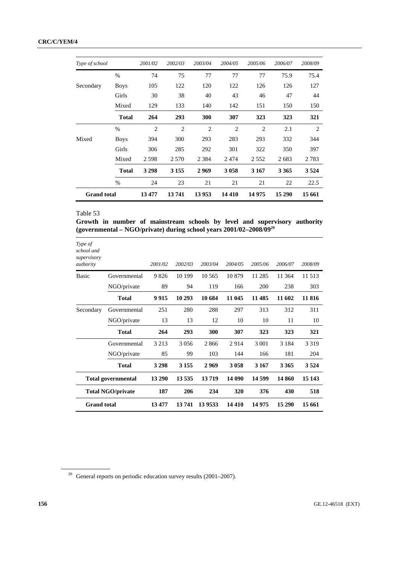| Type of school     |              | 2001/02        | 2002/03        | 2003/04        | 2004/05        | 2005/06        | 2006/07 | 2008/09 |
|--------------------|--------------|----------------|----------------|----------------|----------------|----------------|---------|---------|
|                    | $\%$         | 74             | 75             | 77             | 77             | 77             | 75.9    | 75.4    |
| Secondary          | <b>Boys</b>  | 105            | 122            | 120            | 122            | 126            | 126     | 127     |
|                    | Girls        | 30             | 38             | 40             | 43             | 46             | 47      | 44      |
|                    | Mixed        | 129            | 133            | 140            | 142            | 151            | 150     | 150     |
|                    | <b>Total</b> | 264            | 293            | 300            | 307            | 323            | 323     | 321     |
|                    | $\%$         | $\overline{2}$ | $\overline{2}$ | $\overline{2}$ | $\overline{2}$ | $\overline{c}$ | 2.1     | 2       |
| Mixed              | <b>Boys</b>  | 394            | 300            | 293            | 283            | 293            | 332     | 344     |
|                    | Girls        | 306            | 285            | 292            | 301            | 322            | 350     | 397     |
|                    | Mixed        | 2598           | 2 5 7 0        | 2 3 8 4        | 2474           | 2 5 5 2        | 2683    | 2 7 8 3 |
|                    | <b>Total</b> | 3 2 9 8        | 3 1 5 5        | 2969           | 3 0 5 8        | 3 1 6 7        | 3 3 6 5 | 3 5 24  |
|                    | $\%$         | 24             | 23             | 21             | 21             | 21             | 22      | 22.5    |
| <b>Grand</b> total |              | 13477          | 13741          | 13953          | 14 4 10        | 14975          | 15 290  | 15 661  |

**Growth in number of mainstream schools by level and supervisory authority (governmental – NGO/private) during school years 2001/02–2008/0929**

| Type of<br>school and<br>supervisory |                           |         |         |          |         |         |         |         |
|--------------------------------------|---------------------------|---------|---------|----------|---------|---------|---------|---------|
| authority                            |                           | 2001/02 | 2002/03 | 2003/04  | 2004/05 | 2005/06 | 2006/07 | 2008/09 |
| Basic                                | Governmental              | 9826    | 10 199  | 10 5 6 5 | 10879   | 11 285  | 11 364  | 11 513  |
|                                      | NGO/private               | 89      | 94      | 119      | 166     | 200     | 238     | 303     |
|                                      | <b>Total</b>              | 9915    | 10 29 3 | 10 684   | 11 045  | 11 485  | 11 602  | 11816   |
| Secondary                            | Governmental              | 251     | 280     | 288      | 297     | 313     | 312     | 311     |
|                                      | NGO/private               | 13      | 13      | 12       | 10      | 10      | 11      | 10      |
|                                      | <b>Total</b>              | 264     | 293     | 300      | 307     | 323     | 323     | 321     |
|                                      | Governmental              | 3 2 1 3 | 3056    | 2866     | 2914    | 3 0 0 1 | 3 1 8 4 | 3 3 1 9 |
|                                      | NGO/private               | 85      | 99      | 103      | 144     | 166     | 181     | 204     |
|                                      | <b>Total</b>              | 3 2 9 8 | 3 1 5 5 | 2969     | 3 0 5 8 | 3 1 6 7 | 3 3 6 5 | 3 5 24  |
|                                      | <b>Total governmental</b> | 13 290  | 13535   | 13719    | 14 090  | 14 599  | 14 860  | 15 143  |
| <b>Total NGO/private</b>             |                           | 187     | 206     | 234      | 320     | 376     | 430     | 518     |
| <b>Grand</b> total                   |                           | 13477   | 13741   | 13 9533  | 14 4 10 | 14 975  | 15 290  | 15 661  |

 $29$  General reports on periodic education survey results (2001–2007).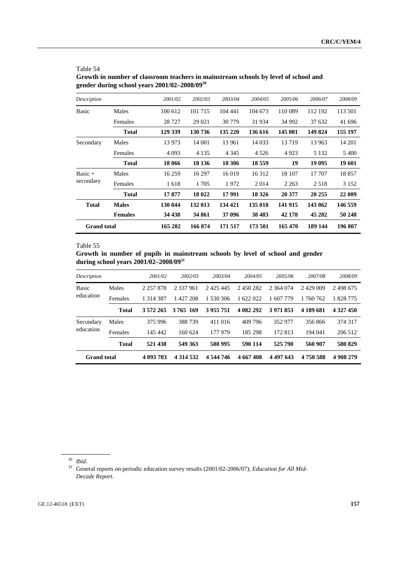| Table 54                                                                            |
|-------------------------------------------------------------------------------------|
| Growth in number of classroom teachers in mainstream schools by level of school and |
| gender during school years 2001/02-2008/09 <sup>30</sup>                            |

| Description        |                | 2001/02 | 2002/03 | 2003/04 | 2004/05  | 2005/06 | 2006/07 | 2008/09 |
|--------------------|----------------|---------|---------|---------|----------|---------|---------|---------|
| <b>Basic</b>       | Males          | 100 612 | 101 715 | 104 441 | 104 673  | 110 089 | 112 192 | 113 501 |
|                    | Females        | 28 7 27 | 29 021  | 30 779  | 31 934   | 34 992  | 37 632  | 41 696  |
|                    | <b>Total</b>   | 129 339 | 130 736 | 135 220 | 136 616  | 145 081 | 149 824 | 155 197 |
| Secondary          | Males          | 13 973  | 14 001  | 13 961  | 14 0 33  | 13719   | 13 963  | 14 201  |
|                    | Females        | 4 0 9 3 | 4 1 3 5 | 4 3 4 5 | 4 5 2 6  | 4923    | 5 1 3 2 | 5400    |
|                    | <b>Total</b>   | 18 066  | 18 13 6 | 18 30 6 | 18 5 5 9 | 19      | 19 095  | 19 601  |
| $Basic +$          | Males          | 16 259  | 16 297  | 16 019  | 16 3 12  | 18 107  | 17 707  | 18857   |
| secondary          | Females        | 1618    | 1 7 0 5 | 1972    | 2014     | 2 2 6 3 | 2518    | 3 1 5 2 |
|                    | <b>Total</b>   | 17877   | 18 022  | 17991   | 18 3 26  | 20 377  | 20 25 5 | 22 009  |
| <b>Total</b>       | <b>Males</b>   | 130 844 | 132 013 | 134 421 | 135 018  | 141 915 | 143 862 | 146 559 |
|                    | <b>Females</b> | 34 438  | 34 861  | 37 096  | 38 483   | 42 178  | 45 282  | 50 248  |
| <b>Grand</b> total |                | 165 282 | 166 874 | 171 517 | 173 501  | 165 470 | 189 144 | 196 807 |

**Growth in number of pupils in mainstream schools by level of school and gender during school years 2001/02–2008/0931**

| Description        |              | 2001/02       | 2002/03       | 2003/04       | 2004/05   | 2005/06       | 2007/08   | 2008/09   |
|--------------------|--------------|---------------|---------------|---------------|-----------|---------------|-----------|-----------|
| <b>Basic</b>       | Males        | 2 2 5 7 8 7 8 | 2 337 961     | 2 4 2 5 4 4 5 | 2 450 282 | 2 364 074     | 2429 009  | 2498675   |
| education          | Females      | 1 3 1 4 3 8 7 | 1427208       | 1 530 306     | 1 622 022 | 1 607 779     | 1 760 762 | 828 775   |
|                    | <b>Total</b> | 3 572 265     | 3765 169      | 3955751       | 4 082 292 | 3 971 853     | 4 189 681 | 4 327 450 |
| Secondary          | Males        | 375 996       | 388739        | 411 016       | 409 796   | 352 977       | 356866    | 374 317   |
| education          | Females      | 145 442       | 160 624       | 177 979       | 185 298   | 172 813       | 194 041   | 206 512   |
|                    | <b>Total</b> | 521 438       | 549 363       | 588 995       | 590 114   | 525 790       | 560 907   | 580 829   |
| <b>Grand</b> total |              | 4 093 703     | 4 3 1 4 5 3 2 | 4 544 746     | 4 667 408 | 4 4 9 7 6 4 3 | 4 750 588 | 4 908 279 |

<sup>30</sup> *Ibid*.

31 General reports on periodic education survey results (2001/02-2006/07); *Education for All Mid-Decade Report.*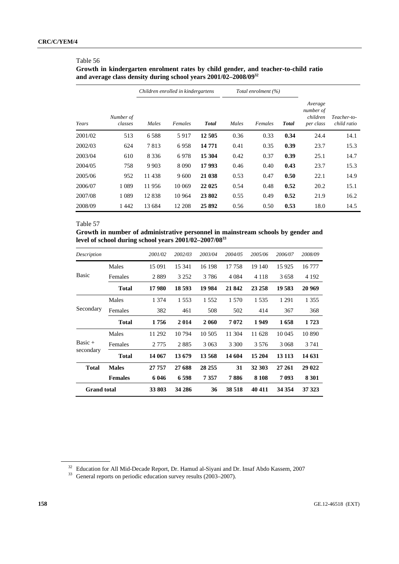## **Growth in kindergarten enrolment rates by child gender, and teacher-to-child ratio and average class density during school years 2001/02–2008/0932**

|         |                      |         | Children enrolled in kindergartens |              |       | Total enrolment (%) |              |                                               |                            |  |
|---------|----------------------|---------|------------------------------------|--------------|-------|---------------------|--------------|-----------------------------------------------|----------------------------|--|
| Years   | Number of<br>classes | Males   | Females                            | <b>Total</b> | Males | Females             | <b>Total</b> | Average<br>number of<br>children<br>per class | Teacher-to-<br>child ratio |  |
| 2001/02 | 513                  | 6588    | 5917                               | 12 505       | 0.36  | 0.33                | 0.34         | 24.4                                          | 14.1                       |  |
| 2002/03 | 624                  | 7813    | 6958                               | 14 771       | 0.41  | 0.35                | 0.39         | 23.7                                          | 15.3                       |  |
| 2003/04 | 610                  | 8 3 3 6 | 6978                               | 15 304       | 0.42  | 0.37                | 0.39         | 25.1                                          | 14.7                       |  |
| 2004/05 | 758                  | 9 9 0 3 | 8 0 9 0                            | 17 993       | 0.46  | 0.40                | 0.43         | 23.7                                          | 15.3                       |  |
| 2005/06 | 952                  | 11438   | 9600                               | 21 038       | 0.53  | 0.47                | 0.50         | 22.1                                          | 14.9                       |  |
| 2006/07 | 1 0 8 9              | 11956   | 10 069                             | 22 025       | 0.54  | 0.48                | 0.52         | 20.2                                          | 15.1                       |  |
| 2007/08 | 1 0 8 9              | 12838   | 10 9 64                            | 23 802       | 0.55  | 0.49                | 0.52         | 21.9                                          | 16.2                       |  |
| 2008/09 | 1442                 | 13 684  | 12 208                             | 25892        | 0.56  | 0.50                | 0.53         | 18.0                                          | 14.5                       |  |

## Table 57

**Growth in number of administrative personnel in mainstream schools by gender and level of school during school years 2001/02–2007/0833**

| Description        |                | 2001/02 | 2002/03 | 2003/04 | 2004/05 | 2005/06 | 2006/07 | 2008/09 |
|--------------------|----------------|---------|---------|---------|---------|---------|---------|---------|
|                    | Males          | 15 091  | 15 341  | 16 198  | 17 758  | 19 140  | 15925   | 16777   |
| <b>Basic</b>       | Females        | 2889    | 3 2 5 2 | 3786    | 4 0 8 4 | 4 1 1 8 | 3658    | 4 1 9 2 |
|                    | <b>Total</b>   | 17980   | 18 593  | 19 9 84 | 21 842  | 23 25 8 | 19 583  | 20 969  |
|                    | Males          | 1 3 7 4 | 1 5 5 3 | 1552    | 1 570   | 1535    | 1 291   | 1 3 5 5 |
| Secondary          | Females        | 382     | 461     | 508     | 502     | 414     | 367     | 368     |
|                    | <b>Total</b>   | 1756    | 2014    | 2 0 6 0 | 7072    | 1949    | 1658    | 1723    |
|                    | Males          | 11 292  | 10 794  | 10 50 5 | 11 304  | 11 628  | 10 045  | 10890   |
| $Basic +$          | Females        | 2 7 7 5 | 2885    | 3 0 6 3 | 3 3 0 0 | 3 5 7 6 | 3 0 6 8 | 3 741   |
| secondary          | <b>Total</b>   | 14 067  | 13 679  | 13 568  | 14 604  | 15 204  | 13 113  | 14 631  |
| <b>Total</b>       | <b>Males</b>   | 27 757  | 27 688  | 28 25 5 | 31      | 32 303  | 27 261  | 29 022  |
|                    | <b>Females</b> | 6 0 4 6 | 6598    | 7357    | 7886    | 8 1 0 8 | 7093    | 8 3 0 1 |
| <b>Grand</b> total |                | 33 803  | 34 28 6 | 36      | 38 518  | 40 411  | 34 354  | 37 323  |

<sup>&</sup>lt;sup>32</sup> Education for All Mid-Decade Report, Dr. Hamud al-Siyani and Dr. Insaf Abdo Kassem, 2007 General reports on periodic education survey results (2003–2007).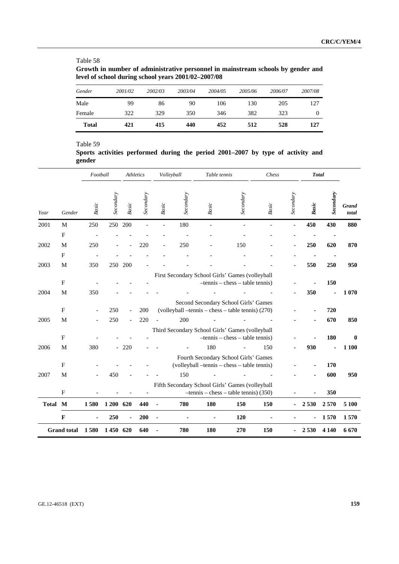**Growth in number of administrative personnel in mainstream schools by gender and level of school during school years 2001/02–2007/08** 

| Gender       | 2001/02 | 2002/03 | 2003/04 | 2004/05 | 2005/06 | 2006/07 | 2007/08 |
|--------------|---------|---------|---------|---------|---------|---------|---------|
| Male         | 99      | 86      | 90      | 106     | 130     | 205     | 127     |
| Female       | 322     | 329     | 350     | 346     | 382     | 323     |         |
| <b>Total</b> | 421     | 415     | 440     | 452     | 512     | 528     | 127     |

### Table 59

**Sports activities performed during the period 2001–2007 by type of activity and gender** 

|              |                           | Football                 |                  |                                                      | Athletics        |              | Volleyball       | Table tennis                                                                                 |                                    | Chess |                  | <b>Total</b> |            |                       |
|--------------|---------------------------|--------------------------|------------------|------------------------------------------------------|------------------|--------------|------------------|----------------------------------------------------------------------------------------------|------------------------------------|-------|------------------|--------------|------------|-----------------------|
| Year         | Gender                    | Basic                    | <b>Secondary</b> | Basic                                                | <b>Secondary</b> | Basic        | <b>Secondary</b> | Basic                                                                                        | <b>Secondary</b>                   | Basic | <b>Secondary</b> | <b>Basic</b> | Secondary  | <b>Grand</b><br>total |
| 2001         | M                         | 250                      | 250              | 200                                                  |                  |              | 180              |                                                                                              |                                    |       |                  | 450          | 430        | 880                   |
|              | $\mathbf{F}$              |                          |                  |                                                      |                  |              |                  |                                                                                              |                                    |       |                  |              |            |                       |
| 2002         | M                         | 250                      |                  |                                                      | 220              |              | 250              |                                                                                              | 150                                |       |                  | 250          | 620        | 870                   |
|              | $\boldsymbol{\mathrm{F}}$ |                          |                  |                                                      |                  |              |                  |                                                                                              |                                    |       |                  |              |            |                       |
| 2003         | M                         | 350                      |                  | 250 200                                              |                  |              |                  |                                                                                              |                                    |       |                  | 550          | 250        | 950                   |
|              | ${\bf F}$                 |                          |                  |                                                      |                  |              |                  | First Secondary School Girls' Games (volleyball                                              | $-tennis - chess - table tennis)$  |       |                  |              | 150        |                       |
| 2004         | M                         | 350                      |                  |                                                      |                  |              |                  |                                                                                              |                                    |       |                  | 350          | ä,         | 1070                  |
| 2005         | $\mathbf{F}$<br>M         | $\overline{\phantom{a}}$ | 250<br>250       | $\overline{\phantom{a}}$<br>$\overline{\phantom{a}}$ | 200<br>220       |              | 200              | Second Secondary School Girls' Games<br>(volleyball --tennis -- chess -- table tennis) (270) |                                    |       |                  |              | 720<br>670 | 850                   |
|              | $\mathbf{F}$              |                          |                  |                                                      |                  |              |                  | Third Secondary School Girls' Games (volleyball                                              | $-$ tennis – chess – table tennis) |       |                  |              | 180        | $\mathbf 0$           |
| 2006         | M                         | 380                      |                  | $-220$                                               |                  |              |                  | 180                                                                                          |                                    | 150   |                  | 930          |            | 1 100                 |
|              | $\boldsymbol{\mathrm{F}}$ |                          |                  |                                                      |                  |              |                  | Fourth Secondary School Girls' Games<br>(volleyball -tennis - chess - table tennis)          |                                    |       |                  |              | 170        |                       |
| 2007         | M                         |                          | 450              |                                                      |                  |              | 150              |                                                                                              |                                    |       |                  |              | 600        | 950                   |
|              | $\boldsymbol{\mathrm{F}}$ |                          |                  |                                                      |                  |              |                  | Fifth Secondary School Girls' Games (volleyball<br>$-$ tennis – chess – table tennis) (350)  |                                    |       |                  |              | 350        |                       |
| <b>Total</b> | $\mathbf{M}$              | 1580                     | 1 200 620        |                                                      | 440              | $\mathbf{r}$ | 780              | 180                                                                                          | 150                                | 150   |                  | 2 5 3 0      | 2570       | 5 100                 |
|              | $\mathbf F$               |                          | 250              |                                                      | 200              |              |                  |                                                                                              | 120                                |       |                  |              | 1570       | 1570                  |
|              | <b>Grand total</b>        | 1580                     | 1450 620         |                                                      | 640              |              | 780              | 180                                                                                          | 270                                | 150   |                  | 2 5 3 0      | 4 1 4 0    | 6670                  |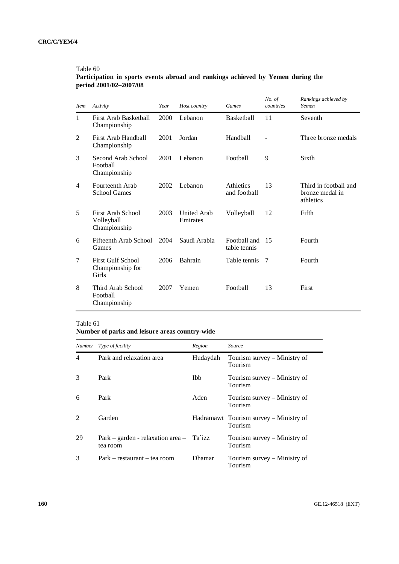| Participation in sports events abroad and rankings achieved by Yemen during the |  |  |  |  |
|---------------------------------------------------------------------------------|--|--|--|--|
| period 2001/02-2007/08                                                          |  |  |  |  |

| <i>Item</i>    | Activity                                              | Host country<br>Year |                                | Games                        | No. of<br>countries | Rankings achieved by<br>Yemen                         |
|----------------|-------------------------------------------------------|----------------------|--------------------------------|------------------------------|---------------------|-------------------------------------------------------|
| $\mathbf{1}$   | First Arab Basketball<br>Championship                 | 2000                 | Lebanon                        | <b>Basketball</b>            | 11                  | Seventh                                               |
| 2              | First Arab Handball<br>Championship                   | 2001                 | Jordan                         | Handball                     |                     | Three bronze medals                                   |
| 3              | Second Arab School<br>Football<br>Championship        | 2001                 | Lebanon                        | Football                     | 9                   | Sixth                                                 |
| $\overline{4}$ | Fourteenth Arab<br><b>School Games</b>                | 2002                 | Lebanon                        | Athletics<br>and football    | 13                  | Third in football and<br>bronze medal in<br>athletics |
| 5              | First Arab School<br>Volleyball<br>Championship       | 2003                 | <b>United Arab</b><br>Emirates | Volleyball                   | 12                  | Fifth                                                 |
| 6              | Fifteenth Arab School<br>Games                        | 2004                 | Saudi Arabia                   | Foothall and<br>table tennis | 15                  | Fourth                                                |
| 7              | <b>First Gulf School</b><br>Championship for<br>Girls | 2006                 | Bahrain                        | Table tennis                 | 7                   | Fourth                                                |
| 8              | Third Arab School<br>Football<br>Championship         | 2007                 | Yemen                          | Football                     | 13                  | First                                                 |

## Table 61

## **Number of parks and leisure areas country-wide**

| Number                      | <i>Type of facility</i>                         | Region        | Source                                            |
|-----------------------------|-------------------------------------------------|---------------|---------------------------------------------------|
| 4                           | Park and relaxation area                        | Hudaydah      | Tourism survey – Ministry of<br>Tourism           |
| 3                           | Park                                            | <b>Ibb</b>    | Tourism survey – Ministry of<br>Tourism           |
| 6                           | Park                                            | Aden          | Tourism survey – Ministry of<br>Tourism           |
| $\mathcal{D}_{\mathcal{L}}$ | Garden                                          |               | Hadramawt Tourism survey – Ministry of<br>Tourism |
| 29                          | $Park - garden - relaxation area -$<br>tea room | Ta`izz        | Tourism survey – Ministry of<br>Tourism           |
| 3                           | Park – restaurant – tea room                    | <b>Dhamar</b> | Tourism survey – Ministry of<br>Tourism           |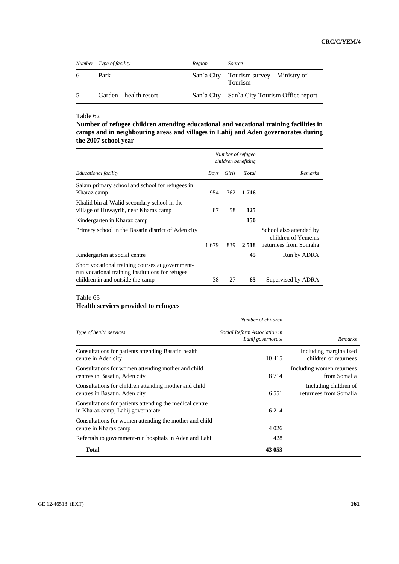|                | Number Type of facility | Region | Source                                                    |
|----------------|-------------------------|--------|-----------------------------------------------------------|
| 6              | Park                    |        | San'a City Tourism survey – Ministry of<br><b>Tourism</b> |
| $\overline{5}$ | Garden – health resort  |        | San'a City San'a City Tourism Office report               |

**Number of refugee children attending educational and vocational training facilities in camps and in neighbouring areas and villages in Lahij and Aden governorates during the 2007 school year** 

|                                                                                                      |       |       | Number of refugee<br>children benefiting |                                                                          |
|------------------------------------------------------------------------------------------------------|-------|-------|------------------------------------------|--------------------------------------------------------------------------|
| Educational facility                                                                                 | Boys  | Girls | <b>Total</b>                             | Remarks                                                                  |
| Salam primary school and school for refugees in<br>Kharaz camp                                       | 954   | 762   | 1 7 1 6                                  |                                                                          |
| Khalid bin al-Walid secondary school in the<br>village of Huwayrib, near Kharaz camp                 | 87    | 58    | 125                                      |                                                                          |
| Kindergarten in Kharaz camp                                                                          |       |       | 150                                      |                                                                          |
| Primary school in the Basatin district of Aden city                                                  | 1 679 | 839   | 2.518                                    | School also attended by<br>children of Yemenis<br>returnees from Somalia |
| Kindergarten at social centre                                                                        |       |       | 45                                       | Run by ADRA                                                              |
| Short vocational training courses at government-<br>run vocational training institutions for refugee |       |       |                                          |                                                                          |
| children in and outside the camp                                                                     | 38    | 27    | 65                                       | Supervised by ADRA                                                       |

# Table 63

# **Health services provided to refugees**

|                                                                                              | Number of children                                |                                                 |
|----------------------------------------------------------------------------------------------|---------------------------------------------------|-------------------------------------------------|
| Type of health services                                                                      | Social Reform Association in<br>Lahij governorate | <b>Remarks</b>                                  |
| Consultations for patients attending Basatin health<br>centre in Aden city                   | 10415                                             | Including marginalized<br>children of returnees |
| Consultations for women attending mother and child<br>centres in Basatin, Aden city          | 8 7 1 4                                           | Including women returnees<br>from Somalia       |
| Consultations for children attending mother and child<br>centres in Basatin, Aden city       | 6.551                                             | Including children of<br>returnees from Somalia |
| Consultations for patients attending the medical centre<br>in Kharaz camp, Lahij governorate | 6 2 1 4                                           |                                                 |
| Consultations for women attending the mother and child<br>centre in Kharaz camp              | 4 0 2 6                                           |                                                 |
| Referrals to government-run hospitals in Aden and Lahij                                      | 428                                               |                                                 |
| <b>Total</b>                                                                                 | 43 053                                            |                                                 |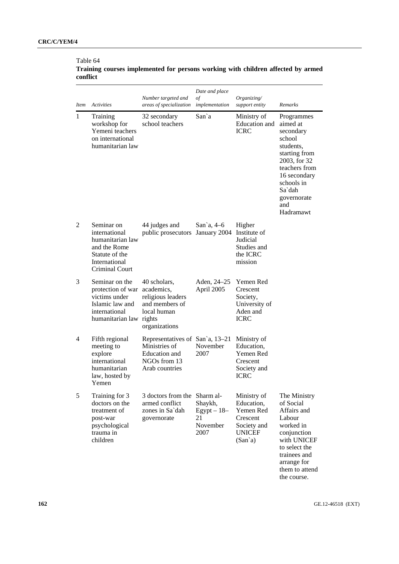|          | Training courses implemented for persons working with children affected by armed |  |  |  |  |
|----------|----------------------------------------------------------------------------------|--|--|--|--|
| conflict |                                                                                  |  |  |  |  |

| <i>Item</i>    | <b>Activities</b>                                                                                                                                                                          | Number targeted and<br>areas of specialization                                                      | Date and place<br>of<br>implementation             | Organizing/<br>support entity                                                                              | Remarks                                                                                                                                                                                 |
|----------------|--------------------------------------------------------------------------------------------------------------------------------------------------------------------------------------------|-----------------------------------------------------------------------------------------------------|----------------------------------------------------|------------------------------------------------------------------------------------------------------------|-----------------------------------------------------------------------------------------------------------------------------------------------------------------------------------------|
| 1              | Training<br>32 secondary<br>workshop for<br>school teachers<br>Yemeni teachers<br>on international<br>humanitarian law                                                                     |                                                                                                     | San`a                                              | Ministry of<br>Education and<br><b>ICRC</b>                                                                | Programmes<br>aimed at<br>secondary<br>school<br>students.<br>starting from<br>2003, for 32<br>teachers from<br>16 secondary<br>schools in<br>Sa`dah<br>governorate<br>and<br>Hadramawt |
| $\overline{2}$ | Seminar on<br>international<br>humanitarian law<br>and the Rome<br>Statute of the<br>International<br>Criminal Court                                                                       | 44 judges and<br>public prosecutors                                                                 | San'a, $4-6$<br>January 2004                       | Higher<br>Institute of<br>Judicial<br>Studies and<br>the ICRC<br>mission                                   |                                                                                                                                                                                         |
| 3              | Seminar on the<br>protection of war<br>victims under<br>Islamic law and<br>international<br>humanitarian law rights                                                                        | 40 scholars,<br>academics,<br>religious leaders<br>and members of<br>local human<br>organizations   | Aden, 24–25<br>April 2005                          | Yemen Red<br>Crescent<br>Society,<br>University of<br>Aden and<br><b>ICRC</b>                              |                                                                                                                                                                                         |
| 4              | Fifth regional<br>meeting to<br>explore<br>international<br>humanitarian<br>law, hosted by<br>Yemen                                                                                        | Representatives of San'a, 13-21<br>Ministries of<br>Education and<br>NGOs from 13<br>Arab countries | November<br>2007                                   | Ministry of<br>Education,<br>Yemen Red<br>Crescent<br>Society and<br><b>ICRC</b>                           |                                                                                                                                                                                         |
| 5              | Training for 3<br>3 doctors from the Sharm al-<br>doctors on the<br>armed conflict<br>treatment of<br>zones in Sa'dah<br>post-war<br>governorate<br>psychological<br>trauma in<br>children |                                                                                                     | Shaykh,<br>$Egypt - 18-$<br>21<br>November<br>2007 | Ministry of<br>Education,<br>Yemen Red<br>Crescent<br>Society and<br><b>UNICEF</b><br>(San <sup>2</sup> a) | The Ministry<br>of Social<br>Affairs and<br>Labour<br>worked in<br>conjunction<br>with UNICEF<br>to select the<br>trainees and<br>arrange for<br>them to attend<br>the course.          |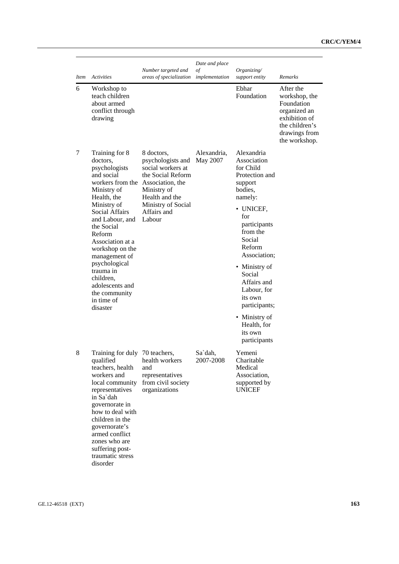| <i>Item</i> | <b>Activities</b>                                                                                                                                                                                                                                                                                                                                                                | Number targeted and<br>areas of specialization                                                                                                            | Date and place<br>of<br>implementation | Organizing/<br>support entity                                                                                                                                                                                                                                                                                                 | <b>Remarks</b>                                                                                                                |
|-------------|----------------------------------------------------------------------------------------------------------------------------------------------------------------------------------------------------------------------------------------------------------------------------------------------------------------------------------------------------------------------------------|-----------------------------------------------------------------------------------------------------------------------------------------------------------|----------------------------------------|-------------------------------------------------------------------------------------------------------------------------------------------------------------------------------------------------------------------------------------------------------------------------------------------------------------------------------|-------------------------------------------------------------------------------------------------------------------------------|
| 6           | Workshop to<br>teach children<br>about armed<br>conflict through<br>drawing                                                                                                                                                                                                                                                                                                      |                                                                                                                                                           |                                        | Ebhar<br>Foundation                                                                                                                                                                                                                                                                                                           | After the<br>workshop, the<br>Foundation<br>organized an<br>exhibition of<br>the children's<br>drawings from<br>the workshop. |
| 7           | Training for 8<br>doctors.<br>psychologists<br>and social<br>workers from the Association, the<br>Ministry of<br>Health, the<br>Ministry of<br><b>Social Affairs</b><br>and Labour, and<br>the Social<br>Reform<br>Association at a<br>workshop on the<br>management of<br>psychological<br>trauma in<br>children,<br>adolescents and<br>the community<br>in time of<br>disaster | 8 doctors,<br>psychologists and<br>social workers at<br>the Social Reform<br>Ministry of<br>Health and the<br>Ministry of Social<br>Affairs and<br>Labour | Alexandria,<br>May 2007                | Alexandria<br>Association<br>for Child<br>Protection and<br>support<br>bodies.<br>namely:<br>• UNICEF,<br>for<br>participants<br>from the<br>Social<br>Reform<br>Association;<br>• Ministry of<br>Social<br>Affairs and<br>Labour, for<br>its own<br>participants;<br>• Ministry of<br>Health, for<br>its own<br>participants |                                                                                                                               |
| 8           | Training for duly 70 teachers,<br>qualified<br>teachers, health<br>workers and<br>local community<br>representatives<br>in Sa`dah<br>governorate in<br>how to deal with<br>children in the<br>governorate's<br>armed conflict<br>zones who are<br>suffering post-<br>traumatic stress<br>disorder                                                                                | health workers<br>and<br>representatives<br>from civil society<br>organizations                                                                           | Sa`dah.<br>2007-2008                   | Yemeni<br>Charitable<br>Medical<br>Association,<br>supported by<br><b>UNICEF</b>                                                                                                                                                                                                                                              |                                                                                                                               |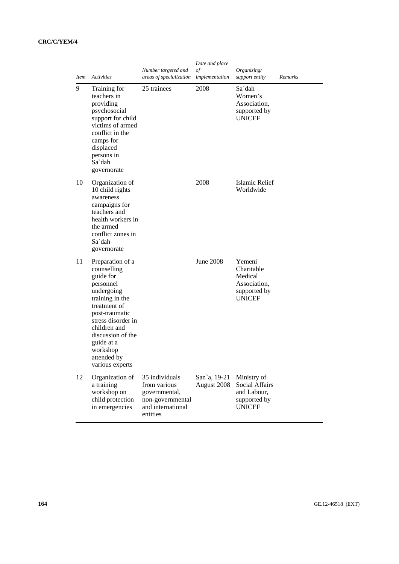| <i>Item</i> | Activities                                                                                                                                                                                                                                          | Number targeted and<br>areas of specialization                                                       | Date and place<br>of<br>implementation | Organizing/<br>support entity                                                    | Remarks |
|-------------|-----------------------------------------------------------------------------------------------------------------------------------------------------------------------------------------------------------------------------------------------------|------------------------------------------------------------------------------------------------------|----------------------------------------|----------------------------------------------------------------------------------|---------|
| 9           | Training for<br>teachers in<br>providing<br>psychosocial<br>support for child<br>victims of armed<br>conflict in the<br>camps for<br>displaced<br>persons in<br>Sa`dah<br>governorate                                                               | 25 trainees                                                                                          | 2008                                   | Sa`dah<br>Women's<br>Association,<br>supported by<br><b>UNICEF</b>               |         |
| 10          | Organization of<br>10 child rights<br>awareness<br>campaigns for<br>teachers and<br>health workers in<br>the armed<br>conflict zones in<br>Sa`dah<br>governorate                                                                                    |                                                                                                      | 2008                                   | Islamic Relief<br>Worldwide                                                      |         |
| 11          | Preparation of a<br>counselling<br>guide for<br>personnel<br>undergoing<br>training in the<br>treatment of<br>post-traumatic<br>stress disorder in<br>children and<br>discussion of the<br>guide at a<br>workshop<br>attended by<br>various experts |                                                                                                      | June 2008                              | Yemeni<br>Charitable<br>Medical<br>Association,<br>supported by<br><b>UNICEF</b> |         |
| 12          | Organization of<br>a training<br>workshop on<br>child protection<br>in emergencies                                                                                                                                                                  | 35 individuals<br>from various<br>governmental,<br>non-governmental<br>and international<br>entities | San'a, 19-21<br>August 2008            | Ministry of<br>Social Affairs<br>and Labour,<br>supported by<br><b>UNICEF</b>    |         |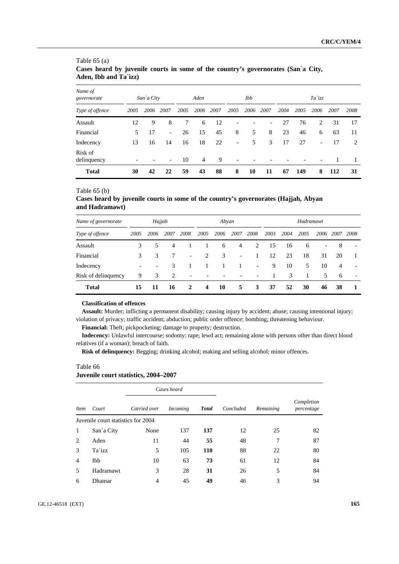|                        | Aden, IDD and 1 a IZZ) |            |                          |      |                |      |                          |      |      |      |                 |                          |      |      |  |
|------------------------|------------------------|------------|--------------------------|------|----------------|------|--------------------------|------|------|------|-----------------|--------------------------|------|------|--|
| Name of<br>governorate |                        | San`a City |                          |      | Aden           |      |                          | Ibb  |      |      | $Ta$ <i>izz</i> |                          |      |      |  |
| Type of offence        | 2005                   | 2006       | 2007                     | 2005 | 2006           | 2007 | 2005                     | 2006 | 2007 | 2004 | 2005            | 2006                     | 2007 | 2008 |  |
| Assault                | 12                     | 9          | 8                        | 7    | 6              | 12   | $\overline{\phantom{0}}$ |      | ۰    | 27   | 76              | 2                        | 31   | 17   |  |
| Financial              | 5                      | 17         | $\overline{\phantom{a}}$ | 26   | 15             | 45   | 8                        | 5    | 8    | 23   | 46              | 6                        | 63   | 11   |  |
| Indecency              | 13                     | 16         | 14                       | 16   | 18             | 22   | $\overline{\phantom{a}}$ | 5    | 3    | 17   | 27              | $\overline{\phantom{a}}$ | 17   | 2    |  |
| Risk of<br>delinquency |                        |            |                          | 10   | $\overline{4}$ | 9    |                          |      |      |      |                 |                          |      | 1    |  |
| <b>Total</b>           | 30                     | 42         | 22                       | 59   | 43             | 88   | 8                        | 10   | 11   | 67   | 149             | 8                        | 112  | 31   |  |

### Table 65 (a) **Cases heard by juvenile courts in some of the country's governorates (San`a City, Aden, Ibb and Ta`izz)**

### Table 65 (b)

### **Cases heard by juvenile courts in some of the country's governorates (Hajjah, Abyan and Hadramawt)**

| Name of governorate | Hajjah        |                          |      |                          | Abyan                    |      |                          |                          | Hadramawt    |      |      |                          |                |                          |
|---------------------|---------------|--------------------------|------|--------------------------|--------------------------|------|--------------------------|--------------------------|--------------|------|------|--------------------------|----------------|--------------------------|
| Type of offence     | 2005          | 2006                     | 2007 | 2008                     | 2005                     | 2006 | 2007                     | 2008                     | 2003         | 2004 | 2005 | 2006                     | 2007           | 2008                     |
| Assault             | 3             | 5.                       | 4    |                          |                          | 6    | 4                        | 2                        | 15           | 16   | 6    | $\overline{\phantom{a}}$ | 8              | $\overline{\phantom{a}}$ |
| Financial           | $\mathcal{F}$ | 3                        |      | $\overline{\phantom{a}}$ | $\mathcal{L}$            | 3    | $\overline{\phantom{a}}$ |                          | 12           | 23   | 18   | 31                       | 20             |                          |
| Indecency           |               | $\overline{\phantom{a}}$ | 3    |                          |                          |      |                          | $\overline{\phantom{a}}$ | 9            | 10   | 5    | 10                       | $\overline{4}$ | $\overline{\phantom{a}}$ |
| Risk of delinquency | 9             | 3                        | 2    | $\overline{\phantom{0}}$ | $\overline{\phantom{a}}$ |      |                          |                          | $\mathbf{1}$ | 3    | -1   | 5                        | -6             | $\overline{\phantom{0}}$ |
| <b>Total</b>        | 15            | 11                       | 16   | 2                        | 4                        | 10   | 5.                       | 3                        | 37           | 52   | 30   | 46                       | 38             |                          |

#### **Classification of offences**

**Assault:** Murder; inflicting a permanent disability; causing injury by accident; abuse; causing intentional injury; violation of privacy; traffic accident; abduction; public order offence; bombing; threatening behaviour.

**Financial:** Theft; pickpocketing; damage to property; destruction.

**Indecency:** Unlawful intercourse; sodomy; rape; lewd act; remaining alone with persons other than direct blood relatives (if a woman); breach of faith.

**Risk of delinquency:** Begging; drinking alcohol; making and selling alcohol; minor offences.

#### Table 66

## **Juvenile court statistics, 2004–2007**

|                |                                    |              | Cases heard |              |           |           |                          |
|----------------|------------------------------------|--------------|-------------|--------------|-----------|-----------|--------------------------|
| <i>Item</i>    | Court                              | Carried over | Incoming    | <b>Total</b> | Concluded | Remaining | Completion<br>percentage |
|                | Juvenile court statistics for 2004 |              |             |              |           |           |                          |
|                | San'a City                         | None         | 137         | 137          | 12        | 25        | 82                       |
| 2              | Aden                               | 11           | 44          | 55           | 48        | 7         | 87                       |
| 3              | Ta`izz                             | 5            | 105         | 110          | 88        | 22        | 80                       |
| $\overline{4}$ | Ibb                                | 10           | 63          | 73           | 61        | 12        | 84                       |
| 5              | Hadramawt                          | 3            | 28          | 31           | 26        | 5         | 84                       |
| 6              | Dhamar                             | 4            | 45          | 49           | 46        | 3         | 94                       |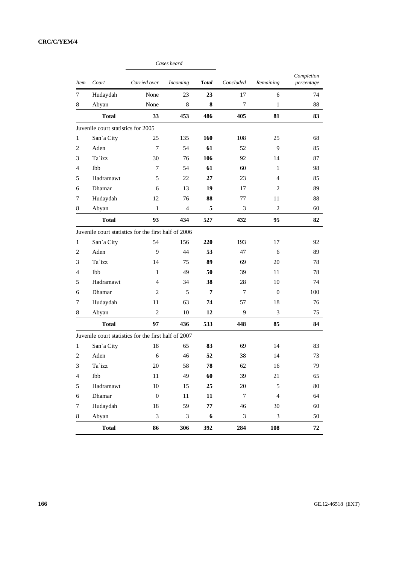|                |                                    |                                                      | Cases heard     |              |                |                |                          |
|----------------|------------------------------------|------------------------------------------------------|-----------------|--------------|----------------|----------------|--------------------------|
| <b>Item</b>    | Court                              | Carried over                                         | <b>Incoming</b> | <b>Total</b> | Concluded      | Remaining      | Completion<br>percentage |
| 7              | Hudaydah                           | None                                                 | 23              | 23           | 17             | 6              | 74                       |
| 8              | Abyan                              | None                                                 | 8               | 8            | $\overline{7}$ | 1              | 88                       |
|                | <b>Total</b>                       | 33                                                   | 453             | 486          | 405            | 81             | 83                       |
|                | Juvenile court statistics for 2005 |                                                      |                 |              |                |                |                          |
| $\mathbf{1}$   | San'a City                         | 25                                                   | 135             | 160          | 108            | 25             | 68                       |
| 2              | Aden                               | $\overline{7}$                                       | 54              | 61           | 52             | 9              | 85                       |
| 3              | Ta`izz                             | 30                                                   | 76              | 106          | 92             | 14             | 87                       |
| 4              | Ibb                                | 7                                                    | 54              | 61           | 60             | 1              | 98                       |
| 5              | Hadramawt                          | 5                                                    | 22              | 27           | 23             | 4              | 85                       |
| 6              | Dhamar                             | 6                                                    | 13              | 19           | 17             | 2              | 89                       |
| 7              | Hudaydah                           | 12                                                   | 76              | 88           | 77             | 11             | 88                       |
| 8              | Abyan                              | $\mathbf{1}$                                         | $\overline{4}$  | 5            | 3              | $\overline{c}$ | 60                       |
|                | <b>Total</b>                       | 93                                                   | 434             | 527          | 432            | 95             | 82                       |
|                |                                    | Juvenile court statistics for the first half of 2006 |                 |              |                |                |                          |
| $\mathbf{1}$   | San'a City                         | 54                                                   | 156             | 220          | 193            | 17             | 92                       |
| 2              | Aden                               | 9                                                    | 44              | 53           | 47             | 6              | 89                       |
| 3              | Ta`izz                             | 14                                                   | 75              | 89           | 69             | 20             | 78                       |
| 4              | Ibb                                | $\mathbf{1}$                                         | 49              | 50           | 39             | 11             | 78                       |
| 5              | Hadramawt                          | 4                                                    | 34              | 38           | 28             | 10             | 74                       |
| 6              | Dhamar                             | 2                                                    | 5               | 7            | 7              | $\Omega$       | 100                      |
| 7              | Hudaydah                           | 11                                                   | 63              | 74           | 57             | 18             | 76                       |
| 8              | Abyan                              | $\overline{2}$                                       | 10              | 12           | 9              | 3              | 75                       |
|                | <b>Total</b>                       | 97                                                   | 436             | 533          | 448            | 85             | 84                       |
|                |                                    | Juvenile court statistics for the first half of 2007 |                 |              |                |                |                          |
| 1              | San'a City                         | 18                                                   | 65              | 83           | 69             | 14             | 83                       |
| $\overline{2}$ | Aden                               | 6                                                    | 46              | 52           | 38             | 14             | 73                       |
| 3              | Ta`izz                             | 20                                                   | 58              | 78           | 62             | 16             | 79                       |
| $\overline{4}$ | Ibb                                | $11\,$                                               | 49              | 60           | 39             | 21             | 65                       |
| 5              | Hadramawt                          | 10                                                   | 15              | 25           | $20\,$         | 5              | $80\,$                   |
| 6              | Dhamar                             | $\boldsymbol{0}$                                     | 11              | 11           | $\overline{7}$ | $\overline{4}$ | 64                       |
| 7              | Hudaydah                           | 18                                                   | 59              | ${\bf 77}$   | $46\,$         | $30\,$         | $60\,$                   |
| $\bf 8$        | Abyan                              | 3                                                    | $\mathfrak{Z}$  | 6            | $\mathfrak{Z}$ | 3              | 50                       |
|                | <b>Total</b>                       | 86                                                   | 306             | 392          | 284            | 108            | 72                       |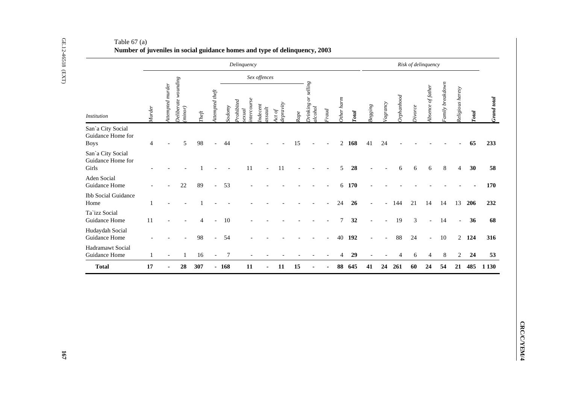| <b>Institution</b><br>San'a City Social<br><b>Boys</b> | Murder         | Attempted murder         | Deliberate wounding<br>(minor) | $The \emph{fit}$ | Attempted theft          |                  |                                       | Sex offences                                                         |                     |             |                                |                |                  |                        |                |                |                |                |                          |                  |                          |             |
|--------------------------------------------------------|----------------|--------------------------|--------------------------------|------------------|--------------------------|------------------|---------------------------------------|----------------------------------------------------------------------|---------------------|-------------|--------------------------------|----------------|------------------|------------------------|----------------|----------------|----------------|----------------|--------------------------|------------------|--------------------------|-------------|
|                                                        |                |                          |                                |                  |                          |                  |                                       |                                                                      |                     |             |                                |                |                  |                        |                |                |                |                |                          |                  |                          |             |
| Guidance Home for                                      |                |                          |                                |                  |                          | Sodomy           | ntercourse<br>Prohibited<br>$s$ exual | $\begin{array}{c} \textit{Indecent} \\ \textit{assault} \end{array}$ | Act of<br>depravity | $\it Range$ | Drinking or selling<br>alcohol | Fraud          | Other harm       | $\operatorname{Total}$ | $Begging$      | Vagrancy       | Orphanhood     | Divorce        | Absence of father        | Family breakdown | Religious heresy         | Total       |
|                                                        | $\overline{4}$ |                          | 5                              | 98               |                          | 44               |                                       |                                                                      |                     | 15          |                                |                |                  | $2 \t168$              | 41             | 24             |                |                |                          |                  |                          | 65          |
| San'a City Social<br>Guidance Home for<br>Girls        |                |                          |                                |                  |                          |                  | 11                                    | $\overline{a}$                                                       | 11                  |             |                                |                | 5                | 28                     |                |                | 6              | 6              | 6                        | $\,8\,$          | $\overline{4}$           | 30          |
| Aden Social<br>Guidance Home                           |                |                          | $22\,$                         | 89               | $\overline{a}$           | 53               |                                       |                                                                      |                     |             |                                |                | $6\,$            | <b>170</b>             |                |                |                |                |                          |                  |                          |             |
| <b>Ibb Social Guidance</b><br>Home                     | $\mathbf{1}$   |                          |                                |                  |                          |                  |                                       |                                                                      |                     |             |                                |                | 24               | 26                     |                | $\overline{a}$ | 144            | 21             | 14                       | 14               |                          | 13 206      |
| Ta`izz Social<br>Guidance Home<br>11                   |                |                          |                                | 4                |                          | 10               |                                       |                                                                      |                     |             |                                |                | $\boldsymbol{7}$ | 32                     |                | $\overline{a}$ | 19             | $\mathfrak{Z}$ |                          | 14               | $\overline{\phantom{a}}$ | 36          |
| Hudaydah Social<br>Guidance Home                       |                |                          |                                | 98               | $\overline{a}$           | 54               |                                       |                                                                      |                     |             |                                |                | 40               | 192                    |                | $\overline{a}$ | 88             | 24             | $\overline{\phantom{a}}$ | $10\,$           |                          | $2$ 124     |
| Hadramawt Social<br>Guidance Home                      | $\mathbf{1}$   | $\overline{\phantom{a}}$ | $\mathbf{1}$                   | 16               | $\overline{\phantom{a}}$ | $\boldsymbol{7}$ | $\overline{\phantom{a}}$              |                                                                      |                     |             |                                |                | $\overline{4}$   | 29                     | $\overline{a}$ |                | $\overline{4}$ | $\sqrt{6}$     | $\overline{4}$           | $\,8\,$          | $\overline{2}$           | 24          |
| 17<br><b>Total</b>                                     |                | $\blacksquare$           | 28                             | 307              |                          | $-168$           | 11                                    | $\blacksquare$                                                       | 11                  | 15          |                                | $\blacksquare$ |                  | 88 645                 | 41             |                | 24 261         | 60             | 24                       | 54               |                          | 21 485 1130 |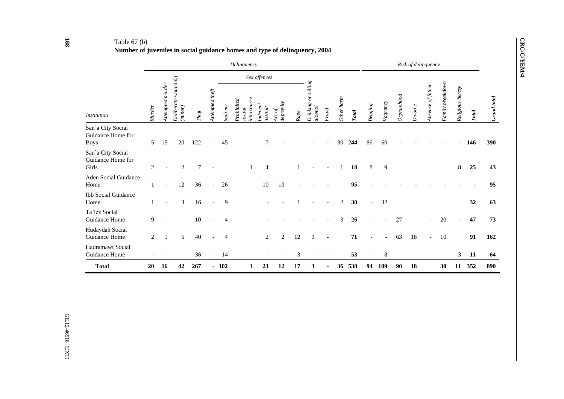|                                                       |               |                 |                                  |                 |                          |                | Delinquency                           |                   |                               |     |                                           |      |            |       |                   |          |            |         | Risk of delinquency      |                 |                          |     |             |
|-------------------------------------------------------|---------------|-----------------|----------------------------------|-----------------|--------------------------|----------------|---------------------------------------|-------------------|-------------------------------|-----|-------------------------------------------|------|------------|-------|-------------------|----------|------------|---------|--------------------------|-----------------|--------------------------|-----|-------------|
|                                                       |               |                 |                                  |                 |                          |                |                                       | Sex offences      |                               |     |                                           |      |            |       |                   |          |            |         |                          |                 |                          |     |             |
| <b>Institution</b>                                    | <b>Murder</b> | ttempted murder | Deliberate wounding<br>$minor$ ) | $\mathit{Left}$ | ttempted theft           | Sodom          | ntercourse<br>$P_{rohibited}$<br>exud | ndecent<br>ssault | epravity<br>$\overline{c}$ to | dpe | $\mathit{selling}$<br>Inking or<br>lcohol | raud | Other harm | `otal | $Begging$         | Vagrancy | Orphanhood | Divorce | Absence of fathe.        | amily breakdown | Religious heresy         |     | Frand total |
| San'a City Social<br>Guidance Home for<br><b>Boys</b> | 5             | 15              | 20                               | 122             | $\overline{\phantom{a}}$ | 45             |                                       | 7                 |                               |     |                                           |      | 30         | 244   | 86                | 60       |            |         |                          |                 |                          | 146 | 390         |
| San'a City Social<br>Guidance Home for<br>Girls       | 2             |                 | 2                                | $\overline{7}$  |                          |                |                                       | $\overline{4}$    |                               |     |                                           |      |            | 18    | 8                 | 9        |            |         |                          |                 | 8                        | 25  | 43          |
| Aden Social Guidance<br>Home                          | 1             |                 | 12                               | 36              |                          | 26             |                                       | 10                | 10                            |     |                                           |      |            | 95    |                   |          |            |         |                          |                 |                          |     | 95          |
| <b>Ibb Social Guidance</b><br>Home                    | 1             |                 | 3                                | 16              | $\sim$                   | 9              |                                       |                   |                               |     |                                           |      | 2          | 30    | $\overline{a}$    | 32       |            |         |                          |                 |                          | 32  | 63          |
| Ta`izz Social<br>Guidance Home                        | 9             |                 |                                  | 10              |                          | $\overline{4}$ |                                       |                   |                               |     |                                           |      | 3          | 26    | $\overline{a}$    |          | 27         |         | $\overline{\phantom{a}}$ | 20              | $\overline{\phantom{a}}$ | 47  | 73          |
| Hudaydah Social<br>Guidance Home                      | 2             |                 | 5                                | 40              |                          | 4              |                                       | 2                 | 2                             | 12  | 3                                         |      |            | 71    |                   |          | 63         | 18      | $\overline{\phantom{0}}$ | 10              |                          | 91  | 162         |
| Hadramawt Social<br>Guidance Home                     |               |                 |                                  | 36              | $\overline{\phantom{a}}$ | 14             |                                       |                   |                               | 3   |                                           |      |            | 53    | $\qquad \qquad -$ | 8        |            |         |                          |                 | 3                        | 11  | 64          |
| <b>Total</b>                                          | 20            | 16              | 42                               | 267             |                          | $-102$         |                                       | 23                | 12                            | 17  | 3                                         |      | 36         | 538   | 94                | 109      | 90         | 18      |                          | 30              | 11                       | 352 | 890         |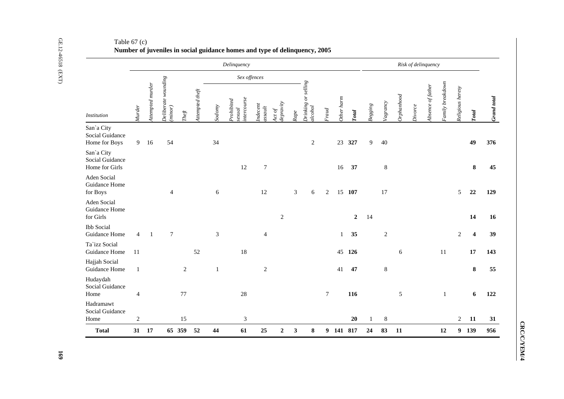|                                                 |                |                  |                                |            |                 |              | Delinquency                                                                 |                   |                     |              |                              |        |            |                  |           |            |            | Risk of delinquency |                   |                        |                  |                         |
|-------------------------------------------------|----------------|------------------|--------------------------------|------------|-----------------|--------------|-----------------------------------------------------------------------------|-------------------|---------------------|--------------|------------------------------|--------|------------|------------------|-----------|------------|------------|---------------------|-------------------|------------------------|------------------|-------------------------|
|                                                 |                |                  |                                |            |                 |              | Sex offences                                                                |                   |                     |              |                              |        |            |                  |           |            |            |                     |                   |                        |                  |                         |
| <i>Institution</i>                              | Murder         | Attempted murder | Deliberate wounding<br>(minor) | $The ft$   | Attempted theft | Sodomy       | ntercourse<br>Prohibited<br>$\boldsymbol{se\mathit{x}\mathit{u}\mathit{d}}$ | ndecent<br>ssault | Act of<br>depravity | Rape         | Drinking or selling<br>10000 | raud   | Other harm | `otal            | $Begging$ | Vagrancy   | Orphantood | Divorce             | Absence of father | $\tau$ amily breakdown | Religious heresy | Total                   |
| San'a City<br>Social Guidance<br>Home for Boys  | 9 <sup>7</sup> | 16               | 54                             |            |                 | 34           |                                                                             |                   |                     |              | $\sqrt{2}$                   |        | 23         | 327              | 9         | 40         |            |                     |                   |                        |                  | 49                      |
| San'a City<br>Social Guidance<br>Home for Girls |                |                  |                                |            |                 |              | 12                                                                          | $\boldsymbol{7}$  |                     |              |                              |        | 16         | 37               |           | $\,8\,$    |            |                     |                   |                        |                  | ${\bf 8}$               |
| Aden Social<br>Guidance Home<br>for Boys        |                |                  | $\overline{4}$                 |            |                 | 6            |                                                                             | 12                |                     | 3            | 6                            | 2      | 15         | 107              |           | 17         |            |                     |                   |                        | 5                | 22                      |
| Aden Social<br>Guidance Home<br>for Girls       |                |                  |                                |            |                 |              |                                                                             |                   | $\sqrt{2}$          |              |                              |        |            | $\boldsymbol{2}$ | 14        |            |            |                     |                   |                        |                  | 14                      |
| <b>Ibb</b> Social<br>Guidance Home              | $\overline{4}$ | -1               | $\overline{7}$                 |            |                 | 3            |                                                                             | $\overline{4}$    |                     |              |                              |        | 1          | 35               |           | $\sqrt{2}$ |            |                     |                   |                        | $\overline{2}$   | $\overline{\mathbf{4}}$ |
| Ta'izz Social<br>Guidance Home                  | 11             |                  |                                |            | 52              |              | 18                                                                          |                   |                     |              |                              |        | 45         | 126              |           |            | 6          |                     |                   | 11                     |                  | 17                      |
| Hajjah Social<br>Guidance Home                  | $\mathbf{1}$   |                  |                                | $\sqrt{2}$ |                 | $\mathbf{1}$ |                                                                             | $\sqrt{2}$        |                     |              |                              |        | 41         | 47               |           | $\,8\,$    |            |                     |                   |                        |                  | ${\bf 8}$               |
| Hudaydah<br>Social Guidance<br>Home             | $\overline{4}$ |                  |                                | $77\,$     |                 |              | $28\,$                                                                      |                   |                     |              |                              | $\tau$ |            | 116              |           |            | 5          |                     |                   | $\mathbf{1}$           |                  | 6                       |
| Hadramawt<br>Social Guidance<br>Home            | $\sqrt{2}$     |                  |                                | 15         |                 |              | 3                                                                           |                   |                     |              |                              |        |            | 20               |           | 8          |            |                     |                   |                        | 2                | 11                      |
| <b>Total</b>                                    | 31 17          |                  |                                | 65 359     | 52              | 44           | 61                                                                          | 25                | $\boldsymbol{2}$    | $\mathbf{3}$ | ${\bf 8}$                    |        | 9 141 817  |                  | 24        | 83         | 11         |                     |                   | 12                     |                  | 9 139                   |

CRC/C/YEM/4 **CRC/C/YEM/4**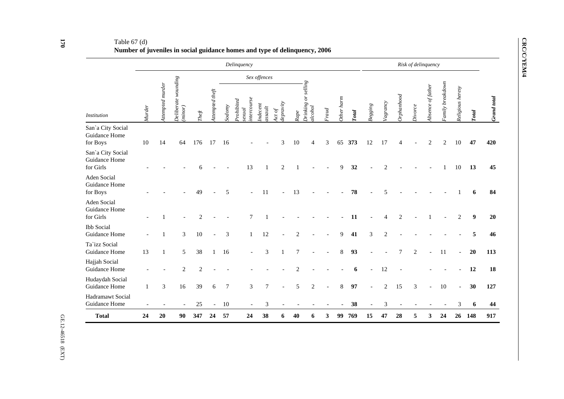## Table 67 (d) **Number of juveniles in social guidance homes and type of delinquency, 2006**

|                                                 |        |                  |                                |                |                 |                | Delinquency                              |                   |                     |                |                                |       |            |              |         |                       |                | Risk of delinquency |                   |                  |                          |                  |             |
|-------------------------------------------------|--------|------------------|--------------------------------|----------------|-----------------|----------------|------------------------------------------|-------------------|---------------------|----------------|--------------------------------|-------|------------|--------------|---------|-----------------------|----------------|---------------------|-------------------|------------------|--------------------------|------------------|-------------|
|                                                 |        |                  |                                |                |                 |                |                                          | Sex offences      |                     |                |                                |       |            |              |         |                       |                |                     |                   |                  |                          |                  |             |
| <b>Institution</b>                              | Murder | Attempted murder | Deliberate wounding<br>(minor) | $The ft$       | Attempted theft | Sodomy         | ntercourse<br><i>rohibited</i><br>sexual | Indecent<br>$tss$ | lepravity<br>$\log$ | Rape           | Drinking or selling<br>alcohol | Fraud | Other harm | <b>Total</b> | Begging | Vagrancy              | Orphanhood     | Divorce             | Absence of father | Family breakdown | Religious heresy         | Total            | Grand total |
| San'a City Social<br>Guidance Home<br>for Boys  | 10     | 14               | 64                             | 176            | 17              | 16             |                                          |                   | 3                   | 10             | $\overline{4}$                 | 3     | 65         | 373          | 12      | 17                    | 4              |                     | $\overline{c}$    | $\overline{2}$   | $10\,$                   | 47               | 420         |
| San'a City Social<br>Guidance Home<br>for Girls |        |                  |                                |                |                 |                | 13                                       | $\mathbf{1}$      | $\sqrt{2}$          |                |                                |       | 9          | 32           |         | $\overline{2}$        |                |                     |                   |                  | $10\,$                   | 13               | 45          |
| Aden Social<br>Guidance Home<br>for Boys        |        |                  |                                | 49             |                 | 5              |                                          | 11                |                     | 13             |                                |       |            | 78           |         | 5                     |                |                     |                   |                  |                          | 6                | 84          |
| Aden Social<br>Guidance Home<br>for Girls       |        |                  |                                | $\mathcal{D}$  |                 |                | 7                                        |                   |                     |                |                                |       |            | 11           |         | $\boldsymbol{\Delta}$ | $\overline{2}$ |                     |                   |                  | $\mathbf{2}$             | $\boldsymbol{9}$ | 20          |
| <b>Ibb</b> Social<br>Guidance Home              |        | 1                | 3                              | 10             | $\overline{a}$  | 3              | $\mathbf{1}$                             | 12                |                     | $\overline{2}$ |                                |       | 9          | 41           | 3       | $\overline{2}$        |                |                     |                   |                  |                          | 5                | 46          |
| Ta`izz Social<br>Guidance Home                  | 13     | 1                | 5                              | 38             | 1               | 16             |                                          | 3                 | 1                   | $\overline{7}$ |                                |       | 8          | 93           |         |                       | $\tau$         | 2                   |                   | 11               |                          | 20               | 113         |
| Hajjah Social<br>Guidance Home                  |        |                  | $\overline{2}$                 | $\overline{2}$ |                 |                |                                          |                   |                     | 2              |                                |       |            | 6            |         | 12                    |                |                     |                   |                  |                          | 12               | 18          |
| Hudaydah Social<br>Guidance Home                | 1      | 3                | 16                             | 39             | 6               | $\overline{7}$ | 3                                        | 7                 |                     | 5              | $\mathbf{2}$                   |       | 8          | 97           |         | $\overline{c}$        | 15             | 3                   |                   | 10               | $\overline{\phantom{a}}$ | 30               | 127         |
| Hadramawt Social<br>Guidance Home               |        |                  |                                | $25\,$         | $\blacksquare$  | 10             |                                          | 3                 |                     |                |                                |       |            | 38           |         | $\mathfrak 3$         |                |                     |                   |                  | $\mathfrak{Z}$           | 6                | 44          |
| <b>Total</b>                                    | 24     | 20               | 90                             | 347            | 24              | 57             | 24                                       | 38                | 6                   | 40             | 6                              | 3     | 99         | 769          | 15      | 47                    | 28             | 5                   | 3                 | 24               | 26                       | 148              | 917         |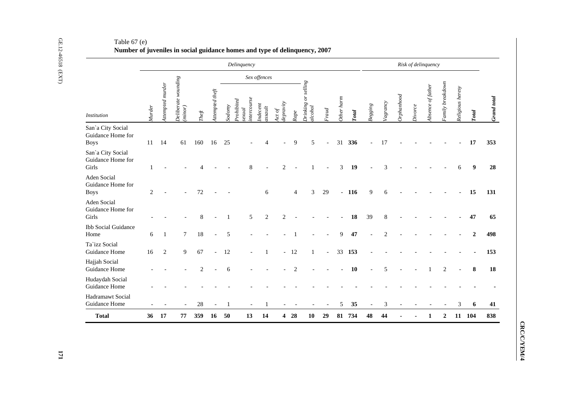|                                                       |              |                  |                                |             |                                                  |              | Delinquency                        |                     |                     |                |                                |                |                |        |                |                |            | Risk of delinquency |                   |                  |                  |                  |
|-------------------------------------------------------|--------------|------------------|--------------------------------|-------------|--------------------------------------------------|--------------|------------------------------------|---------------------|---------------------|----------------|--------------------------------|----------------|----------------|--------|----------------|----------------|------------|---------------------|-------------------|------------------|------------------|------------------|
|                                                       |              |                  |                                |             |                                                  |              |                                    | Sex offences        |                     |                |                                |                |                |        |                |                |            |                     |                   |                  |                  |                  |
| <b>Institution</b>                                    | Murder       | Attempted murder | Deliberate wounding<br>(minor) | Theft       | $\label{eq:4} {\rm \emph{ttempred} \emph{thef}}$ | Sodomy       | ntercourse<br>Prohibited<br>sexual | Indecent<br>assault | lepravity<br>$\int$ | Rape           | Drinking or selling<br>alcohol | Final          | Other harm     | Total  | $Begging$      | Vagrancy       | Orphanhood | Divorce             | Absence of father | Family breakdown | Religious heresy | Total            |
| San'a City Social<br>Guidance Home for<br><b>Boys</b> | 11           | 14               | 61                             | 160         | 16                                               | 25           |                                    |                     |                     | 9              | 5                              | $\overline{a}$ |                | 31 336 | $\overline{a}$ | 17             |            |                     |                   |                  |                  | 17               |
| San'a City Social<br>Guidance Home for<br>Girls       | $\mathbf{1}$ |                  |                                |             |                                                  |              | 8                                  |                     | $\overline{2}$      |                | $\mathbf{1}$                   |                | $\mathfrak{Z}$ | 19     |                | 3              |            |                     |                   |                  | 6                | 9                |
| Aden Social<br>Guidance Home for<br><b>Boys</b>       | 2            |                  |                                | 72          |                                                  |              |                                    | $6\,$               |                     | $\overline{4}$ | 3                              | 29             |                | $-116$ | $\overline{9}$ | 6              |            |                     |                   |                  |                  | 15               |
| Aden Social<br>Guidance Home for<br>Girls             |              |                  |                                | $\,$ 8 $\,$ |                                                  | $\mathbf{1}$ | 5                                  | $\sqrt{2}$          | $\sqrt{2}$          |                |                                |                |                | 18     | 39             | $8\,$          |            |                     |                   |                  |                  | 47               |
| <b>Ibb Social Guidance</b><br>Home                    | 6            | -1               | $\tau$                         | 18          | $\overline{a}$                                   | 5            |                                    |                     |                     | $\overline{1}$ |                                |                | 9              | 47     |                | $\overline{2}$ |            |                     |                   |                  |                  | $\boldsymbol{2}$ |
| Ta`izz Social<br>Guidance Home                        | 16           | $\sqrt{2}$       | 9                              | 67          | $\blacksquare$                                   | 12           | $\overline{\phantom{a}}$           | -1                  |                     | $-12$          | $\mathbf{1}$                   | $\blacksquare$ | 33             | 153    |                |                |            |                     |                   |                  |                  |                  |
| Hajjah Social<br>Guidance Home                        |              |                  |                                | 2           |                                                  | 6            |                                    |                     |                     | 2              |                                |                |                | 10     | $\overline{a}$ | 5              |            |                     | 1                 | 2                |                  | 8                |
| Hudaydah Social<br>Guidance Home                      |              |                  |                                |             |                                                  |              |                                    |                     |                     |                |                                |                |                |        |                |                |            |                     |                   |                  |                  |                  |
| Hadramawt Social<br>Guidance Home                     |              |                  |                                | 28          |                                                  | $\mathbf{1}$ |                                    | 1                   |                     |                |                                |                | 5              | 35     | $\bar{a}$      | $\mathfrak{Z}$ |            |                     |                   |                  | 3                | 6                |
| <b>Total</b>                                          |              | 36 17            | 77                             | 359         | 16                                               | $-50$        | 13                                 | 14                  |                     | 428            | 10                             | 29             |                | 81 734 | 48             | 44             | ٠          | $\blacksquare$      | 1                 | $\mathbf{2}$     |                  | 11 104           |

CRC/C/YEM/4 **CRC/C/YEM/4**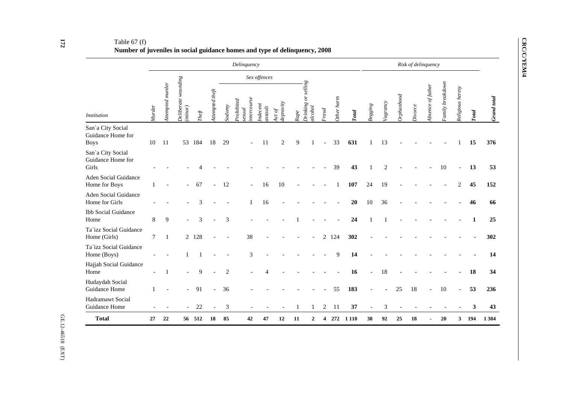## Table 67 (f) **Number of juveniles in social guidance homes and type of delinquency, 2008**

|                                                       |        |                  |                                |        |                 |                             | Delinquency                        |                       |                     |                |                                       |                |            |              |           |                |            | Risk of delinquency |                   |                  |                  |       |             |
|-------------------------------------------------------|--------|------------------|--------------------------------|--------|-----------------|-----------------------------|------------------------------------|-----------------------|---------------------|----------------|---------------------------------------|----------------|------------|--------------|-----------|----------------|------------|---------------------|-------------------|------------------|------------------|-------|-------------|
|                                                       |        |                  |                                |        |                 |                             |                                    | Sex offences          |                     |                |                                       |                |            |              |           |                |            |                     |                   |                  |                  |       |             |
| <b>Institution</b>                                    | Murder | Attempted murder | Deliberate wounding<br>(minor) | The ft | Attempted theft | Sodomy                      | ntercourse<br>Prohibited<br>sexual | Indecent<br>$assault$ | lepravity<br>4ct of | Rape           | <b>Drinking or selling</b><br>alcohol | Frad           | Other harm | <b>Total</b> | $Begging$ | Vagrancy       | Orphanhood | $\it Divorce$       | Absence of father | Family breakdown | Religious heresy | Total | Grand total |
| San'a City Social<br>Guidance Home for<br><b>Boys</b> | 10     | 11               | 53                             | 184    | 18              | 29                          |                                    | 11                    | $\overline{c}$      | $\overline{9}$ |                                       | $\blacksquare$ | 33         | 631          |           | 13             |            |                     |                   |                  |                  | 15    | 376         |
| San'a City Social<br>Guidance Home for<br>Girls       |        |                  |                                |        |                 |                             |                                    |                       |                     |                |                                       |                | 39         | 43           |           | $\overline{2}$ |            |                     |                   | 10               | $\overline{a}$   | 13    | 53          |
| <b>Aden Social Guidance</b><br>Home for Boys          |        |                  |                                | 67     |                 | 12                          |                                    | 16                    | 10                  |                |                                       |                |            | 107          | 24        | 19             |            |                     |                   |                  | 2                | 45    | 152         |
| <b>Aden Social Guidance</b><br>Home for Girls         |        |                  |                                | 3      |                 |                             | $\mathbf{1}$                       | 16                    |                     |                |                                       |                |            | 20           | 10        | 36             |            |                     |                   |                  |                  | 46    | 66          |
| <b>Ibb Social Guidance</b><br>Home                    | 8      | 9                |                                | 3      |                 | 3                           |                                    |                       |                     |                |                                       |                |            | 24           |           |                |            |                     |                   |                  |                  | 1     | 25          |
| Ta`izz Social Guidance<br>Home (Girls)                | $\tau$ |                  |                                | 2 128  |                 |                             | 38                                 |                       |                     |                |                                       | $\overline{2}$ | 124        | 302          |           |                |            |                     |                   |                  |                  |       | 302         |
| Ta'izz Social Guidance<br>Home (Boys)                 |        |                  |                                |        |                 |                             | 3                                  |                       |                     |                |                                       |                | 9          | 14           |           |                |            |                     |                   |                  |                  |       | 14          |
| Hajjah Social Guidance<br>Home                        |        | -1               |                                | 9      |                 | $\overline{2}$              |                                    | $\Delta$              |                     |                |                                       |                |            | 16           |           | 18             |            |                     |                   |                  |                  | 18    | 34          |
| Hudaydah Social<br>Guidance Home                      |        |                  |                                | 91     |                 | 36                          |                                    |                       |                     |                |                                       |                | 55         | 183          |           |                | 25         | 18                  |                   | 10               | $\overline{a}$   | 53    | 236         |
| <b>Hadramawt Social</b><br>Guidance Home              |        |                  |                                | 22     |                 | $\ensuremath{\mathfrak{Z}}$ |                                    |                       |                     | 1              |                                       | $\overline{c}$ | 11         | 37           |           | $\mathfrak 3$  |            |                     |                   |                  |                  | 3     | 43          |
| <b>Total</b>                                          | 27     | 22               |                                | 56 512 | 18              | 85                          | 42                                 | 47                    | 12                  | 11             | 2                                     | 4              | 272        | 1 1 1 0      | 38        | 92             | 25         | 18                  |                   | 20               | 3                | 194   | 1 3 0 4     |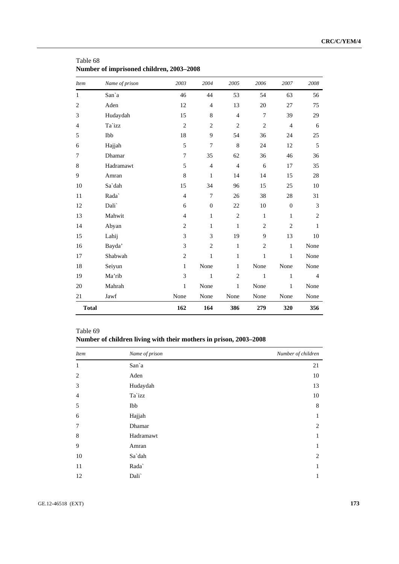| <b>Item</b>    | Name of prison | 2003           | 2004             | 2005           | 2006           | 2007             | 2008           |
|----------------|----------------|----------------|------------------|----------------|----------------|------------------|----------------|
| $\mathbf{1}$   | San`a          | 46             | 44               | 53             | 54             | 63               | 56             |
| $\overline{2}$ | Aden           | 12             | $\overline{4}$   | 13             | 20             | 27               | 75             |
| 3              | Hudaydah       | 15             | 8                | $\overline{4}$ | 7              | 39               | 29             |
| $\overline{4}$ | Ta`izz         | $\overline{c}$ | $\mathbf{2}$     | $\mathfrak{2}$ | $\mathbf{2}$   | $\overline{4}$   | 6              |
| 5              | Ibb            | 18             | 9                | 54             | 36             | 24               | 25             |
| 6              | Hajjah         | 5              | $\overline{7}$   | 8              | 24             | 12               | 5              |
| 7              | Dhamar         | 7              | 35               | 62             | 36             | 46               | 36             |
| $\,$ 8 $\,$    | Hadramawt      | 5              | $\overline{4}$   | $\overline{4}$ | 6              | 17               | 35             |
| 9              | Amran          | 8              | $\mathbf{1}$     | 14             | 14             | 15               | 28             |
| 10             | Sa`dah         | 15             | 34               | 96             | 15             | 25               | 10             |
| 11             | Rada`          | $\overline{4}$ | $\tau$           | 26             | 38             | 28               | 31             |
| 12             | Dali`          | 6              | $\boldsymbol{0}$ | 22             | 10             | $\boldsymbol{0}$ | 3              |
| 13             | Mahwit         | $\overline{4}$ | $\mathbf{1}$     | $\overline{c}$ | $\mathbf{1}$   | $\mathbf{1}$     | $\mathbf{2}$   |
| 14             | Abyan          | $\overline{c}$ | $\mathbf{1}$     | $\mathbf{1}$   | $\overline{c}$ | $\mathfrak{2}$   | 1              |
| 15             | Lahij          | 3              | 3                | 19             | 9              | 13               | 10             |
| 16             | Bayda'         | 3              | $\mathbf{2}$     | $\mathbf{1}$   | $\mathfrak{2}$ | $\mathbf 1$      | None           |
| 17             | Shabwah        | $\overline{2}$ | $\mathbf{1}$     | $\mathbf{1}$   | $\mathbf{1}$   | $\mathbf{1}$     | None           |
| 18             | Seiyun         | $\mathbf 1$    | None             | $\mathbf{1}$   | None           | None             | None           |
| 19             | Ma'rib         | 3              | $\mathbf{1}$     | $\overline{2}$ | $\mathbf{1}$   | 1                | $\overline{4}$ |
| 20             | Mahrah         | $\mathbf{1}$   | None             | 1              | None           | 1                | None           |
| 21             | Jawf           | None           | None             | None           | None           | None             | None           |
| <b>Total</b>   |                | 162            | 164              | 386            | 279            | 320              | 356            |

Table 68 **Number of imprisoned children, 2003–2008** 

## Table 69 **Number of children living with their mothers in prison, 2003–2008**

| <i>Item</i>    | Name of prison | Number of children |
|----------------|----------------|--------------------|
| 1              | San'a          | 21                 |
| $\overline{2}$ | Aden           | 10                 |
| 3              | Hudaydah       | 13                 |
| 4              | Ta`izz         | 10                 |
| 5              | Ibb            | 8                  |
| 6              | Hajjah         | 1                  |
| 7              | Dhamar         | 2                  |
| 8              | Hadramawt      | 1                  |
| 9              | Amran          | 1                  |
| 10             | Sa`dah         | 2                  |
| 11             | Rada`          | 1                  |
| 12             | Dali`          | 1                  |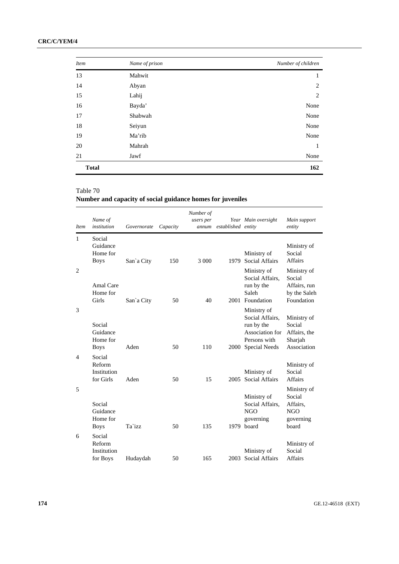| <b>Item</b>  | Name of prison | Number of children |
|--------------|----------------|--------------------|
| 13           | Mahwit         | 1                  |
| 14           | Abyan          | 2                  |
| 15           | Lahij          | $\overline{2}$     |
| 16           | Bayda'         | None               |
| 17           | Shabwah        | None               |
| 18           | Seiyun         | None               |
| 19           | Ma'rib         | None               |
| 20           | Mahrah         | 1                  |
| 21           | Jawf           | None               |
| <b>Total</b> |                | 162                |

# **Number and capacity of social guidance homes for juveniles**

| <i>Item</i>              | Name of<br>institution                        | Governorate | Capacity | Number of<br>users per<br>annum | established entity | Year Main oversight                                                                                     | Main support<br>entity                                                |
|--------------------------|-----------------------------------------------|-------------|----------|---------------------------------|--------------------|---------------------------------------------------------------------------------------------------------|-----------------------------------------------------------------------|
| $\mathbf{1}$             | Social<br>Guidance<br>Home for<br><b>Boys</b> | San'a City  | 150      | 3 0 0 0                         | 1979               | Ministry of<br><b>Social Affairs</b>                                                                    | Ministry of<br>Social<br><b>Affairs</b>                               |
| $\overline{2}$           | Amal Care<br>Home for<br>Girls                | San'a City  | 50       | 40                              |                    | Ministry of<br>Social Affairs,<br>run by the<br>Saleh<br>2001 Foundation                                | Ministry of<br>Social<br>Affairs, run<br>by the Saleh<br>Foundation   |
| 3                        | Social<br>Guidance<br>Home for<br><b>Boys</b> | Aden        | 50       | 110                             | 2000               | Ministry of<br>Social Affairs.<br>run by the<br>Association for<br>Persons with<br><b>Special Needs</b> | Ministry of<br>Social<br>Affairs, the<br>Sharjah<br>Association       |
| $\overline{\mathcal{A}}$ | Social<br>Reform<br>Institution<br>for Girls  | Aden        | 50       | 15                              | 2005               | Ministry of<br>Social Affairs                                                                           | Ministry of<br>Social<br><b>Affairs</b>                               |
| 5                        | Social<br>Guidance<br>Home for<br><b>Boys</b> | Ta`izz      | 50       | 135                             |                    | Ministry of<br>Social Affairs.<br>NGO<br>governing<br>1979 board                                        | Ministry of<br>Social<br>Affairs,<br><b>NGO</b><br>governing<br>board |
| 6                        | Social<br>Reform<br>Institution<br>for Boys   | Hudaydah    | 50       | 165                             | 2003               | Ministry of<br>Social Affairs                                                                           | Ministry of<br>Social<br><b>Affairs</b>                               |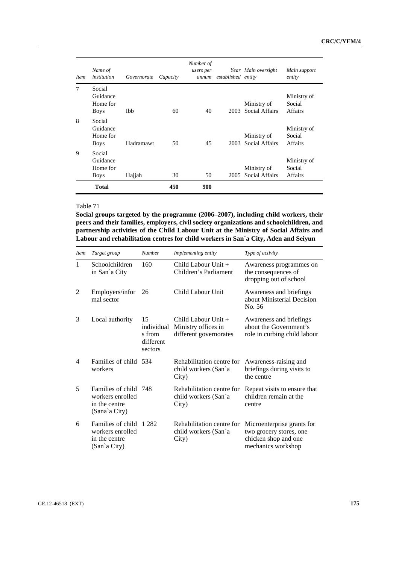| <i>Item</i> | Name of<br><i>institution</i>                 | Governorate | Capacity | Number of<br>users per<br>annum | established entity | Year Main oversight                | Main support<br>entity                  |
|-------------|-----------------------------------------------|-------------|----------|---------------------------------|--------------------|------------------------------------|-----------------------------------------|
| 7           | Social<br>Guidance<br>Home for<br><b>Boys</b> | Ibb         | 60       | 40                              |                    | Ministry of<br>2003 Social Affairs | Ministry of<br>Social<br>Affairs        |
| 8           | Social<br>Guidance<br>Home for<br><b>Boys</b> | Hadramawt   | 50       | 45                              | 2003               | Ministry of<br>Social Affairs      | Ministry of<br>Social<br><b>Affairs</b> |
| 9           | Social<br>Guidance<br>Home for<br><b>Boys</b> | Hajjah      | 30       | 50                              | 2005               | Ministry of<br>Social Affairs      | Ministry of<br>Social<br>Affairs        |
|             | <b>Total</b>                                  |             | 450      | 900                             |                    |                                    |                                         |

**Social groups targeted by the programme (2006–2007), including child workers, their peers and their families, employers, civil society organizations and schoolchildren, and partnership activities of the Child Labour Unit at the Ministry of Social Affairs and Labour and rehabilitation centres for child workers in San`a City, Aden and Seiyun** 

| <i>Item</i>    | Target group                                                            | <b>Number</b>                                      | Implementing entity                                                  | Type of activity                                                                                    |
|----------------|-------------------------------------------------------------------------|----------------------------------------------------|----------------------------------------------------------------------|-----------------------------------------------------------------------------------------------------|
| 1              | Schoolchildren<br>in San'a City                                         | 160                                                | Child Labour Unit $+$<br>Children's Parliament                       | Awareness programmes on<br>the consequences of<br>dropping out of school                            |
| 2              | Employers/infor<br>mal sector                                           | 26                                                 | Child Labour Unit                                                    | Awareness and briefings<br>about Ministerial Decision<br>No. 56                                     |
| 3              | Local authority                                                         | 15<br>individual<br>s from<br>different<br>sectors | Child Labour Unit +<br>Ministry offices in<br>different governorates | Awareness and briefings<br>about the Government's<br>role in curbing child labour                   |
| $\overline{4}$ | Families of child 534<br>workers                                        |                                                    | Rehabilitation centre for<br>child workers (San'a<br>City)           | Awareness-raising and<br>briefings during visits to<br>the centre                                   |
| 5              | Families of child<br>workers enrolled<br>in the centre<br>(Sana`a City) | 748                                                | Rehabilitation centre for<br>child workers (San'a<br>City)           | Repeat visits to ensure that<br>children remain at the<br>centre                                    |
| 6              | Families of child<br>workers enrolled<br>in the centre<br>(San'a City)  | 1 2 8 2                                            | Rehabilitation centre for<br>child workers (San'a<br>City)           | Microenterprise grants for<br>two grocery stores, one<br>chicken shop and one<br>mechanics workshop |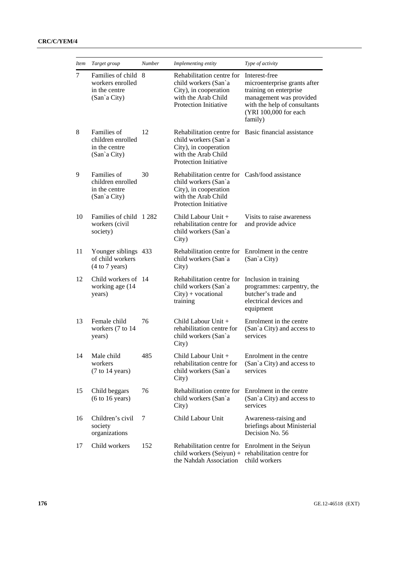| <i>Item</i> | Target group                                                             | <b>Number</b> | Implementing entity                                                                                                                                    | Type of activity                                                                                                                                                       |
|-------------|--------------------------------------------------------------------------|---------------|--------------------------------------------------------------------------------------------------------------------------------------------------------|------------------------------------------------------------------------------------------------------------------------------------------------------------------------|
| $\tau$      | Families of child 8<br>workers enrolled<br>in the centre<br>(San'a City) |               | Rehabilitation centre for<br>child workers (San'a<br>City), in cooperation<br>with the Arab Child<br>Protection Initiative                             | Interest-free<br>microenterprise grants after<br>training on enterprise<br>management was provided<br>with the help of consultants<br>(YRI 100,000 for each<br>family) |
| 8           | Families of<br>children enrolled<br>in the centre<br>(San'a City)        | 12            | Rehabilitation centre for<br>child workers (San'a<br>City), in cooperation<br>with the Arab Child<br><b>Protection Initiative</b>                      | Basic financial assistance                                                                                                                                             |
| 9           | Families of<br>children enrolled<br>in the centre<br>(San'a City)        | 30            | Rehabilitation centre for Cash/food assistance<br>child workers (San'a<br>City), in cooperation<br>with the Arab Child<br><b>Protection Initiative</b> |                                                                                                                                                                        |
| 10          | Families of child 1282<br>workers (civil<br>society)                     |               | Child Labour Unit +<br>rehabilitation centre for<br>child workers (San'a<br>City)                                                                      | Visits to raise awareness<br>and provide advice                                                                                                                        |
| 11          | Younger siblings 433<br>of child workers<br>(4 to 7 years)               |               | Rehabilitation centre for<br>child workers (San'a<br>City)                                                                                             | Enrolment in the centre<br>(San'a City)                                                                                                                                |
| 12          | Child workers of 14<br>working age (14<br>years)                         |               | Rehabilitation centre for<br>child workers (San'a<br>$City) + vocational$<br>training                                                                  | Inclusion in training<br>programmes: carpentry, the<br>butcher's trade and<br>electrical devices and<br>equipment                                                      |
| 13          | Female child<br>workers (7 to 14<br>years)                               | 76            | Child Labour Unit +<br>rehabilitation centre for<br>child workers (San'a<br>City)                                                                      | Enrolment in the centre<br>(San'a City) and access to<br>services                                                                                                      |
| 14          | Male child<br>workers<br>(7 to 14 years)                                 | 485           | Child Labour Unit +<br>rehabilitation centre for<br>child workers (San'a<br>City)                                                                      | Enrolment in the centre<br>(San'a City) and access to<br>services                                                                                                      |
| 15          | Child beggars<br>(6 to 16 years)                                         | 76            | Rehabilitation centre for<br>child workers (San'a<br>City)                                                                                             | Enrolment in the centre<br>(San'a City) and access to<br>services                                                                                                      |
| 16          | Children's civil<br>society<br>organizations                             | 7             | Child Labour Unit                                                                                                                                      | Awareness-raising and<br>briefings about Ministerial<br>Decision No. 56                                                                                                |
| 17          | Child workers                                                            | 152           | Rehabilitation centre for<br>child workers (Seiyun) + rehabilitation centre for<br>the Nahdah Association                                              | Enrolment in the Seiyun<br>child workers                                                                                                                               |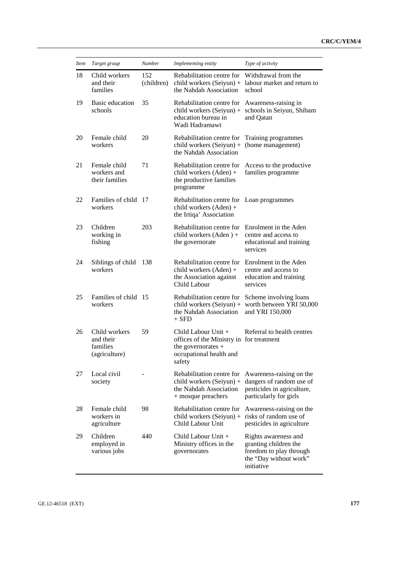| <i>Item</i> | Target group                                                | Number | Implementing entity                                                                                                          | Type of activity                                                                                                 |  |
|-------------|-------------------------------------------------------------|--------|------------------------------------------------------------------------------------------------------------------------------|------------------------------------------------------------------------------------------------------------------|--|
| 18          | Child workers<br>152<br>and their<br>(children)<br>families |        | Rehabilitation centre for<br>the Nahdah Association                                                                          | Withdrawal from the<br>child workers $(Seiyun)$ + labour market and return to<br>school                          |  |
| 19          | Basic education<br>schools                                  | 35     | Rehabilitation centre for<br>child workers $(Seiyun) +$<br>education bureau in<br>Wadi Hadramawt                             | Awareness-raising in<br>schools in Seiyun, Shibam<br>and Qatan                                                   |  |
| 20          | Female child<br>workers                                     | 20     | Rehabilitation centre for<br>child workers (Seiyun) +<br>the Nahdah Association                                              | Training programmes<br>(home management)                                                                         |  |
| 21          | Female child<br>workers and<br>their families               | 71     | Rehabilitation centre for<br>child workers (Aden) +<br>the productive families<br>programme                                  | Access to the productive<br>families programme                                                                   |  |
| 22          | Families of child 17<br>workers                             |        | Rehabilitation centre for Loan programmes<br>child workers (Aden) +<br>the Irtiqa' Association                               |                                                                                                                  |  |
| 23          | Children<br>working in<br>fishing                           | 203    | Rehabilitation centre for<br>child workers (Aden) +<br>the governorate                                                       | Enrolment in the Aden<br>centre and access to<br>educational and training<br>services                            |  |
| 24          | Siblings of child<br>workers                                | 138    | Rehabilitation centre for<br>child workers $(Aden) +$<br>the Association against<br>Child Labour                             | Enrolment in the Aden<br>centre and access to<br>education and training<br>services                              |  |
| 25          | Families of child 15<br>workers                             |        | Rehabilitation centre for<br>child workers $(Seiyun) +$<br>the Nahdah Association<br>$+$ SFD                                 | Scheme involving loans<br>worth between YRI 50,000<br>and YRI 150,000                                            |  |
| 26          | Child workers<br>and their<br>families<br>(agriculture)     | 59     | Child Labour Unit +<br>offices of the Ministry in for treatment<br>the governorates $+$<br>occupational health and<br>safety | Referral to health centres                                                                                       |  |
| 27          | Local civil<br>society                                      |        | Rehabilitation centre for<br>child workers (Seiyun) +<br>the Nahdah Association<br>+ mosque preachers                        | Awareness-raising on the<br>dangers of random use of<br>pesticides in agriculture,<br>particularly for girls     |  |
| 28          | Female child<br>workers in<br>agriculture                   | 98     | Rehabilitation centre for<br>child workers (Seiyun) + risks of random use of<br>Child Labour Unit                            | Awareness-raising on the<br>pesticides in agriculture                                                            |  |
| 29          | Children<br>employed in<br>various jobs                     | 440    | Child Labour Unit +<br>Ministry offices in the<br>governorates                                                               | Rights awareness and<br>granting children the<br>freedom to play through<br>the "Day without work"<br>initiative |  |